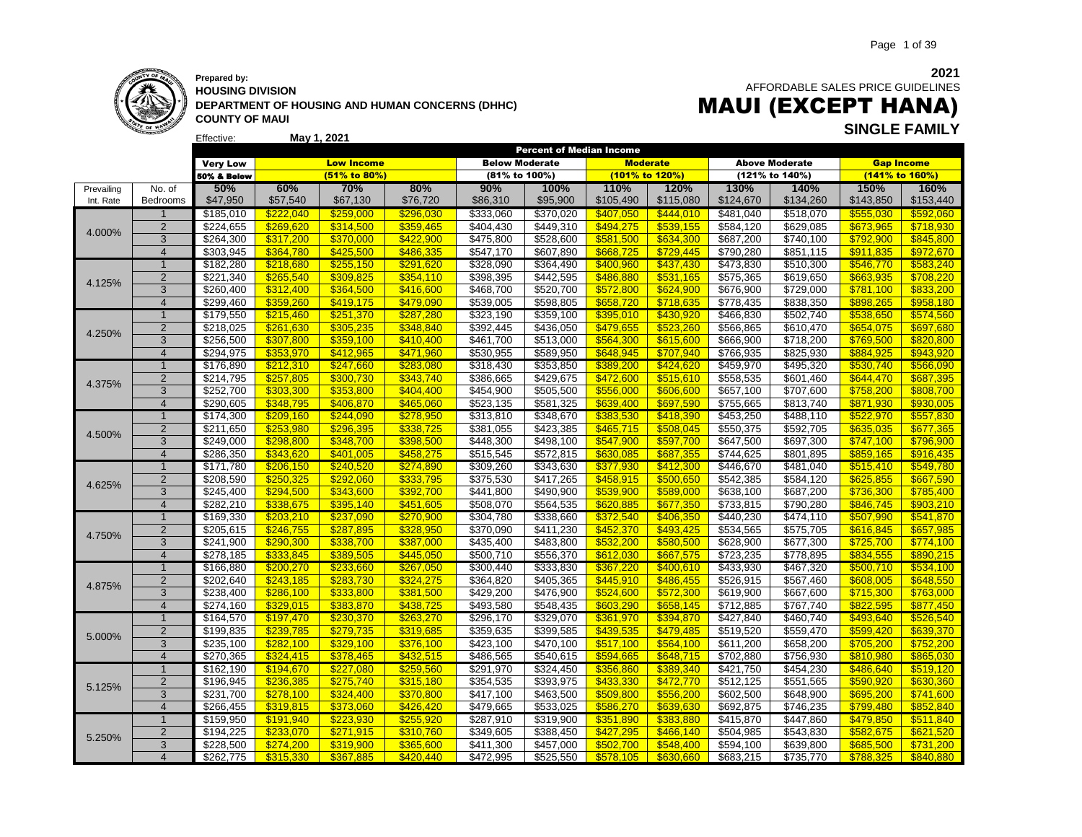

### **Prepared by: HOUSING DIVISION DEPARTMENT OF HOUSING AND HUMAN CONCERNS (DHHC) COUNTY OF MAUI**

**May 1, 2021**

 AFFORDABLE SALES PRICE GUIDELINES

### MAUI (EXCEPT HANA) **SINGLE FAMILY**

|            |                |                 |           |                   |           | Percent of Median Income |           |           |                  |           |                       |           |                   |
|------------|----------------|-----------------|-----------|-------------------|-----------|--------------------------|-----------|-----------|------------------|-----------|-----------------------|-----------|-------------------|
|            |                | <b>Very Low</b> |           | <b>Low Income</b> |           | <b>Below Moderate</b>    |           |           | <b>Moderate</b>  |           | <b>Above Moderate</b> |           | <b>Gap Income</b> |
|            |                | 50% & Below     |           | $(51\%$ to 80%)   |           | (81% to 100%)            |           |           | (101% to 120%)   |           | (121% to 140%)        |           | (141% to 160%)    |
| Prevailing | No. of         | 50%             | 60%       | 70%               | 80%       | 90%                      | 100%      | 110%      | 120%             | 130%      | 140%                  | 150%      | <b>160%</b>       |
| Int. Rate  | Bedrooms       | \$47,950        | \$57,540  | \$67,130          | \$76,720  | \$86,310                 | \$95,900  | \$105,490 | \$115,080        | \$124,670 | \$134,260             | \$143,850 | \$153,440         |
|            | $\mathbf{1}$   | \$185,010       | \$222,040 | \$259,000         | \$296,030 | \$333,060                | \$370,020 | \$407,050 | \$444,010        | \$481,040 | \$518,070             | \$555,030 | \$592,060         |
|            | $\overline{2}$ | \$224,655       | \$269,620 | \$314,500         | \$359,465 | \$404,430                | \$449,310 | \$494,275 | \$539,155        | \$584,120 | \$629,085             | \$673,965 | \$718,930         |
| 4.000%     | 3              | \$264,300       | \$317,200 | \$370,000         | \$422,900 | \$475,800                | \$528,600 | \$581,500 | \$634,300        | \$687,200 | \$740,100             | \$792,900 | \$845,800         |
|            | $\overline{4}$ | \$303,945       | \$364.780 | \$425.500         | \$486,335 | \$547,170                | \$607,890 | \$668.725 | \$729,445        | \$790,280 | \$851,115             | \$911.835 | \$972,670         |
|            | $\overline{1}$ | \$182,280       | \$218,680 | \$255,150         | \$291,620 | \$328,090                | \$364,490 | \$400.960 | \$437,430        | \$473,830 | \$510,300             | \$546,770 | \$583,240         |
|            | $\overline{2}$ | \$221,340       | \$265,540 | \$309,825         | \$354,110 | \$398,395                | \$442,595 | \$486,880 | \$531,165        | \$575,365 | \$619,650             | \$663,935 | \$708,220         |
| 4.125%     | 3              | \$260.400       | \$312,400 | \$364,500         | \$416,600 | \$468,700                | \$520,700 | \$572,800 | \$624,900        | \$676,900 | \$729,000             | \$781,100 | \$833,200         |
|            | $\overline{4}$ | \$299,460       | \$359,260 | \$419,175         | \$479,090 | \$539,005                | \$598,805 | \$658,720 | \$718,635        | \$778,435 | \$838,350             | \$898,265 | \$958,180         |
|            | $\mathbf{1}$   | \$179,550       | \$215,460 | \$251,370         | \$287,280 | \$323,190                | \$359,100 | \$395,010 | \$430,920        | \$466,830 | \$502,740             | \$538,650 | \$574,560         |
|            | $\overline{2}$ | 3218,025        | \$261,630 | \$305,235         | \$348,840 | \$392,445                | \$436,050 | \$479,655 | \$523,260        | \$566,865 | \$610,470             | \$654,075 | \$697,680         |
| 4.250%     | 3              | \$256,500       | \$307,800 | \$359,100         | \$410,400 | \$461,700                | \$513,000 | \$564,300 | \$615,600        | \$666,900 | \$718,200             | \$769,500 | \$820,800         |
|            | $\overline{4}$ | \$294,975       | \$353.970 | \$412.965         | \$471,960 | \$530,955                | \$589,950 | \$648.945 | \$707,940        | \$766,935 | \$825,930             | \$884.925 | \$943.920         |
|            | $\mathbf{1}$   | \$176,890       | \$212,310 | \$247,660         | \$283,080 | \$318,430                | \$353,850 | \$389,200 | \$424,620        | \$459,970 | \$495,320             | \$530,740 | \$566,090         |
|            | $\overline{2}$ | \$214,795       | \$257,805 | \$300,730         | \$343,740 | \$386,665                | \$429,675 | \$472,600 | \$515,610        | \$558,535 | \$601,460             | \$644,470 | \$687,395         |
| 4.375%     | 3              | \$252,700       | \$303,300 | \$353,800         | \$404,400 | \$454,900                | \$505,500 | \$556,000 | \$606,600        | \$657,100 | \$707,600             | \$758,200 | \$808,700         |
|            | $\overline{4}$ | \$290,605       | \$348,795 | \$406.870         | \$465.060 | \$523,135                | \$581,325 | \$639.400 | \$697.590        | \$755,665 | \$813,740             | \$871.930 | \$930.005         |
|            | $\overline{1}$ | \$174,300       | \$209,160 | \$244.090         | \$278,950 | \$313,810                | \$348,670 | \$383,530 | \$418,390        | \$453,250 | \$488,110             | \$522,970 | \$557,830         |
|            | $\overline{2}$ | \$211,650       | \$253,980 | \$296,395         | \$338,725 | \$381,055                | \$423,385 | \$465,715 | \$508,045        | \$550,375 | \$592,705             | \$635,035 | \$677,365         |
| 4.500%     | $\overline{3}$ | \$249,000       | \$298.800 | \$348.700         | \$398,500 | \$448,300                | \$498,100 | \$547.900 | \$597,700        | \$647,500 | \$697,300             | \$747.100 | \$796,900         |
|            | $\overline{4}$ | \$286,350       | \$343,620 | \$401,005         | \$458,275 | \$515,545                | \$572,815 | \$630,085 | \$687,355        | \$744,625 | \$801,895             | \$859,165 | \$916,435         |
|            | $\overline{1}$ | \$171,780       | \$206,150 | \$240,520         | \$274,890 | \$309,260                | \$343,630 | \$377,930 | \$412,300        | \$446,670 | \$481,040             | \$515,410 | \$549,780         |
| 4.625%     | $\overline{2}$ | \$208,590       | \$250,325 | \$292,060         | \$333,795 | \$375,530                | \$417,265 | \$458,915 | \$500,650        | \$542,385 | \$584,120             | \$625,855 | \$667,590         |
|            | 3              | \$245,400       | \$294,500 | \$343,600         | \$392,700 | \$441,800                | \$490,900 | \$539,900 | \$589,000        | \$638,100 | \$687,200             | \$736,300 | \$785,400         |
|            | $\overline{4}$ | \$282,210       | \$338.675 | \$395.140         | \$451,605 | \$508,070                | \$564,535 | \$620.885 | \$677,350        | \$733,815 | \$790,280             | \$846.745 | \$903.210         |
|            | $\overline{1}$ | \$169,330       | \$203,210 | \$237,090         | \$270,900 | \$304,780                | \$338,660 | \$372,540 | \$406,350        | \$440,230 | \$474,110             | \$507,990 | \$541,870         |
| 4.750%     | $\overline{2}$ | \$205,615       | \$246,755 | \$287,895         | \$328,950 | \$370,090                | \$411,230 | \$452,370 | \$493,425        | \$534,565 | \$575,705             | \$616,845 | \$657,985         |
|            | 3              | \$241,900       | \$290,300 | \$338,700         | \$387,000 | \$435,400                | \$483,800 | \$532,200 | \$580,500        | \$628,900 | \$677,300             | \$725,700 | \$774,100         |
|            | $\overline{4}$ | \$278,185       | \$333.845 | \$389,505         | \$445.050 | \$500,710                | \$556,370 | \$612.030 | \$667.575        | \$723,235 | \$778,895             | \$834.555 | \$890.215         |
|            | $\overline{1}$ | \$166,880       | \$200,270 | \$233,660         | \$267,050 | \$300,440                | \$333,830 | \$367,220 | \$400,610        | \$433,930 | \$467,320             | \$500,710 | \$534,100         |
| 4.875%     | $\overline{2}$ | \$202,640       | \$243,185 | \$283.730         | \$324.275 | \$364,820                | \$405,365 | \$445.910 | \$486,455        | \$526,915 | \$567,460             | \$608.005 | \$648,550         |
|            | $\overline{3}$ | \$238,400       | \$286,100 | \$333,800         | \$381,500 | \$429,200                | \$476,900 | \$524,600 | \$572,300        | \$619,900 | \$667,600             | \$715,300 | \$763,000         |
|            | $\overline{4}$ | \$274,160       | \$329,015 | \$383,870         | \$438,725 | \$493,580                | \$548,435 | \$603,290 | \$658,145        | \$712,885 | \$767,740             | \$822,595 | \$877,450         |
|            | $\overline{1}$ | \$164,570       | \$197,470 | \$230,370         | \$263,270 | \$296,170                | \$329,070 | \$361,970 | \$394,870        | \$427,840 | \$460,740             | \$493,640 | \$526,540         |
| 5.000%     | $\mathbf 2$    | \$199,835       | \$239,785 | \$279,735         | \$319,685 | \$359,635                | \$399,585 | \$439,535 | \$479,485        | \$519,520 | \$559,470             | \$599,420 | \$639,370         |
|            | 3              | \$235,100       | \$282,100 | \$329,100         | \$376,100 | \$423,100                | \$470,100 | \$517,100 | \$564,100        | \$611,200 | \$658,200             | \$705,200 | \$752,200         |
|            | $\overline{4}$ | \$270,365       | \$324.415 | \$378,465         | \$432,515 | \$486,565                | \$540,615 | \$594.665 | \$648.715        | \$702,880 | \$756,930             | \$810,980 | \$865,030         |
|            | $\mathbf{1}$   | \$162,190       | \$194,670 | \$227,080         | \$259,560 | \$291,970                | \$324,450 | \$356,860 | \$389,340        | \$421,750 | \$454,230             | \$486,640 | \$519,120         |
| 5.125%     | $\mathbf 2$    | \$196,945       | \$236,385 | \$275,740         | \$315,180 | \$354,535                | \$393,975 | \$433,330 | \$472,770        | \$512,125 | \$551,565             | \$590,920 | \$630,360         |
|            | 3              | \$231,700       | \$278,100 | \$324,400         | \$370,800 | \$417,100                | \$463,500 | \$509,800 | \$556,200        | \$602,500 | \$648,900             | \$695,200 | \$741,600         |
|            | $\overline{4}$ | \$266,455       | \$319,815 | \$373.060         | \$426.420 | \$479,665                | \$533,025 | \$586.270 | \$639.630        | \$692,875 | \$746,235             | \$799.480 | \$852.840         |
|            | $\mathbf{1}$   | \$159,950       | \$191,940 | \$223,930         | \$255,920 | \$287,910                | \$319,900 | \$351,890 | \$383,880        | \$415,870 | \$447,860             | \$479,850 | \$511,840         |
| 5.250%     | $\overline{2}$ | \$194,225       | \$233,070 | \$271,915         | \$310,760 | \$349,605                | \$388,450 | \$427,295 | \$466,140        | \$504,985 | \$543,830             | \$582,675 | \$621,520         |
|            | 3              | \$228,500       | \$274,200 | \$319,900         | \$365,600 | \$411,300                | \$457,000 | \$502.700 | \$548.400        | \$594,100 | \$639,800             | \$685,500 | \$731,200         |
|            | $\overline{4}$ | \$262.775       | \$315,330 | \$367.885         | \$420.440 | \$472,995                | \$525.550 | \$578.105 | <b>\$630,660</b> | \$683.215 | \$735,770             | \$788.325 | \$840.880         |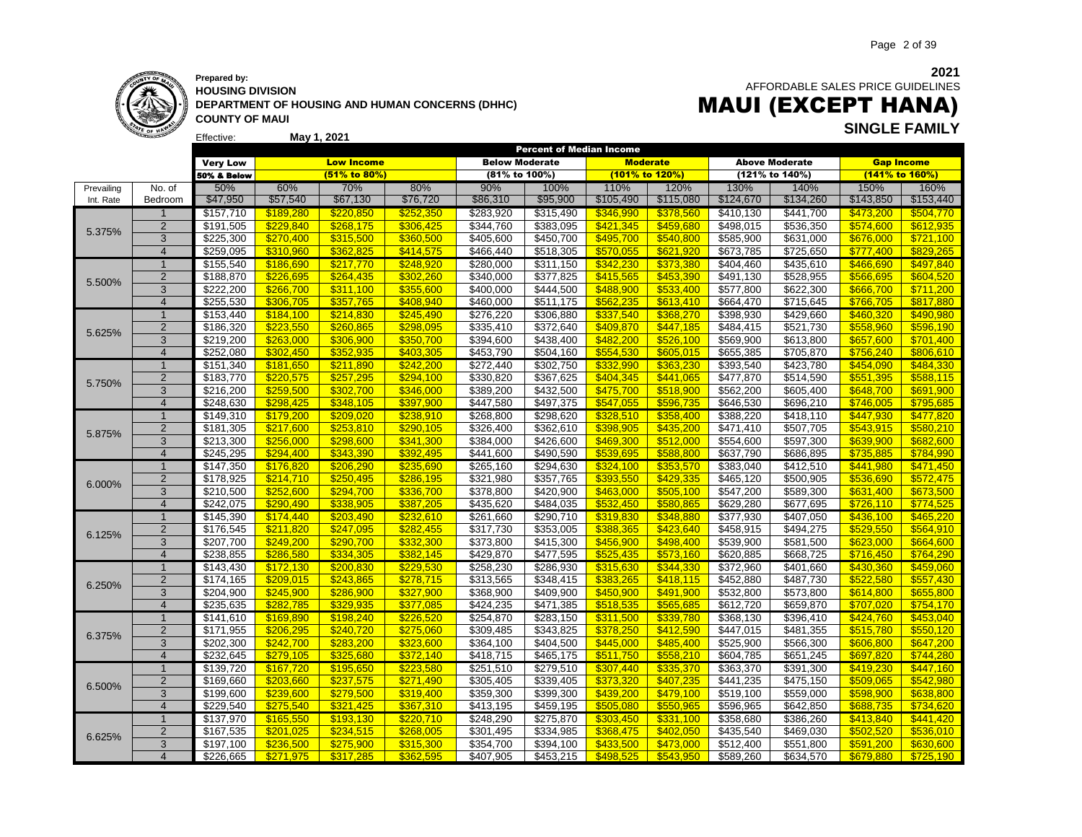

Effective:

**HOUSING DIVISION DEPARTMENT OF HOUSING AND HUMAN CONCERNS (DHHC) COUNTY OF MAUI**

**May 1, 2021**

 AFFORDABLE SALES PRICE GUIDELINES

### MAUI (EXCEPT HANA) **SINGLE FAMILY**

|            |                |                        |                        |                        |                        |                        |                        | <b>Percent of Median Income</b> |                        |                        |                        |                        |                        |
|------------|----------------|------------------------|------------------------|------------------------|------------------------|------------------------|------------------------|---------------------------------|------------------------|------------------------|------------------------|------------------------|------------------------|
|            |                | <b>Very Low</b>        |                        | <b>Low Income</b>      |                        | <b>Below Moderate</b>  |                        | <b>Moderate</b>                 |                        |                        | <b>Above Moderate</b>  | <b>Gap Income</b>      |                        |
|            |                | 50% & Below            |                        | (51% to 80%)           |                        | (81% to 100%)          |                        | (101% to 120%)                  |                        |                        | (121% to 140%)         | (141% to 160%)         |                        |
| Prevailing | No. of         | 50%                    | 60%                    | 70%                    | 80%                    | 90%                    | 100%                   | 110%                            | 120%                   | 130%                   | 140%                   | 150%                   | 160%                   |
| Int. Rate  | Bedroom        | \$47,950               | \$57,540               | \$67,130               | \$76,720               | \$86,310               | \$95,900               | \$105,490                       | \$115,080              | \$124,670              | \$134,260              | \$143,850              | \$153,440              |
|            | $\overline{1}$ | \$157,710              | \$189,280              | \$220,850              | \$252,350              | \$283,920              | \$315,490              | \$346,990                       | \$378,560              | \$410,130              | \$441,700              | \$473,200              | \$504,770              |
|            | $\overline{2}$ | \$191,505              | \$229,840              | \$268,175              | \$306,425              | \$344,760              | \$383,095              | \$421,345                       | \$459,680              | \$498,015              | \$536,350              | \$574,600              | \$612,935              |
| 5.375%     | 3              | \$225,300              | \$270,400              | \$315,500              | \$360,500              | \$405,600              | \$450,700              | \$495,700                       | \$540,800              | \$585,900              | \$631,000              | \$676,000              | \$721,100              |
|            | $\overline{4}$ | \$259,095              | \$310.960              | \$362.825              | \$414.575              | \$466,440              | \$518,305              | \$570.055                       | \$621,920              | \$673,785              | \$725,650              | \$777.400              | \$829.265              |
|            | $\overline{1}$ | \$155,540              | \$186,690              | \$217,770              | \$248,920              | \$280,000              | \$311,150              | \$342,230                       | \$373,380              | \$404,460              | \$435,610              | \$466,690              | \$497,840              |
|            | $\overline{2}$ | \$188,870              | \$226,695              | \$264,435              | \$302,260              | \$340,000              | \$377,825              | \$415,565                       | \$453,390              | \$491,130              | \$528,955              | \$566,695              | \$604,520              |
| 5.500%     | 3              | \$222,200              | \$266,700              | \$311,100              | \$355,600              | \$400,000              | \$444,500              | \$488,900                       | \$533,400              | \$577,800              | \$622,300              | \$666,700              | \$711,200              |
|            | $\overline{4}$ | \$255,530              | \$306,705              | \$357,765              | \$408,940              | \$460,000              | \$511,175              | \$562,235                       | \$613,410              | \$664,470              | \$715,645              | \$766,705              | \$817,880              |
|            | $\mathbf{1}$   | \$153,440              | \$184,100              | \$214,830              | \$245,490              | \$276,220              | \$306,880              | \$337,540                       | \$368,270              | \$398,930              | \$429,660              | \$460,320              | \$490,980              |
|            | $\overline{2}$ | \$186,320              | \$223,550              | \$260,865              | \$298,095              | \$335,410              | \$372,640              | \$409,870                       | \$447,185              | \$484,415              | \$521,730              | \$558,960              | \$596,190              |
| 5.625%     | 3              | \$219,200              | \$263,000              | \$306,900              | \$350,700              | \$394,600              | \$438,400              | \$482,200                       | \$526,100              | \$569,900              | \$613,800              | \$657,600              | \$701,400              |
|            | $\overline{4}$ | \$252,080              | \$302.450              | \$352.935              | \$403.305              | \$453,790              | \$504,160              | \$554.530                       | \$605.015              | \$655,385              | \$705,870              | \$756.240              | \$806.610              |
|            | $\overline{1}$ | \$151,340              | \$181,650              | \$211,890              | \$242,200              | \$272,440              | \$302,750              | \$332,990                       | \$363,230              | \$393,540              | \$423,780              | \$454,090              | \$484,330              |
|            | $\overline{2}$ | \$183,770              | \$220,575              | \$257,295              | \$294,100              | \$330,820              | \$367,625              | \$404,345                       | \$441,065              | \$477,870              | \$514,590              | \$551,395              | \$588,115              |
| 5.750%     | 3              | \$216,200              | \$259,500              | \$302,700              | \$346,000              | \$389,200              | \$432,500              | \$475,700                       | \$518,900              | \$562,200              | \$605,400              | \$648,700              | \$691,900              |
|            | $\overline{4}$ | \$248,630              | \$298,425              | \$348,105              | \$397,900              | \$447,580              | \$497,375              | \$547,055                       | \$596,735              | \$646,530              | \$696,210              | \$746,005              | \$795,685              |
|            | $\mathbf{1}$   |                        | \$179,200              | \$209,020              | \$238,910              | \$268,800              |                        | \$328,510                       | \$358,400              |                        |                        | \$447,930              | \$477,820              |
|            | $\overline{2}$ | \$149,310<br>\$181,305 | \$217,600              |                        |                        | \$326,400              | \$298,620<br>\$362,610 |                                 |                        | \$388,220<br>\$471,410 | \$418,110              | \$543,915              |                        |
| 5.875%     | 3              | \$213,300              | \$256,000              | \$253,810              | \$290,105<br>\$341,300 | \$384,000              | \$426,600              | \$398,905                       | \$435,200<br>\$512,000 | \$554,600              | \$507,705<br>\$597,300 |                        | \$580,210<br>\$682,600 |
|            | $\overline{4}$ |                        | \$294.400              | \$298,600              |                        |                        |                        | \$469,300                       |                        |                        |                        | \$639,900              | \$784.990              |
|            | $\overline{1}$ | \$245,295              |                        | \$343,390              | \$392,495              | \$441,600              | \$490,590              | \$539,695                       | \$588,800              | \$637,790              | \$686,895              | \$735,885              |                        |
|            | $\overline{2}$ | \$147,350<br>\$178,925 | \$176,820<br>\$214,710 | \$206,290<br>\$250,495 | \$235,690<br>\$286,195 | \$265,160<br>\$321,980 | \$294,630<br>\$357,765 | \$324,100<br>\$393,550          | \$353,570              | \$383,040<br>\$465,120 | \$412,510<br>\$500,905 | \$441,980<br>\$536,690 | \$471,450<br>\$572,475 |
| 6.000%     | $\overline{3}$ |                        |                        | \$294.700              |                        |                        |                        | \$463.000                       | \$429,335              |                        |                        |                        |                        |
|            | $\overline{4}$ | \$210,500<br>\$242.075 | \$252,600<br>\$290.490 | \$338.905              | \$336,700<br>\$387,205 | \$378,800<br>\$435.620 | \$420,900<br>\$484.035 | \$532.450                       | \$505,100<br>\$580.865 | \$547,200<br>\$629.280 | \$589,300<br>\$677.695 | \$631,400<br>\$726.110 | \$673,500              |
|            | 1              |                        |                        |                        |                        |                        |                        |                                 |                        |                        |                        |                        | \$774.525              |
|            |                | \$145,390              | \$174,440              | \$203,490              | \$232,610              | \$261,660              | \$290,710              | \$319,830                       | \$348,880              | \$377,930              | \$407,050              | \$436,100              | \$465,220              |
| 6.125%     | $\overline{2}$ | $\overline{$}176,545$  | \$211,820              | \$247,095              | \$282,455              | \$317,730              | 3353,005               | \$388,365                       | \$423,640              | $\overline{$458,915}$  | \$494,275              | \$529,550              | \$564,910              |
|            | 3              | \$207,700              | \$249,200              | \$290,700              | \$332,300              | \$373,800              | \$415,300              | \$456,900                       | \$498,400              | \$539,900              | \$581,500              | \$623,000              | \$664,600              |
|            | $\overline{4}$ | \$238,855              | \$286.580              | \$334.305              | \$382.145              | \$429,870              | \$477,595              | \$525.435                       | \$573,160              | \$620,885              | \$668,725              | \$716.450              | \$764,290              |
|            | $\mathbf 1$    | \$143,430              | \$172,130              | \$200,830              | \$229,530              | \$258,230              | \$286,930              | \$315,630                       | \$344,330              | \$372,960              | \$401,660              | \$430,360              | \$459,060              |
| 6.250%     | $\overline{2}$ | \$174,165              | \$209,015              | \$243,865              | \$278,715              | \$313,565              | 3348,415               | \$383,265                       | \$418,115              | \$452,880              | \$487,730              | \$522,580              | \$557,430              |
|            | 3              | \$204,900              | \$245,900              | \$286,900              | \$327,900              | \$368,900              | \$409,900              | \$450,900                       | \$491,900              | \$532,800              | \$573,800              | \$614,800              | \$655,800              |
|            | $\overline{4}$ | \$235,635              | \$282.785              | \$329.935              | \$377.085              | \$424.235              | \$471,385              | \$518.535                       | \$565,685              | \$612,720              | \$659,870              | \$707.020              | \$754.170              |
|            | $\overline{1}$ | \$141,610              | \$169,890              | \$198,240              | \$226,520              | \$254,870              | \$283,150              | \$311,500                       | \$339,780              | \$368,130              | \$396,410              | \$424,760              | \$453,040              |
| 6.375%     | $\overline{2}$ | \$171,955              | \$206,295              | \$240,720              | \$275,060              | \$309,485              | \$343,825              | \$378,250                       | \$412,590              | \$447,015              | \$481,355              | \$515,780              | \$550,120              |
|            | 3              | \$202,300              | \$242,700              | \$283,200              | \$323,600              | \$364,100              | \$404,500              | \$445,000                       | \$485,400              | \$525,900              | \$566,300              | \$606,800              | \$647,200              |
|            | $\overline{4}$ | \$232,645              | \$279,105              | \$325,680              | \$372,140              | \$418,715              | \$465,175              | \$511,750                       | \$558,210              | \$604,785              | \$651,245              | \$697,820              | \$744,280              |
|            | 1              | \$139,720              | \$167,720              | \$195,650              | \$223,580              | \$251,510              | \$279,510              | \$307,440                       | \$335,370              | \$363,370              | \$391,300              | \$419,230              | \$447,160              |
| 6.500%     | $\overline{2}$ | \$169,660              | \$203,660              | \$237,575              | \$271,490              | \$305,405              | \$339,405              | \$373,320                       | \$407,235              | \$441,235              | \$475,150              | \$509,065              | \$542,980              |
|            | 3              | \$199,600              | \$239,600              | \$279,500              | \$319,400              | \$359,300              | \$399,300              | \$439,200                       | \$479,100              | \$519,100              | \$559,000              | \$598,900              | \$638,800              |
|            | $\overline{4}$ | \$229,540              | \$275.540              | \$321.425              | \$367.310              | \$413,195              | \$459,195              | \$505.080                       | \$550.965              | \$596,965              | \$642.850              | \$688.735              | \$734.620              |
|            | $\overline{1}$ | \$137,970              | \$165,550              | \$193,130              | \$220,710              | \$248,290              | \$275,870              | \$303,450                       | \$331,100              | \$358,680              | \$386,260              | \$413,840              | \$441,420              |
| 6.625%     | $\overline{2}$ | \$167,535              | \$201,025              | \$234,515              | \$268,005              | \$301,495              | \$334,985              | \$368,475                       | \$402,050              | \$435,540              | \$469,030              | \$502,520              | \$536,010              |
|            | 3              | \$197,100              | \$236,500              | \$275,900              | \$315,300              | \$354,700              | \$394,100              | \$433,500                       | \$473,000              | \$512,400              | \$551,800              | \$591,200              | \$630,600              |
|            | $\Delta$       | \$226,665              | \$271.975              | \$317.285              | \$362.595              | \$407.905              | \$453.215              | \$498.525                       | \$543.950              | \$589.260              | \$634.570              | \$679.880              | \$725.190              |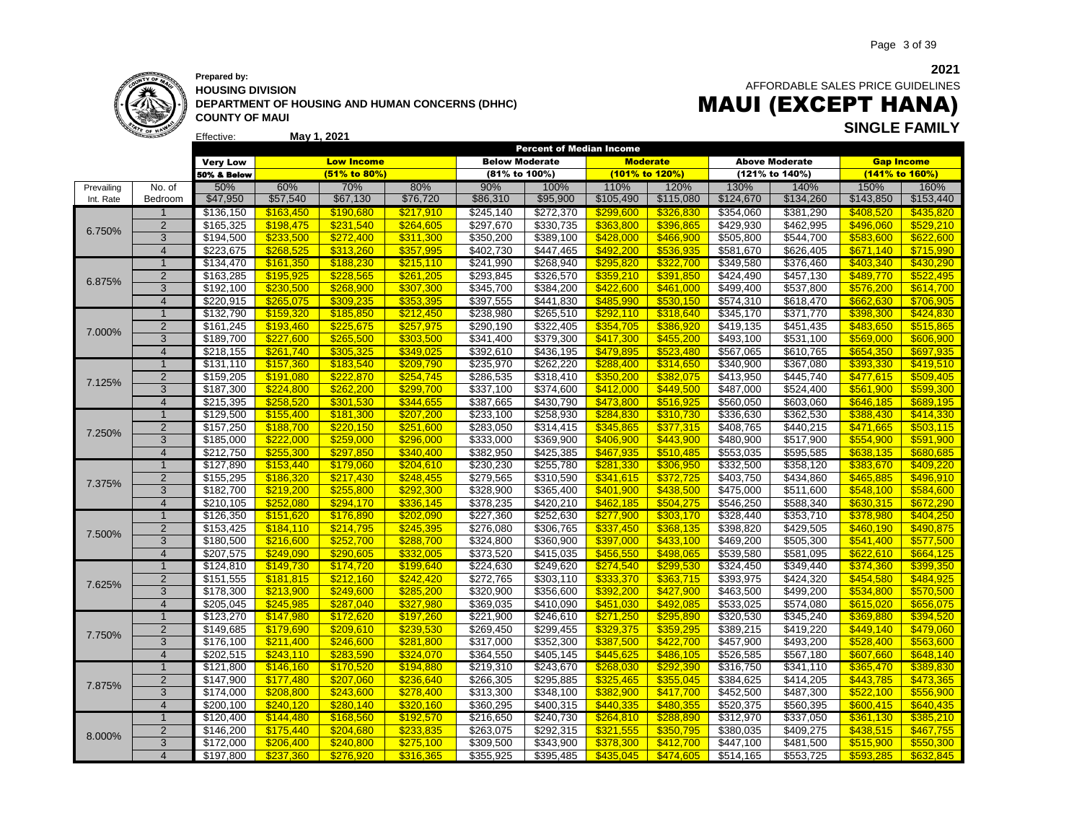

Effective:

### **Prepared by: HOUSING DIVISION DEPARTMENT OF HOUSING AND HUMAN CONCERNS (DHHC) COUNTY OF MAUI**

**May 1, 2021**

AFFORDABLE SALES PRICE GUIDELINES MAUI (EXCEPT HANA) **SINGLE FAMILY**

|            |                         |                       |           |                   |           |                       | <b>Percent of Median Income</b> |                |                 |                   |                       |                   |           |
|------------|-------------------------|-----------------------|-----------|-------------------|-----------|-----------------------|---------------------------------|----------------|-----------------|-------------------|-----------------------|-------------------|-----------|
|            |                         | <b>Very Low</b>       |           | <b>Low Income</b> |           | <b>Below Moderate</b> |                                 |                | <b>Moderate</b> |                   | <b>Above Moderate</b> | <b>Gap Income</b> |           |
|            |                         | 50% & Below           |           | (51% to 80%)      |           | (81% to 100%)         |                                 | (101% to 120%) |                 |                   | (121% to 140%)        | (141% to 160%)    |           |
| Prevailing | No. of                  | 50%                   | 60%       | 70%               | 80%       | 90%                   | 100%                            | 110%           | 120%            | 130%              | 140%                  | 150%              | 160%      |
| Int. Rate  | Bedroom                 | \$47,950              | \$57,540  | \$67,130          | \$76,720  | \$86,310              | \$95,900                        | \$105,490      | \$115,080       | \$124,670         | \$134,260             | \$143,850         | \$153,440 |
|            | $\mathbf{1}$            | \$136,150             | \$163,450 | \$190,680         | \$217,910 | \$245,140             | \$272,370                       | \$299,600      | \$326,830       | \$354,060         | \$381,290             | \$408,520         | \$435,820 |
| 6.750%     | $\overline{2}$          | \$165,325             | \$198,475 | \$231,540         | \$264.605 | \$297,670             | \$330,735                       | \$363,800      | \$396,865       | \$429,930         | \$462,995             | \$496.060         | \$529,210 |
|            | 3                       | \$194,500             | \$233,500 | \$272,400         | \$311,300 | \$350,200             | \$389,100                       | \$428,000      | \$466,900       | \$505,800         | \$544,700             | \$583,600         | \$622,600 |
|            | $\overline{4}$          | \$223,675             | \$268,525 | \$313,260         | \$357,995 | \$402,730             | \$447,465                       | \$492,200      | \$536,935       | \$581,670         | \$626,405             | \$671,140         | \$715,990 |
|            | $\mathbf 1$             | \$134,470             | \$161,350 | \$188,230         | \$215,110 | \$241,990             | \$268,940                       | \$295,820      | \$322,700       | \$349,580         | \$376,460             | \$403,340         | \$430,290 |
| 6.875%     | $\overline{2}$          | \$163,285             | \$195,925 | \$228,565         | \$261,205 | \$293,845             | \$326,570                       | \$359,210      | \$391,850       | $\sqrt{$424,490}$ | \$457,130             | \$489,770         | \$522,495 |
|            | $\overline{3}$          | \$192,100             | \$230,500 | \$268,900         | \$307,300 | \$345,700             | \$384,200                       | \$422,600      | \$461,000       | \$499,400         | \$537,800             | \$576,200         | \$614,700 |
|            | $\overline{4}$          | \$220,915             | \$265.075 | \$309.235         | \$353.395 | \$397,555             | \$441,830                       | \$485.990      | \$530.150       | \$574.310         | \$618,470             | \$662,630         | \$706.905 |
|            | $\mathbf{1}$            | \$132,790             | \$159,320 | \$185,850         | \$212,450 | \$238,980             | \$265,510                       | \$292,110      | \$318,640       | \$345,170         | \$371,770             | \$398,300         | \$424,830 |
| 7.000%     | $\overline{2}$          | \$161,245             | \$193,460 | \$225,675         | \$257,975 | \$290,190             | \$322,405                       | \$354,705      | \$386,920       | \$419,135         | \$451,435             | \$483.650         | \$515,865 |
|            | 3                       | \$189,700             | \$227,600 | \$265,500         | \$303.500 | \$341,400             | \$379,300                       | \$417.300      | \$455,200       | \$493,100         | \$531,100             | \$569,000         | \$606,900 |
|            | $\overline{4}$          | \$218,155             | \$261,740 | \$305,325         | \$349,025 | \$392,610             | \$436,195                       | \$479.895      | \$523,480       | \$567,065         | \$610,765             | \$654,350         | \$697,935 |
|            | $\overline{1}$          | \$131,110             | \$157,360 | \$183,540         | \$209,790 | \$235,970             | \$262,220                       | \$288,400      | \$314,650       | \$340,900         | \$367,080             | \$393,330         | \$419,510 |
| 7.125%     | $\overline{2}$          | \$159,205             | \$191,080 | \$222,870         | \$254,745 | \$286,535             | \$318,410                       | \$350,200      | \$382,075       | \$413,950         | \$445,740             | \$477,615         | \$509,405 |
|            | $\overline{3}$          | \$187,300             | \$224,800 | \$262,200         | \$299,700 | \$337,100             | \$374,600                       | \$412,000      | \$449,500       | \$487,000         | \$524,400             | \$561,900         | \$599,300 |
|            | $\overline{4}$          | \$215,395             | \$258,520 | \$301.530         | \$344.655 | \$387,665             | \$430,790                       | \$473.800      | \$516,925       | \$560,050         | \$603,060             | \$646,185         | \$689,195 |
|            | $\overline{1}$          | \$129,500             | \$155,400 | \$181,300         | \$207,200 | \$233,100             | \$258,930                       | \$284,830      | \$310,730       | \$336,630         | \$362,530             | \$388,430         | \$414,330 |
| 7.250%     | $\overline{2}$          | \$157,250             | \$188,700 | \$220,150         | \$251,600 | \$283,050             | \$314,415                       | \$345,865      | \$377,315       | \$408,765         | \$440,215             | \$471,665         | \$503,115 |
|            | 3                       | \$185,000             | \$222,000 | \$259,000         | \$296,000 | \$333,000             | \$369,900                       | \$406,900      | \$443.900       | \$480,900         | \$517,900             | \$554,900         | \$591,900 |
|            | $\overline{4}$          | $\overline{$}212,750$ | \$255,300 | \$297,850         | \$340,400 | \$382,950             | \$425,385                       | \$467,935      | \$510,485       | \$553,035         | \$595,585             | \$638,135         | \$680,685 |
|            | $\mathbf 1$             | \$127,890             | \$153,440 | \$179,060         | \$204,610 | \$230,230             | \$255,780                       | \$281,330      | \$306,950       | \$332,500         | \$358,120             | \$383,670         | \$409,220 |
| 7.375%     | $\overline{2}$          | \$155,295             | \$186,320 | \$217,430         | \$248,455 | \$279,565             | \$310,590                       | \$341,615      | \$372,725       | \$403,750         | \$434,860             | \$465,885         | \$496,910 |
|            | 3                       | \$182,700             | \$219,200 | \$255,800         | \$292,300 | \$328,900             | \$365,400                       | \$401,900      | \$438,500       | \$475,000         | \$511,600             | \$548,100         | \$584,600 |
|            | $\overline{4}$          | \$210,105             | \$252.080 | \$294.170         | \$336.145 | \$378,235             | \$420,210                       | \$462.185      | \$504.275       | \$546,250         | \$588,340             | \$630.315         | \$672.290 |
|            | $\overline{1}$          | \$126,350             | \$151,620 | \$176,890         | \$202,090 | \$227,360             | \$252,630                       | \$277,900      | \$303,170       | \$328,440         | \$353,710             | \$378,980         | \$404,250 |
| 7.500%     | $\overline{2}$          | \$153,425             | \$184,110 | \$214,795         | \$245,395 | \$276,080             | \$306,765                       | \$337,450      | \$368,135       | \$398,820         | \$429,505             | \$460,190         | \$490,875 |
|            | 3                       | \$180,500             | \$216,600 | \$252,700         | \$288,700 | \$324,800             | \$360,900                       | \$397,000      | \$433,100       | \$469,200         | \$505,300             | \$541,400         | \$577,500 |
|            | $\overline{4}$          | \$207,575             | \$249.090 | \$290.605         | \$332,005 | \$373,520             | \$415,035                       | \$456.550      | \$498.065       | \$539,580         | \$581,095             | \$622.610         | \$664,125 |
|            | $\mathbf{1}$            | \$124,810             | \$149,730 | \$174,720         | \$199,640 | \$224,630             | \$249,620                       | \$274,540      | \$299,530       | \$324,450         | \$349,440             | \$374,360         | \$399,350 |
| 7.625%     | $\overline{2}$          | \$151,555             | \$181,815 | \$212,160         | \$242,420 | \$272,765             | \$303,110                       | \$333,370      | \$363,715       | \$393,975         | \$424,320             | \$454,580         | \$484,925 |
|            | 3                       | \$178,300             | \$213,900 | \$249,600         | \$285,200 | \$320,900             | \$356,600                       | \$392,200      | \$427,900       | \$463,500         | \$499,200             | \$534,800         | \$570,500 |
|            | $\overline{4}$          | \$205,045             | \$245.985 | \$287.040         | \$327,980 | \$369,035             | \$410,090                       | \$451.030      | \$492.085       | \$533,025         | \$574,080             | \$615.020         | \$656,075 |
|            | $\overline{1}$          | \$123,270             | \$147.980 | \$172,620         | \$197,260 | \$221,900             | \$246,610                       | \$271,250      | \$295,890       | \$320,530         | \$345,240             | \$369,880         | \$394,520 |
| 7.750%     | $\overline{2}$          | \$149,685             | \$179,690 | \$209,610         | \$239,530 | \$269,450             | \$299,455                       | \$329,375      | \$359,295       | \$389,215         | \$419,220             | \$449,140         | \$479,060 |
|            | 3                       | \$176,100             | \$211,400 | \$246,600         | \$281,800 | \$317,000             | \$352,300                       | \$387,500      | \$422,700       | \$457,900         | \$493,200             | \$528,400         | \$563,600 |
|            | $\overline{4}$          | \$202,515             | \$243,110 | \$283,590         | \$324.070 | \$364,550             | \$405,145                       | \$445.625      | \$486,105       | \$526,585         | \$567,180             | \$607,660         | \$648,140 |
|            | $\mathbf 1$             | \$121,800             | \$146,160 | \$170,520         | \$194,880 | \$219,310             | \$243,670                       | \$268,030      | \$292,390       | \$316,750         | \$341,110             | \$365,470         | \$389,830 |
| 7.875%     | $\overline{2}$          | \$147,900             | \$177,480 | \$207,060         | \$236,640 | \$266,305             | \$295,885                       | \$325,465      | \$355,045       | \$384,625         | \$414,205             | \$443,785         | \$473,365 |
|            | 3                       | \$174,000             | \$208,800 | \$243,600         | \$278,400 | \$313,300             | \$348,100                       | \$382,900      | \$417,700       | \$452,500         | \$487,300             | \$522,100         | \$556,900 |
|            | $\overline{4}$          | \$200,100             | \$240.120 | \$280.140         | \$320.160 | \$360,295             | \$400,315                       | \$440.335      | \$480.355       | \$520,375         | \$560,395             | \$600.415         | \$640.435 |
|            | $\overline{1}$          | \$120,400             | \$144,480 | \$168,560         | \$192,570 | \$216,650             | \$240,730                       | \$264,810      | \$288,890       | \$312,970         | \$337,050             | \$361,130         | \$385,210 |
| 8.000%     | $\overline{2}$          | \$146,200             | \$175,440 | \$204,680         | \$233,835 | \$263,075             | \$292,315                       | \$321,555      | \$350,795       | \$380,035         | \$409,275             | \$438,515         | \$467,755 |
|            | 3                       | \$172,000             | \$206,400 | \$240,800         | \$275,100 | \$309,500             | \$343,900                       | \$378,300      | \$412,700       | \$447,100         | \$481,500             | \$515,900         | \$550,300 |
|            | $\overline{\mathbf{4}}$ | \$197.800             | \$237.360 | \$276.920         | \$316.365 | \$355.925             | \$395.485                       | \$435.045      | \$474,605       | \$514.165         | \$553.725             | \$593.285         | \$632,845 |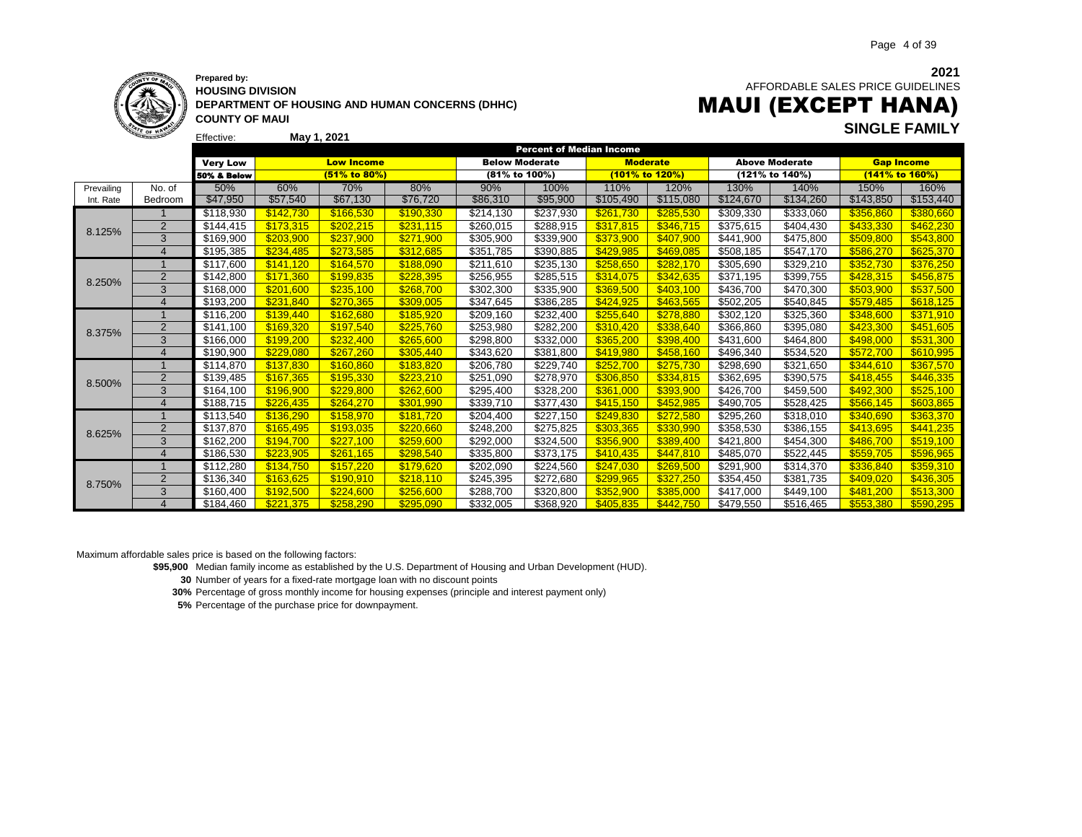

**HOUSING DIVISION DEPARTMENT OF HOUSING AND HUMAN CONCERNS (DHHC) COUNTY OF MAUI**

**2021** AFFORDABLE SALES PRICE GUIDELINES

# MAUI (EXCEPT HANA) **SINGLE FAMILY May 1, 2021**

|            | <b>CONTRACTOR</b> | Effective:             | May 1, 2021 |                   |           |                       |                                 |                 |           |           |                       |                   |           |
|------------|-------------------|------------------------|-------------|-------------------|-----------|-----------------------|---------------------------------|-----------------|-----------|-----------|-----------------------|-------------------|-----------|
|            |                   |                        |             |                   |           |                       | <b>Percent of Median Income</b> |                 |           |           |                       |                   |           |
|            |                   | <b>Very Low</b>        |             | <b>Low Income</b> |           | <b>Below Moderate</b> |                                 | <b>Moderate</b> |           |           | <b>Above Moderate</b> | <b>Gap Income</b> |           |
|            |                   | <b>50% &amp; Below</b> |             | (51% to 80%)      |           | (81% to 100%)         |                                 | (101% to 120%)  |           |           | (121% to 140%)        | (141% to 160%)    |           |
| Prevailing | No. of            | 50%                    | 60%         | 70%               | 80%       | 90%                   | 100%                            | 110%            | 120%      | 130%      | 140%                  | 150%              | 160%      |
| Int. Rate  | Bedroom           | \$47,950               | \$57,540    | \$67,130          | \$76,720  | \$86,310              | \$95,900                        | \$105,490       | \$115,080 | \$124,670 | \$134,260             | \$143,850         | \$153,440 |
|            |                   | \$118,930              | \$142.730   | \$166,530         | \$190,330 | \$214,130             | \$237,930                       | \$261,730       | \$285,530 | \$309,330 | \$333,060             | \$356,860         | \$380,660 |
| 8.125%     | $\overline{2}$    | \$144,415              | \$173,315   | \$202,215         | \$231,115 | \$260,015             | \$288,915                       | \$317,815       | \$346,715 | \$375,615 | \$404,430             | \$433,330         | \$462,230 |
|            | 3                 | \$169,900              | \$203,900   | \$237,900         | \$271,900 | \$305,900             | \$339,900                       | \$373,900       | \$407,900 | \$441,900 | \$475,800             | \$509,800         | \$543,800 |
|            | $\overline{4}$    | \$195,385              | \$234.485   | \$273.585         | \$312.685 | \$351,785             | \$390,885                       | \$429,985       | \$469,085 | \$508,185 | \$547,170             | \$586,270         | \$625,370 |
|            |                   | \$117,600              | \$141,120   | \$164,570         | \$188,090 | \$211,610             | \$235,130                       | \$258,650       | \$282,170 | \$305,690 | \$329,210             | \$352,730         | \$376,250 |
| 8.250%     | 2                 | \$142,800              | \$171,360   | \$199,835         | \$228,395 | \$256,955             | \$285,515                       | \$314,075       | \$342,635 | \$371,195 | \$399,755             | \$428,315         | \$456,875 |
|            | 3                 | \$168,000              | \$201,600   | \$235,100         | \$268,700 | \$302,300             | \$335,900                       | \$369,500       | \$403,100 | \$436,700 | \$470,300             | \$503,900         | \$537,500 |
|            | $\overline{4}$    | \$193,200              | \$231,840   | \$270,365         | \$309,005 | \$347,645             | \$386,285                       | \$424,925       | \$463,565 | \$502,205 | \$540,845             | \$579,485         | \$618,125 |
| 8.375%     |                   | \$116,200              | \$139,440   | \$162,680         | \$185,920 | \$209,160             | \$232,400                       | \$255,640       | \$278,880 | \$302,120 | \$325,360             | \$348,600         | \$371,910 |
|            | $\overline{2}$    | \$141,100              | \$169,320   | \$197,540         | \$225,760 | \$253,980             | \$282,200                       | \$310,420       | \$338,640 | \$366,860 | \$395,080             | \$423,300         | \$451,605 |
|            | 3                 | \$166,000              | \$199.200   | \$232,400         | \$265,600 | \$298,800             | \$332,000                       | \$365,200       | \$398,400 | \$431,600 | \$464,800             | \$498,000         | \$531,300 |
|            | $\overline{4}$    | \$190,900              | \$229.080   | \$267,260         | \$305.440 | \$343,620             | \$381,800                       | \$419.980       | \$458,160 | \$496,340 | \$534,520             | \$572.700         | \$610,995 |
|            |                   | \$114,870              | \$137,830   | \$160,860         | \$183,820 | \$206,780             | \$229,740                       | \$252,700       | \$275,730 | \$298,690 | \$321,650             | \$344,610         | \$367,570 |
| 8.500%     | 2                 | \$139,485              | \$167,365   | \$195,330         | \$223,210 | \$251,090             | \$278,970                       | \$306,850       | \$334,815 | \$362,695 | \$390,575             | \$418,455         | \$446,335 |
|            | 3                 | \$164,100              | \$196,900   | \$229,800         | \$262,600 | \$295,400             | \$328,200                       | \$361,000       | \$393,900 | \$426,700 | \$459,500             | \$492,300         | \$525,100 |
|            |                   | \$188,715              | \$226.435   | \$264.270         | \$301.990 | \$339,710             | \$377,430                       | \$415.150       | \$452.985 | \$490,705 | \$528,425             | \$566.145         | \$603,865 |
|            |                   | \$113,540              | \$136,290   | \$158,970         | \$181,720 | \$204,400             | \$227,150                       | \$249,830       | \$272,580 | \$295,260 | \$318,010             | \$340.690         | \$363,370 |
| 8.625%     | $\overline{2}$    | \$137,870              | \$165,495   | \$193,035         | \$220.660 | \$248,200             | \$275,825                       | \$303,365       | \$330.990 | \$358,530 | \$386,155             | \$413.695         | \$441,235 |
|            | 3                 | \$162,200              | \$194.700   | \$227.100         | \$259,600 | \$292,000             | \$324,500                       | \$356.900       | \$389,400 | \$421,800 | \$454,300             | \$486,700         | \$519,100 |
|            | $\overline{4}$    | \$186,530              | \$223.905   | \$261.165         | \$298.540 | \$335,800             | \$373,175                       | \$410.435       | \$447.810 | \$485,070 | \$522,445             | \$559.705         | \$596,965 |
|            |                   | \$112,280              | \$134,750   | \$157,220         | \$179,620 | \$202,090             | \$224,560                       | \$247,030       | \$269,500 | \$291,900 | $\overline{$}314,370$ | \$336,840         | \$359,310 |
| 8.750%     | $\overline{2}$    | \$136,340              | \$163,625   | \$190,910         | \$218,110 | \$245,395             | \$272,680                       | \$299,965       | \$327,250 | \$354,450 | \$381,735             | \$409,020         | \$436,305 |
|            | 3                 | \$160,400              | \$192.500   | \$224,600         | \$256,600 | \$288,700             | \$320,800                       | \$352,900       | \$385,000 | \$417,000 | \$449,100             | \$481,200         | \$513,300 |
|            |                   | \$184,460              | \$221.375   | \$258.290         | \$295.090 | \$332,005             | \$368,920                       | \$405.835       | \$442.750 | \$479,550 | \$516,465             | \$553.380         | \$590.295 |

Maximum affordable sales price is based on the following factors:

**\$95,900** Median family income as established by the U.S. Department of Housing and Urban Development (HUD).

**30** Number of years for a fixed-rate mortgage loan with no discount points

**30%** Percentage of gross monthly income for housing expenses (principle and interest payment only)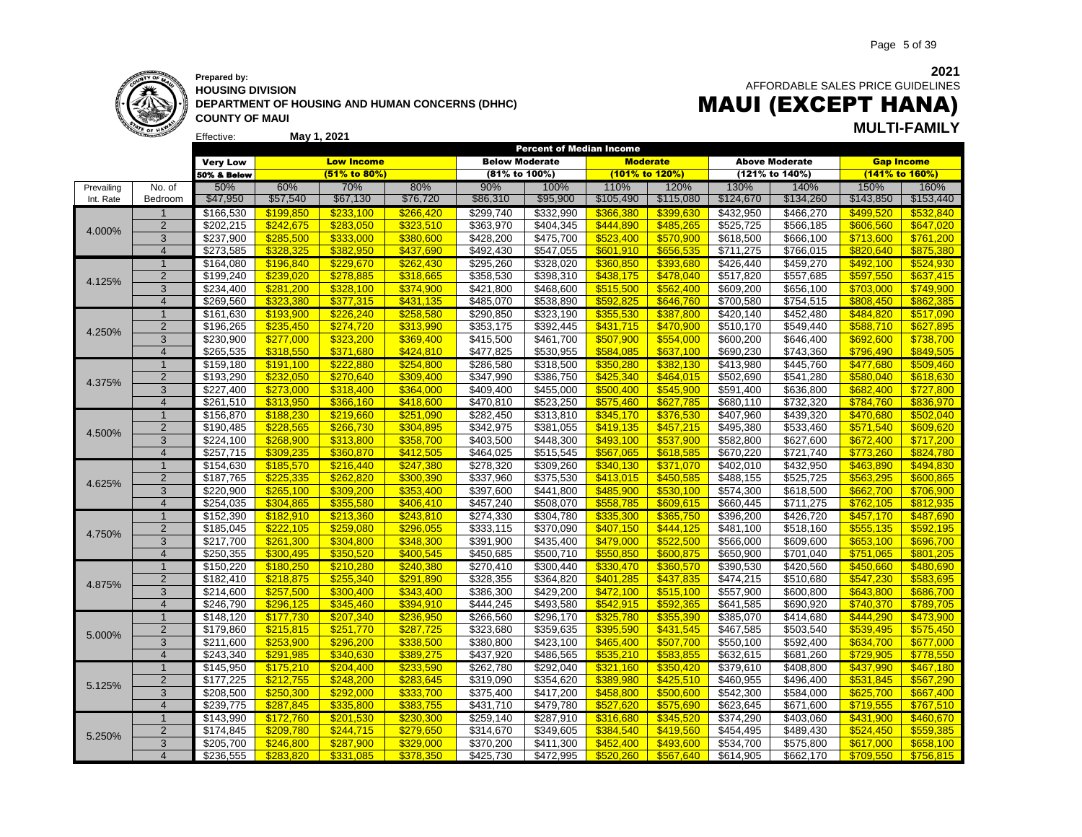

### **Prepared by: HOUSING DIVISION DEPARTMENT OF HOUSING AND HUMAN CONCERNS (DHHC) COUNTY OF MAUI**

 AFFORDABLE SALES PRICE GUIDELINES MAUI (EXCEPT HANA)

**May 1, 2021 MULTI-FAMILY**

|            |                |                   |           |                   |           | <b>Percent of Median Income</b> |                        |                 |           |                       |                        |                        |                        |
|------------|----------------|-------------------|-----------|-------------------|-----------|---------------------------------|------------------------|-----------------|-----------|-----------------------|------------------------|------------------------|------------------------|
|            |                | <b>Very Low</b>   |           | <b>Low Income</b> |           | <b>Below Moderate</b>           |                        | <b>Moderate</b> |           |                       | <b>Above Moderate</b>  |                        | <b>Gap Income</b>      |
|            |                | 50% & Below       |           | (51% to 80%)      |           | (81% to 100%)                   |                        | (101% to 120%)  |           |                       | (121% to 140%)         |                        | (141% to 160%)         |
| Prevailing | No. of         | 50%               | 60%       | 70%               | 80%       | 90%                             | 100%                   | 110%            | 120%      | 130%                  | 140%                   | 150%                   | 160%                   |
| Int. Rate  | Bedroom        | \$47,950          | \$57,540  | \$67,130          | \$76,720  | \$86,310                        | \$95,900               | \$105,490       | \$115,080 | \$124,670             | \$134,260              | \$143,850              | \$153,440              |
|            | -1             | \$166,530         | \$199,850 | \$233,100         | \$266,420 | \$299,740                       | \$332,990              | \$366,380       | \$399,630 | \$432,950             | \$466,270              | \$499,520              | \$532,840              |
|            | $\overline{2}$ | \$202,215         | \$242,675 | \$283,050         | \$323,510 | \$363,970                       | \$404,345              | \$444,890       | \$485,265 | \$525,725             | \$566,185              | \$606,560              | \$647,020              |
| 4.000%     | 3              | \$237,900         | \$285,500 | \$333,000         | \$380,600 | \$428,200                       | \$475,700              | \$523,400       | \$570,900 | \$618,500             | \$666,100              | \$713,600              | \$761,200              |
|            | $\overline{4}$ | \$273,585         | \$328.325 | \$382.950         | \$437,690 | \$492,430                       | \$547,055              | \$601,910       | \$656,535 | \$711,275             | \$766,015              | \$820.640              | \$875,380              |
|            | $\overline{1}$ | \$164,080         | \$196,840 | \$229,670         | \$262,430 | \$295,260                       | \$328,020              | \$360,850       | \$393,680 | \$426,440             | \$459,270              | \$492,100              | \$524,930              |
|            | $\overline{2}$ | \$199,240         | \$239,020 | \$278,885         | \$318,665 | \$358,530                       | \$398,310              | \$438,175       | \$478,040 | \$517,820             | \$557,685              | \$597,550              | \$637,415              |
| 4.125%     | 3              | \$234,400         | \$281,200 | \$328,100         | \$374,900 | \$421,800                       | \$468,600              | \$515,500       | \$562,400 | \$609,200             | \$656,100              | \$703,000              | \$749,900              |
|            | $\overline{4}$ | \$269,560         | \$323,380 | \$377,315         | \$431,135 | \$485,070                       | \$538,890              | \$592,825       | \$646,760 | \$700,580             | \$754,515              | \$808,450              | \$862.385              |
|            | $\overline{1}$ | \$161,630         | \$193,900 | \$226,240         | \$258,580 | \$290,850                       | \$323,190              | \$355,530       | \$387,800 | \$420,140             | \$452,480              | \$484,820              | \$517,090              |
|            | $\overline{2}$ | \$196,265         | \$235,450 | \$274,720         | \$313,990 | \$353,175                       | \$392,445              | \$431,715       | \$470,900 | \$510,170             | \$549,440              | \$588,710              | \$627,895              |
| 4.250%     | 3              | \$230,900         | \$277,000 | \$323,200         | \$369,400 | \$415,500                       | \$461,700              | \$507,900       | \$554,000 | \$600,200             | \$646,400              | \$692,600              | \$738,700              |
|            | $\overline{4}$ | \$265,535         | \$318.550 | \$371,680         | \$424.810 | \$477,825                       | \$530,955              | \$584.085       | \$637.100 | \$690,230             | \$743,360              | \$796.490              | \$849.505              |
|            | $\mathbf{1}$   | \$159,180         | \$191,100 | \$222,880         | \$254,800 | \$286,580                       | \$318,500              | \$350,280       | \$382,130 | \$413,980             | \$445,760              | \$477,680              | \$509,460              |
|            | $\overline{2}$ | \$193,290         | \$232,050 | \$270,640         |           |                                 |                        | \$425,340       |           | \$502,690             |                        |                        | \$618,630              |
| 4.375%     | 3              | \$227,400         |           | \$318,400         | \$309,400 | \$347,990                       | \$386,750<br>\$455,000 | \$500,400       | \$464,015 | \$591,400             | \$541,280<br>\$636,800 | \$580,040<br>\$682,400 |                        |
|            | $\overline{4}$ |                   | \$273,000 |                   | \$364,000 | \$409,400                       |                        |                 | \$545,900 |                       |                        |                        | \$727,800<br>\$836,970 |
|            |                | \$261,510         | \$313,950 | \$366,160         | \$418,600 | \$470,810                       | \$523,250              | \$575,460       | \$627,785 | \$680,110             | \$732,320              | \$784,760              |                        |
|            | $\mathbf{1}$   | \$156,870         | \$188,230 | \$219,660         | \$251,090 | \$282,450                       | \$313,810              | \$345,170       | \$376,530 | \$407,960             | \$439,320              | \$470,680              | \$502,040              |
| 4.500%     | $\overline{2}$ | \$190,485         | \$228,565 | \$266,730         | \$304,895 | \$342,975                       | \$381,055              | \$419,135       | \$457,215 | \$495,380             | \$533,460              | \$571,540              | \$609,620              |
|            | 3              | \$224,100         | \$268,900 | \$313,800         | \$358,700 | \$403,500                       | \$448,300              | \$493,100       | \$537,900 | \$582,800             | \$627,600              | \$672,400              | \$717,200              |
|            | $\overline{4}$ | \$257,715         | \$309,235 | \$360,870         | \$412,505 | \$464,025                       | \$515,545              | \$567,065       | \$618,585 | \$670,220             | \$721,740              | \$773,260              | \$824,780              |
|            | $\overline{1}$ | \$154,630         | \$185,570 | \$216,440         | \$247,380 | \$278,320                       | \$309,260              | \$340,130       | \$371,070 | \$402,010             | \$432,950              | \$463,890              | \$494,830              |
| 4.625%     | $\overline{2}$ | \$187,765         | \$225,335 | \$262,820         | \$300,390 | \$337,960                       | \$375,530              | \$413,015       | \$450,585 | \$488,155             | \$525,725              | \$563,295              | \$600,865              |
|            | 3              | \$220,900         | \$265,100 | \$309,200         | \$353,400 | \$397,600                       | \$441,800              | \$485,900       | \$530,100 | \$574,300             | \$618,500              | \$662,700              | \$706,900              |
|            | $\overline{4}$ | \$254,035         | \$304.865 | \$355.580         | \$406.410 | \$457,240                       | \$508,070              | \$558.785       | \$609.615 | \$660,445             | \$711,275              | \$762.105              | \$812.935              |
|            | $\mathbf 1$    | \$152,390         | \$182,910 | \$213,360         | \$243,810 | \$274,330                       | \$304,780              | \$335,300       | \$365,750 | \$396,200             | \$426,720              | \$457,170              | \$487,690              |
| 4.750%     | $\overline{2}$ | \$185,045         | \$222,105 | \$259,080         | \$296,055 | \$333,115                       | \$370,090              | \$407,150       | \$444,125 | \$481,100             | \$518,160              | \$555,135              | \$592,195              |
|            | 3              | \$217,700         | \$261,300 | \$304.800         | \$348,300 | \$391,900                       | \$435,400              | \$479,000       | \$522,500 | \$566,000             | \$609,600              | \$653,100              | \$696,700              |
|            | $\overline{4}$ | \$250,355         | \$300.495 | \$350.520         | \$400,545 | \$450,685                       | \$500,710              | \$550,850       | \$600,875 | \$650,900             | \$701,040              | \$751,065              | \$801,205              |
|            | $\mathbf{1}$   | \$150,220         | \$180,250 | \$210,280         | \$240,380 | \$270,410                       | \$300,440              | \$330,470       | \$360,570 | \$390,530             | \$420,560              | \$450,660              | \$480,690              |
| 4.875%     | $\overline{2}$ | \$182,410         | \$218,875 | \$255,340         | \$291,890 | \$328,355                       | \$364,820              | \$401,285       | \$437,835 | \$474,215             | \$510,680              | \$547,230              | \$583,695              |
|            | 3              | $\sqrt{$214,600}$ | \$257,500 | \$300,400         | \$343,400 | \$386,300                       | \$429,200              | \$472,100       | \$515,100 | \$557,900             | \$600,800              | \$643,800              | \$686,700              |
|            | $\overline{4}$ | \$246,790         | \$296,125 | \$345,460         | \$394,910 | \$444,245                       | \$493,580              | \$542,915       | \$592,365 | $\overline{$641,585}$ | \$690,920              | \$740,370              | \$789,705              |
|            | $\overline{1}$ | \$148,120         | \$177,730 | \$207,340         | \$236,950 | \$266,560                       | \$296,170              | \$325,780       | \$355,390 | \$385,070             | \$414,680              | \$444,290              | \$473,900              |
| 5.000%     | $\overline{2}$ | \$179,860         | \$215,815 | \$251,770         | \$287,725 | \$323,680                       | \$359,635              | \$395,590       | \$431,545 | \$467,585             | \$503,540              | \$539,495              | \$575,450              |
|            | 3              | \$211,600         | \$253,900 | \$296,200         | \$338,500 | \$380,800                       | \$423,100              | \$465,400       | \$507,700 | \$550,100             | \$592,400              | \$634,700              | \$677,000              |
|            | $\overline{4}$ | \$243,340         | \$291,985 | \$340.630         | \$389,275 | \$437,920                       | \$486,565              | \$535,210       | \$583,855 | \$632,615             | \$681,260              | \$729,905              | \$778,550              |
|            | $\overline{1}$ | \$145,950         | \$175,210 | \$204,400         | \$233,590 | \$262,780                       | \$292,040              | \$321,160       | \$350,420 | \$379,610             | \$408,800              | \$437,990              | \$467,180              |
| 5.125%     | $\overline{2}$ | \$177,225         | \$212,755 | \$248,200         | \$283,645 | \$319,090                       | \$354,620              | \$389,980       | \$425,510 | \$460,955             | \$496,400              | \$531,845              | \$567,290              |
|            | 3              | \$208,500         | \$250,300 | \$292,000         | \$333,700 | \$375,400                       | \$417,200              | \$458,800       | \$500,600 | \$542,300             | \$584,000              | \$625,700              | \$667,400              |
|            | $\overline{4}$ | \$239.775         | \$287.845 | \$335,800         | \$383.755 | \$431.710                       | \$479,780              | \$527,620       | \$575,690 | \$623.645             | \$671,600              | \$719.555              | \$767.510              |
|            | $\mathbf{1}$   | \$143,990         | \$172,760 | \$201,530         | \$230,300 | \$259,140                       | \$287,910              | \$316,680       | \$345,520 | \$374,290             | \$403,060              | \$431,900              | \$460,670              |
| 5.250%     | $\overline{2}$ | \$174,845         | \$209,780 | \$244,715         | \$279,650 | \$314,670                       | \$349,605              | \$384,540       | \$419,560 | \$454,495             | \$489,430              | \$524,450              | \$559,385              |
|            | 3              | \$205,700         | \$246.800 | \$287.900         | \$329.000 | \$370,200                       | \$411,300              | \$452.400       | \$493.600 | \$534,700             | \$575,800              | \$617.000              | \$658.100              |
|            | $\overline{4}$ | \$236.555         | \$283.820 | \$331.085         | \$378.350 | \$425,730                       | \$472,995              | \$520.260       | \$567,640 | \$614.905             | \$662,170              | \$709.550              | \$756.815              |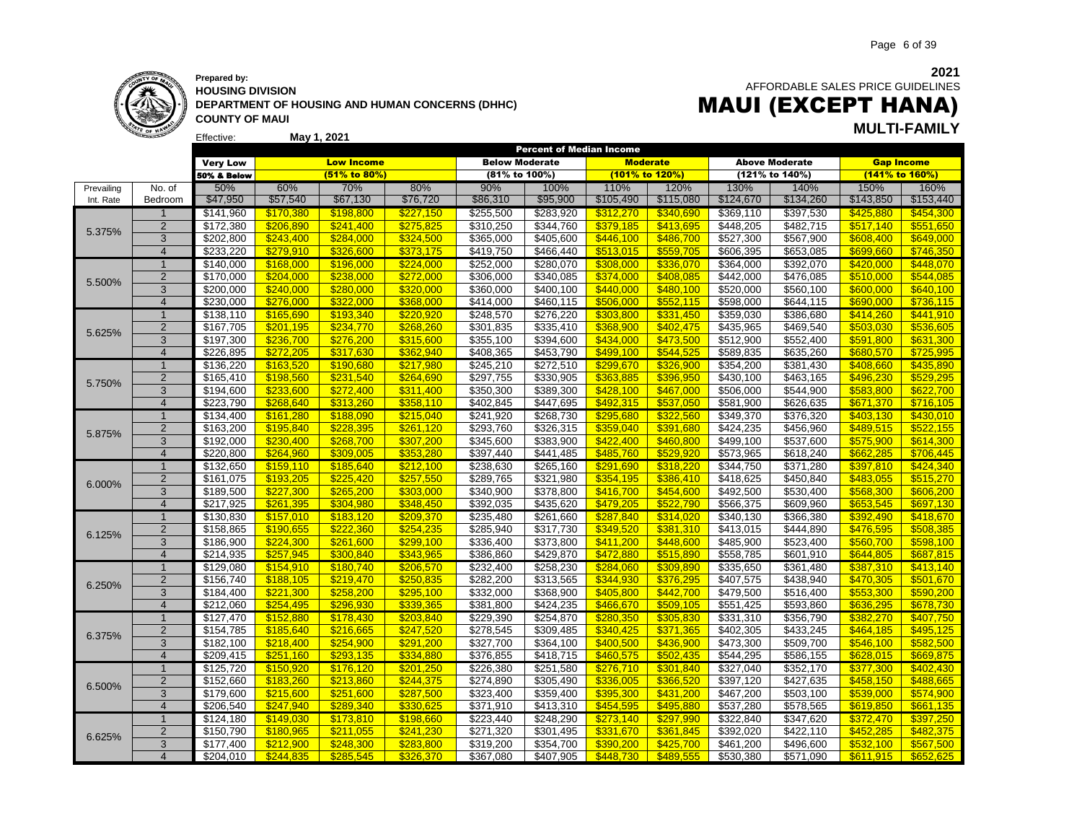

**Prepared by: HOUSING DIVISION DEPARTMENT OF HOUSING AND HUMAN CONCERNS (DHHC) COUNTY OF MAUI**

 AFFORDABLE SALES PRICE GUIDELINES

# **May 1, 2021 MULTI-FAMILY** MAUI (EXCEPT HANA)

|            |                |                 |           |                   |           |                       |           |                 | <b>Percent of Median Income</b> |                       |                       |                   |           |  |
|------------|----------------|-----------------|-----------|-------------------|-----------|-----------------------|-----------|-----------------|---------------------------------|-----------------------|-----------------------|-------------------|-----------|--|
|            |                | <b>Very Low</b> |           | <b>Low Income</b> |           | <b>Below Moderate</b> |           | <b>Moderate</b> |                                 |                       | <b>Above Moderate</b> | <b>Gap Income</b> |           |  |
|            |                | 50% & Below     |           | (51% to 80%)      |           | (81% to 100%)         |           | (101% to 120%)  |                                 |                       | (121% to 140%)        | (141% to 160%)    |           |  |
| Prevailing | No. of         | 50%             | 60%       | 70%               | 80%       | 90%                   | 100%      | 110%            | 120%                            | 130%                  | 140%                  | 150%              | 160%      |  |
| Int. Rate  | Bedroom        | \$47,950        | \$57,540  | \$67,130          | \$76,720  | \$86,310              | \$95,900  | \$105,490       | \$115,080                       | \$124,670             | \$134,260             | \$143,850         | \$153,440 |  |
|            | $\overline{1}$ | \$141,960       | \$170,380 | \$198.800         | \$227,150 | \$255,500             | \$283,920 | \$312,270       | \$340,690                       | \$369,110             | \$397,530             | \$425,880         | \$454,300 |  |
| 5.375%     | $\overline{2}$ | \$172,380       | \$206,890 | \$241,400         | \$275,825 | \$310,250             | \$344,760 | \$379,185       | \$413,695                       | \$448,205             | \$482,715             | \$517,140         | \$551,650 |  |
|            | 3              | \$202,800       | \$243,400 | \$284,000         | \$324,500 | \$365,000             | \$405,600 | \$446,100       | \$486,700                       | \$527,300             | \$567,900             | \$608,400         | \$649,000 |  |
|            | $\overline{4}$ | \$233,220       | \$279,910 | \$326,600         | \$373,175 | \$419,750             | \$466,440 | \$513,015       | \$559,705                       | \$606,395             | \$653,085             | \$699,660         | \$746,350 |  |
|            | $\mathbf 1$    | \$140,000       | \$168,000 | \$196,000         | \$224,000 | \$252,000             | \$280,070 | \$308,000       | \$336,070                       | \$364,000             | \$392,070             | \$420,000         | \$448,070 |  |
| 5.500%     | $\overline{2}$ | \$170,000       | \$204,000 | \$238,000         | \$272,000 | \$306,000             | \$340,085 | \$374,000       | \$408,085                       | \$442,000             | \$476,085             | \$510,000         | \$544,085 |  |
|            | 3              | \$200,000       | \$240,000 | \$280,000         | \$320,000 | \$360,000             | \$400,100 | \$440.000       | \$480,100                       | \$520,000             | \$560,100             | \$600,000         | \$640,100 |  |
|            | $\overline{4}$ | \$230,000       | \$276.000 | \$322.000         | \$368.000 | \$414,000             | \$460,115 | \$506.000       | \$552.115                       | \$598,000             | \$644,115             | \$690.000         | \$736.115 |  |
|            | $\mathbf{1}$   | \$138,110       | \$165,690 | \$193,340         | \$220,920 | \$248,570             | \$276,220 | \$303,800       | \$331,450                       | \$359,030             | \$386,680             | \$414,260         | \$441,910 |  |
| 5.625%     | $\overline{2}$ | \$167,705       | \$201,195 | \$234,770         | \$268,260 | \$301,835             | \$335,410 | \$368,900       | \$402,475                       | \$435,965             | \$469,540             | \$503,030         | \$536,605 |  |
|            | 3              | \$197,300       | \$236,700 | \$276,200         | \$315,600 | \$355,100             | \$394,600 | \$434,000       | \$473,500                       | \$512,900             | \$552,400             | \$591,800         | \$631,300 |  |
|            | $\overline{4}$ | \$226,895       | \$272,205 | \$317,630         | \$362.940 | \$408,365             | \$453,790 | \$499,100       | \$544.525                       | \$589,835             | \$635,260             | \$680,570         | \$725,995 |  |
|            | $\mathbf{1}$   | \$136,220       | \$163,520 | \$190,680         | \$217,980 | \$245,210             | \$272,510 | \$299,670       | \$326,900                       | \$354,200             | \$381,430             | \$408,660         | \$435,890 |  |
| 5.750%     | $\overline{2}$ | \$165,410       | \$198,560 | \$231,540         | \$264,690 | \$297,755             | \$330,905 | \$363,885       | \$396,950                       | \$430,100             | \$463,165             | \$496,230         | \$529,295 |  |
|            | $\overline{3}$ | \$194,600       | \$233,600 | \$272,400         | \$311,400 | \$350,300             | \$389,300 | \$428,100       | \$467,000                       | \$506,000             | \$544,900             | \$583,800         | \$622,700 |  |
|            | $\overline{4}$ | \$223,790       | \$268,640 | \$313,260         | \$358,110 | \$402,845             | \$447,695 | \$492,315       | \$537,050                       | \$581,900             | \$626,635             | \$671,370         | \$716,105 |  |
|            | $\overline{1}$ | \$134,400       | \$161,280 | \$188,090         | \$215,040 | \$241,920             | \$268,730 | \$295,680       | \$322,560                       | \$349,370             | \$376,320             | \$403,130         | \$430,010 |  |
|            | $\overline{2}$ | \$163,200       | \$195,840 | \$228,395         | \$261,120 | \$293,760             | \$326,315 | \$359,040       | \$391,680                       | \$424,235             | \$456,960             | \$489,515         | \$522,155 |  |
| 5.875%     | 3              | \$192,000       | \$230,400 | \$268,700         | \$307,200 | \$345,600             | \$383,900 | \$422,400       | \$460,800                       | \$499,100             | \$537,600             | \$575,900         | \$614,300 |  |
|            | $\overline{4}$ | \$220,800       | \$264,960 | \$309,005         | \$353,280 | \$397,440             | \$441,485 | \$485,760       | \$529,920                       | \$573,965             | \$618,240             | \$662,285         | \$706,445 |  |
|            | 1              | \$132,650       | \$159,110 | \$185,640         | \$212,100 | \$238,630             | \$265,160 | \$291,690       | \$318,220                       | \$344,750             | \$371,280             | \$397,810         | \$424,340 |  |
| 6.000%     | $\overline{2}$ | \$161,075       | \$193,205 | \$225,420         | \$257,550 | \$289,765             | \$321,980 | \$354,195       | \$386,410                       | $\overline{$418,625}$ | \$450,840             | \$483,055         | \$515,270 |  |
|            | 3              | \$189,500       | \$227,300 | \$265,200         | \$303,000 | \$340,900             | \$378,800 | \$416,700       | \$454,600                       | \$492,500             | \$530,400             | \$568,300         | \$606,200 |  |
|            | $\overline{4}$ | \$217.925       | \$261.395 | \$304.980         | \$348.450 | \$392,035             | \$435.620 | \$479.205       | \$522.790                       | \$566.375             | \$609,960             | \$653.545         | \$697.130 |  |
|            | $\overline{1}$ | \$130,830       | \$157,010 | \$183,120         | \$209,370 | \$235,480             | \$261,660 | \$287,840       | \$314,020                       | \$340,130             | \$366,380             | \$392,490         | \$418,670 |  |
| 6.125%     | $\overline{2}$ | \$158,865       | \$190,655 | \$222.360         | \$254,235 | \$285,940             | \$317,730 | \$349,520       | \$381,310                       | \$413,015             | \$444,890             | \$476,595         | \$508,385 |  |
|            | 3              | \$186,900       | \$224,300 | \$261,600         | \$299,100 | \$336,400             | \$373,800 | \$411,200       | \$448,600                       | \$485,900             | \$523,400             | \$560,700         | \$598,100 |  |
|            | $\overline{4}$ | \$214,935       | \$257.945 | \$300.840         | \$343,965 | \$386,860             | \$429,870 | \$472,880       | \$515,890                       | \$558,785             | \$601,910             | \$644.805         | \$687,815 |  |
|            | $\overline{1}$ | \$129,080       | \$154,910 | \$180,740         | \$206,570 | \$232,400             | \$258,230 | \$284,060       | \$309,890                       | \$335,650             | \$361,480             | \$387,310         | \$413,140 |  |
| 6.250%     | $\overline{2}$ | \$156,740       | \$188,105 | \$219,470         | \$250,835 | \$282,200             | \$313,565 | \$344,930       | \$376,295                       | \$407,575             | \$438,940             | \$470,305         | \$501,670 |  |
|            | 3              | \$184,400       | \$221,300 | \$258,200         | \$295,100 | \$332,000             | \$368,900 | \$405,800       | \$442,700                       | \$479,500             | \$516,400             | \$553,300         | \$590,200 |  |
|            | $\overline{4}$ | \$212,060       | \$254.495 | \$296.930         | \$339.365 | \$381,800             | \$424,235 | \$466,670       | \$509.105                       | \$551,425             | \$593,860             | \$636.295         | \$678.730 |  |
|            | $\overline{1}$ | \$127,470       | \$152,880 | \$178,430         | \$203,840 | \$229,390             | \$254,870 | \$280,350       | \$305,830                       | \$331,310             | \$356,790             | \$382,270         | \$407,750 |  |
| 6.375%     | $\overline{2}$ | \$154,785       | \$185,640 | \$216,665         | \$247,520 | \$278,545             | \$309,485 | \$340,425       | \$371,365                       | \$402,305             | \$433,245             | \$464,185         | \$495,125 |  |
|            | 3              | \$182,100       | \$218.400 | \$254.900         | \$291,200 | \$327,700             | \$364,100 | \$400,500       | \$436,900                       | \$473,300             | \$509,700             | \$546.100         | \$582,500 |  |
|            | $\overline{4}$ | \$209,415       | \$251,160 | \$293,135         | \$334,880 | \$376,855             | \$418,715 | \$460,575       | \$502,435                       | \$544,295             | \$586,155             | \$628,015         | \$669,875 |  |
|            | $\mathbf{1}$   | \$125,720       | \$150,920 | \$176,120         | \$201,250 | \$226,380             | \$251,580 | \$276,710       | \$301,840                       | \$327,040             | \$352,170             | \$377,300         | \$402,430 |  |
| 6.500%     | $\overline{2}$ | \$152,660       | \$183,260 | \$213,860         | \$244,375 | \$274,890             | \$305,490 | \$336,005       | \$366,520                       | \$397,120             | \$427,635             | \$458,150         | \$488,665 |  |
|            | 3              | \$179,600       | \$215,600 | \$251,600         | \$287,500 | \$323,400             | \$359,400 | \$395,300       | \$431,200                       | \$467,200             | \$503,100             | \$539,000         | \$574,900 |  |
|            | $\overline{4}$ | \$206,540       | \$247.940 | \$289.340         | \$330.625 | \$371,910             | \$413,310 | \$454.595       | \$495.880                       | \$537,280             | \$578,565             | \$619.850         | \$661,135 |  |
|            | $\mathbf{1}$   | \$124,180       | \$149,030 | \$173,810         | \$198,660 | \$223,440             | \$248,290 | \$273,140       | \$297,990                       | \$322,840             | \$347,620             | \$372,470         | \$397,250 |  |
| 6.625%     | $\overline{2}$ | \$150,790       | \$180,965 | \$211,055         | \$241,230 | \$271,320             | \$301,495 | \$331,670       | \$361,845                       | \$392,020             | \$422,110             | \$452,285         | \$482,375 |  |
|            | 3              | \$177,400       | \$212.900 | \$248.300         | \$283.800 | \$319,200             | \$354,700 | \$390.200       | \$425.700                       | \$461,200             | \$496,600             | \$532.100         | \$567,500 |  |
|            | $\overline{4}$ | \$204.010       | \$244.835 | \$285.545         | \$326.370 | \$367,080             | \$407.905 | \$448.730       | \$489.555                       | \$530.380             | \$571.090             | \$611.915         | \$652,625 |  |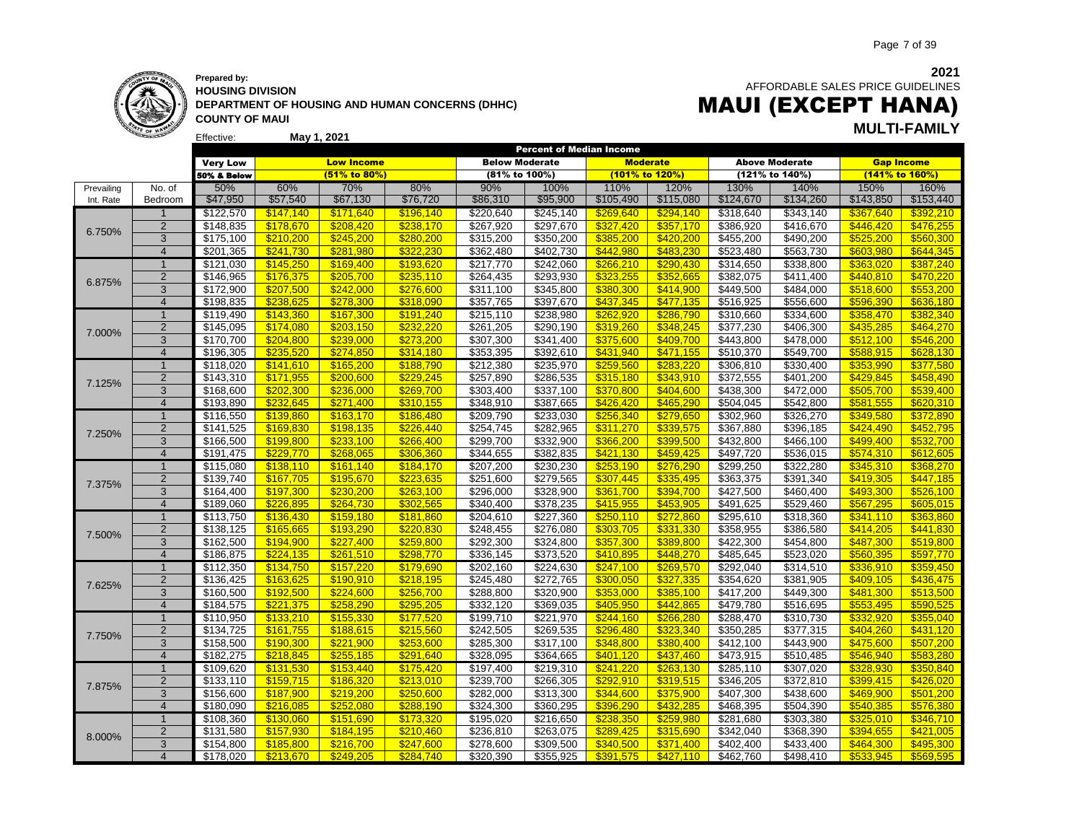

Effective:

**HOUSING DIVISION DEPARTMENT OF HOUSING AND HUMAN CONCERNS (DHHC) COUNTY OF MAUI**

 AFFORDABLE SALES PRICE GUIDELINES MAUI (EXCEPT HANA)

# **May 1, 2021 MULTI-FAMILY**

|            |                |                 |           |                   |           | <b>Percent of Median Income</b> |                       |                 |           |                   |                       |           |                   |
|------------|----------------|-----------------|-----------|-------------------|-----------|---------------------------------|-----------------------|-----------------|-----------|-------------------|-----------------------|-----------|-------------------|
|            |                | <b>Very Low</b> |           | <b>Low Income</b> |           | <b>Below Moderate</b>           |                       | <b>Moderate</b> |           |                   | <b>Above Moderate</b> |           | <b>Gap Income</b> |
|            |                | 50% & Below     |           | (51% to 80%)      |           | (81% to 100%)                   |                       | (101% to 120%)  |           |                   | (121% to 140%)        |           | (141% to 160%)    |
| Prevailing | No. of         | 50%             | 60%       | 70%               | 80%       | 90%                             | 100%                  | 110%            | 120%      | 130%              | 140%                  | 150%      | 160%              |
| Int. Rate  | Bedroom        | \$47,950        | \$57,540  | \$67,130          | \$76,720  | \$86,310                        | \$95,900              | \$105,490       | \$115,080 | \$124,670         | \$134,260             | \$143,850 | \$153,440         |
|            | $\mathbf 1$    |                 | \$147,140 | \$171,640         | \$196,140 | \$220,640                       | \$245,140             | \$269,640       |           | \$318,640         | \$343,140             |           | \$392,210         |
|            | $\overline{2}$ | \$122,570       |           |                   |           |                                 |                       |                 | \$294,140 |                   |                       | \$367,640 |                   |
| 6.750%     |                | \$148,835       | \$178,670 | \$208,420         | \$238,170 | \$267,920                       | \$297,670             | \$327,420       | \$357,170 | \$386,920         | \$416,670             | \$446,420 | \$476,255         |
|            | 3              | \$175,100       | \$210,200 | \$245,200         | \$280,200 | \$315,200                       | \$350,200             | \$385,200       | \$420,200 | \$455,200         | \$490,200             | \$525,200 | \$560,300         |
|            | $\overline{4}$ | \$201,365       | \$241,730 | \$281.980         | \$322,230 | \$362,480                       | \$402,730             | \$442.980       | \$483,230 | \$523,480         | \$563,730             | \$603,980 | \$644,345         |
|            | $\overline{1}$ | \$121,030       | \$145,250 | \$169,400         | \$193,620 | \$217,770                       | \$242,060             | \$266,210       | \$290,430 | \$314,650         | \$338,800             | \$363,020 | \$387,240         |
| 6.875%     | $\overline{2}$ | \$146,965       | \$176,375 | \$205,700         | \$235,110 | \$264,435                       | \$293,930             | \$323,255       | \$352,665 | \$382,075         | \$411,400             | \$440,810 | \$470,220         |
|            | 3              | \$172,900       | \$207,500 | \$242,000         | \$276,600 | \$311,100                       | \$345,800             | \$380,300       | \$414,900 | \$449,500         | \$484,000             | \$518,600 | \$553,200         |
|            | $\overline{4}$ | \$198,835       | \$238.625 | \$278,300         | \$318,090 | \$357,765                       | \$397,670             | \$437,345       | \$477,135 | \$516,925         | \$556,600             | \$596,390 | \$636,180         |
|            | $\mathbf{1}$   | \$119,490       | \$143,360 | \$167,300         | \$191,240 | \$215,110                       | \$238,980             | \$262,920       | \$286,790 | \$310,660         | \$334,600             | \$358,470 | \$382,340         |
| 7.000%     | $\overline{2}$ | \$145,095       | \$174.080 | \$203,150         | \$232.220 | \$261,205                       | \$290,190             | \$319,260       | \$348.245 | \$377,230         | \$406,300             | \$435,285 | \$464,270         |
|            | 3              | \$170,700       | \$204,800 | \$239,000         | \$273,200 | \$307,300                       | \$341,400             | \$375,600       | \$409,700 | \$443,800         | \$478,000             | \$512,100 | \$546,200         |
|            | $\overline{4}$ | \$196,305       | \$235.520 | \$274.850         | \$314.180 | \$353,395                       | \$392,610             | \$431.940       | \$471.155 | \$510,370         | \$549,700             | \$588.915 | \$628,130         |
|            | $\mathbf{1}$   | \$118,020       | \$141,610 | \$165,200         | \$188,790 | \$212,380                       | \$235,970             | \$259,560       | \$283,220 | \$306,810         | \$330,400             | \$353,990 | \$377,580         |
|            | $\overline{2}$ | \$143,310       | \$171,955 | \$200,600         | \$229,245 | \$257,890                       | \$286,535             | \$315,180       | \$343,910 | \$372,555         | \$401,200             | \$429,845 | \$458,490         |
| 7.125%     | 3              | \$168,600       | \$202,300 | \$236,000         | \$269,700 | \$303,400                       | $\overline{$}337,100$ | \$370,800       | \$404,600 | \$438,300         | \$472,000             | \$505,700 | \$539,400         |
|            | $\overline{4}$ | \$193,890       | \$232,645 | \$271,400         | \$310,155 | \$348,910                       | \$387,665             | \$426,420       | \$465,290 | \$504,045         | \$542,800             | \$581,555 | \$620,310         |
|            | $\mathbf{1}$   | \$116,550       | \$139,860 | \$163,170         | \$186,480 | \$209,790                       | \$233,030             | \$256,340       | \$279,650 | \$302,960         | \$326,270             | \$349,580 | \$372,890         |
|            | $\overline{2}$ | \$141,525       | \$169,830 | \$198,135         | \$226,440 | \$254,745                       | \$282,965             | \$311,270       | \$339,575 | \$367,880         | \$396,185             | \$424,490 | \$452,795         |
| 7.250%     | 3              | \$166,500       | \$199,800 | \$233,100         | \$266,400 | \$299,700                       | \$332,900             | \$366,200       | \$399,500 | \$432,800         | \$466,100             | \$499,400 | \$532,700         |
|            | $\overline{4}$ |                 |           |                   |           |                                 |                       |                 |           |                   |                       |           |                   |
|            |                | \$191,475       | \$229,770 | \$268,065         | \$306,360 | \$344,655                       | \$382,835             | \$421,130       | \$459,425 | \$497,720         | \$536,015             | \$574,310 | \$612,605         |
|            | $\overline{1}$ | \$115,080       | \$138,110 | \$161,140         | \$184,170 | \$207,200                       | \$230,230             | \$253,190       | \$276,290 | \$299,250         | \$322,280             | \$345,310 | \$368,270         |
| 7.375%     | $\overline{2}$ | \$139,740       | \$167,705 | \$195,670         | \$223,635 | \$251,600                       | \$279,565             | \$307,445       | \$335,495 | \$363,375         | \$391,340             | \$419,305 | \$447,185         |
|            | 3              | \$164,400       | \$197,300 | \$230,200         | \$263,100 | \$296,000                       | \$328,900             | \$361,700       | \$394,700 | \$427,500         | \$460,400             | \$493,300 | \$526,100         |
|            | $\overline{4}$ | \$189,060       | \$226.895 | \$264.730         | \$302.565 | \$340.400                       | \$378,235             | \$415.955       | \$453.905 | \$491.625         | \$529.460             | \$567.295 | \$605,015         |
|            | $\overline{1}$ | \$113,750       | \$136,430 | \$159,180         | \$181,860 | \$204,610                       | \$227,360             | \$250,110       | \$272,860 | \$295,610         | \$318,360             | \$341,110 | \$363,860         |
| 7.500%     | $\overline{2}$ | \$138,125       | \$165,665 | \$193,290         | \$220.830 | \$248,455                       | \$276,080             | \$303,705       | \$331,330 | \$358,955         | \$386,580             | \$414.205 | \$441,830         |
|            | 3              | \$162,500       | \$194.900 | \$227.400         | \$259,800 | \$292,300                       | \$324,800             | \$357,300       | \$389,800 | \$422,300         | \$454,800             | \$487,300 | \$519,800         |
|            | $\overline{4}$ | \$186,875       | \$224,135 | \$261,510         | \$298,770 | \$336,145                       | \$373,520             | \$410.895       | \$448,270 | \$485,645         | \$523,020             | \$560.395 | \$597,770         |
|            | $\mathbf{1}$   | \$112,350       | \$134,750 | \$157,220         | \$179,690 | \$202,160                       | \$224,630             | \$247,100       | \$269,570 | \$292,040         | \$314,510             | \$336,910 | \$359,450         |
| 7.625%     | $\overline{2}$ | \$136,425       | \$163,625 | \$190,910         | \$218,195 | $\sqrt{$245,480}$               | \$272,765             | \$300,050       | \$327,335 | \$354,620         | \$381,905             | \$409,105 | \$436,475         |
|            | $\overline{3}$ | \$160,500       | \$192,500 | \$224,600         | \$256,700 | \$288,800                       | \$320,900             | \$353,000       | \$385,100 | $\sqrt{$417,200}$ | \$449,300             | \$481,300 | \$513,500         |
|            | $\overline{4}$ | \$184,575       | \$221,375 | \$258,290         | \$295,205 | \$332,120                       | \$369,035             | \$405.950       | \$442,865 | \$479,780         | \$516,695             | \$553.495 | \$590.525         |
|            | $\overline{1}$ | \$110,950       | \$133,210 | \$155,330         | \$177,520 | \$199,710                       | \$221,970             | \$244,160       | \$266,280 | \$288,470         | \$310,730             | \$332,920 | \$355,040         |
|            | $\overline{2}$ | \$134,725       | \$161,755 | \$188,615         | \$215,560 | \$242,505                       | \$269,535             | \$296,480       | \$323,340 | \$350,285         | \$377,315             | \$404,260 | \$431,120         |
| 7.750%     | 3              | \$158,500       | \$190,300 | \$221,900         | \$253,600 | \$285,300                       | $\overline{$}317,100$ | \$348,800       | \$380,400 | \$412,100         | \$443,900             | \$475,600 | \$507,200         |
|            | $\overline{4}$ | \$182,275       | \$218.845 | \$255.185         | \$291.640 | \$328,095                       | \$364,665             | \$401,120       | \$437,460 | \$473,915         | \$510,485             | \$546,940 | \$583.280         |
|            | $\mathbf{1}$   | \$109,620       | \$131,530 | \$153,440         | \$175,420 | \$197,400                       | \$219,310             | \$241,220       | \$263,130 | \$285,110         | \$307,020             | \$328,930 | \$350,840         |
|            | $\overline{2}$ | \$133,110       | \$159,715 | \$186,320         | \$213,010 | \$239,700                       | \$266,305             | \$292,910       | \$319,515 | \$346,205         | \$372,810             | \$399,415 | \$426,020         |
| 7.875%     | 3              | \$156,600       | \$187,900 | \$219,200         | \$250,600 | \$282,000                       | \$313,300             | \$344,600       | \$375,900 | \$407,300         | \$438,600             | \$469,900 | \$501,200         |
|            | $\overline{4}$ |                 | \$216,085 | \$252.080         | \$288.190 | \$324,300                       | \$360,295             | \$396.290       | \$432.285 | \$468,395         | \$504,390             | \$540.385 | \$576.380         |
|            |                | \$180,090       |           |                   |           |                                 |                       |                 |           |                   |                       |           |                   |
|            | $\overline{1}$ | \$108,360       | \$130,060 | \$151.690         | \$173,320 | \$195,020                       | \$216,650             | \$238,350       | \$259,980 | \$281,680         | \$303,380             | \$325,010 | \$346,710         |
| 8.000%     | $\overline{2}$ | \$131,580       | \$157,930 | \$184,195         | \$210,460 | \$236,810                       | \$263,075             | \$289,425       | \$315,690 | \$342,040         | \$368,390             | \$394,655 | \$421,005         |
|            | 3              | \$154,800       | \$185,800 | \$216.700         | \$247.600 | \$278,600                       | \$309,500             | \$340.500       | \$371.400 | \$402,400         | \$433,400             | \$464.300 | \$495.300         |
|            | $\overline{4}$ | \$178.020       | \$213.670 | \$249.205         | \$284.740 | \$320.390                       | \$355.925             | \$391.575       | \$427.110 | \$462.760         | \$498.410             | \$533.945 | \$569.595         |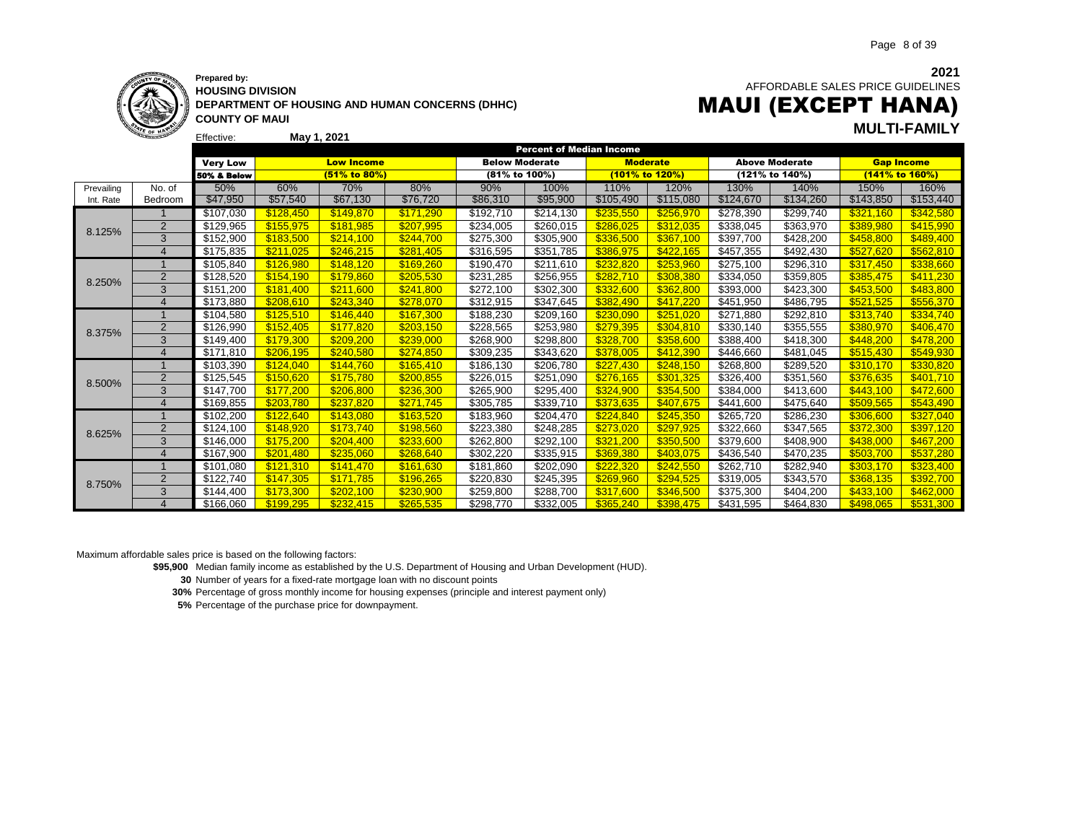

Effective:

**HOUSING DIVISION DEPARTMENT OF HOUSING AND HUMAN CONCERNS (DHHC) COUNTY OF MAUI**

**2021** AFFORDABLE SALES PRICE GUIDELINES MAUI (EXCEPT HANA)

**May 1, 2021 MULTI-FAMILY**

|            |                        |                        |           |                   |           |                       | <b>Percent of Median Income</b> |                 |           |                   |                       |                   |           |
|------------|------------------------|------------------------|-----------|-------------------|-----------|-----------------------|---------------------------------|-----------------|-----------|-------------------|-----------------------|-------------------|-----------|
|            |                        | <b>Very Low</b>        |           | <b>Low Income</b> |           | <b>Below Moderate</b> |                                 | <b>Moderate</b> |           |                   | <b>Above Moderate</b> | <b>Gap Income</b> |           |
|            |                        | <b>50% &amp; Below</b> |           | (51% to 80%)      |           | (81% to 100%)         |                                 | (101% to 120%)  |           |                   | (121% to 140%)        | (141% to 160%)    |           |
| Prevailing | No. of                 | 50%                    | 60%       | 70%               | 80%       | 90%                   | 100%                            | 110%            | 120%      | 130%              | 140%                  | 150%              | 160%      |
| Int. Rate  | Bedroom                | \$47,950               | \$57,540  | \$67,130          | \$76,720  | \$86,310              | \$95,900                        | \$105,490       | \$115,080 | \$124,670         | \$134,260             | \$143,850         | \$153,440 |
|            |                        | \$107,030              | \$128,450 | \$149.870         | \$171,290 | \$192,710             | \$214,130                       | \$235,550       | \$256,970 | \$278,390         | \$299,740             | \$321,160         | \$342,580 |
| 8.125%     | $\overline{2}$         | \$129,965              | \$155,975 | \$181.985         | \$207,995 | \$234,005             | \$260,015                       | \$286.025       | \$312,035 | \$338,045         | \$363,970             | \$389,980         | \$415,990 |
|            | 3                      | \$152,900              | \$183.500 | \$214.100         | \$244.700 | \$275,300             | \$305,900                       | \$336.500       | \$367.100 | \$397,700         | \$428,200             | \$458.800         | \$489,400 |
|            | $\overline{4}$         | \$175,835              | \$211,025 | \$246.215         | \$281.405 | \$316,595             | \$351,785                       | \$386,975       | \$422,165 | \$457,355         | \$492,430             | \$527.620         | \$562,810 |
|            |                        | \$105,840              | \$126,980 | \$148,120         | \$169,260 | \$190,470             | \$211,610                       | \$232,820       | \$253,960 | \$275,100         | \$296,310             | \$317,450         | \$338,660 |
| 8.250%     | $\overline{2}$         | \$128,520              | \$154,190 | \$179.860         | \$205,530 | \$231,285             | \$256,955                       | \$282,710       | \$308,380 | \$334,050         | \$359,805             | \$385,475         | \$411,230 |
|            | 3                      | \$151,200              | \$181.400 | \$211,600         | \$241.800 | \$272,100             | \$302,300                       | \$332,600       | \$362,800 | \$393,000         | \$423,300             | \$453.500         | \$483,800 |
|            | $\boldsymbol{\Lambda}$ | \$173,880              | \$208.610 | \$243.340         | \$278.070 | \$312,915             | \$347,645                       | \$382.490       | \$417.220 | \$451,950         | \$486,795             | \$521.525         | \$556,370 |
| 8.375%     |                        | \$104,580              | \$125,510 | \$146,440         | \$167,300 | \$188,230             | \$209,160                       | \$230,090       | \$251,020 | $\sqrt{271,880}$  | \$292,810             | \$313,740         | \$334,740 |
|            | $\overline{2}$         | \$126,990              | \$152,405 | \$177.820         | \$203,150 | \$228,565             | \$253,980                       | \$279,395       | \$304,810 | \$330,140         | \$355,555             | \$380,970         | \$406,470 |
|            | 3                      | \$149,400              | \$179,300 | \$209,200         | \$239,000 | \$268,900             | \$298,800                       | \$328,700       | \$358,600 | \$388,400         | \$418,300             | \$448,200         | \$478,200 |
|            | $\overline{4}$         | \$171,810              | \$206.195 | \$240.580         | \$274.850 | \$309.235             | \$343,620                       | \$378.005       | \$412,390 | \$446,660         | \$481.045             | \$515,430         | \$549,930 |
|            |                        | \$103,390              | \$124,040 | \$144.760         | \$165,410 | \$186,130             | \$206,780                       | \$227,430       | \$248,150 | \$268,800         | \$289,520             | \$310,170         | \$330,820 |
| 8.500%     | $\overline{2}$         | \$125,545              | \$150,620 | \$175.780         | \$200,855 | \$226,015             | \$251,090                       | \$276,165       | \$301,325 | \$326,400         | \$351,560             | \$376,635         | \$401,710 |
|            | 3                      | \$147,700              | \$177,200 | \$206,800         | \$236,300 | \$265,900             | \$295,400                       | \$324,900       | \$354,500 | \$384,000         | \$413,600             | \$443.100         | \$472,600 |
|            | $\overline{4}$         | \$169,855              | \$203.780 | \$237,820         | \$271.745 | \$305,785             | \$339,710                       | \$373.635       | \$407.675 | \$441,600         | \$475,640             | \$509.565         | \$543,490 |
|            |                        | \$102,200              | \$122,640 | \$143.080         | \$163.520 | \$183,960             | \$204,470                       | \$224,840       | \$245,350 | \$265,720         | \$286,230             | \$306.600         | \$327,040 |
| 8.625%     | $\overline{2}$         | \$124,100              | \$148.920 | \$173.740         | \$198.560 | \$223,380             | \$248,285                       | \$273.020       | \$297.925 | \$322,660         | \$347,565             | \$372.300         | \$397,120 |
|            | 3                      | \$146,000              | \$175.200 | \$204.400         | \$233,600 | \$262,800             | \$292,100                       | \$321,200       | \$350,500 | \$379,600         | \$408,900             | \$438,000         | \$467,200 |
|            |                        | \$167,900              | \$201.480 | \$235.060         | \$268.640 | \$302,220             | \$335,915                       | \$369.380       | \$403.075 | \$436,540         | \$470,235             | \$503.700         | \$537,280 |
|            |                        | \$101,080              | \$121,310 | \$141.470         | \$161,630 | \$181,860             | \$202,090                       | \$222,320       | \$242,550 | $\sqrt{$262,710}$ | $\sqrt{282,940}$      | \$303,170         | \$323,400 |
| 8.750%     | $\overline{2}$         | \$122,740              | \$147,305 | \$171.785         | \$196,265 | \$220,830             | \$245,395                       | \$269,960       | \$294,525 | \$319,005         | \$343,570             | \$368,135         | \$392,700 |
|            | 3                      | \$144,400              | \$173.300 | \$202.100         | \$230,900 | \$259,800             | \$288,700                       | \$317.600       | \$346,500 | \$375,300         | \$404,200             | \$433,100         | \$462,000 |
|            | $\Delta$               | \$166.060              | \$199.295 | \$232,415         | \$265,535 | \$298.770             | \$332.005                       | \$365,240       | \$398.475 | \$431.595         | \$464.830             | \$498,065         | \$531,300 |

Maximum affordable sales price is based on the following factors:

**\$95,900** Median family income as established by the U.S. Department of Housing and Urban Development (HUD).

**30** Number of years for a fixed-rate mortgage loan with no discount points

**30%** Percentage of gross monthly income for housing expenses (principle and interest payment only)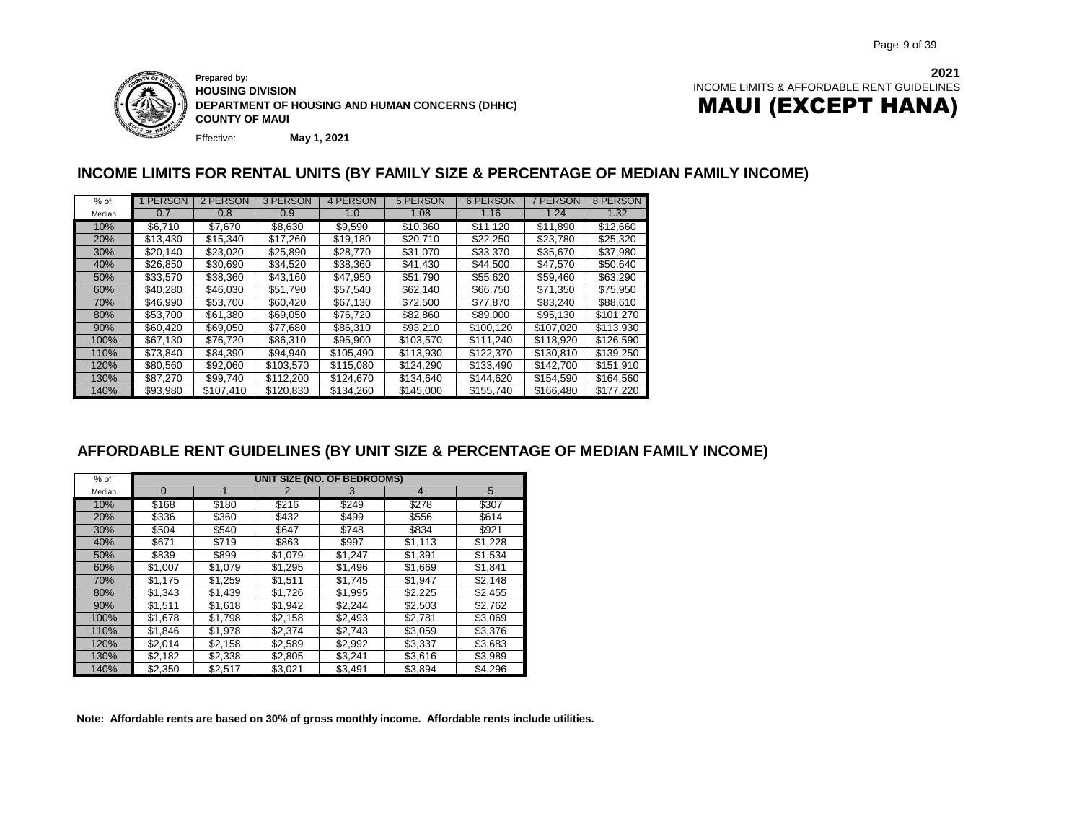

Effective: **Prepared by: HOUSING DIVISION DEPARTMENT OF HOUSING AND HUMAN CONCERNS (DHHC) COUNTY OF MAUI**

**May 1, 2021**

### **INCOME LIMITS FOR RENTAL UNITS (BY FAMILY SIZE & PERCENTAGE OF MEDIAN FAMILY INCOME)**

| $%$ of | 1 PERSON | 2 PERSON  | 3 PERSON  | 4 PERSON  | 5 PERSON  | 6 PERSON  | 7 PERSON  | 8 PERSON  |
|--------|----------|-----------|-----------|-----------|-----------|-----------|-----------|-----------|
| Median | 0.7      | 0.8       | 0.9       | 1.0       | 1.08      | 1.16      | 1.24      | 1.32      |
| 10%    | \$6.710  | \$7.670   | \$8.630   | \$9,590   | \$10,360  | \$11.120  | \$11,890  | \$12,660  |
| 20%    | \$13.430 | \$15,340  | \$17,260  | \$19,180  | \$20,710  | \$22.250  | \$23,780  | \$25,320  |
| 30%    | \$20,140 | \$23,020  | \$25,890  | \$28,770  | \$31,070  | \$33,370  | \$35,670  | \$37,980  |
| 40%    | \$26.850 | \$30.690  | \$34.520  | \$38.360  | \$41.430  | \$44,500  | \$47.570  | \$50.640  |
| 50%    | \$33.570 | \$38.360  | \$43.160  | \$47.950  | \$51.790  | \$55.620  | \$59,460  | \$63,290  |
| 60%    | \$40,280 | \$46,030  | \$51,790  | \$57.540  | \$62,140  | \$66.750  | \$71.350  | \$75,950  |
| 70%    | \$46.990 | \$53.700  | \$60,420  | \$67.130  | \$72,500  | \$77.870  | \$83.240  | \$88,610  |
| 80%    | \$53.700 | \$61,380  | \$69,050  | \$76.720  | \$82,860  | \$89,000  | \$95.130  | \$101,270 |
| 90%    | \$60.420 | \$69.050  | \$77.680  | \$86.310  | \$93,210  | \$100.120 | \$107.020 | \$113.930 |
| 100%   | \$67.130 | \$76.720  | \$86,310  | \$95.900  | \$103.570 | \$111.240 | \$118,920 | \$126,590 |
| 110%   | \$73.840 | \$84,390  | \$94.940  | \$105.490 | \$113,930 | \$122,370 | \$130.810 | \$139.250 |
| 120%   | \$80,560 | \$92,060  | \$103.570 | \$115,080 | \$124.290 | \$133,490 | \$142,700 | \$151.910 |
| 130%   | \$87,270 | \$99,740  | \$112,200 | \$124,670 | \$134,640 | \$144,620 | \$154,590 | \$164.560 |
| 140%   | \$93,980 | \$107.410 | \$120,830 | \$134.260 | \$145,000 | \$155.740 | \$166.480 | \$177.220 |

### **AFFORDABLE RENT GUIDELINES (BY UNIT SIZE & PERCENTAGE OF MEDIAN FAMILY INCOME)**

| $%$ of |          |         |         | UNIT SIZE (NO. OF BEDROOMS) |                |         |
|--------|----------|---------|---------|-----------------------------|----------------|---------|
| Median | $\Omega$ |         | 2       | 3                           | $\overline{4}$ | 5       |
| 10%    | \$168    | \$180   | \$216   | \$249                       | \$278          | \$307   |
| 20%    | \$336    | \$360   | \$432   | \$499                       | \$556          | \$614   |
| 30%    | \$504    | \$540   | \$647   | \$748                       | \$834          | \$921   |
| 40%    | \$671    | \$719   | \$863   | \$997                       | \$1,113        | \$1,228 |
| 50%    | \$839    | \$899   | \$1,079 | \$1,247                     | \$1,391        | \$1,534 |
| 60%    | \$1,007  | \$1,079 | \$1,295 | \$1,496                     | \$1,669        | \$1,841 |
| 70%    | \$1.175  | \$1,259 | \$1.511 | \$1.745                     | \$1,947        | \$2,148 |
| 80%    | \$1,343  | \$1,439 | \$1,726 | \$1,995                     | \$2,225        | \$2,455 |
| 90%    | \$1,511  | \$1,618 | \$1,942 | \$2,244                     | \$2,503        | \$2,762 |
| 100%   | \$1,678  | \$1.798 | \$2.158 | \$2.493                     | \$2,781        | \$3.069 |
| 110%   | \$1,846  | \$1,978 | \$2,374 | \$2,743                     | \$3,059        | \$3,376 |
| 120%   | \$2,014  | \$2,158 | \$2,589 | \$2,992                     | \$3,337        | \$3,683 |
| 130%   | \$2,182  | \$2,338 | \$2,805 | \$3,241                     | \$3,616        | \$3,989 |
| 140%   | \$2,350  | \$2,517 | \$3,021 | \$3,491                     | \$3,894        | \$4,296 |

**Note: Affordable rents are based on 30% of gross monthly income. Affordable rents include utilities.** DRAFT COPY - MARCH 28, 2007 **RENTAL - AFFORDABLE RENT GUIDELINES** DRAFT COPY --MARCH 28, 2007 MARCH MARCH 28, 2007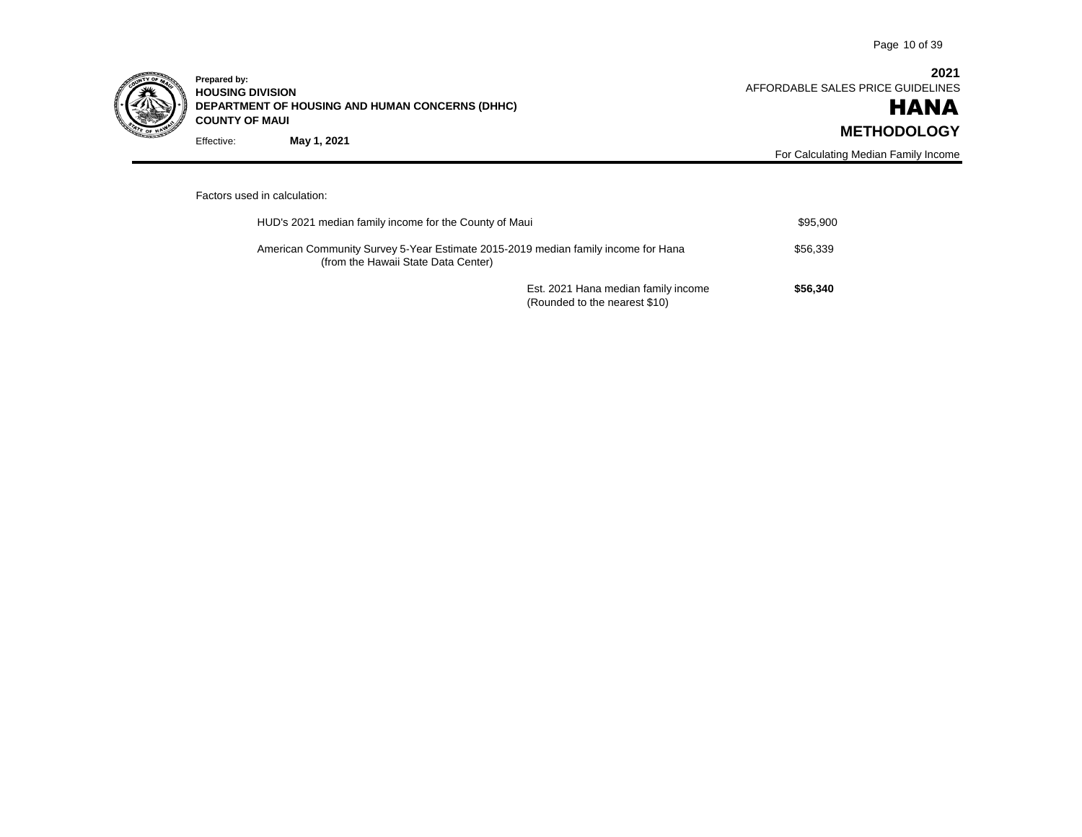

Effective: **Prepared by: HOUSING DIVISION DEPARTMENT OF HOUSING AND HUMAN CONCERNS (DHHC) COUNTY OF MAUI May 1, 2021**

**2021** AFFORDABLE SALES PRICE GUIDELINES

### HANA **METHODOLOGY**

For Calculating Median Family Income

### Factors used in calculation:

| HUD's 2021 median family income for the County of Maui                                                                   |                                                                      | \$95.900 |
|--------------------------------------------------------------------------------------------------------------------------|----------------------------------------------------------------------|----------|
| American Community Survey 5-Year Estimate 2015-2019 median family income for Hana<br>(from the Hawaii State Data Center) |                                                                      | \$56.339 |
|                                                                                                                          | Est. 2021 Hana median family income<br>(Rounded to the nearest \$10) | \$56,340 |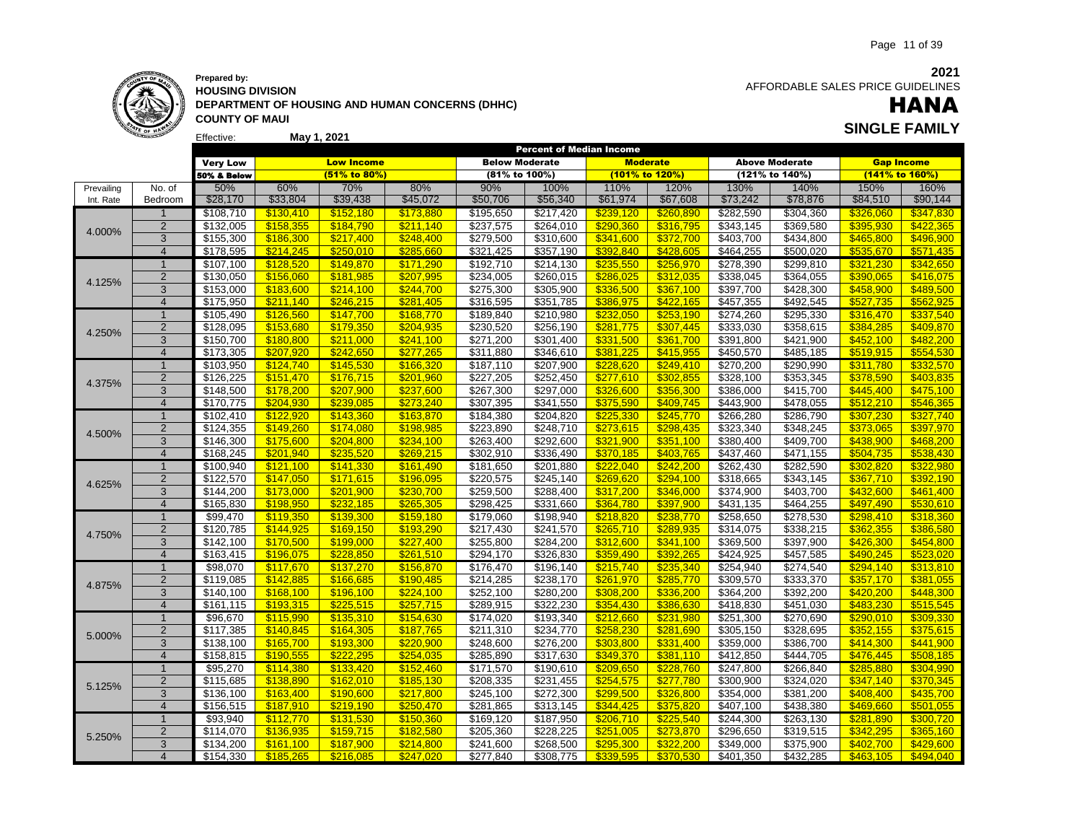

#### Effective: **May 1, 2021 Prepared by: HOUSING DIVISION DEPARTMENT OF HOUSING AND HUMAN CONCERNS (DHHC) COUNTY OF MAUI**

 AFFORDABLE SALES PRICE GUIDELINES

### **SINGLE FAMILY** HANA

|            |                |                       |           |                   |           |                       |           | <b>Percent of Median Income</b> |           |                         |                       |                   |           |
|------------|----------------|-----------------------|-----------|-------------------|-----------|-----------------------|-----------|---------------------------------|-----------|-------------------------|-----------------------|-------------------|-----------|
|            |                | <b>Very Low</b>       |           | <b>Low Income</b> |           | <b>Below Moderate</b> |           | <b>Moderate</b>                 |           |                         | <b>Above Moderate</b> | <b>Gap Income</b> |           |
|            |                | 50% & Below           |           | (51% to 80%)      |           | (81% to 100%)         |           | (101% to 120%)                  |           |                         | (121% to 140%)        | (141% to 160%)    |           |
| Prevailing | No. of         | 50%                   | 60%       | 70%               | 80%       | 90%                   | 100%      | 110%                            | 120%      | 130%                    | 140%                  | 150%              | 160%      |
| Int. Rate  | Bedroom        | \$28,170              | \$33,804  | \$39,438          | \$45,072  | \$50,706              | \$56,340  | \$61,974                        | \$67,608  | \$73,242                | \$78,876              | \$84,510          | \$90,144  |
|            |                | \$108,710             | \$130,410 | \$152,180         | \$173,880 | \$195,650             | \$217,420 | \$239,120                       | \$260,890 | \$282,590               | \$304,360             | \$326,060         | \$347,830 |
| 4.000%     | $\overline{2}$ | \$132,005             | \$158,355 | \$184,790         | \$211,140 | \$237,575             | \$264,010 | \$290,360                       | \$316,795 | $\overline{3343}$ , 145 | \$369,580             | \$395,930         | \$422,365 |
|            | 3              | \$155,300             | \$186,300 | \$217,400         | \$248,400 | \$279,500             | \$310,600 | \$341,600                       | \$372,700 | \$403,700               | \$434,800             | \$465,800         | \$496,900 |
|            | $\overline{4}$ | \$178,595             | \$214.245 | \$250.010         | \$285.660 | \$321,425             | \$357,190 | \$392.840                       | \$428.605 | \$464,255               | \$500,020             | \$535.670         | \$571.435 |
|            | 1              | \$107,100             | \$128,520 | \$149,870         | \$171,290 | \$192,710             | \$214,130 | \$235,550                       | \$256,970 | \$278,390               | \$299,810             | \$321,230         | \$342,650 |
| 4.125%     | $\overline{2}$ | \$130,050             | \$156,060 | \$181,985         | \$207,995 | \$234,005             | \$260,015 | \$286,025                       | \$312,035 | \$338,045               | \$364,055             | \$390,065         | \$416,075 |
|            | 3              | \$153,000             | \$183,600 | \$214,100         | \$244,700 | \$275,300             | \$305,900 | \$336,500                       | \$367,100 | \$397,700               | \$428,300             | \$458,900         | \$489,500 |
|            | $\overline{4}$ | \$175,950             | \$211.140 | \$246.215         | \$281.405 | \$316,595             | \$351,785 | \$386.975                       | \$422.165 | \$457,355               | \$492,545             | \$527.735         | \$562,925 |
|            | $\mathbf{1}$   | \$105,490             | \$126,560 | \$147,700         | \$168,770 | \$189,840             | \$210,980 | \$232,050                       | \$253,190 | \$274,260               | \$295,330             | \$316,470         | \$337,540 |
| 4.250%     | $\overline{2}$ | \$128,095             | \$153,680 | \$179,350         | \$204,935 | \$230,520             | \$256,190 | \$281,775                       | \$307,445 | \$333,030               | \$358,615             | \$384,285         | \$409,870 |
|            | 3              | \$150,700             | \$180,800 | \$211,000         | \$241,100 | \$271,200             | \$301,400 | \$331,500                       | \$361,700 | \$391,800               | \$421,900             | \$452,100         | \$482,200 |
|            | $\overline{4}$ | \$173,305             | \$207.920 | \$242.650         | \$277,265 | \$311,880             | \$346,610 | \$381.225                       | \$415.955 | \$450,570               | \$485,185             | \$519.915         | \$554.530 |
|            | $\overline{1}$ | \$103,950             | \$124,740 | \$145,530         | \$166,320 | \$187,110             | \$207,900 | \$228,620                       | \$249,410 | \$270,200               | \$290,990             | \$311,780         | \$332,570 |
| 4.375%     | $\overline{2}$ | \$126,225             | \$151,470 | \$176,715         | \$201,960 | $\sqrt{$227,205}$     | \$252,450 | \$277,610                       | \$302,855 | \$328,100               | \$353,345             | \$378,590         | \$403,835 |
|            | 3              | \$148,500             | \$178,200 | \$207.900         | \$237,600 | \$267,300             | \$297,000 | \$326,600                       | \$356,300 | \$386,000               | \$415,700             | \$445.400         | \$475,100 |
|            | $\overline{4}$ | \$170.775             | \$204,930 | \$239.085         | \$273.240 | \$307,395             | \$341,550 | \$375,590                       | \$409,745 | \$443,900               | \$478,055             | \$512,210         | \$546.365 |
|            | $\overline{1}$ | \$102,410             | \$122,920 | \$143,360         | \$163,870 | \$184,380             | \$204,820 | \$225,330                       | \$245,770 | \$266,280               | \$286,790             | \$307,230         | \$327,740 |
| 4.500%     | $\overline{2}$ | $\overline{$124,355}$ | \$149,260 | \$174,080         | \$198,985 | $\sqrt{$223,890}$     | \$248,710 | \$273,615                       | \$298,435 | $\overline{$}323,340$   | 348,245               | \$373,065         | \$397,970 |
|            | 3              | \$146,300             | \$175,600 | \$204,800         | \$234,100 | \$263,400             | \$292,600 | \$321,900                       | \$351,100 | \$380,400               | \$409,700             | \$438,900         | \$468,200 |
|            | $\overline{4}$ | \$168,245             | \$201.940 | \$235.520         | \$269.215 | \$302,910             | \$336,490 | \$370.185                       | \$403.765 | $\overline{$437,460}$   | \$471,155             | \$504.735         | \$538.430 |
|            | 1              | \$100,940             | \$121,100 | \$141,330         | \$161,490 | \$181,650             | \$201,880 | \$222.040                       | \$242.200 | \$262,430               | \$282,590             | \$302,820         | \$322,980 |
| 4.625%     | $\overline{2}$ | \$122,570             | \$147,050 | \$171,615         | \$196,095 | \$220,575             | \$245,140 | \$269,620                       | \$294,100 | \$318,665               | \$343,145             | \$367,710         | \$392,190 |
|            | 3              | \$144,200             | \$173,000 | \$201,900         | \$230.700 | \$259,500             | \$288,400 | \$317,200                       | \$346,000 | \$374,900               | \$403,700             | \$432,600         | \$461.400 |
|            | $\overline{4}$ | \$165,830             | \$198.950 | \$232,185         | \$265.305 | \$298.425             | \$331,660 | \$364.780                       | \$397.900 | \$431,135               | \$464,255             | \$497.490         | \$530.610 |
|            | $\mathbf{1}$   | \$99,470              | \$119,350 | \$139,300         | \$159,180 | \$179,060             | \$198,940 | \$218,820                       | \$238,770 | \$258,650               | \$278,530             | \$298,410         | \$318,360 |
| 4.750%     | $\overline{2}$ | \$120,785             | \$144,925 | \$169,150         | \$193,290 | \$217,430             | \$241,570 | \$265,710                       | \$289,935 | \$314,075               | \$338,215             | \$362,355         | \$386,580 |
|            | 3              | \$142,100             | \$170,500 | \$199,000         | \$227,400 | \$255,800             | \$284,200 | \$312,600                       | \$341,100 | \$369,500               | \$397,900             | \$426,300         | \$454,800 |
|            | $\overline{4}$ | \$163,415             | \$196.075 | \$228,850         | \$261.510 | \$294,170             | \$326,830 | \$359.490                       | \$392,265 | \$424.925               | \$457,585             | \$490.245         | \$523.020 |
|            | $\overline{1}$ | \$98,070              | \$117,670 | \$137,270         | \$156,870 | \$176,470             | \$196,140 | \$215,740                       | \$235,340 | \$254,940               | \$274,540             | \$294,140         | \$313,810 |
| 4.875%     | 2              | $\overline{$119,085}$ | \$142,885 | \$166,685         | \$190.485 | \$214,285             | \$238,170 | \$261.970                       | \$285,770 | \$309,570               | \$333,370             | \$357.170         | \$381.055 |
|            | 3              | \$140,100             | \$168,100 | \$196,100         | \$224,100 | \$252,100             | \$280,200 | \$308,200                       | \$336,200 | \$364,200               | \$392,200             | \$420,200         | \$448,300 |
|            | $\overline{4}$ | \$161,115             | \$193,315 | \$225,515         | \$257.715 | \$289,915             | \$322,230 | \$354,430                       | \$386,630 | \$418,830               | \$451,030             | \$483.230         | \$515.545 |
|            | $\overline{1}$ | \$96,670              | \$115,990 | \$135,310         | \$154,630 | \$174,020             | \$193,340 | \$212,660                       | \$231,980 | \$251,300               | \$270,690             | \$290,010         | \$309,330 |
| 5.000%     | $\overline{2}$ | \$117,385             | \$140,845 | \$164,305         | \$187,765 | \$211,310             | \$234,770 | \$258,230                       | \$281,690 | \$305,150               | \$328,695             | \$352,155         | \$375,615 |
|            | 3              | \$138,100             | \$165,700 | \$193,300         | \$220,900 | \$248,600             | \$276,200 | \$303,800                       | \$331,400 | \$359,000               | \$386,700             | \$414,300         | \$441,900 |
|            | $\overline{4}$ | \$158,815             | \$190.555 | \$222.295         | \$254.035 | \$285,890             | \$317,630 | \$349.370                       | \$381.110 | \$412,850               | \$444.705             | \$476.445         | \$508.185 |
|            | $\mathbf{1}$   | \$95,270              | \$114,380 | \$133,420         | \$152,460 | \$171,570             | \$190,610 | \$209,650                       | \$228,760 | \$247,800               | \$266,840             | \$285,880         | \$304,990 |
| 5.125%     | $\overline{2}$ | \$115,685             | \$138,890 | \$162,010         | \$185,130 | \$208,335             | \$231,455 | \$254,575                       | \$277,780 | \$300,900               | \$324,020             | \$347,140         | \$370,345 |
|            | 3              | \$136,100             | \$163,400 | \$190,600         | \$217,800 | \$245,100             | \$272,300 | \$299,500                       | \$326,800 | 3354,000                | \$381,200             | \$408,400         | \$435,700 |
|            | $\overline{4}$ | \$156,515             | \$187,910 | \$219,190         | \$250.470 | \$281,865             | \$313,145 | \$344.425                       | \$375,820 | \$407,100               | \$438,380             | \$469.660         | \$501,055 |
|            | $\mathbf{1}$   | \$93,940              | \$112,770 | \$131,530         | \$150,360 | \$169,120             | \$187,950 | \$206,710                       | \$225,540 | \$244,300               | \$263,130             | \$281,890         | \$300,720 |
| 5.250%     | $\overline{2}$ | \$114,070             | \$136,935 | \$159,715         | \$182,580 | \$205,360             | \$228,225 | \$251,005                       | \$273,870 | \$296,650               | \$319,515             | \$342,295         | \$365,160 |
|            | 3              | \$134,200             | \$161.100 | \$187.900         | \$214.800 | \$241,600             | \$268,500 | \$295.300                       | \$322.200 | \$349,000               | \$375,900             | \$402.700         | \$429.600 |
|            | $\overline{4}$ | $\overline{$154,330}$ | \$185,265 | \$216.085         | \$247.020 | \$277.840             | \$308.775 | \$339.595                       | \$370.530 | \$401.350               | \$432.285             | \$463.105         | \$494.040 |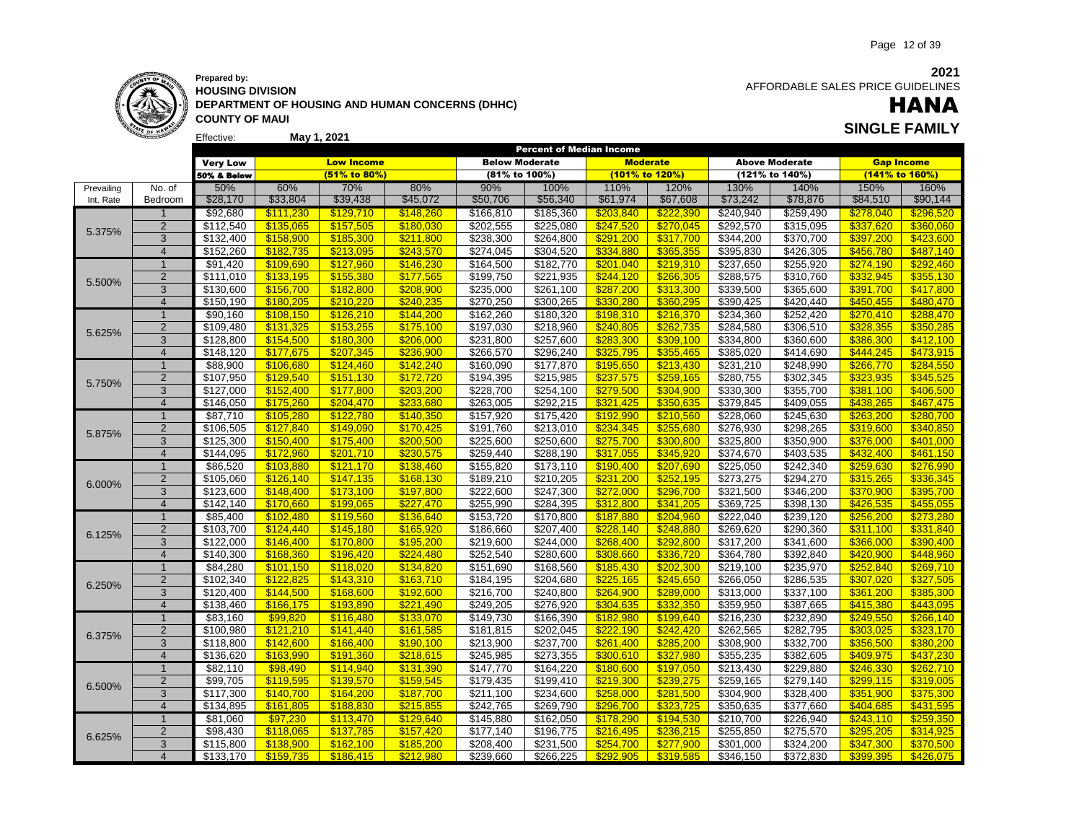

Effective:

**HOUSING DIVISION DEPARTMENT OF HOUSING AND HUMAN CONCERNS (DHHC) COUNTY OF MAUI**

**May 1, 2021**

 AFFORDABLE SALES PRICE GUIDELINES

### HANA **SINGLE FAMILY**

|            |                         |                 |           |                   | <b>Below Moderate</b> |               |                       | <b>Percent of Median Income</b> |                 |           |                       |                   |                |
|------------|-------------------------|-----------------|-----------|-------------------|-----------------------|---------------|-----------------------|---------------------------------|-----------------|-----------|-----------------------|-------------------|----------------|
|            |                         | <b>Very Low</b> |           | <b>Low Income</b> |                       |               |                       |                                 | <b>Moderate</b> |           | <b>Above Moderate</b> | <b>Gap Income</b> |                |
|            |                         | 50% & Below     |           | (51% to 80%)      |                       | (81% to 100%) |                       | (101% to 120%)                  |                 |           | (121% to 140%)        |                   | (141% to 160%) |
| Prevailing | No. of                  | 50%             | 60%       | 70%               | 80%                   | 90%           | 100%                  | 110%                            | 120%            | 130%      | 140%                  | 150%              | 160%           |
| Int. Rate  | Bedroom                 | \$28,170        | \$33,804  | \$39,438          | \$45,072              | \$50,706      | \$56,340              | \$61,974                        | \$67,608        | \$73,242  | \$78,876              | \$84,510          | \$90,144       |
|            |                         | \$92,680        | \$111,230 | \$129,710         | \$148,260             | \$166,810     | \$185,360             | \$203,840                       | \$222,390       | \$240,940 | \$259,490             | \$278,040         | \$296,520      |
|            | $\overline{2}$          | \$112,540       | \$135,065 | \$157,505         | \$180.030             | \$202,555     | \$225,080             | \$247,520                       | \$270,045       | \$292,570 | \$315,095             | \$337,620         | \$360,060      |
| 5.375%     | 3                       | \$132,400       | \$158,900 | \$185,300         | \$211,800             | \$238,300     | \$264,800             | \$291,200                       | \$317,700       | \$344,200 | \$370,700             | \$397,200         | \$423,600      |
|            | $\overline{4}$          | \$152,260       | \$182.735 | \$213,095         | \$243.570             | \$274,045     | \$304,520             | \$334.880                       | \$365.355       | \$395,830 | \$426,305             | \$456.780         | \$487.140      |
|            | $\mathbf 1$             | \$91,420        | \$109,690 | \$127,960         | \$146,230             | \$164,500     | \$182,770             | \$201,040                       | \$219,310       | \$237,650 | \$255,920             | \$274,190         | \$292,460      |
|            | $\overline{2}$          | \$111,010       | \$133,195 | \$155,380         | \$177,565             | \$199,750     | \$221,935             | \$244,120                       | \$266,305       | \$288,575 | \$310,760             | \$332,945         | \$355,130      |
| 5.500%     | 3                       | \$130,600       | \$156,700 | \$182.800         | \$208,900             | \$235,000     | \$261,100             | \$287,200                       | \$313,300       | \$339,500 | \$365,600             | \$391,700         | \$417,800      |
|            | $\overline{4}$          | \$150,190       | \$180.205 | \$210.220         | \$240.235             | \$270,250     | \$300,265             | \$330.280                       | \$360.295       | \$390,425 | \$420,440             | \$450.455         | \$480.470      |
|            | $\overline{1}$          | \$90,160        | \$108,150 | \$126,210         | \$144.200             | \$162,260     | \$180,320             | \$198,310                       | \$216,370       | \$234,360 | \$252,420             | \$270,410         | \$288,470      |
|            | $\overline{2}$          | \$109,480       | \$131,325 | \$153,255         | \$175,100             | \$197,030     | \$218,960             | \$240,805                       | \$262,735       | \$284,580 | \$306,510             | \$328,355         | \$350,285      |
| 5.625%     | 3                       | \$128,800       | \$154,500 | \$180,300         | \$206,000             | \$231,800     | \$257,600             | \$283,300                       | \$309,100       | \$334,800 | \$360,600             | \$386,300         | \$412,100      |
|            | $\overline{4}$          | \$148,120       | \$177,675 | \$207.345         | \$236.900             | \$266,570     | \$296,240             | \$325.795                       | \$355,465       | \$385,020 | \$414,690             | \$444.245         | \$473,915      |
|            | $\overline{1}$          | \$88,900        | \$106,680 | \$124,460         | \$142,240             | \$160,090     | \$177,870             | \$195,650                       | \$213,430       | \$231,210 | \$248,990             | \$266,770         | \$284,550      |
|            | $\overline{2}$          | \$107,950       | \$129,540 | \$151,130         | \$172,720             | \$194,395     | \$215,985             | \$237,575                       | \$259,165       | \$280,755 | \$302,345             | \$323,935         | \$345,525      |
| 5.750%     | 3                       | \$127,000       | \$152,400 | \$177.800         | \$203,200             | \$228,700     | \$254,100             | \$279,500                       | \$304,900       | \$330,300 | \$355,700             | \$381,100         | \$406,500      |
|            | $\overline{4}$          | \$146,050       | \$175,260 | \$204.470         | \$233.680             | \$263,005     | \$292,215             | \$321.425                       | \$350,635       | \$379,845 | \$409,055             | \$438,265         | \$467.475      |
|            | $\overline{1}$          | \$87,710        | \$105,280 | \$122,780         | \$140,350             | \$157,920     | \$175,420             | \$192,990                       | \$210,560       | \$228,060 | \$245,630             | \$263,200         | \$280,700      |
|            | $\overline{2}$          | \$106,505       | \$127,840 | \$149,090         | \$170,425             | \$191,760     | \$213,010             | \$234,345                       | \$255,680       | \$276,930 | \$298,265             | \$319,600         | \$340,850      |
| 5.875%     | 3                       | \$125,300       | \$150,400 | \$175,400         | \$200,500             | \$225,600     | \$250,600             | \$275,700                       | \$300,800       | \$325,800 | \$350,900             | \$376,000         | \$401,000      |
|            | $\overline{4}$          | \$144,095       | \$172.960 | \$201.710         | \$230.575             | \$259,440     | \$288,190             | \$317.055                       | \$345.920       | \$374,670 | \$403,535             | \$432,400         | \$461.150      |
|            | $\mathbf 1$             | \$86,520        | \$103.880 | \$121.170         | \$138,460             | \$155,820     | \$173,110             | \$190.400                       | \$207.690       | \$225,050 | \$242,340             | \$259.630         | \$276,990      |
|            | $\overline{2}$          | \$105,060       | \$126,140 | \$147,135         | \$168,130             | \$189,210     | \$210,205             | \$231,200                       | \$252,195       | \$273,275 | \$294,270             | \$315,265         | \$336,345      |
| 6.000%     | 3                       | \$123,600       | \$148.400 | \$173,100         | \$197.800             | \$222,600     | \$247,300             | \$272,000                       | \$296,700       | \$321,500 | \$346,200             | \$370,900         | \$395,700      |
|            | $\overline{4}$          | \$142,140       | \$170.660 | \$199.065         | \$227.470             | \$255,990     | \$284.395             | \$312,800                       | \$341.205       | \$369,725 | \$398,130             | \$426,535         | \$455,055      |
|            | $\mathbf{1}$            | \$85,400        | \$102,480 | \$119,560         | \$136,640             | \$153,720     | \$170,800             | \$187,880                       | \$204,960       | \$222,040 | \$239,120             | \$256,200         | \$273,280      |
|            | $\overline{2}$          | \$103,700       | \$124,440 | \$145,180         | \$165,920             | \$186,660     | \$207,400             | \$228,140                       | \$248,880       | \$269,620 | \$290,360             | \$311,100         | \$331,840      |
| 6.125%     | 3                       | \$122,000       | \$146,400 | \$170,800         | \$195,200             | \$219,600     | \$244,000             | \$268,400                       | \$292,800       | \$317,200 | $\overline{$}341,600$ | \$366,000         | \$390,400      |
|            | $\overline{4}$          | \$140,300       | \$168.360 | \$196.420         | \$224.480             | \$252,540     | \$280,600             | \$308.660                       | \$336.720       | \$364,780 | \$392,840             | \$420.900         | \$448.960      |
|            | $\overline{1}$          | \$84,280        | \$101.150 | \$118.020         | \$134.820             | \$151,690     | \$168,560             | \$185,430                       | \$202,300       | \$219,100 | \$235,970             | \$252.840         | \$269,710      |
|            | 2                       | \$102,340       | \$122.825 | \$143.310         | \$163.710             | \$184,195     | \$204,680             | \$225.165                       | \$245.650       | \$266,050 | \$286,535             | \$307.020         | \$327,505      |
| 6.250%     | 3                       | \$120,400       | \$144,500 | \$168,600         | \$192,600             | \$216,700     | \$240,800             | \$264,900                       | \$289,000       | \$313,000 | \$337,100             | \$361,200         | \$385,300      |
|            | $\overline{4}$          | \$138,460       | \$166.175 | \$193.890         | \$221.490             | \$249,205     | \$276,920             | \$304.635                       | \$332,350       | \$359,950 | \$387,665             | \$415.380         | \$443.095      |
|            | $\overline{1}$          | \$83,160        | \$99,820  | \$116,480         | \$133,070             | \$149,730     | \$166,390             | \$182,980                       | \$199,640       | \$216,230 | \$232,890             | \$249,550         | \$266,140      |
|            | $\overline{2}$          | \$100,980       | \$121,210 | \$141,440         | \$161,585             | \$181,815     | \$202,045             | \$222,190                       | \$242,420       | \$262,565 | \$282,795             | \$303,025         | \$323,170      |
| 6.375%     | 3                       | \$118,800       | \$142,600 | \$166,400         | \$190.100             | \$213,900     | \$237,700             | \$261,400                       | \$285,200       | \$308,900 | \$332,700             | \$356,500         | \$380,200      |
|            | $\overline{4}$          | \$136,620       | \$163.990 | \$191.360         | \$218.615             | \$245,985     | \$273,355             | \$300.610                       | \$327.980       | \$355,235 | \$382,605             | \$409.975         | \$437.230      |
|            | $\mathbf{1}$            | \$82,110        | \$98,490  | \$114,940         | \$131,390             | \$147,770     | \$164,220             | \$180,600                       | \$197,050       | \$213,430 | \$229,880             | \$246,330         | \$262,710      |
|            | $\overline{2}$          | \$99,705        | \$119,595 | \$139,570         | \$159,545             | \$179,435     | \$199,410             | \$219,300                       | \$239,275       | \$259,165 | \$279,140             | \$299,115         | \$319,005      |
| 6.500%     | 3                       | \$117,300       | \$140,700 | \$164,200         | \$187,700             | \$211,100     | \$234,600             | \$258,000                       | \$281,500       | \$304,900 | \$328,400             | \$351,900         | \$375,300      |
|            | $\overline{4}$          | \$134,895       | \$161.805 | \$188.830         | \$215.855             | \$242,765     | \$269,790             | \$296.700                       | \$323.725       | \$350,635 | \$377,660             | \$404.685         | \$431,595      |
|            | $\mathbf{1}$            | \$81,060        | \$97,230  | \$113,470         | \$129,640             | \$145,880     | \$162,050             | \$178,290                       | \$194,530       | \$210,700 | $\sqrt{$226,940}$     | \$243,110         | \$259,350      |
|            | $\overline{2}$          | \$98,430        | \$118,065 | \$137,785         | \$157,420             | \$177,140     | \$196,775             | \$216,495                       | \$236,215       | \$255,850 | \$275,570             | \$295,205         | \$314,925      |
| 6.625%     | 3                       | \$115,800       | \$138.900 | \$162.100         | \$185.200             | \$208,400     | $\overline{$}231,500$ | \$254.700                       | \$277.900       | \$301,000 | \$324,200             | \$347,300         | \$370.500      |
|            | $\overline{\mathbf{4}}$ | \$133.170       | \$159.735 | \$186.415         | \$212.980             | \$239.660     | \$266.225             | \$292.905                       | \$319.585       | \$346,150 | \$372.830             | \$399.395         | \$426,075      |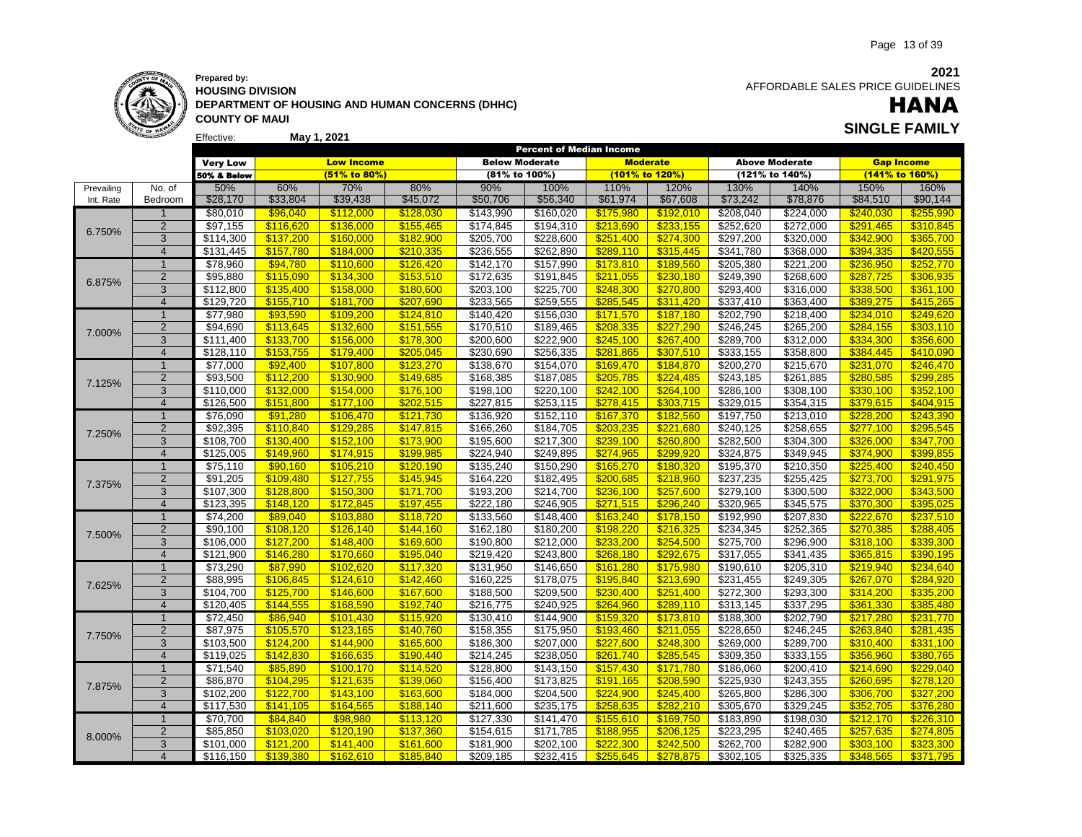

### **May 1, 2021 SINGLE FAMILY Prepared by: HOUSING DIVISION DEPARTMENT OF HOUSING AND HUMAN CONCERNS (DHHC) COUNTY OF MAUI**

**2021** AFFORDABLE SALES PRICE GUIDELINES

# HANA

|            |                |                      |                        |                        |                        |                        | <b>Percent of Median Income</b> |                        |                        |                        |                        |                        |                        |
|------------|----------------|----------------------|------------------------|------------------------|------------------------|------------------------|---------------------------------|------------------------|------------------------|------------------------|------------------------|------------------------|------------------------|
|            |                | <b>Very Low</b>      |                        | <b>Low Income</b>      |                        | <b>Below Moderate</b>  |                                 |                        | <b>Moderate</b>        |                        | <b>Above Moderate</b>  | <b>Gap Income</b>      |                        |
|            |                | 50% & Below          |                        | $(51\%$ to 80%)        |                        | (81% to 100%)          |                                 |                        | (101% to 120%)         |                        | (121% to 140%)         |                        | (141% to 160%)         |
| Prevailing | No. of         | 50%                  | 60%                    | 70%                    | 80%                    | 90%                    | 100%                            | 110%                   | 120%                   | 130%                   | 140%                   | 150%                   | 160%                   |
| Int. Rate  | Bedroom        | \$28,170             | \$33,804               | \$39,438               | \$45,072               | \$50,706               | \$56,340                        | \$61,974               | \$67,608               | \$73,242               | \$78,876               | \$84,510               | \$90,144               |
|            | $\mathbf{1}$   | \$80,010             | \$96,040               | \$112,000              | \$128,030              | \$143,990              | \$160,020                       | \$175,980              | \$192,010              | \$208,040              | \$224,000              | \$240,030              | \$255,990              |
|            | $\overline{2}$ | \$97,155             | \$116,620              | \$136,000              | \$155,465              | \$174,845              | \$194,310                       | \$213,690              | \$233,155              | \$252,620              | \$272,000              | \$291,465              | \$310,845              |
| 6.750%     | 3              | \$114,300            | \$137,200              | \$160,000              | \$182,900              | \$205,700              | \$228,600                       | \$251,400              | \$274,300              | \$297,200              | \$320,000              | \$342,900              | \$365,700              |
|            | $\overline{4}$ | \$131,445            | \$157,780              | \$184.000              | \$210.335              | \$236,555              | \$262,890                       | \$289.110              | \$315,445              | \$341,780              | \$368,000              | \$394.335              | \$420.555              |
|            | $\overline{1}$ | \$78,960             | \$94,780               | \$110,600              | \$126,420              | \$142,170              | \$157,990                       | \$173,810              | \$189,560              | \$205,380              | \$221,200              | \$236,950              | \$252,770              |
|            | $\overline{2}$ | \$95,880             | \$115,090              | \$134,300              | \$153,510              | \$172,635              | \$191,845                       | \$211,055              | \$230,180              | \$249,390              | \$268,600              | \$287,725              | \$306,935              |
| 6.875%     | 3              | \$112,800            | \$135,400              | \$158.000              | \$180.600              | \$203,100              | \$225,700                       | \$248,300              | \$270,800              | \$293,400              | \$316,000              | \$338,500              | \$361,100              |
|            | $\overline{4}$ | \$129,720            | \$155.710              | \$181.700              | \$207.690              | \$233,565              | \$259,555                       | \$285.545              | \$311,420              | \$337,410              | \$363,400              | \$389.275              | \$415.265              |
|            | $\mathbf{1}$   | \$77,980             | \$93,590               | \$109,200              | \$124,810              | \$140,420              | \$156,030                       | \$171,570              | \$187,180              | \$202,790              | \$218,400              | \$234.010              | \$249,620              |
|            | $\overline{2}$ | \$94,690             | \$113,645              | \$132,600              | \$151,555              | \$170,510              | \$189,465                       | \$208.335              | \$227.290              | \$246,245              | \$265,200              | \$284.155              | \$303,110              |
| 7.000%     | 3              | \$111,400            | \$133,700              | \$156,000              | \$178,300              | \$200,600              | \$222,900                       | \$245,100              | \$267,400              | \$289,700              | \$312,000              | \$334,300              | \$356,600              |
|            | $\overline{4}$ | \$128,110            | \$153.755              | \$179.400              | \$205.045              | \$230,690              | \$256,335                       | \$281.865              | \$307.510              | \$333,155              | 358,800                | \$384.445              | \$410,090              |
|            | $\mathbf{1}$   | \$77,000             | \$92,400               | \$107,800              | \$123,270              | \$138,670              | \$154,070                       | \$169,470              | \$184,870              | \$200,270              | \$215,670              | \$231,070              | \$246,470              |
|            | $\overline{2}$ | \$93,500             | \$112,200              | \$130,900              | \$149,685              | \$168,385              | \$187,085                       | \$205,785              | \$224,485              | \$243,185              | \$261,885              | \$280,585              | \$299,285              |
| 7.125%     | 3              | \$110,000            | \$132,000              | \$154,000              | \$176,100              | \$198,100              | \$220,100                       | \$242,100              | \$264,100              | \$286,100              | \$308,100              | \$330,100              | \$352,100              |
|            | $\overline{4}$ | \$126,500            | \$151,800              | \$177,100              | \$202,515              | \$227,815              | \$253,115                       | \$278,415              | \$303,715              | \$329,015              | \$354,315              | \$379,615              | \$404,915              |
|            | $\mathbf{1}$   | \$76,090             | \$91,280               | \$106,470              | \$121,730              | \$136,920              | \$152,110                       | \$167,370              | \$182,560              | \$197,750              | \$213,010              | \$228,200              | \$243,390              |
|            | $\overline{2}$ | \$92,395             | \$110,840              | \$129,285              | \$147,815              | \$166,260              | \$184,705                       | \$203,235              | \$221,680              | \$240,125              | \$258,655              | \$277,100              | \$295,545              |
| 7.250%     | 3              | \$108,700            | \$130,400              | \$152,100              | \$173,900              | \$195,600              | \$217,300                       | \$239,100              | \$260,800              | \$282,500              | \$304,300              | \$326,000              | \$347,700              |
|            | $\overline{4}$ | \$125,005            | \$149,960              | \$174,915              | \$199,985              | \$224,940              | \$249,895                       | \$274,965              | \$299,920              | \$324,875              | \$349,945              | \$374,900              | \$399,855              |
|            | $\overline{1}$ |                      | \$90,160               |                        |                        |                        |                                 |                        |                        |                        |                        | \$225.400              |                        |
|            | $\overline{2}$ | \$75,110<br>\$91,205 |                        | \$105,210              | \$120,190<br>\$145,945 | \$135,240<br>\$164,220 | \$150,290<br>\$182,495          | \$165,270<br>\$200,685 | \$180,320              | \$195,370<br>\$237,235 | \$210,350<br>\$255,425 | \$273,700              | \$240,450<br>\$291,975 |
| 7.375%     | 3              |                      | \$109,480              | \$127,755              |                        |                        |                                 |                        | \$218,960              |                        |                        |                        |                        |
|            | $\overline{4}$ | \$107,300            | \$128,800<br>\$148.120 | \$150,300<br>\$172.845 | \$171,700<br>\$197.455 | \$193,200<br>\$222.180 | \$214,700                       | \$236,100<br>\$271.515 | \$257,600<br>\$296.240 | \$279,100<br>\$320.965 | \$300,500<br>\$345,575 | \$322,000<br>\$370.300 | \$343,500<br>\$395.025 |
|            |                | \$123.395            |                        |                        |                        |                        | \$246.905                       |                        |                        |                        |                        |                        |                        |
|            | $\mathbf{1}$   | \$74,200             | \$89,040               | \$103,880              | \$118,720              | \$133,560              | \$148,400                       | \$163,240              | \$178,150              | \$192,990              | \$207,830              | \$222,670              | \$237,510              |
| 7.500%     | $\overline{2}$ | \$90,100             | \$108,120              | \$126,140              | \$144.160              | \$162,180              | \$180,200                       | \$198,220              | \$216,325              | \$234,345              | \$252,365              | \$270.385              | \$288,405              |
|            | 3              | \$106,000            | \$127,200              | \$148.400              | \$169.600              | \$190,800              | \$212,000                       | \$233,200              | \$254,500              | \$275,700              | \$296,900              | \$318,100              | \$339,300              |
|            | $\overline{4}$ | \$121,900            | \$146,280              | \$170,660              | \$195,040              | \$219,420              | \$243,800                       | \$268.180              | \$292.675              | \$317,055              | \$341,435              | \$365.815              | \$390,195              |
|            | $\mathbf{1}$   | \$73,290             | \$87,990               | \$102,620              | \$117,320              | \$131,950              | \$146,650                       | \$161,280              | \$175,980              | \$190,610              | \$205,310              | \$219,940              | \$234,640              |
| 7.625%     | $\overline{2}$ | \$88,995             | \$106,845              | \$124,610              | \$142,460              | \$160,225              | \$178,075                       | \$195,840              | \$213,690              | \$231,455              | \$249,305              | \$267,070              | \$284,920              |
|            | 3              | \$104,700            | \$125,700              | \$146,600              | \$167,600              | \$188,500              | \$209,500                       | \$230,400              | \$251,400              | \$272,300              | \$293,300              | \$314,200              | \$335,200              |
|            | $\overline{4}$ | \$120,405            | \$144,555              | \$168.590              | \$192.740              | \$216,775              | \$240,925                       | \$264.960              | \$289.110              | \$313,145              | \$337,295              | \$361.330              | \$385.480              |
|            | $\overline{1}$ | \$72,450             | \$86,940               | \$101,430              | \$115,920              | \$130,410              | \$144,900                       | \$159,320              | \$173,810              | \$188,300              | \$202,790              | \$217,280              | \$231,770              |
| 7.750%     | $\mathbf 2$    | \$87,975             | \$105,570              | \$123,165              | \$140,760              | \$158,355              | \$175,950                       | \$193,460              | \$211,055              | \$228,650              | \$246,245              | \$263,840              | \$281,435              |
|            | 3              | \$103,500            | \$124,200              | \$144,900              | \$165,600              | \$186,300              | $\sqrt{$207,000}$               | \$227,600              | \$248,300              | \$269,000              | \$289,700              | \$310,400              | \$331,100              |
|            | $\overline{4}$ | \$119,025            | \$142.830              | \$166,635              | \$190.440              | \$214,245              | \$238,050                       | \$261.740              | \$285,545              | \$309,350              | \$333,155              | \$356.960              | \$380.765              |
|            | $\mathbf{1}$   | \$71,540             | \$85,890               | \$100,170              | \$114,520              | \$128,800              | \$143,150                       | \$157,430              | \$171,780              | \$186,060              | \$200,410              | \$214,690              | \$229,040              |
| 7.875%     | $\overline{2}$ | \$86,870             | \$104,295              | \$121,635              | \$139.060              | \$156,400              | \$173,825                       | \$191,165              | \$208,590              | \$225,930              | \$243,355              | \$260.695              | \$278,120              |
|            | 3              | \$102,200            | \$122,700              | \$143,100              | \$163,600              | \$184,000              | \$204,500                       | \$224,900              | \$245,400              | \$265,800              | \$286,300              | \$306,700              | \$327,200              |
|            | $\overline{4}$ | \$117,530            | \$141.105              | \$164.565              | \$188.140              | \$211,600              | \$235,175                       | \$258.635              | \$282.210              | \$305,670              | \$329,245              | \$352,705              | \$376.280              |
|            | $\overline{1}$ | \$70,700             | \$84,840               | \$98.980               | \$113.120              | \$127,330              | \$141,470                       | \$155,610              | \$169,750              | \$183,890              | \$198,030              | \$212,170              | \$226,310              |
| 8.000%     | $\overline{2}$ | \$85,850             | \$103,020              | \$120,190              | \$137,360              | \$154,615              | \$171,785                       | \$188,955              | \$206,125              | \$223,295              | \$240,465              | \$257,635              | \$274,805              |
|            | 3              | \$101,000            | \$121,200              | \$141.400              | \$161,600              | \$181,900              | $\overline{$}202,100$           | \$222.300              | \$242.500              | \$262,700              | \$282,900              | \$303.100              | \$323.300              |
|            | $\overline{4}$ | \$116.150            | \$139.380              | \$162,610              | \$185.840              | \$209.185              | $\overline{$}232,415$           | \$255,645              | \$278.875              | \$302.105              | $\overline{$}325,335$  | \$348.565              | \$371,795              |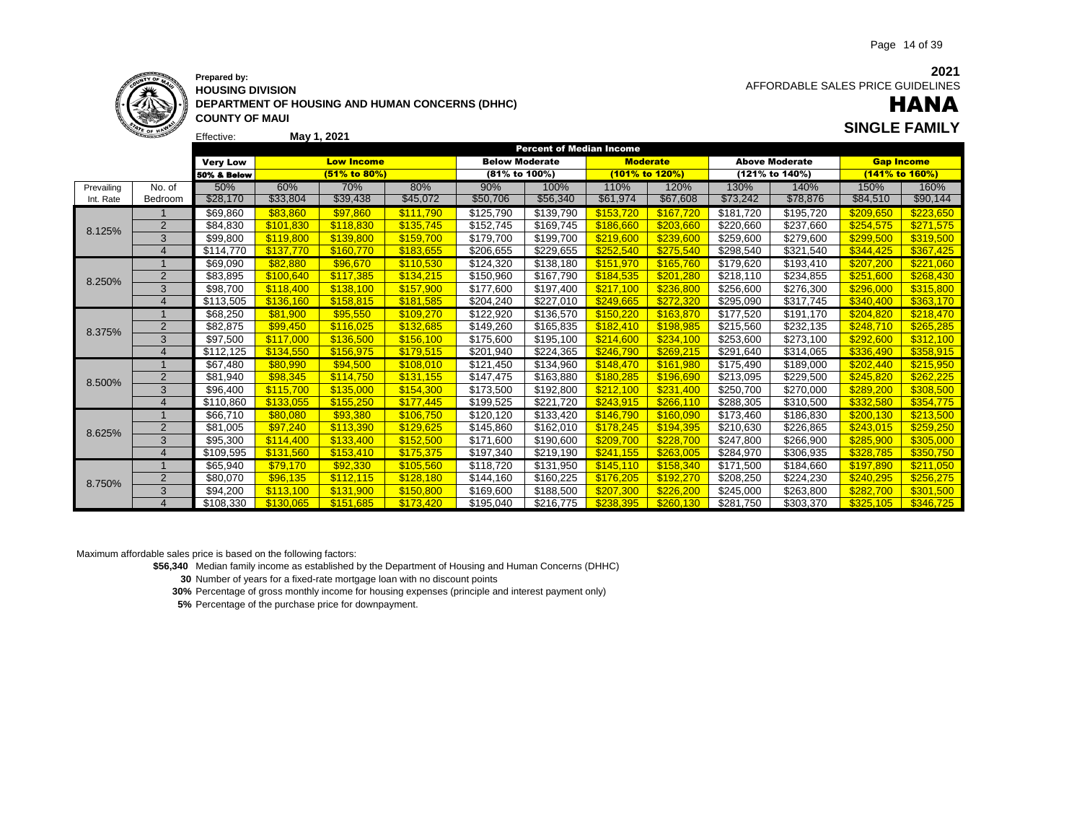

#### **Prepared by: HOUSING DIVISION DEPARTMENT OF HOUSING AND HUMAN CONCERNS (DHHC) COUNTY OF MAUI May 1, 2021 SINGLE FAMILY**

**2021** AFFORDABLE SALES PRICE GUIDELINES

# HANA

|            |                        |                        |           |                   |           |                       | <b>Percent of Median Income</b> |                 |                |           |                       |           |                   |
|------------|------------------------|------------------------|-----------|-------------------|-----------|-----------------------|---------------------------------|-----------------|----------------|-----------|-----------------------|-----------|-------------------|
|            |                        | <b>Very Low</b>        |           | <b>Low Income</b> |           | <b>Below Moderate</b> |                                 | <b>Moderate</b> |                |           | <b>Above Moderate</b> |           | <b>Gap Income</b> |
|            |                        | <b>50% &amp; Below</b> |           | (51% to 80%)      |           | (81% to 100%)         |                                 |                 | (101% to 120%) |           | (121% to 140%)        |           | (141% to 160%)    |
| Prevailing | No. of                 | 50%                    | 60%       | 70%               | 80%       | 90%                   | 100%                            | 110%            | 120%           | 130%      | 140%                  | 150%      | 160%              |
| Int. Rate  | Bedroom                | \$28,170               | \$33,804  | \$39,438          | \$45,072  | \$50,706              | \$56,340                        | \$61,974        | \$67,608       | \$73,242  | \$78,876              | \$84,510  | \$90,144          |
|            |                        | \$69,860               | \$83,860  | \$97,860          | \$111,790 | \$125,790             | \$139,790                       | \$153.720       | \$167,720      | \$181,720 | \$195,720             | \$209,650 | \$223,650         |
| 8.125%     | $\overline{2}$         | \$84,830               | \$101,830 | \$118.830         | \$135,745 | \$152,745             | \$169,745                       | \$186,660       | \$203,660      | \$220,660 | \$237,660             | \$254,575 | \$271,575         |
|            | 3                      | \$99,800               | \$119,800 | \$139.800         | \$159.700 | \$179,700             | \$199,700                       | \$219,600       | \$239,600      | \$259.600 | \$279,600             | \$299.500 | \$319,500         |
|            | $\Delta$               | \$114,770              | \$137,770 | \$160.770         | \$183,655 | \$206,655             | \$229,655                       | \$252,540       | \$275,540      | \$298,540 | \$321,540             | \$344,425 | \$367,425         |
|            | $\mathbf{1}$           | \$69,090               | \$82,880  | \$96,670          | \$110.530 | \$124,320             | \$138,180                       | \$151,970       | \$165,760      | \$179,620 | \$193,410             | \$207.200 | \$221,060         |
| 8.250%     | $\overline{2}$         | \$83,895               | \$100,640 | \$117,385         | \$134,215 | \$150,960             | \$167,790                       | \$184,535       | \$201,280      | \$218,110 | \$234,855             | \$251.600 | \$268,430         |
|            | 3                      | \$98,700               | \$118,400 | \$138,100         | \$157,900 | \$177,600             | \$197,400                       | \$217,100       | \$236,800      | \$256,600 | \$276,300             | \$296,000 | \$315,800         |
|            | $\boldsymbol{\Lambda}$ | \$113,505              | \$136,160 | \$158.815         | \$181,585 | \$204,240             | \$227,010                       | \$249.665       | \$272.320      | \$295,090 | \$317.745             | \$340.400 | \$363,170         |
|            |                        | \$68,250               | \$81,900  | \$95.550          | \$109.270 | \$122,920             | \$136,570                       | \$150.220       | \$163.870      | \$177,520 | \$191,170             | \$204.820 | \$218,470         |
| 8.375%     | $\overline{2}$         | \$82,875               | \$99.450  | \$116.025         | \$132.685 | \$149.260             | \$165,835                       | \$182.410       | \$198.985      | \$215.560 | \$232,135             | \$248.710 | \$265.285         |
|            | 3                      | \$97,500               | \$117,000 | \$136,500         | \$156,100 | \$175,600             | \$195,100                       | \$214,600       | \$234,100      | \$253,600 | \$273,100             | \$292,600 | \$312,100         |
|            | $\boldsymbol{\Delta}$  | \$112,125              | \$134,550 | \$156,975         | \$179.515 | \$201,940             | \$224,365                       | \$246.790       | \$269.215      | \$291,640 | \$314,065             | \$336.490 | \$358,915         |
|            |                        | \$67,480               | \$80,990  | \$94,500          | \$108,010 | \$121,450             | \$134,960                       | \$148,470       | \$161,980      | \$175,490 | \$189,000             | \$202,440 | \$215,950         |
| 8.500%     | $\overline{2}$         | \$81,940               | \$98,345  | \$114.750         | \$131,155 | \$147,475             | \$163,880                       | \$180.285       | \$196,690      | \$213,095 | \$229,500             | \$245,820 | \$262,225         |
|            | 3                      | \$96,400               | \$115.700 | \$135,000         | \$154,300 | \$173,500             | \$192,800                       | \$212,100       | \$231,400      | \$250,700 | \$270,000             | \$289,200 | \$308,500         |
|            | $\boldsymbol{\Lambda}$ | \$110,860              | \$133,055 | \$155.250         | \$177.445 | \$199,525             | \$221.720                       | \$243,915       | \$266.110      | \$288.305 | \$310,500             | \$332,580 | \$354,775         |
|            |                        | \$66,710               | \$80.080  | \$93.380          | \$106.750 | \$120.120             | \$133,420                       | \$146,790       | \$160,090      | \$173,460 | \$186.830             | \$200.130 | \$213,500         |
| 8.625%     | $\overline{2}$         | \$81,005               | \$97,240  | \$113.390         | \$129,625 | \$145,860             | \$162,010                       | \$178,245       | \$194,395      | \$210,630 | \$226.865             | \$243,015 | \$259,250         |
|            | 3                      | \$95,300               | \$114.400 | \$133.400         | \$152,500 | \$171,600             | \$190,600                       | \$209.700       | \$228.700      | \$247,800 | \$266.900             | \$285.900 | \$305,000         |
|            | $\overline{4}$         | \$109,595              | \$131,560 | \$153,410         | \$175,375 | \$197,340             | \$219,190                       | \$241.155       | \$263.005      | \$284,970 | \$306,935             | \$328,785 | \$350,750         |
|            |                        | \$65,940               | \$79,170  | \$92,330          | \$105,560 | \$118,720             | \$131,950                       | \$145,110       | \$158,340      | \$171,500 | \$184,660             | \$197,890 | \$211,050         |
| 8.750%     | $\overline{2}$         | \$80,070               | \$96,135  | \$112.115         | \$128.180 | \$144,160             | \$160,225                       | \$176,205       | \$192.270      | \$208,250 | \$224,230             | \$240.295 | \$256,275         |
|            | 3                      | \$94,200               | \$113.100 | \$131.900         | \$150.800 | \$169,600             | \$188,500                       | \$207,300       | \$226.200      | \$245.000 | \$263,800             | \$282.700 | \$301,500         |
|            |                        | \$108,330              | \$130.065 | \$151.685         | \$173.420 | \$195,040             | \$216,775                       | \$238.395       | \$260.130      | \$281,750 | \$303,370             | \$325.105 | \$346,725         |

Maximum affordable sales price is based on the following factors:

**\$56,340** Median family income as established by the Department of Housing and Human Concerns (DHHC)

**30** Number of years for a fixed-rate mortgage loan with no discount points

**30%** Percentage of gross monthly income for housing expenses (principle and interest payment only)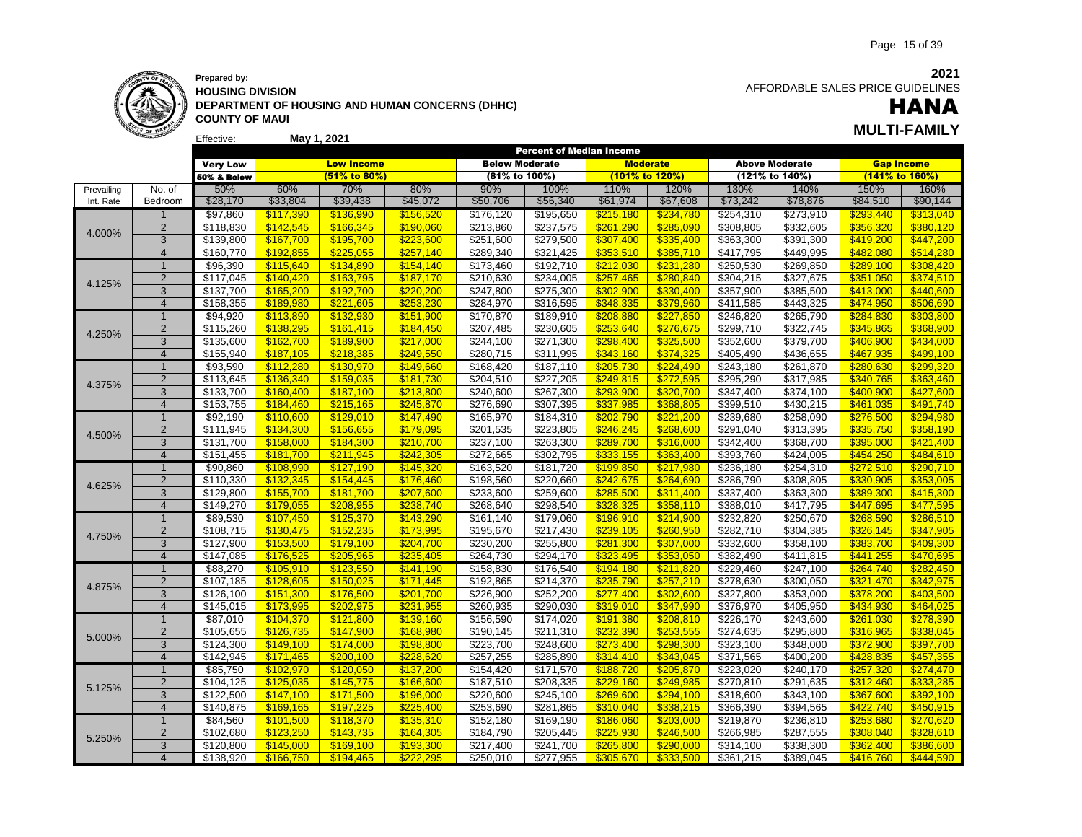

Effective:

**HOUSING DIVISION DEPARTMENT OF HOUSING AND HUMAN CONCERNS (DHHC) COUNTY OF MAUI**

**2021** AFFORDABLE SALES PRICE GUIDELINES

# **May 1, 2021 MULTI-FAMILY** HANA

|            |                         |                        |                        |                        |                        |                        | Percent of Median Income |                        |                        |                        |                        |                        |                        |
|------------|-------------------------|------------------------|------------------------|------------------------|------------------------|------------------------|--------------------------|------------------------|------------------------|------------------------|------------------------|------------------------|------------------------|
|            |                         | <b>Very Low</b>        |                        | <b>Low Income</b>      |                        | <b>Below Moderate</b>  |                          |                        | <b>Moderate</b>        |                        | <b>Above Moderate</b>  |                        | <b>Gap Income</b>      |
|            |                         | 50% & Below            |                        | (51% to 80%)           |                        | (81% to 100%)          |                          | (101% to 120%)         |                        |                        | (121% to 140%)         |                        | (141% to 160%)         |
| Prevailing | No. of                  | 50%                    | 60%                    | 70%                    | 80%                    | 90%                    | 100%                     | 110%                   | 120%                   | 130%                   | 140%                   | 150%                   | 160%                   |
| Int. Rate  | Bedroom                 | \$28,170               | \$33,804               | \$39,438               | \$45,072               | \$50,706               | \$56,340                 | \$61,974               | \$67,608               | \$73,242               | \$78,876               | \$84,510               | \$90,144               |
|            | $\mathbf{1}$            | \$97,860               | \$117,390              | \$136,990              | \$156,520              | \$176,120              | \$195,650                | \$215,180              | \$234,780              | \$254,310              | \$273,910              | <b>\$293,440</b>       | \$313,040              |
|            | $\overline{2}$          | \$118,830              | \$142,545              | \$166,345              | \$190,060              | \$213,860              | \$237,575                | \$261,290              | \$285,090              | \$308,805              | \$332,605              | \$356,320              | \$380,120              |
| 4.000%     | 3                       | \$139,800              | \$167,700              | \$195,700              | \$223,600              | \$251,600              | \$279,500                | \$307,400              | \$335,400              | \$363,300              | \$391,300              | \$419,200              | \$447,200              |
|            | $\overline{4}$          | \$160,770              | \$192.855              | \$225.055              | \$257.140              | \$289,340              | \$321,425                | \$353.510              | \$385.710              | \$417,795              | \$449,995              | \$482.080              | \$514.280              |
|            | $\overline{1}$          | \$96,390               | \$115,640              | \$134,890              | \$154,140              | \$173,460              | \$192,710                | \$212,030              | \$231,280              | \$250,530              | \$269,850              | \$289,100              | \$308,420              |
|            | $\overline{2}$          | \$117,045              | \$140,420              | \$163,795              | \$187,170              | \$210,630              | \$234,005                | \$257,465              | \$280,840              | \$304,215              | \$327,675              | \$351,050              | \$374,510              |
| 4.125%     | 3                       | \$137,700              | \$165,200              | \$192,700              | \$220,200              | \$247,800              | \$275,300                | \$302,900              | \$330,400              | \$357,900              | \$385,500              | \$413.000              | \$440.600              |
|            | $\overline{4}$          | \$158,355              | \$189.980              | \$221.605              | \$253.230              | \$284,970              | \$316,595                | \$348.335              | \$379,960              | \$411,585              | \$443,325              | \$474.950              | \$506,690              |
|            | $\overline{1}$          | \$94,920               | \$113,890              | \$132,930              | \$151,900              | \$170,870              | \$189,910                | \$208,880              | \$227,850              | \$246,820              | \$265,790              | \$284,830              | \$303,800              |
|            | $\overline{2}$          | \$115,260              | \$138,295              | \$161,415              | \$184,450              | \$207,485              | \$230,605                | \$253,640              | \$276,675              | \$299,710              | \$322,745              | \$345,865              | \$368,900              |
| 4.250%     | $\overline{3}$          | \$135,600              | \$162,700              | \$189,900              | \$217,000              | \$244,100              | \$271,300                | \$298,400              | \$325,500              | \$352,600              | \$379,700              | \$406,900              | \$434,000              |
|            | $\overline{4}$          | \$155,940              | \$187,105              | \$218.385              | \$249.550              | \$280,715              | \$311,995                | \$343.160              | \$374.325              | \$405,490              | \$436,655              | \$467.935              | \$499.100              |
|            | $\mathbf{1}$            | \$93,590               | \$112,280              | \$130,970              | \$149,660              | \$168,420              | \$187,110                | \$205,730              | \$224,490              | \$243,180              | \$261,870              | \$280,630              | \$299,320              |
|            | $\overline{2}$          | \$113,645              | \$136,340              | \$159,035              | \$181,730              | \$204,510              | \$227,205                | \$249,815              | \$272,595              | \$295,290              | \$317,985              | \$340,765              | \$363,460              |
| 4.375%     | 3                       | \$133,700              | \$160,400              | \$187,100              | \$213,800              | \$240,600              | \$267,300                | \$293,900              | \$320,700              | \$347,400              | $\overline{$}374,100$  | \$400,900              | \$427,600              |
|            | $\overline{4}$          | \$153,755              | \$184,460              | \$215,165              | \$245,870              | \$276,690              | \$307,395                | \$337,985              | \$368,805              | \$399,510              | \$430,215              | \$461,035              | \$491,740              |
|            | $\mathbf{1}$            | \$92,190               | \$110,600              | \$129,010              | \$147,490              | \$165,970              | \$184,310                | \$202,790              | \$221,200              | \$239,680              | \$258,090              | \$276,500              | \$294,980              |
|            | $\overline{2}$          | \$111,945              | \$134,300              | \$156,655              | \$179,095              | \$201,535              | \$223,805                | \$246,245              | \$268,600              | \$291,040              | \$313,395              | \$335,750              | \$358,190              |
| 4.500%     | 3                       | \$131,700              | \$158,000              | \$184,300              | \$210,700              | \$237,100              | \$263,300                | \$289,700              | \$316,000              | \$342,400              | \$368,700              | \$395,000              | \$421,400              |
|            | $\overline{4}$          | \$151,455              | \$181.700              | \$211,945              | \$242,305              | \$272,665              | \$302,795                | \$333,155              | \$363,400              | \$393,760              | \$424,005              | \$454,250              | \$484,610              |
|            | $\overline{1}$          |                        |                        |                        |                        |                        |                          |                        |                        |                        |                        |                        |                        |
|            | $\overline{2}$          | \$90,860<br>\$110,330  | \$108,990              | \$127,190              | \$145,320<br>\$176,460 | \$163,520<br>\$198,560 | \$181,720<br>\$220,660   | \$199,850              | \$217,980              | \$236,180<br>\$286,790 | \$254,310<br>\$308,805 | \$272,510<br>\$330,905 | \$290,710              |
| 4.625%     | 3                       |                        | \$132,345              | \$154,445              |                        |                        |                          | \$242,675              | \$264,690              |                        |                        |                        | \$353,005              |
|            | $\overline{4}$          | \$129,800<br>\$149,270 | \$155,700<br>\$179.055 | \$181,700<br>\$208.955 | \$207,600<br>\$238.740 | \$233,600<br>\$268,640 | \$259,600<br>\$298,540   | \$285,500<br>\$328.325 | \$311,400<br>\$358.110 | \$337,400<br>\$388,010 | \$363,300<br>\$417,795 | \$389,300<br>\$447.695 | \$415,300<br>\$477.595 |
|            | $\mathbf 1$             | \$89,530               | \$107,450              |                        |                        | \$161,140              | \$179,060                | \$196,910              | \$214,900              | \$232,820              | \$250,670              |                        | \$286,510              |
|            |                         |                        |                        | \$125,370              | \$143,290              |                        |                          |                        |                        |                        |                        | \$268,590              |                        |
| 4.750%     | $\overline{2}$<br>3     | \$108,715              | \$130,475              | \$152,235              | \$173.995              | \$195,670              | \$217,430                | \$239.105              | \$260,950              | \$282,710<br>\$332,600 | \$304,385              | \$326,145              | \$347.905              |
|            |                         | \$127,900              | \$153,500              | \$179,100              | \$204,700              | \$230,200              | \$255,800                | \$281,300<br>\$323.495 | \$307,000              |                        | \$358,100              | \$383,700<br>\$441.255 | \$409,300              |
|            | $\overline{4}$          | $\overline{$147,085}$  | \$176,525              | \$205,965              | \$235.405              | \$264,730              | \$294,170                |                        | \$353,050              | \$382,490              | \$411,815              |                        | \$470,695              |
|            | $\mathbf{1}$            | \$88,270               | \$105,910              | \$123,550              | \$141,190              | \$158,830              | \$176,540                | \$194,180              | \$211,820              | \$229,460              | \$247,100              | \$264,740              | \$282,450              |
| 4.875%     | $\overline{2}$          | \$107,185              | \$128,605              | \$150,025              | \$171,445              | \$192,865              | \$214,370                | \$235,790              | \$257,210              | \$278,630              | \$300,050              | \$321,470              | \$342,975              |
|            | 3                       | \$126,100              | \$151,300              | \$176,500              | \$201,700              | \$226,900              | \$252,200                | \$277,400              | \$302,600              | \$327,800              | \$353,000              | \$378,200              | \$403,500              |
|            | $\overline{4}$          | \$145,015              | \$173,995              | \$202.975              | \$231.955              | \$260,935              | \$290,030                | \$319.010              | \$347.990              | \$376,970              | \$405,950              | \$434.930              | \$464.025              |
|            | $\overline{1}$          | \$87,010               | \$104,370              | \$121,800              | \$139,160              | \$156,590              | \$174,020                | \$191,380              | \$208,810              | \$226,170              | \$243,600              | \$261,030              | \$278,390              |
| 5.000%     | $\mathbf 2$             | \$105,655              | \$126,735              | \$147,900              | \$168,980              | \$190,145              | \$211,310                | \$232,390              | \$253,555              | \$274,635              | \$295,800              | \$316,965              | \$338,045              |
|            | 3                       | \$124,300              | \$149,100              | \$174,000              | \$198,800              | \$223,700              | \$248,600                | \$273,400              | \$298,300              | \$323,100              | \$348,000              | \$372,900              | \$397,700              |
|            | $\overline{4}$          | \$142,945              | \$171,465              | \$200,100              | \$228.620              | \$257,255              | \$285,890                | \$314,410              | \$343,045              | \$371,565              | \$400,200              | \$428,835              | \$457,355              |
|            | $\mathbf{1}$            | \$85,750               | \$102,970              | \$120,050              | \$137,200              | \$154,420              | \$171,570                | \$188,720              | \$205,870              | \$223,020              | \$240,170              | \$257,320              | \$274,470              |
| 5.125%     | $\overline{2}$          | \$104, 125             | \$125,035              | \$145,775              | \$166,600              | \$187,510              | \$208,335                | \$229.160              | \$249,985              | \$270,810              | \$291,635              | \$312,460              | \$333,285              |
|            | 3                       | \$122,500              | \$147,100              | \$171,500              | \$196,000              | \$220,600              | \$245,100                | \$269,600              | \$294,100              | \$318,600              | \$343,100              | \$367,600              | \$392,100              |
|            | $\overline{4}$          | \$140,875              | \$169.165              | \$197.225              | \$225.400              | \$253,690              | \$281,865                | \$310.040              | \$338.215              | \$366,390              | \$394,565              | \$422,740              | \$450.915              |
|            | $\overline{1}$          | \$84,560               | \$101,500              | \$118,370              | \$135,310              | \$152,180              | \$169,190                | \$186,060              | \$203,000              | \$219,870              | \$236,810              | \$253,680              | \$270,620              |
| 5.250%     | $\overline{2}$          | \$102,680              | \$123,250              | \$143,735              | \$164,305              | \$184,790              | \$205,445                | \$225,930              | \$246,500              | \$266,985              | \$287,555              | \$308,040              | \$328,610              |
|            | 3                       | \$120,800              | \$145.000              | \$169.100              | \$193,300              | \$217,400              | \$241,700                | \$265.800              | \$290.000              | \$314,100              | \$338,300              | \$362.400              | \$386.600              |
|            | $\overline{\mathbf{4}}$ | \$138.920              | \$166,750              | \$194.465              | \$222.295              | \$250,010              | \$277,955                | \$305.670              | \$333.500              | \$361,215              | \$389.045              | \$416,760              | \$444.590              |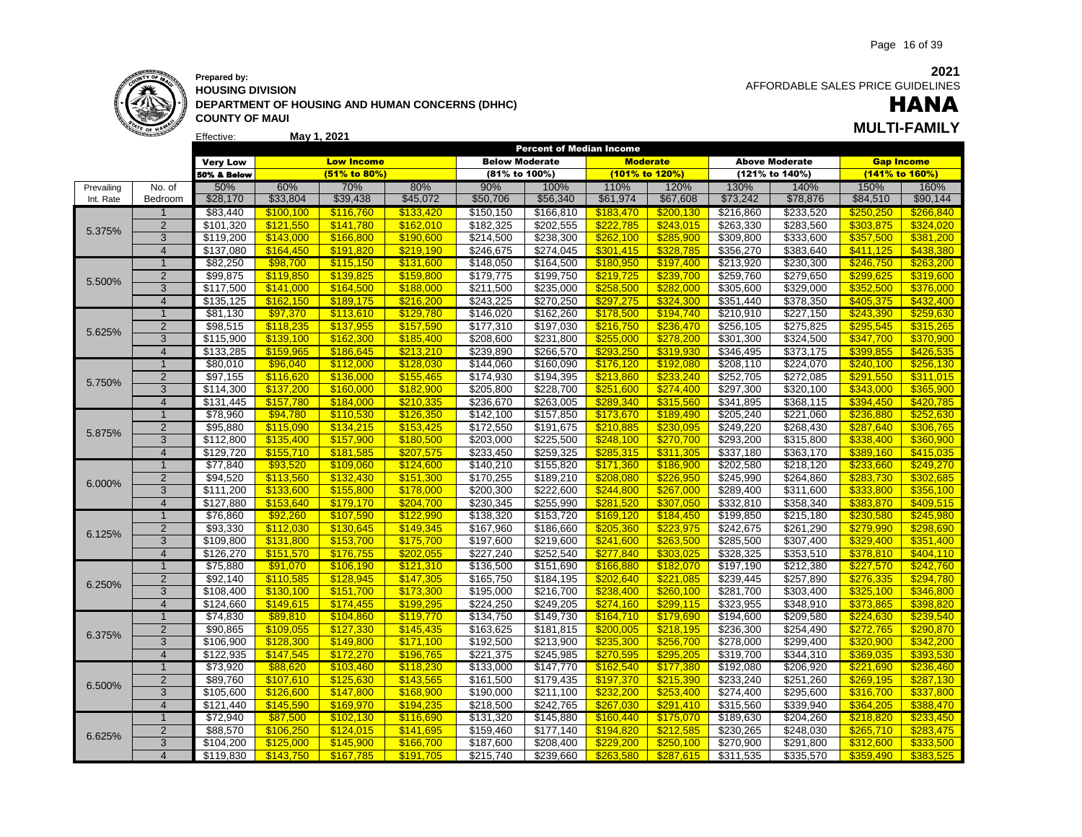

### **Prepared by: HOUSING DIVISION DEPARTMENT OF HOUSING AND HUMAN CONCERNS (DHHC) COUNTY OF MAUI May 1, 2021 MULTI-FAMILY**

 AFFORDABLE SALES PRICE GUIDELINES

# HANA

|            |                | <b>Very Low</b>      |           | <b>Low Income</b> |           | <b>Below Moderate</b> |                       | <b>Moderate</b> |           |           | <b>Above Moderate</b> | <b>Gap Income</b> |           |
|------------|----------------|----------------------|-----------|-------------------|-----------|-----------------------|-----------------------|-----------------|-----------|-----------|-----------------------|-------------------|-----------|
|            |                | 50% & Below          |           | (51% to 80%)      |           | (81% to 100%)         |                       | (101% to 120%)  |           |           | (121% to 140%)        | (141% to 160%)    |           |
| Prevailing | No. of         | 50%                  | 60%       | 70%               | 80%       | 90%                   | 100%                  | 110%            | 120%      | 130%      | 140%                  | 150%              | 160%      |
| Int. Rate  | Bedroom        | \$28,170             | \$33,804  | \$39,438          | \$45,072  | \$50,706              | \$56,340              | \$61,974        | \$67,608  | \$73,242  | \$78,876              | \$84,510          | \$90,144  |
|            |                | \$83,440             | \$100,100 | \$116,760         | \$133,420 | \$150,150             | \$166,810             | \$183,470       | \$200,130 | \$216,860 | \$233,520             | \$250,250         | \$266,840 |
| 5.375%     | $\overline{2}$ | \$101,320            | \$121,550 | \$141,780         | \$162,010 | \$182,325             | \$202,555             | \$222,785       | \$243,015 | \$263,330 | \$283,560             | \$303,875         | \$324,020 |
|            | 3              | \$119,200            | \$143,000 | \$166,800         | \$190,600 | \$214,500             | \$238,300             | \$262,100       | \$285,900 | \$309,800 | \$333,600             | \$357,500         | \$381,200 |
|            | $\overline{4}$ | \$137,080            | \$164,450 | \$191,820         | \$219,190 | \$246,675             | \$274,045             | \$301,415       | \$328,785 | \$356,270 | \$383,640             | \$411,125         | \$438,380 |
|            | $\overline{1}$ | \$82,250             | \$98,700  | \$115,150         | \$131,600 | \$148,050             | \$164,500             | \$180,950       | \$197,400 | \$213,920 | \$230,300             | \$246,750         | \$263,200 |
| 5.500%     | $\overline{2}$ | \$99,875             | \$119,850 | \$139,825         | \$159,800 | \$179,775             | \$199,750             | \$219,725       | \$239,700 | \$259,760 | \$279,650             | \$299,625         | \$319,600 |
|            | $\overline{3}$ | \$117,500            | \$141,000 | \$164,500         | \$188,000 | \$211,500             | \$235,000             | \$258,500       | \$282,000 | \$305,600 | \$329,000             | \$352,500         | \$376,000 |
|            | $\overline{4}$ | \$135,125            | \$162,150 | \$189.175         | \$216.200 | \$243,225             | \$270,250             | \$297,275       | \$324,300 | \$351,440 | \$378,350             | \$405,375         | \$432,400 |
|            | $\overline{1}$ | \$81,130             | \$97,370  | \$113,610         | \$129,780 | \$146,020             | \$162,260             | \$178,500       | \$194,740 | \$210,910 | \$227,150             | \$243,390         | \$259,630 |
| 5.625%     | $\overline{2}$ | \$98,515             | \$118,235 | \$137,955         | \$157,590 | \$177,310             | \$197,030             | \$216,750       | \$236,470 | \$256,105 | \$275,825             | \$295,545         | \$315,265 |
|            | 3              | \$115,900            | \$139,100 | \$162,300         | \$185,400 | \$208,600             | $\overline{$}231,800$ | \$255,000       | \$278,200 | \$301,300 | \$324,500             | \$347,700         | \$370,900 |
|            | $\overline{4}$ | \$133,285            | \$159.965 | \$186,645         | \$213,210 | \$239,890             | \$266,570             | \$293.250       | \$319.930 | \$346,495 | \$373,175             | \$399.855         | \$426,535 |
|            | 1              | \$80,010             | \$96,040  | \$112,000         | \$128,030 | \$144,060             | \$160,090             | \$176,120       | \$192,080 | \$208,110 | \$224,070             | \$240,100         | \$256,130 |
| 5.750%     | $\overline{2}$ | \$97,155             | \$116,620 | \$136,000         | \$155,465 | \$174,930             | \$194,395             | \$213,860       | \$233,240 | \$252,705 | \$272,085             | \$291,550         | \$311,015 |
|            | 3              | \$114,300            | \$137,200 | \$160,000         | \$182,900 | \$205,800             | \$228,700             | \$251,600       | \$274,400 | \$297,300 | \$320,100             | \$343,000         | \$365,900 |
|            | $\overline{4}$ | \$131,445            | \$157,780 | \$184.000         | \$210.335 | \$236,670             | \$263,005             | \$289.340       | \$315.560 | \$341,895 | \$368,115             | \$394.450         | \$420.785 |
|            | $\mathbf{1}$   | \$78,960             | \$94,780  | \$110,530         | \$126,350 | \$142,100             | \$157,850             | \$173,670       | \$189,490 | \$205,240 | \$221,060             | \$236,880         | \$252,630 |
| 5.875%     | $\overline{2}$ | \$95,880             | \$115,090 | \$134,215         | \$153,425 | \$172,550             | \$191,675             | \$210,885       | \$230,095 | \$249,220 | \$268,430             | \$287,640         | \$306,765 |
|            | 3              | \$112,800            | \$135,400 | \$157,900         | \$180,500 | \$203,000             | \$225,500             | \$248,100       | \$270,700 | \$293,200 | \$315,800             | \$338,400         | \$360,900 |
|            | $\overline{4}$ | \$129,720            | \$155,710 | \$181,585         | \$207,575 | \$233,450             | \$259,325             | \$285,315       | \$311,305 | \$337,180 | \$363,170             | \$389,160         | \$415,035 |
|            | $\mathbf{1}$   | $\overline{$}77,840$ | \$93,520  | \$109,060         | \$124,600 | \$140,210             | \$155,820             | \$171,360       | \$186,900 | \$202,580 | \$218,120             | \$233,660         | \$249,270 |
| 6.000%     | $\overline{2}$ | \$94,520             | \$113,560 | \$132,430         | \$151,300 | \$170,255             | \$189,210             | \$208,080       | \$226,950 | \$245,990 | \$264,860             | \$283,730         | \$302,685 |
|            | 3              | \$111,200            | \$133,600 | \$155,800         | \$178,000 | \$200,300             | \$222,600             | \$244,800       | \$267,000 | \$289,400 | \$311,600             | \$333,800         | \$356,100 |
|            | $\overline{4}$ | \$127,880            | \$153.640 | \$179,170         | \$204,700 | \$230,345             | \$255,990             | \$281,520       | \$307.050 | \$332,810 | \$358,340             | \$383.870         | \$409,515 |
|            | $\overline{1}$ | \$76,860             | \$92,260  | \$107,590         | \$122.990 | \$138,320             | \$153,720             | \$169.120       | \$184,450 | \$199,850 | \$215,180             | \$230.580         | \$245.980 |
| 6.125%     | $\overline{2}$ | \$93,330             | \$112,030 | \$130,645         | \$149,345 | \$167,960             | \$186,660             | \$205,360       | \$223,975 | \$242,675 | \$261,290             | \$279,990         | \$298,690 |
|            | 3              | \$109,800            | \$131,800 | \$153,700         | \$175,700 | \$197,600             | \$219,600             | \$241,600       | \$263,500 | \$285,500 | \$307,400             | \$329,400         | \$351,400 |
|            | $\overline{4}$ | \$126,270            | \$151.570 | \$176,755         | \$202.055 | \$227,240             | \$252,540             | \$277.840       | \$303.025 | \$328,325 | \$353,510             | \$378.810         | \$404.110 |
|            | $\overline{1}$ | \$75,880             | \$91,070  | \$106,190         | \$121,310 | \$136,500             | \$151,690             | \$166,880       | \$182,070 | \$197,190 | \$212,380             | \$227,570         | \$242,760 |
| 6.250%     | $\overline{2}$ | \$92,140             | \$110,585 | \$128,945         | \$147,305 | \$165,750             | \$184,195             | \$202,640       | \$221,085 | \$239,445 | \$257,890             | \$276,335         | \$294,780 |
|            | 3              | \$108,400            | \$130,100 | \$151,700         | \$173,300 | \$195,000             | \$216,700             | \$238,400       | \$260,100 | \$281,700 | \$303,400             | \$325,100         | \$346,800 |
|            | $\overline{4}$ | \$124,660            | \$149,615 | \$174,455         | \$199,295 | \$224,250             | \$249,205             | \$274,160       | \$299,115 | \$323,955 | \$348,910             | \$373,865         | \$398,820 |
|            | 1              | \$74,830             | \$89,810  | \$104,860         | \$119,770 | \$134,750             | \$149,730             | \$164,710       | \$179,690 | \$194,600 | \$209,580             | \$224,630         | \$239,540 |
| 6.375%     | $\overline{c}$ | \$90,865             | \$109,055 | \$127,330         | \$145,435 | \$163,625             | \$181,815             | \$200,005       | \$218,195 | \$236,300 | \$254,490             | \$272,765         | \$290,870 |
|            | 3              | \$106,900            | \$128,300 | \$149,800         | \$171,100 | \$192,500             | \$213,900             | \$235,300       | \$256,700 | \$278,000 | \$299,400             | \$320,900         | \$342,200 |
|            | $\overline{4}$ | \$122.935            | \$147.545 | \$172.270         | \$196.765 | \$221,375             | \$245,985             | \$270.595       | \$295.205 | \$319,700 | \$344.310             | \$369.035         | \$393.530 |
|            | $\overline{1}$ | \$73,920             | \$88,620  | \$103,460         | \$118,230 | \$133,000             | \$147,770             | \$162,540       | \$177,380 | \$192,080 | \$206,920             | \$221,690         | \$236,460 |
| 6.500%     | $\overline{2}$ | \$89,760             | \$107,610 | \$125,630         | \$143,565 | \$161,500             | $\overline{$179,435}$ | \$197,370       | \$215,390 | \$233,240 | \$251,260             | \$269,195         | \$287,130 |
|            | 3              | \$105,600            | \$126,600 | \$147,800         | \$168,900 | \$190,000             | \$211,100             | \$232,200       | \$253,400 | \$274,400 | \$295,600             | \$316,700         | \$337,800 |
|            | $\overline{4}$ | \$121,440            | \$145,590 | \$169,970         | \$194,235 | \$218,500             | \$242,765             | \$267,030       | \$291,410 | \$315,560 | \$339,940             | \$364,205         | \$388,470 |
|            | $\overline{1}$ | \$72,940             | \$87,500  | \$102,130         | \$116,690 | \$131,320             | \$145,880             | \$160,440       | \$175,070 | \$189,630 | \$204,260             | \$218,820         | \$233,450 |
| 6.625%     | $\overline{2}$ | \$88,570             | \$106,250 | \$124,015         | \$141,695 | \$159,460             | \$177,140             | \$194,820       | \$212,585 | \$230,265 | \$248,030             | \$265,710         | \$283,475 |
|            | 3              | \$104,200            | \$125,000 | \$145,900         | \$166,700 | \$187,600             | \$208,400             | \$229,200       | \$250,100 | \$270,900 | \$291,800             | \$312,600         | \$333,500 |
|            | $\overline{4}$ | \$119,830            | \$143,750 | \$167,785         | \$191.705 | \$215,740             | \$239,660             | \$263.580       | \$287.615 | \$311,535 | \$335,570             | \$359.490         | \$383.525 |

Percent of Median Income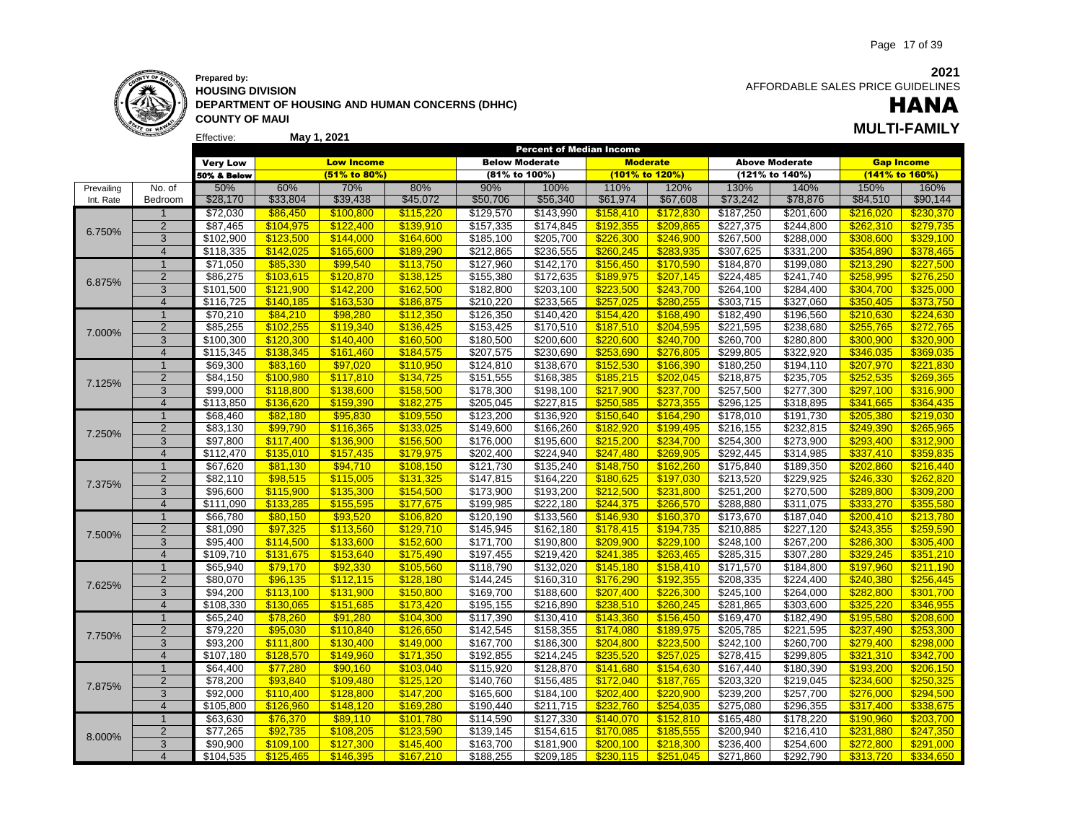

#### Effective: **May 1, 2021 MULTI-FAMILY Prepared by: HOUSING DIVISION DEPARTMENT OF HOUSING AND HUMAN CONCERNS (DHHC) COUNTY OF MAUI**

 AFFORDABLE SALES PRICE GUIDELINES

# HANA

|            |                | <b>LIICOUVE</b>      |           | IVIAY 1, ŁUŁ I    |           |                       | <b>Percent of Median Income</b> |           |                 |           |                       |                   |           |
|------------|----------------|----------------------|-----------|-------------------|-----------|-----------------------|---------------------------------|-----------|-----------------|-----------|-----------------------|-------------------|-----------|
|            |                | <b>Very Low</b>      |           | <b>Low Income</b> |           | <b>Below Moderate</b> |                                 |           | <b>Moderate</b> |           | <b>Above Moderate</b> | <b>Gap Income</b> |           |
|            |                | 50% & Below          |           | (51% to 80%)      |           | (81% to 100%)         |                                 |           | (101% to 120%)  |           | (121% to 140%)        | (141% to 160%)    |           |
| Prevailing | No. of         | 50%                  | 60%       | 70%               | 80%       | 90%                   | 100%                            | 110%      | 120%            | 130%      | 140%                  | 150%              | 160%      |
| Int. Rate  | Bedroom        | \$28,170             | \$33,804  | \$39,438          | \$45,072  | \$50,706              | \$56,340                        | \$61,974  | \$67,608        | \$73,242  | \$78,876              | \$84,510          | \$90,144  |
|            |                | \$72,030             | \$86,450  | \$100,800         | \$115,220 | \$129,570             | \$143,990                       | \$158,410 | \$172,830       | \$187,250 | \$201,600             | \$216,020         | \$230,370 |
|            | $\overline{2}$ | \$87,465             | \$104,975 | \$122,400         | \$139,910 | \$157,335             | \$174,845                       | \$192,355 | \$209,865       | \$227,375 | \$244,800             | \$262,310         | \$279,735 |
| 6.750%     | 3              | \$102,900            | \$123.500 | \$144.000         | \$164.600 | \$185,100             | \$205,700                       | \$226.300 | \$246,900       | \$267,500 | \$288,000             | \$308.600         | \$329,100 |
|            | $\overline{4}$ | \$118,335            | \$142.025 | \$165,600         | \$189.290 | \$212,865             | \$236,555                       | \$260.245 | \$283.935       | \$307,625 | \$331,200             | \$354.890         | \$378.465 |
|            | $\mathbf 1$    | \$71,050             | \$85,330  | \$99,540          | \$113,750 | \$127,960             | \$142,170                       | \$156,450 | \$170,590       | \$184,870 | \$199,080             | \$213,290         | \$227,500 |
|            | $\sqrt{2}$     | \$86,275             | \$103,615 | \$120,870         | \$138,125 | \$155,380             | \$172,635                       | \$189,975 | \$207,145       | \$224,485 | \$241,740             | \$258.995         | \$276,250 |
| 6.875%     | 3              | \$101,500            | \$121,900 | \$142,200         | \$162,500 | \$182,800             | \$203,100                       | \$223,500 | \$243,700       | \$264,100 | \$284,400             | \$304,700         | \$325,000 |
|            | $\overline{4}$ | \$116,725            | \$140,185 | \$163.530         | \$186.875 | \$210,220             | \$233,565                       | \$257,025 | \$280.255       | \$303,715 | \$327,060             | \$350.405         | \$373.750 |
|            | $\overline{1}$ | \$70,210             | \$84,210  | \$98,280          | \$112,350 | \$126,350             | \$140,420                       | \$154,420 | \$168,490       | \$182,490 | \$196,560             | \$210,630         | \$224,630 |
|            | 2              | \$85,255             | \$102,255 | \$119,340         | \$136,425 | \$153,425             | \$170,510                       | \$187,510 | \$204,595       | \$221,595 | \$238,680             | \$255,765         | \$272,765 |
| 7.000%     | 3              | \$100,300            | \$120,300 | \$140.400         | \$160,500 | \$180,500             | \$200,600                       | \$220,600 | \$240,700       | \$260,700 | \$280,800             | \$300,900         | \$320,900 |
|            | $\overline{4}$ | \$115.345            | \$138.345 | \$161.460         | \$184.575 | \$207,575             | \$230.690                       | \$253.690 | \$276.805       | \$299,805 | \$322,920             | \$346.035         | \$369.035 |
|            | $\mathbf{1}$   | \$69,300             | \$83,160  | \$97,020          | \$110,950 | \$124,810             | \$138,670                       | \$152,530 | \$166,390       | \$180,250 | \$194,110             | \$207,970         | \$221,830 |
|            | 2              | \$84,150             | \$100,980 | \$117,810         | \$134,725 | \$151,555             | \$168,385                       | \$185,215 | \$202,045       | \$218,875 | \$235,705             | \$252,535         | \$269,365 |
| 7.125%     | 3              | \$99,000             | \$118.800 | \$138,600         | \$158,500 | \$178,300             | \$198,100                       | \$217,900 | \$237,700       | \$257,500 | \$277,300             | \$297.100         | \$316,900 |
|            | $\overline{4}$ | \$113,850            | \$136.620 | \$159.390         | \$182,275 | \$205,045             | \$227,815                       | \$250.585 | \$273,355       | \$296,125 | \$318,895             | \$341.665         | \$364.435 |
|            | $\overline{1}$ | \$68,460             | \$82,180  | \$95,830          | \$109,550 | \$123,200             | \$136,920                       | \$150,640 | \$164,290       | \$178,010 | \$191,730             | \$205,380         | \$219,030 |
|            | $\overline{2}$ | \$83,130             | \$99,790  | \$116,365         | \$133,025 | \$149,600             | \$166,260                       | \$182,920 | \$199,495       | \$216,155 | \$232,815             | \$249,390         | \$265,965 |
| 7.250%     | 3              | \$97,800             | \$117,400 | \$136,900         | \$156,500 | \$176,000             | \$195,600                       | \$215,200 | \$234,700       | \$254,300 | \$273,900             | \$293,400         | \$312,900 |
|            | $\overline{4}$ | \$112,470            | \$135.010 | \$157.435         | \$179,975 | \$202,400             | \$224,940                       | \$247.480 | \$269.905       | \$292,445 | \$314,985             | \$337,410         | \$359.835 |
| 7.375%     | $\overline{1}$ | \$67,620             | \$81,130  | \$94,710          | \$108,150 | \$121,730             | \$135,240                       | \$148,750 | \$162,260       | \$175,840 | \$189,350             | \$202,860         | \$216,440 |
|            | $\overline{2}$ | \$82,110             | \$98,515  | \$115,005         | \$131,325 | \$147,815             | \$164,220                       | \$180,625 | \$197,030       | \$213,520 | \$229,925             | \$246,330         | \$262,820 |
|            | 3              | \$96,600             | \$115,900 | \$135,300         | \$154,500 | \$173,900             | \$193,200                       | \$212,500 | \$231,800       | \$251,200 | \$270,500             | \$289,800         | \$309,200 |
|            | $\overline{4}$ | \$111,090            | \$133.285 | \$155,595         | \$177,675 | \$199,985             | \$222,180                       | \$244,375 | \$266,570       | \$288,880 | \$311,075             | \$333.270         | \$355,580 |
|            | $\overline{1}$ | \$66,780             | \$80,150  | \$93,520          | \$106,820 | \$120,190             | \$133,560                       | \$146,930 | \$160,370       | \$173,670 | \$187,040             | \$200,410         | \$213,780 |
|            | $\overline{2}$ | \$81,090             | \$97,325  | \$113,560         | \$129,710 | \$145,945             | \$162,180                       | \$178,415 | \$194,735       | \$210,885 | \$227,120             | \$243,355         | \$259,590 |
| 7.500%     | 3              | $\overline{$}95,400$ | \$114,500 | \$133,600         | \$152,600 | \$171,700             | \$190,800                       | \$209,900 | \$229,100       | \$248,100 | \$267,200             | \$286,300         | \$305,400 |
|            | $\overline{4}$ | \$109,710            | \$131.675 | \$153,640         | \$175,490 | \$197,455             | \$219,420                       | \$241,385 | \$263,465       | \$285,315 | \$307,280             | \$329.245         | \$351,210 |
|            | $\mathbf{1}$   | \$65,940             | \$79.170  | \$92,330          | \$105,560 | \$118,790             | \$132,020                       | \$145,180 | \$158,410       | \$171,570 | \$184,800             | \$197,960         | \$211,190 |
|            | $\sqrt{2}$     | \$80,070             | \$96,135  | \$112,115         | \$128,180 | \$144,245             | \$160,310                       | \$176,290 | \$192,355       | \$208,335 | \$224,400             | \$240,380         | \$256,445 |
| 7.625%     | $\overline{3}$ | \$94,200             | \$113,100 | \$131,900         | \$150,800 | \$169,700             | \$188,600                       | \$207,400 | \$226,300       | \$245,100 | \$264,000             | \$282,800         | \$301,700 |
|            | $\overline{4}$ | \$108.330            | \$130.065 | \$151,685         | \$173.420 | \$195,155             | \$216.890                       | \$238.510 | \$260.245       | \$281.865 | \$303.600             | \$325,220         | \$346.955 |
|            | $\mathbf{1}$   | \$65,240             | \$78,260  | \$91,280          | \$104,300 | \$117,390             | \$130,410                       | \$143,360 | \$156,450       | \$169,470 | \$182,490             | \$195,580         | \$208,600 |
|            | $\overline{2}$ | \$79,220             | \$95,030  | \$110,840         | \$126,650 | \$142,545             | \$158,355                       | \$174,080 | \$189,975       | \$205,785 | \$221,595             | \$237,490         | \$253,300 |
| 7.750%     | 3              | \$93,200             | \$111.800 | \$130.400         | \$149,000 | \$167,700             | \$186,300                       | \$204,800 | \$223,500       | \$242,100 | \$260,700             | \$279,400         | \$298,000 |
|            | $\overline{4}$ | \$107,180            | \$128.570 | \$149.960         | \$171.350 | \$192,855             | \$214,245                       | \$235.520 | \$257.025       | \$278,415 | \$299,805             | \$321.310         | \$342,700 |
|            | $\mathbf{1}$   | \$64,400             | \$77,280  | \$90,160          | \$103,040 | \$115,920             | \$128,870                       | \$141,680 | \$154,630       | \$167,440 | \$180,390             | \$193,200         | \$206,150 |
|            | $\overline{2}$ | \$78,200             | \$93.840  | \$109,480         | \$125,120 | \$140,760             | \$156,485                       | \$172,040 | \$187,765       | \$203,320 | \$219,045             | \$234,600         | \$250,325 |
| 7.875%     | 3              | \$92,000             | \$110,400 | \$128,800         | \$147,200 | \$165,600             | \$184,100                       | \$202,400 | \$220,900       | \$239,200 | \$257,700             | \$276,000         | \$294,500 |
|            | $\overline{4}$ | \$105,800            | \$126,960 | \$148.120         | \$169.280 | \$190,440             | \$211,715                       | \$232,760 | \$254.035       | \$275,080 | \$296,355             | \$317.400         | \$338,675 |
|            | $\mathbf{1}$   | \$63,630             | \$76,370  | \$89.110          | \$101,780 | \$114,590             | \$127,330                       | \$140.070 | \$152,810       | \$165,480 | \$178,220             | \$190.960         | \$203.700 |
|            | $\overline{2}$ | \$77,265             | \$92,735  | \$108,205         | \$123,590 | \$139,145             | \$154,615                       | \$170,085 | \$185,555       | \$200,940 | \$216,410             | \$231,880         | \$247,350 |
| 8.000%     | 3              | \$90,900             | \$109,100 | \$127,300         | \$145,400 | \$163,700             | \$181,900                       | \$200.100 | \$218,300       | \$236,400 | \$254,600             | \$272.800         | \$291,000 |
|            | $\overline{4}$ | \$104.535            | \$125,465 | \$146.395         | \$167.210 | \$188.255             | \$209.185                       | \$230.115 | \$251.045       | \$271.860 | \$292.790             | \$313.720         | \$334,650 |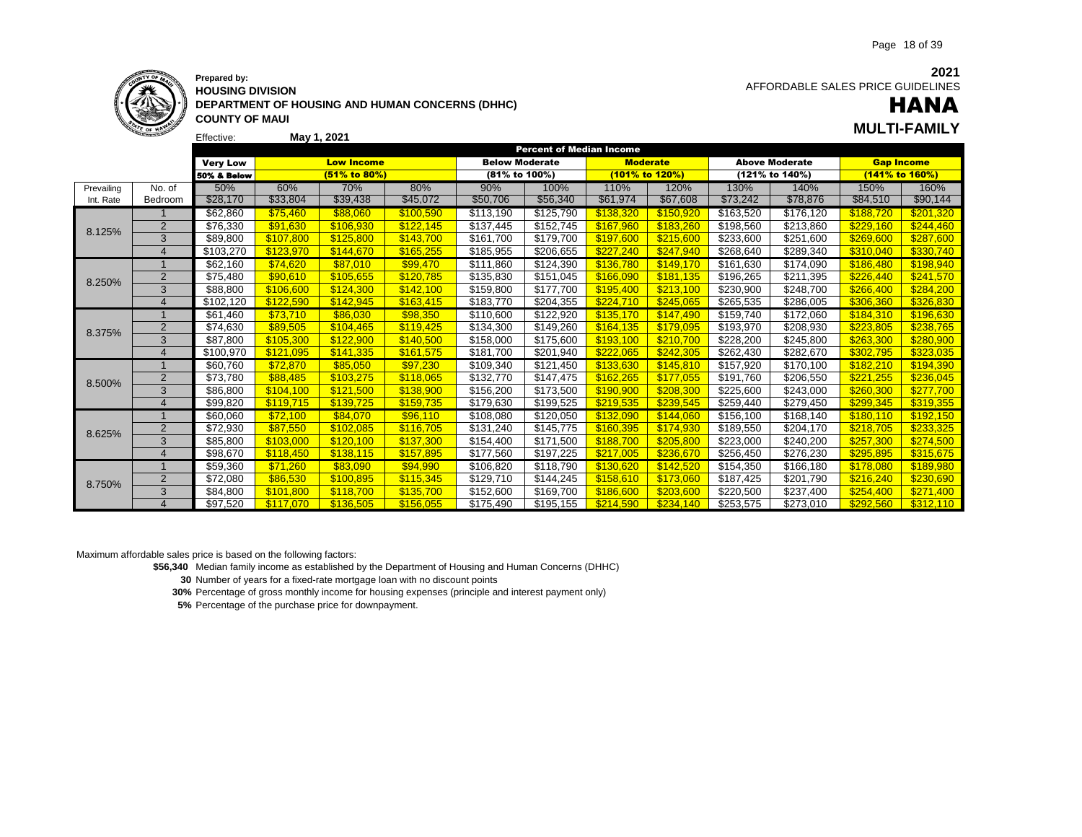

### **Prepared by: HOUSING DIVISION DEPARTMENT OF HOUSING AND HUMAN CONCERNS (DHHC) COUNTY OF MAUI**

**2021** AFFORDABLE SALES PRICE GUIDELINES

# HANA

|            | <b>STATE OF HAWAY</b> |                        |           |                   |           |                       |                                 |                 |                |           |                       |                   | <b>MULTI-FAMILY</b> |
|------------|-----------------------|------------------------|-----------|-------------------|-----------|-----------------------|---------------------------------|-----------------|----------------|-----------|-----------------------|-------------------|---------------------|
|            |                       | Effective:             |           | May 1, 2021       |           |                       |                                 |                 |                |           |                       |                   |                     |
|            |                       |                        |           |                   |           |                       | <b>Percent of Median Income</b> |                 |                |           |                       |                   |                     |
|            |                       | <b>Very Low</b>        |           | <b>Low Income</b> |           | <b>Below Moderate</b> |                                 | <b>Moderate</b> |                |           | <b>Above Moderate</b> | <b>Gap Income</b> |                     |
|            |                       | <b>50% &amp; Below</b> |           | (51% to 80%)      |           | (81% to 100%)         |                                 |                 | (101% to 120%) |           | (121% to 140%)        | (141% to 160%)    |                     |
| Prevailing | No. of                | 50%                    | 60%       | 70%               | 80%       | 90%                   | 100%                            | 110%            | 120%           | 130%      | 140%                  | 150%              | 160%                |
| Int. Rate  | Bedroom               | \$28,170               | \$33,804  | \$39,438          | \$45,072  | \$50,706              | \$56,340                        | \$61,974        | \$67,608       | \$73,242  | \$78,876              | \$84,510          | \$90,144            |
|            |                       | \$62,860               | \$75.460  | \$88.060          | \$100.590 | \$113,190             | \$125,790                       | \$138.320       | \$150.920      | \$163,520 | \$176.120             | \$188.720         | \$201.320           |
| 8.125%     | $\overline{2}$        | \$76,330               | \$91,630  | \$106.930         | \$122,145 | \$137,445             | \$152,745                       | \$167,960       | \$183,260      | \$198,560 | \$213,860             | \$229,160         | \$244,460           |
|            | 3                     | \$89,800               | \$107,800 | \$125,800         | \$143,700 | \$161,700             | \$179,700                       | \$197,600       | \$215,600      | \$233,600 | \$251,600             | \$269,600         | \$287,600           |
|            | $\overline{4}$        | \$103,270              | \$123,970 | \$144.670         | \$165,255 | \$185,955             | \$206,655                       | \$227,240       | \$247,940      | \$268,640 | \$289,340             | \$310,040         | \$330,740           |
|            |                       | \$62,160               | \$74,620  | \$87.010          | \$99,470  | \$111,860             | \$124,390                       | \$136.780       | \$149,170      | \$161,630 | \$174,090             | \$186,480         | \$198,940           |
| 8.250%     | $\overline{2}$        | \$75,480               | \$90,610  | \$105,655         | \$120,785 | \$135,830             | \$151,045                       | \$166,090       | \$181,135      | \$196,265 | \$211,395             | \$226,440         | \$241,570           |
|            | 3                     | \$88,800               | \$106,600 | \$124.300         | \$142.100 | \$159,800             | \$177.700                       | \$195,400       | \$213.100      | \$230.900 | \$248.700             | \$266.400         | \$284,200           |
|            | $\boldsymbol{\Delta}$ | \$102.120              | \$122.590 | \$142.945         | \$163.415 | \$183.770             | \$204,355                       | \$224,710       | \$245.065      | \$265.535 | \$286,005             | \$306.360         | \$326.830           |
|            |                       | \$61,460               | \$73.710  | \$86,030          | \$98,350  | \$110,600             | \$122,920                       | \$135,170       | \$147,490      | \$159,740 | \$172,060             | \$184,310         | \$196,630           |
| 8.375%     | $\overline{2}$        | \$74,630               | \$89.505  | \$104.465         | \$119.425 | \$134,300             | \$149,260                       | \$164.135       | \$179,095      | \$193,970 | \$208,930             | \$223,805         | \$238,765           |
|            | $\overline{3}$        | \$87,800               | \$105,300 | \$122,900         | \$140,500 | \$158,000             | \$175,600                       | \$193,100       | \$210,700      | \$228,200 | \$245,800             | \$263,300         | \$280,900           |
|            | $\overline{4}$        | \$100,970              | \$121.095 | \$141,335         | \$161,575 | \$181,700             | \$201,940                       | \$222,065       | \$242,305      | \$262,430 | \$282,670             | \$302,795         | \$323,035           |
|            |                       | \$60,760               | \$72,870  | \$85,050          | \$97,230  | \$109,340             | \$121,450                       | \$133,630       | \$145,810      | \$157,920 | \$170,100             | \$182,210         | \$194,390           |
| 8.500%     | 2                     | \$73,780               | \$88.485  | \$103.275         | \$118,065 | \$132,770             | \$147,475                       | \$162,265       | \$177,055      | \$191,760 | \$206,550             | \$221,255         | \$236,045           |
|            | 3                     | \$86,800               | \$104,100 | \$121,500         | \$138,900 | \$156,200             | \$173,500                       | \$190,900       | \$208,300      | \$225,600 | \$243,000             | \$260,300         | \$277,700           |
|            | $\overline{4}$        | \$99.820               | \$119.715 | \$139.725         | \$159.735 | \$179,630             | \$199,525                       | \$219,535       | \$239.545      | \$259,440 | \$279,450             | \$299.345         | \$319,355           |
|            | $\overline{1}$        | \$60,060               | \$72,100  | \$84.070          | \$96,110  | \$108,080             | \$120,050                       | \$132.090       | \$144.060      | \$156,100 | \$168,140             | \$180,110         | \$192,150           |
| 8.625%     | $\overline{2}$        | \$72,930               | \$87,550  | \$102,085         | \$116,705 | \$131,240             | \$145,775                       | \$160,395       | \$174,930      | \$189,550 | \$204,170             | \$218,705         | \$233,325           |
|            | 3                     | \$85,800               | \$103,000 | \$120,100         | \$137,300 | \$154,400             | \$171,500                       | \$188,700       | \$205,800      | \$223,000 | \$240,200             | \$257,300         | \$274,500           |
|            | $\overline{4}$        | \$98,670               | \$118.450 | \$138.115         | \$157.895 | \$177,560             | \$197,225                       | \$217.005       | \$236,670      | \$256,450 | \$276,230             | \$295,895         | \$315,675           |
|            |                       | \$59,360               | \$71.260  | \$83.090          | \$94,990  | \$106,820             | \$118,790                       | \$130.620       | \$142,520      | \$154,350 | \$166,180             | \$178,080         | \$189,980           |
| 8.750%     | 2                     | \$72,080               | \$86,530  | \$100,895         | \$115,345 | \$129,710             | \$144,245                       | \$158,610       | \$173,060      | \$187,425 | \$201,790             | \$216,240         | \$230,690           |
|            | 3                     | \$84,800               | \$101.800 | \$118.700         | \$135.700 | \$152,600             | \$169.700                       | \$186,600       | \$203.600      | \$220.500 | \$237,400             | \$254.400         | \$271,400           |
|            | $\Delta$              | \$97.520               | \$117,070 | \$136,505         | \$156,055 | \$175.490             | \$195,155                       | \$214,590       | \$234.140      | \$253.575 | \$273.010             | \$292.560         | \$312.110           |

Maximum affordable sales price is based on the following factors:

**\$56,340** Median family income as established by the Department of Housing and Human Concerns (DHHC)

**30** Number of years for a fixed-rate mortgage loan with no discount points

**30%** Percentage of gross monthly income for housing expenses (principle and interest payment only)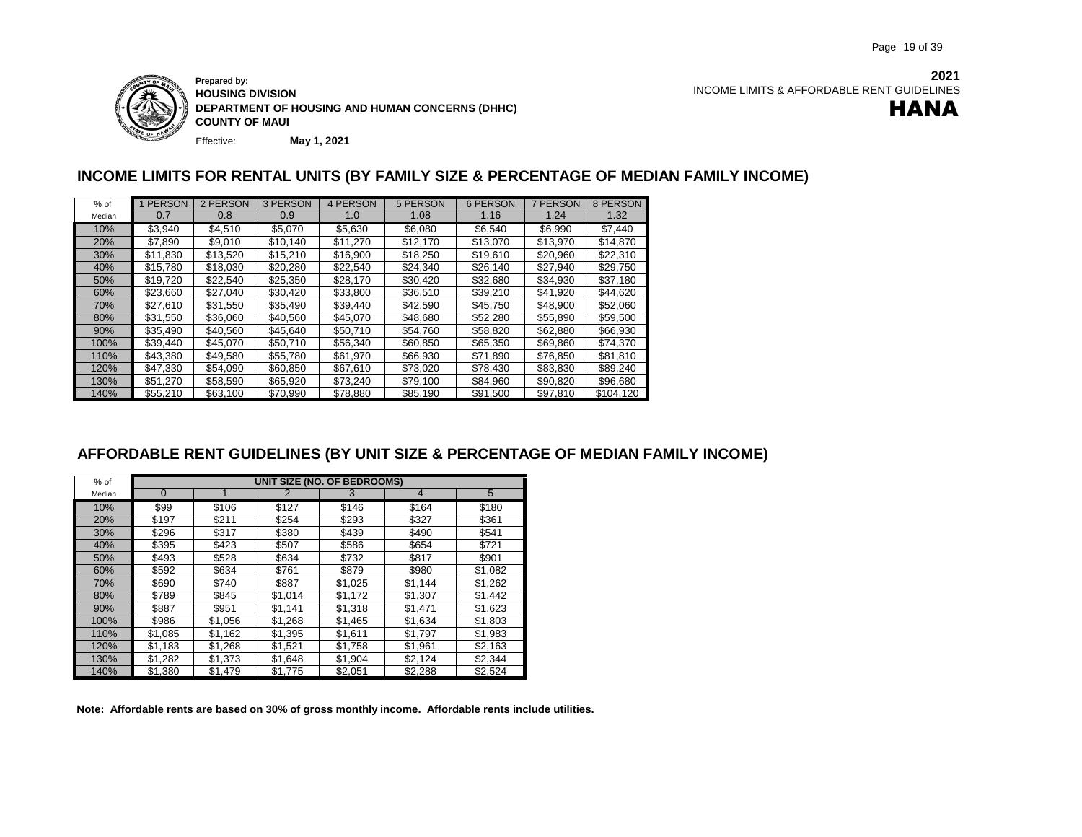

Effective: **Prepared by: HOUSING DIVISION DEPARTMENT OF HOUSING AND HUMAN CONCERNS (DHHC) COUNTY OF MAUI**

**May 1, 2021**

### **INCOME LIMITS FOR RENTAL UNITS (BY FAMILY SIZE & PERCENTAGE OF MEDIAN FAMILY INCOME)**

| $%$ of | 1 PERSON | 2 PERSON | 3 PERSON | 4 PERSON | 5 PERSON | 6 PERSON | 7 PERSON | 8 PERSON  |
|--------|----------|----------|----------|----------|----------|----------|----------|-----------|
| Median | 0.7      | 0.8      | 0.9      | 1.0      | 1.08     | 1.16     | 1.24     | 1.32      |
| 10%    | \$3.940  | \$4.510  | \$5.070  | \$5,630  | \$6.080  | \$6.540  | \$6.990  | \$7.440   |
| 20%    | \$7.890  | \$9,010  | \$10.140 | \$11,270 | \$12.170 | \$13.070 | \$13.970 | \$14,870  |
| 30%    | \$11,830 | \$13,520 | \$15,210 | \$16,900 | \$18,250 | \$19,610 | \$20,960 | \$22,310  |
| 40%    | \$15,780 | \$18,030 | \$20,280 | \$22.540 | \$24.340 | \$26.140 | \$27.940 | \$29.750  |
| 50%    | \$19.720 | \$22,540 | \$25,350 | \$28.170 | \$30.420 | \$32,680 | \$34,930 | \$37,180  |
| 60%    | \$23,660 | \$27,040 | \$30.420 | \$33,800 | \$36,510 | \$39.210 | \$41,920 | \$44,620  |
| 70%    | \$27,610 | \$31.550 | \$35,490 | \$39.440 | \$42.590 | \$45.750 | \$48.900 | \$52.060  |
| 80%    | \$31,550 | \$36,060 | \$40,560 | \$45.070 | \$48,680 | \$52,280 | \$55,890 | \$59,500  |
| 90%    | \$35,490 | \$40,560 | \$45,640 | \$50.710 | \$54,760 | \$58,820 | \$62,880 | \$66,930  |
| 100%   | \$39.440 | \$45.070 | \$50.710 | \$56,340 | \$60,850 | \$65,350 | \$69.860 | \$74,370  |
| 110%   | \$43.380 | \$49.580 | \$55.780 | \$61,970 | \$66,930 | \$71,890 | \$76.850 | \$81,810  |
| 120%   | \$47,330 | \$54.090 | \$60,850 | \$67,610 | \$73.020 | \$78.430 | \$83.830 | \$89,240  |
| 130%   | \$51,270 | \$58.590 | \$65.920 | \$73.240 | \$79.100 | \$84.960 | \$90.820 | \$96,680  |
| 140%   | \$55.210 | \$63.100 | \$70.990 | \$78.880 | \$85.190 | \$91.500 | \$97.810 | \$104.120 |

### **AFFORDABLE RENT GUIDELINES (BY UNIT SIZE & PERCENTAGE OF MEDIAN FAMILY INCOME)**

| $%$ of |          |         |         | UNIT SIZE (NO. OF BEDROOMS) |         |         |
|--------|----------|---------|---------|-----------------------------|---------|---------|
| Median | $\Omega$ |         |         | 3                           | 4       | 5       |
| 10%    | \$99     | \$106   | \$127   | \$146                       | \$164   | \$180   |
| 20%    | \$197    | \$211   | \$254   | \$293                       | \$327   | \$361   |
| 30%    | \$296    | \$317   | \$380   | \$439                       | \$490   | \$541   |
| 40%    | \$395    | \$423   | \$507   | \$586                       | \$654   | \$721   |
| 50%    | \$493    | \$528   | \$634   | \$732                       | \$817   | \$901   |
| 60%    | \$592    | \$634   | \$761   | \$879                       | \$980   | \$1,082 |
| 70%    | \$690    | \$740   | \$887   | \$1,025                     | \$1,144 | \$1.262 |
| 80%    | \$789    | \$845   | \$1,014 | \$1,172                     | \$1,307 | \$1,442 |
| 90%    | \$887    | \$951   | \$1,141 | \$1,318                     | \$1,471 | \$1,623 |
| 100%   | \$986    | \$1,056 | \$1,268 | \$1,465                     | \$1,634 | \$1,803 |
| 110%   | \$1,085  | \$1,162 | \$1,395 | \$1,611                     | \$1,797 | \$1,983 |
| 120%   | \$1,183  | \$1,268 | \$1,521 | \$1,758                     | \$1,961 | \$2,163 |
| 130%   | \$1,282  | \$1.373 | \$1,648 | \$1,904                     | \$2.124 | \$2.344 |
| 140%   | \$1,380  | \$1,479 | \$1,775 | \$2,051                     | \$2,288 | \$2,524 |

**Note: Affordable rents are based on 30% of gross monthly income. Affordable rents include utilities.**

**2021** INCOME LIMITS & AFFORDABLE RENT GUIDELINES

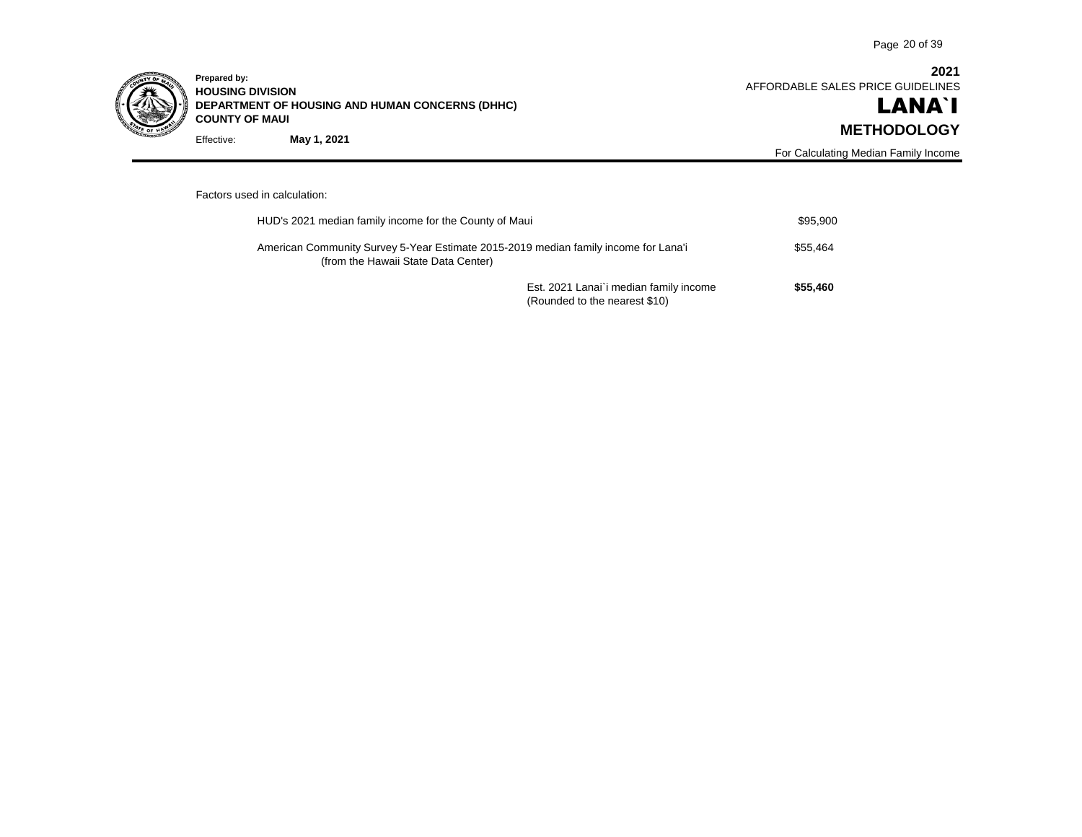

Effective: **Prepared by: HOUSING DIVISION DEPARTMENT OF HOUSING AND HUMAN CONCERNS (DHHC) COUNTY OF MAUI May 1, 2021**

**2021** AFFORDABLE SALES PRICE GUIDELINES

## LANA`I **METHODOLOGY**

For Calculating Median Family Income

#### Factors used in calculation:

| HUD's 2021 median family income for the County of Maui                                                                     |                                                                         | \$95,900 |
|----------------------------------------------------------------------------------------------------------------------------|-------------------------------------------------------------------------|----------|
| American Community Survey 5-Year Estimate 2015-2019 median family income for Lana'i<br>(from the Hawaii State Data Center) |                                                                         | \$55.464 |
|                                                                                                                            | Est. 2021 Lanai'i median family income<br>(Rounded to the nearest \$10) | \$55,460 |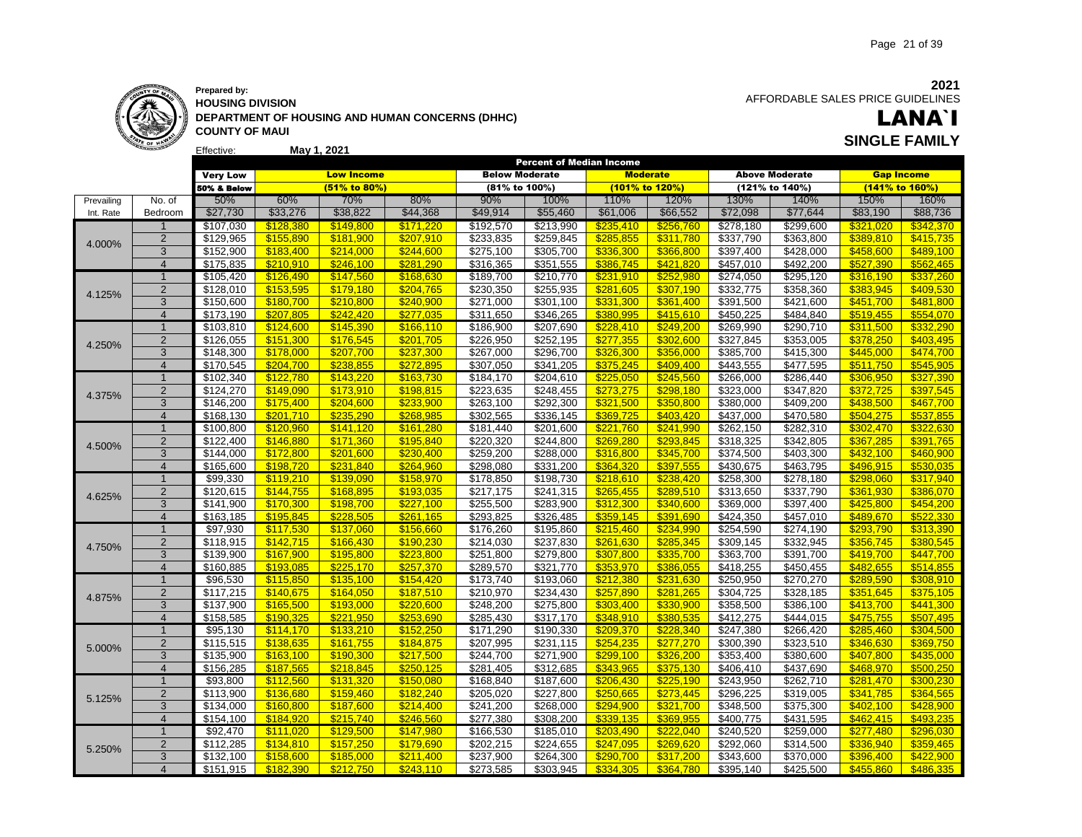

### **Prepared by:**

Effective: **HOUSING DIVISION DEPARTMENT OF HOUSING AND HUMAN CONCERNS (DHHC) COUNTY OF MAUI May 1, 2021 SINGLE FAMILY**

AFFORDABLE SALES PRICE GUIDELINES LANA`I

|            |                |                        |                        |                        |                        |                        | <b>Percent of Median Income</b> |                        |                        |                        |                        |                        |                        |
|------------|----------------|------------------------|------------------------|------------------------|------------------------|------------------------|---------------------------------|------------------------|------------------------|------------------------|------------------------|------------------------|------------------------|
|            |                | <b>Very Low</b>        |                        | <b>Low Income</b>      |                        | <b>Below Moderate</b>  |                                 | <b>Moderate</b>        |                        |                        | <b>Above Moderate</b>  | <b>Gap Income</b>      |                        |
|            |                | 50% & Below            |                        | (51% to 80%)           |                        | (81% to 100%)          |                                 | (101% to 120%)         |                        |                        | (121% to 140%)         | (141% to 160%)         |                        |
| Prevailing | No. of         | 50%                    | 60%                    | 70%                    | 80%                    | 90%                    | 100%                            | 110%                   | 120%                   | 130%                   | 140%                   | 150%                   | 160%                   |
| Int. Rate  | Bedroom        | \$27,730               | \$33,276               | \$38,822               | \$44,368               | \$49,914               | \$55,460                        | \$61,006               | \$66,552               | \$72,098               | \$77,644               | \$83,190               | \$88,736               |
|            | -1             | \$107,030              | \$128,380              | \$149,800              | \$171,220              | \$192,570              | \$213,990                       | \$235,410              | \$256,760              | \$278,180              | \$299,600              |                        | \$342,370              |
|            | $\overline{2}$ | \$129,965              | \$155,890              | \$181,900              | \$207,910              | \$233,835              | \$259,845                       | \$285,855              | \$311,780              | \$337,790              | \$363,800              | \$389,810              | \$415,735              |
| 4.000%     | 3              | \$152,900              | \$183,400              | \$214,000              | \$244,600              | \$275,100              | \$305,700                       | \$336,300              | \$366,800              | \$397,400              | \$428,000              | \$458,600              | \$489,100              |
|            | $\overline{4}$ | \$175,835              | \$210.910              | \$246.100              | \$281.290              | \$316,365              | \$351,555                       | \$386.745              | \$421.820              | \$457,010              | \$492,200              | \$527.390              | \$562.465              |
|            | $\overline{1}$ | \$105,420              | \$126,490              | \$147,560              | \$168,630              | \$189,700              | \$210,770                       | \$231,910              | \$252,980              | \$274,050              | \$295,120              | \$316,190              | \$337,260              |
|            | $\overline{2}$ | \$128,010              | \$153,595              | \$179,180              | \$204,765              | \$230,350              | \$255,935                       | \$281,605              | \$307,190              | \$332,775              | \$358,360              | \$383,945              | \$409,530              |
| 4.125%     | 3              | \$150,600              | \$180,700              | \$210,800              | \$240,900              | \$271,000              | \$301,100                       | \$331,300              | \$361,400              | \$391,500              | \$421,600              | \$451,700              | \$481,800              |
|            | $\overline{4}$ | \$173,190              | \$207.805              | \$242.420              | \$277.035              | \$311,650              | \$346,265                       | \$380.995              | \$415.610              | \$450,225              | \$484,840              | \$519,455              | \$554,070              |
|            | $\overline{1}$ | \$103,810              | \$124,600              | \$145,390              | \$166,110              | \$186,900              | \$207,690                       | \$228,410              | \$249.200              | \$269,990              | \$290,710              | \$311.500              | \$332,290              |
|            | $\overline{2}$ | \$126,055              | \$151,300              | \$176,545              | \$201,705              | \$226,950              | \$252,195                       | \$277,355              | \$302,600              | \$327,845              | \$353,005              | \$378,250              | \$403,495              |
| 4.250%     | 3              | \$148,300              | \$178,000              | \$207,700              | \$237,300              | \$267,000              | \$296,700                       | \$326,300              | \$356,000              | \$385,700              | \$415,300              | \$445.000              | \$474,700              |
|            | $\overline{4}$ | \$170,545              | \$204,700              | \$238,855              | \$272,895              | \$307,050              | \$341,205                       | \$375,245              | \$409,400              | \$443,555              | \$477,595              | \$511,750              | \$545,905              |
|            | $\mathbf{1}$   | \$102,340              | \$122,780              | \$143,220              | \$163,730              | \$184,170              | \$204,610                       | \$225,050              | \$245,560              | \$266,000              | \$286,440              | \$306,950              | \$327,390              |
|            | $\overline{2}$ | \$124,270              | \$149,090              | \$173,910              | \$198,815              | \$223,635              | \$248,455                       | \$273,275              | \$298,180              | \$323,000              | \$347,820              | \$372,725              | \$397,545              |
| 4.375%     | 3              | \$146,200              | \$175,400              | \$204,600              | \$233,900              | \$263,100              | \$292,300                       | \$321,500              | \$350,800              | \$380,000              | \$409,200              | \$438,500              | \$467,700              |
|            | $\overline{4}$ | $\overline{$}168,130$  | \$201,710              | \$235,290              | \$268,985              | \$302,565              | \$336,145                       | \$369,725              | \$403,420              | \$437,000              | \$470,580              | \$504,275              | \$537,855              |
|            | $\overline{1}$ | \$100,800              | \$120,960              | \$141,120              | \$161,280              | \$181,440              | \$201,600                       | \$221,760              | \$241,990              | \$262,150              | \$282,310              | \$302,470              | \$322,630              |
|            | $\overline{2}$ | \$122,400              | \$146,880              | \$171,360              | \$195,840              | \$220,320              | \$244,800                       | \$269,280              | \$293,845              | \$318,325              | \$342,805              | \$367,285              | \$391,765              |
| 4.500%     | 3              | \$144,000              | \$172,800              | \$201,600              | \$230,400              | \$259,200              | \$288,000                       | \$316,800              | \$345,700              | \$374,500              | \$403,300              | \$432,100              | \$460,900              |
|            | $\overline{4}$ | \$165,600              | \$198,720              | \$231,840              | \$264,960              | \$298,080              | \$331,200                       | \$364,320              | \$397,555              | \$430,675              | \$463,795              | \$496,915              | \$530,035              |
|            | $\overline{1}$ | \$99,330               | \$119,210              | \$139,090              | \$158,970              | \$178,850              | \$198,730                       | \$218,610              | \$238,420              | \$258,300              | \$278,180              | \$298,060              | \$317,940              |
|            | $\overline{2}$ | \$120,615              | \$144,755              | \$168,895              | \$193,035              | \$217,175              | \$241,315                       | \$265,455              | \$289,510              | \$313,650              | \$337,790              | \$361,930              | \$386,070              |
| 4.625%     | 3              | \$141,900              | \$170,300              | \$198,700              | \$227,100              | \$255,500              | \$283,900                       | \$312,300              | \$340,600              | \$369,000              | \$397,400              | \$425.800              | \$454,200              |
|            | $\overline{4}$ | \$163,185              | \$195.845              | \$228.505              | \$261.165              | \$293,825              | \$326,485                       | \$359.145              | \$391.690              | \$424,350              | \$457,010              | \$489.670              | \$522.330              |
|            | $\mathbf 1$    | \$97,930               | \$117,530              | \$137,060              | \$156,660              | \$176,260              | \$195,860                       | \$215,460              | \$234,990              | \$254,590              | \$274,190              | \$293,790              | \$313,390              |
|            | $\overline{2}$ | \$118,915              | \$142,715              | \$166,430              | \$190,230              | \$214,030              | \$237,830                       | \$261,630              | \$285,345              | \$309,145              | \$332,945              | \$356,745              | \$380,545              |
| 4.750%     | 3              | \$139,900              | \$167,900              | \$195,800              | \$223,800              | \$251,800              | \$279,800                       | \$307,800              | \$335,700              | \$363,700              | \$391,700              | \$419,700              | \$447,700              |
|            | $\overline{4}$ | \$160,885              | \$193,085              | \$225,170              | \$257,370              | \$289,570              | \$321,770                       | \$353.970              | \$386,055              | \$418,255              | \$450,455              | \$482.655              | \$514,855              |
|            | $\mathbf 1$    | \$96,530               | \$115,850              | \$135,100              | \$154,420              | \$173,740              | \$193,060                       | \$212,380              | \$231,630              | \$250,950              | \$270,270              | \$289,590              | \$308,910              |
|            | $\overline{2}$ | \$117,215              | \$140,675              | \$164,050              | \$187,510              | \$210,970              | \$234,430                       | \$257,890              | \$281,265              | \$304,725              | \$328,185              | \$351,645              | \$375,105              |
| 4.875%     | 3              | \$137,900              | \$165,500              | \$193,000              | \$220,600              | \$248,200              | \$275,800                       | \$303,400              | \$330,900              | \$358,500              | \$386,100              | \$413,700              | \$441,300              |
|            | $\overline{4}$ | \$158,585              | \$190,325              | \$221.950              | \$253,690              | \$285,430              | \$317,170                       | \$348,910              | \$380,535              | \$412,275              | \$444,015              | \$475,755              | \$507,495              |
|            | $\overline{1}$ | \$95,130               | \$114,170              | \$133,210              | \$152,250              | \$171,290              | \$190,330                       | \$209,370              | \$228,340              | \$247,380              | \$266,420              | \$285,460              | \$304,500              |
|            | $\overline{2}$ | \$115,515              | \$138,635              | \$161,755              | \$184,875              | \$207,995              | \$231,115                       | \$254,235              | \$277,270              | \$300,390              | \$323,510              | \$346,630              | \$369,750              |
| 5.000%     | 3              | \$135,900              | \$163,100              | \$190,300              | \$217,500              | \$244,700              | \$271,900                       | \$299,100              | \$326,200              | \$353,400              | \$380,600              | \$407,800              | \$435,000              |
|            | $\overline{4}$ | \$156,285              | \$187,565              | \$218.845              | \$250.125              | \$281,405              | \$312,685                       | \$343.965              | \$375,130              | \$406,410              | \$437,690              | \$468.970              | \$500.250              |
|            | $\overline{1}$ | \$93,800               | \$112,560              | \$131,320              | \$150,080              | \$168,840              | \$187,600                       | \$206,430              | \$225,190              | \$243,950              | \$262,710              | \$281,470              | \$300,230              |
|            | $\overline{2}$ | \$113,900              | \$136,680              | \$159,460              | \$182,240              | \$205,020              | \$227,800                       | \$250,665              | \$273,445              | 3296,225               | \$319,005              | \$341,785              | \$364,565              |
| 5.125%     | 3              | \$134,000              | \$160,800              | \$187,600              | \$214,400              | \$241,200              | \$268,000                       | \$294,900              | \$321,700              | \$348,500              | \$375,300              | \$402,100              | \$428,900              |
|            | $\overline{4}$ | \$154,100              | \$184.920              | \$215.740              | \$246,560              | \$277,380              | \$308,200                       | \$339.135              | \$369.955              | \$400,775              | \$431,595              | \$462,415              | \$493.235              |
|            | $\mathbf{1}$   | \$92,470               | \$111,020              | \$129,500              | \$147,980              | \$166,530              | \$185,010                       | \$203,490              | \$222,040              | \$240,520              | \$259,000              | \$277,480              | \$296,030              |
|            | $\overline{2}$ | \$112,285              | \$134,810              | \$157,250              | \$179,690              | \$202,215              | \$224,655                       | \$247,095              | \$269,620              | \$292,060              | \$314,500              | \$336,940              | \$359,465              |
| 5.250%     |                |                        |                        |                        |                        |                        |                                 |                        |                        |                        |                        |                        |                        |
|            | $\overline{4}$ |                        |                        |                        |                        |                        |                                 |                        |                        |                        |                        |                        |                        |
|            | 3              | \$132,100<br>\$151,915 | \$158,600<br>\$182.390 | \$185,000<br>\$212.750 | \$211,400<br>\$243.110 | \$237,900<br>\$273,585 | \$264,300<br>\$303.945          | \$290.700<br>\$334.305 | \$317,200<br>\$364,780 | \$343,600<br>\$395,140 | \$370,000<br>\$425,500 | \$396,400<br>\$455,860 | \$422,900<br>\$486.335 |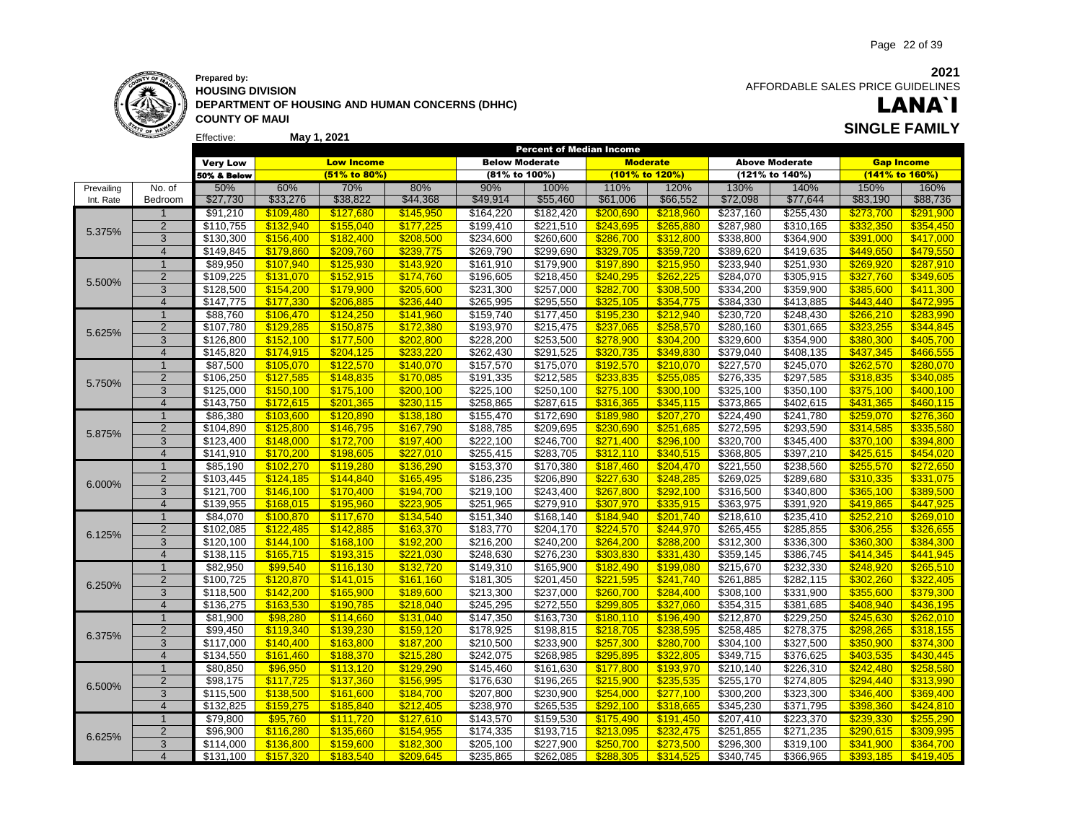

**May 1, 2021 Prepared by: HOUSING DIVISION DEPARTMENT OF HOUSING AND HUMAN CONCERNS (DHHC) COUNTY OF MAUI**

**2021** AFFORDABLE SALES PRICE GUIDELINES

### LANA`I **SINGLE FAMILY**

|            |                |                       |           |                   |           |                       | <b>Percent of Median Income</b> |                        |                        |                       |                       |                        |                   |
|------------|----------------|-----------------------|-----------|-------------------|-----------|-----------------------|---------------------------------|------------------------|------------------------|-----------------------|-----------------------|------------------------|-------------------|
|            |                | <b>Very Low</b>       |           | <b>Low Income</b> |           | <b>Below Moderate</b> |                                 | <b>Moderate</b>        |                        |                       | <b>Above Moderate</b> |                        | <b>Gap Income</b> |
|            |                | 50% & Below           |           | (51% to 80%)      |           | (81% to 100%)         |                                 | (101% to 120%)         |                        |                       | (121% to 140%)        |                        | (141% to 160%)    |
| Prevailing | No. of         | 50%                   | 60%       | 70%               | 80%       | 90%                   | 100%                            | 110%                   | 120%                   | 130%                  | 140%                  | 150%                   | 160%              |
| Int. Rate  | Bedroom        | \$27,730              | \$33,276  | \$38,822          | \$44,368  | \$49,914              | \$55,460                        | \$61,006               | \$66,552               | \$72,098              | \$77,644              | \$83,190               | \$88,736          |
|            | $\mathbf 1$    | \$91,210              | \$109,480 | \$127,680         | \$145,950 | \$164,220             | \$182,420                       |                        |                        | \$237,160             | \$255,430             |                        | \$291,900         |
|            | $\overline{2}$ |                       | \$132,940 | \$155,040         | \$177,225 | \$199,410             | \$221,510                       | \$200,690<br>\$243,695 | \$218,960<br>\$265,880 | \$287,980             | \$310,165             | \$273,700<br>\$332,350 | \$354,450         |
| 5.375%     |                | \$110,755             |           |                   |           |                       |                                 |                        |                        |                       |                       |                        |                   |
|            | 3              | \$130,300             | \$156,400 | \$182,400         | \$208,500 | \$234,600             | \$260,600                       | \$286,700              | \$312,800              | \$338,800             | \$364,900             | \$391,000              | \$417,000         |
|            | $\overline{4}$ | \$149,845             | \$179,860 | \$209.760         | \$239.775 | \$269,790             | \$299,690                       | \$329,705              | \$359,720              | \$389,620             | \$419,635             | \$449.650              | \$479,550         |
|            | $\overline{1}$ | \$89,950              | \$107,940 | \$125,930         | \$143,920 | \$161,910             | \$179,900                       | \$197,890              | \$215,950              | \$233,940             | \$251,930             | \$269,920              | \$287,910         |
| 5.500%     | $\overline{2}$ | \$109,225             | \$131,070 | \$152,915         | \$174,760 | \$196,605             | \$218,450                       | \$240,295              | \$262,225              | \$284,070             | \$305,915             | \$327,760              | \$349,605         |
|            | 3              | \$128,500             | \$154,200 | \$179,900         | \$205,600 | \$231,300             | \$257,000                       | \$282,700              | \$308,500              | \$334,200             | \$359,900             | \$385,600              | \$411,300         |
|            | $\overline{4}$ | \$147,775             | \$177,330 | \$206.885         | \$236.440 | \$265,995             | \$295,550                       | \$325,105              | \$354,775              | \$384,330             | \$413,885             | \$443.440              | \$472,995         |
|            | $\mathbf{1}$   | \$88,760              | \$106,470 | \$124,250         | \$141,960 | \$159,740             | \$177,450                       | \$195,230              | \$212,940              | \$230,720             | \$248,430             | \$266,210              | \$283,990         |
| 5.625%     | $\overline{2}$ | \$107,780             | \$129,285 | \$150,875         | \$172.380 | \$193,970             | \$215,475                       | \$237,065              | \$258,570              | \$280,160             | \$301,665             | \$323,255              | \$344,845         |
|            | 3              | \$126,800             | \$152,100 | \$177,500         | \$202,800 | \$228,200             | \$253,500                       | \$278,900              | \$304,200              | \$329,600             | \$354,900             | \$380,300              | \$405,700         |
|            | $\overline{4}$ | \$145,820             | \$174.915 | \$204,125         | \$233.220 | \$262,430             | \$291,525                       | \$320.735              | \$349.830              | \$379,040             | \$408,135             | \$437.345              | \$466.555         |
|            | $\mathbf{1}$   | \$87,500              | \$105,070 | \$122,570         | \$140,070 | \$157,570             | \$175,070                       | \$192,570              | \$210,070              | \$227,570             | \$245,070             | \$262,570              | \$280,070         |
|            | $\overline{2}$ | \$106,250             | \$127,585 | \$148,835         | \$170,085 | \$191,335             | \$212,585                       | \$233,835              | \$255,085              | \$276,335             | \$297,585             | \$318,835              | \$340,085         |
| 5.750%     | 3              | \$125,000             | \$150,100 | \$175,100         | \$200,100 | \$225,100             | \$250,100                       | \$275,100              | \$300,100              | $\overline{$}325,100$ | \$350,100             | \$375,100              | \$400,100         |
|            | $\overline{4}$ | $\overline{$143,750}$ | \$172,615 | \$201,365         | \$230,115 | \$258,865             | \$287,615                       | \$316,365              | \$345,115              | \$373,865             | \$402,615             | \$431,365              | \$460,115         |
|            | $\mathbf{1}$   | \$86,380              | \$103,600 | \$120,890         | \$138,180 | \$155,470             | \$172,690                       | \$189,980              | \$207,270              | \$224,490             | \$241,780             | \$259,070              | \$276,360         |
|            | $\overline{2}$ | \$104,890             | \$125,800 | \$146,795         | \$167,790 | \$188,785             | \$209,695                       | \$230,690              | \$251,685              | \$272,595             | \$293,590             | \$314,585              | \$335,580         |
| 5.875%     | 3              | \$123,400             | \$148,000 | \$172,700         | \$197,400 | \$222,100             | \$246,700                       | \$271,400              | \$296,100              | \$320,700             | \$345,400             | \$370,100              | \$394,800         |
|            | $\overline{4}$ | \$141,910             | \$170,200 | \$198,605         | \$227,010 | \$255,415             | \$283,705                       | \$312,110              | \$340,515              | \$368,805             | \$397,210             | \$425,615              | \$454,020         |
|            | $\overline{1}$ | \$85,190              | \$102,270 | \$119,280         | \$136,290 | \$153,370             | \$170,380                       | \$187,460              | \$204,470              | \$221,550             | \$238,560             | \$255,570              | \$272,650         |
| 6.000%     | $\overline{2}$ | \$103,445             | \$124,185 |                   | \$165,495 | \$186,235             | \$206,890                       | \$227,630              |                        | \$269,025             | \$289,680             | \$310,335              | \$331,075         |
|            |                |                       |           | \$144,840         |           |                       |                                 |                        | \$248,285              |                       |                       |                        |                   |
|            | 3              | \$121,700             | \$146,100 | \$170,400         | \$194,700 | \$219,100             | \$243,400                       | \$267,800              | \$292,100              | \$316,500             | \$340,800             | \$365,100              | \$389,500         |
|            | $\overline{4}$ | \$139,955             | \$168.015 | \$195,960         | \$223,905 | \$251.965             | \$279.910                       | \$307.970              | \$335.915              | \$363,975             | \$391.920             | \$419,865              | \$447.925         |
|            | $\overline{1}$ | \$84,070              | \$100,870 | \$117,670         | \$134,540 | \$151,340             | \$168,140                       | \$184,940              | \$201,740              | \$218,610             | \$235,410             | \$252,210              | \$269,010         |
| 6.125%     | $\overline{2}$ | \$102,085             | \$122,485 | \$142.885         | \$163,370 | \$183,770             | \$204,170                       | \$224,570              | \$244,970              | \$265,455             | \$285,855             | \$306,255              | \$326,655         |
|            | 3              | \$120,100             | \$144.100 | \$168,100         | \$192,200 | \$216,200             | \$240,200                       | \$264,200              | \$288,200              | \$312,300             | \$336,300             | \$360,300              | \$384,300         |
|            | $\overline{4}$ | \$138,115             | \$165,715 | \$193,315         | \$221,030 | \$248,630             | \$276,230                       | \$303.830              | \$331,430              | \$359,145             | \$386,745             | \$414,345              | \$441,945         |
|            | $\mathbf{1}$   | \$82,950              | \$99,540  | \$116,130         | \$132,720 | \$149,310             | \$165,900                       | \$182,490              | \$199,080              | \$215,670             | \$232,330             | \$248,920              | \$265,510         |
| 6.250%     | $\overline{2}$ | $\overline{$}100,725$ | \$120,870 | \$141,015         | \$161,160 | \$181,305             | \$201,450                       | \$221,595              | \$241,740              | $\overline{$}261,885$ | \$282,115             | \$302,260              | \$322,405         |
|            | 3              | \$118,500             | \$142,200 | \$165,900         | \$189,600 | \$213,300             | \$237,000                       | \$260,700              | \$284,400              | \$308,100             | \$331,900             | \$355,600              | \$379,300         |
|            | $\overline{4}$ | \$136,275             | \$163,530 | \$190,785         | \$218.040 | \$245,295             | \$272,550                       | \$299,805              | \$327,060              | \$354,315             | \$381,685             | \$408.940              | \$436,195         |
|            | $\overline{1}$ | \$81,900              | \$98,280  | \$114,660         | \$131,040 | \$147,350             | \$163,730                       | \$180,110              | \$196,490              | \$212,870             | \$229,250             | \$245,630              | \$262,010         |
|            | $\overline{2}$ | \$99,450              | \$119,340 | \$139,230         | \$159,120 | \$178,925             | \$198,815                       | \$218,705              | \$238,595              | \$258,485             | \$278,375             | \$298,265              | \$318,155         |
| 6.375%     | 3              | \$117,000             | \$140,400 | \$163,800         | \$187,200 | \$210,500             | \$233,900                       | \$257,300              | \$280,700              | \$304,100             | \$327,500             | \$350,900              | \$374,300         |
|            | $\overline{4}$ | \$134,550             | \$161,460 | \$188,370         | \$215,280 | \$242,075             | \$268,985                       | \$295.895              | \$322.805              | \$349,715             | \$376,625             | \$403,535              | \$430,445         |
|            | $\mathbf{1}$   | \$80,850              | \$96,950  | \$113,120         | \$129,290 | \$145,460             | \$161,630                       | \$177,800              | \$193,970              | \$210,140             | \$226,310             | \$242,480              | \$258,580         |
|            | $\overline{2}$ | \$98,175              | \$117,725 | \$137,360         | \$156,995 | \$176,630             | \$196,265                       | \$215,900              | \$235,535              | \$255,170             | \$274,805             | \$294,440              | \$313,990         |
| 6.500%     | 3              | \$115,500             | \$138,500 | \$161,600         | \$184,700 | \$207,800             | \$230,900                       | \$254,000              | \$277,100              | 300,200               | \$323,300             | \$346,400              | \$369,400         |
|            | $\overline{4}$ | \$132,825             | \$159.275 | \$185.840         | \$212.405 | \$238,970             | \$265,535                       | \$292.100              | \$318,665              | \$345,230             | \$371,795             | \$398.360              | \$424.810         |
|            | $\overline{1}$ | \$79,800              | \$95,760  | \$111,720         | \$127,610 | \$143,570             | \$159,530                       | \$175,490              | \$191,450              | \$207,410             | \$223,370             | \$239,330              | \$255,290         |
|            | $\overline{2}$ | \$96,900              | \$116,280 | \$135,660         | \$154,955 | \$174,335             | \$193,715                       | \$213,095              | \$232,475              | \$251,855             | \$271,235             | \$290,615              | \$309,995         |
| 6.625%     | 3              |                       |           |                   | \$182.300 |                       |                                 | \$250.700              | \$273.500              |                       |                       |                        |                   |
|            | $\overline{4}$ | \$114,000             | \$136,800 | \$159.600         |           | \$205,100             | \$227,900                       | \$288.305              |                        | \$296,300             | \$319,100             | \$341.900              | \$364.700         |
|            |                | \$131,100             | \$157,320 | \$183.540         | \$209645  | \$235.865             | \$262.085                       |                        | \$314,525              | \$340.745             | \$366.965             | \$393.185              | \$419,405         |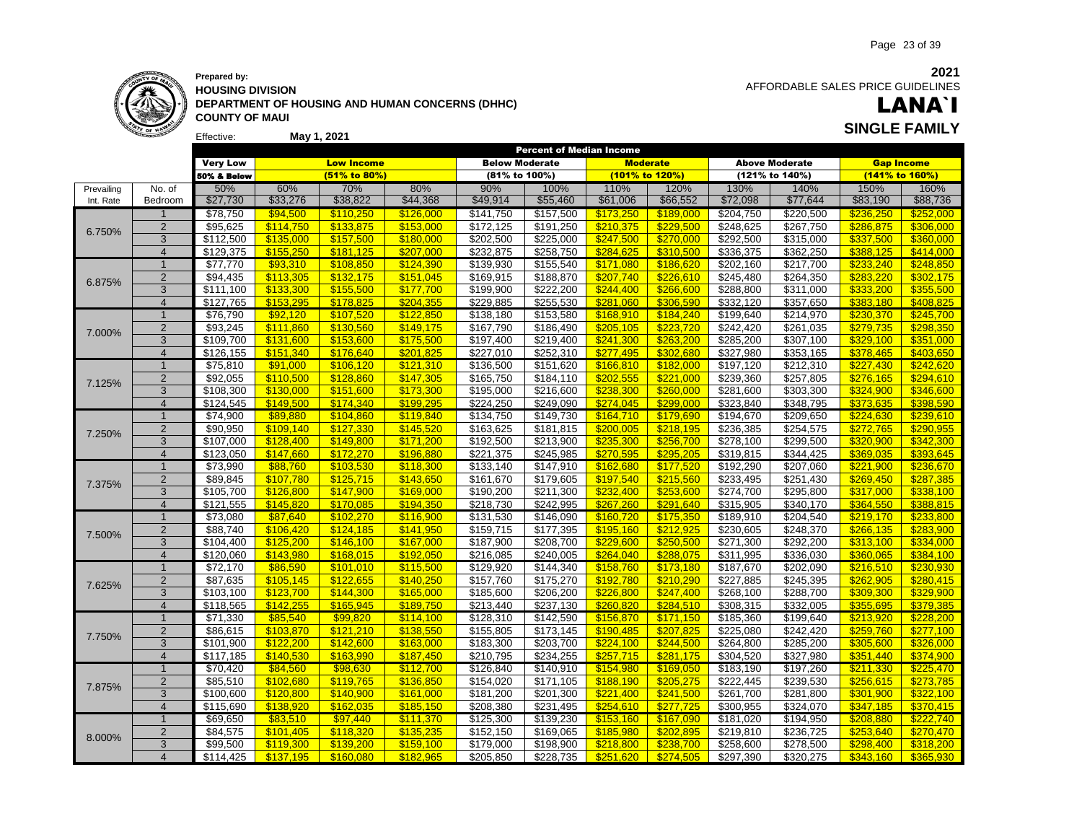

#### Effective: **Prepared by: HOUSING DIVISION DEPARTMENT OF HOUSING AND HUMAN CONCERNS (DHHC) COUNTY OF MAUI May 1, 2021 SINGLE FAMILY**

 AFFORDABLE SALES PRICE GUIDELINES

# LANA`I

|            |                     |                       |           |                   |           |                       | <b>Percent of Median Income</b> |           |                 |                        |                       |           |                   |
|------------|---------------------|-----------------------|-----------|-------------------|-----------|-----------------------|---------------------------------|-----------|-----------------|------------------------|-----------------------|-----------|-------------------|
|            |                     | <b>Very Low</b>       |           | <b>Low Income</b> |           | <b>Below Moderate</b> |                                 |           | <b>Moderate</b> |                        | <b>Above Moderate</b> |           | <b>Gap Income</b> |
|            |                     | 50% & Below           |           | $(51\%$ to 80%)   |           | (81% to 100%)         |                                 |           | (101% to 120%)  |                        | (121% to 140%)        |           | (141% to 160%)    |
| Prevailing | No. of              | 50%                   | 60%       | 70%               | 80%       | 90%                   | 100%                            | 110%      | 120%            | 130%                   | 140%                  | 150%      | 160%              |
| Int. Rate  | Bedroom             | \$27,730              | \$33,276  | \$38,822          | \$44,368  | \$49,914              | \$55,460                        | \$61,006  | \$66,552        | \$72,098               | \$77,644              | \$83,190  | \$88,736          |
|            | -1                  | \$78,750              | \$94,500  | \$110,250         | \$126,000 | \$141,750             | \$157,500                       | \$173,250 | \$189,000       | \$204,750              | \$220,500             | \$236,250 | \$252,000         |
|            | $\overline{2}$      | \$95,625              | \$114,750 | \$133,875         | \$153,000 | \$172,125             | \$191,250                       | \$210,375 | \$229,500       | \$248,625              | \$267,750             | \$286,875 | \$306,000         |
| 6.750%     | 3                   | \$112,500             | \$135,000 | \$157,500         | \$180,000 | \$202,500             | \$225,000                       | \$247,500 | \$270,000       | \$292,500              | \$315,000             | \$337,500 | \$360,000         |
|            | $\overline{4}$      | \$129,375             | \$155.250 | \$181.125         | \$207.000 | \$232,875             | \$258,750                       | \$284.625 | \$310.500       | \$336,375              | \$362,250             | \$388.125 | \$414.000         |
|            | $\overline{1}$      | \$77,770              | \$93,310  | \$108,850         | \$124,390 | \$139,930             | \$155,540                       | \$171,080 | \$186,620       | \$202,160              | \$217,700             | \$233,240 | \$248,850         |
|            | $\overline{2}$      | \$94,435              | \$113,305 | \$132,175         | \$151,045 | \$169,915             | \$188,870                       | \$207,740 | \$226,610       | \$245,480              | \$264,350             | \$283,220 | \$302,175         |
| 6.875%     | 3                   | \$111,100             | \$133,300 | \$155,500         | \$177,700 | \$199,900             | \$222,200                       | \$244,400 | \$266,600       | \$288,800              | \$311,000             | \$333,200 | \$355,500         |
|            | $\overline{4}$      | \$127,765             | \$153,295 | \$178.825         | \$204,355 | \$229,885             | \$255,530                       | \$281.060 | \$306,590       | \$332,120              | \$357,650             | \$383.180 | \$408,825         |
|            | $\mathbf{1}$        | \$76,790              | \$92,120  | \$107,520         | \$122,850 | \$138,180             | \$153,580                       | \$168,910 | \$184,240       | \$199,640              | \$214,970             | \$230,370 | \$245,700         |
|            | $\overline{2}$      | \$93,245              | \$111,860 | \$130,560         | \$149,175 | \$167,790             | \$186,490                       | \$205,105 | \$223.720       | \$242,420              | \$261,035             | \$279.735 | \$298,350         |
| 7.000%     | 3                   | \$109,700             | \$131,600 | \$153,600         | \$175,500 | \$197,400             | \$219,400                       | \$241,300 | \$263,200       | \$285,200              | \$307,100             | \$329,100 | \$351,000         |
|            | $\overline{4}$      | \$126,155             | \$151,340 | \$176,640         | \$201,825 | \$227,010             | \$252,310                       | \$277.495 | \$302.680       | \$327,980              | \$353,165             | \$378.465 | \$403,650         |
|            | $\overline{1}$      | \$75,810              | \$91,000  | \$106,120         | \$121,310 | \$136,500             | \$151,620                       | \$166,810 | \$182,000       | \$197,120              | \$212,310             | \$227,430 | \$242,620         |
|            |                     | \$92,055              |           |                   |           | \$165,750             |                                 |           | \$221,000       | \$239,360              | \$257,805             |           | \$294,610         |
| 7.125%     | $\overline{2}$      |                       | \$110,500 | \$128,860         | \$147,305 |                       | \$184,110                       | \$202,555 |                 |                        |                       | \$276,165 |                   |
|            | 3<br>$\overline{4}$ | \$108,300             | \$130,000 | \$151,600         | \$173,300 | \$195,000             | \$216,600                       | \$238,300 | \$260,000       | \$281,600<br>\$323,840 | \$303,300             | \$324,900 | \$346,600         |
|            |                     | $\overline{$}124,545$ | \$149,500 | \$174,340         | \$199,295 | \$224,250             | \$249,090                       | \$274,045 | \$299,000       |                        | 348,795               | \$373,635 | \$398,590         |
|            | $\overline{1}$      | \$74,900              | \$89,880  | \$104,860         | \$119,840 | \$134,750             | \$149,730                       | \$164,710 | \$179,690       | \$194,670              | \$209,650             | \$224,630 | \$239,610         |
| 7.250%     | $\overline{2}$      | \$90,950              | \$109,140 | \$127,330         | \$145,520 | \$163,625             | \$181,815                       | \$200,005 | \$218,195       | \$236,385              | \$254,575             | \$272,765 | \$290,955         |
|            | 3                   | \$107,000             | \$128,400 | \$149,800         | \$171,200 | \$192,500             | \$213,900                       | \$235,300 | \$256,700       | 3278,100               | \$299,500             | \$320,900 | \$342,300         |
|            | $\overline{4}$      | \$123,050             | \$147,660 | \$172,270         | \$196,880 | \$221,375             | \$245,985                       | \$270,595 | \$295,205       | \$319,815              | \$344,425             | \$369,035 | \$393,645         |
|            | $\overline{1}$      | \$73,990              | \$88,760  | \$103,530         | \$118,300 | \$133,140             | \$147,910                       | \$162,680 | \$177,520       | \$192,290              | \$207,060             | \$221,900 | \$236,670         |
| 7.375%     | $\overline{2}$      | \$89,845              | \$107,780 | \$125,715         | \$143,650 | \$161,670             | \$179,605                       | \$197,540 | \$215,560       | \$233,495              | \$251,430             | \$269,450 | \$287,385         |
|            | 3                   | \$105,700             | \$126,800 | \$147,900         | \$169,000 | \$190,200             | \$211,300                       | \$232,400 | \$253,600       | \$274,700              | \$295,800             | \$317,000 | \$338,100         |
|            | $\overline{4}$      | \$121,555             | \$145,820 | \$170.085         | \$194,350 | \$218,730             | \$242.995                       | \$267.260 | \$291.640       | \$315,905              | \$340.170             | \$364,550 | \$388.815         |
|            | $\overline{1}$      | \$73,080              | \$87,640  | \$102,270         | \$116,900 | \$131,530             | \$146,090                       | \$160,720 | \$175,350       | \$189,910              | \$204,540             | \$219,170 | \$233,800         |
| 7.500%     | $\overline{2}$      | \$88,740              | \$106,420 | \$124.185         | \$141,950 | \$159,715             | \$177,395                       | \$195,160 | \$212.925       | \$230,605              | \$248,370             | \$266,135 | \$283,900         |
|            | 3                   | \$104,400             | \$125,200 | \$146,100         | \$167,000 | \$187,900             | \$208,700                       | \$229,600 | \$250,500       | \$271,300              | \$292,200             | \$313,100 | \$334,000         |
|            | $\overline{4}$      | \$120,060             | \$143,980 | \$168,015         | \$192,050 | \$216,085             | \$240,005                       | \$264.040 | \$288,075       | \$311,995              | \$336,030             | \$360.065 | \$384,100         |
|            | $\mathbf{1}$        | \$72,170              | \$86,590  | \$101,010         | \$115,500 | \$129,920             | \$144,340                       | \$158,760 | \$173,180       | \$187,670              | \$202,090             | \$216,510 | \$230,930         |
| 7.625%     | $\overline{2}$      | \$87,635              | \$105,145 | \$122,655         | \$140,250 | \$157,760             | \$175,270                       | \$192,780 | \$210,290       | \$227,885              | \$245,395             | \$262,905 | \$280,415         |
|            | 3                   | \$103,100             | \$123,700 | \$144,300         | \$165,000 | \$185,600             | \$206,200                       | \$226,800 | \$247,400       | \$268,100              | \$288,700             | \$309,300 | \$329,900         |
|            | $\overline{4}$      | \$118,565             | \$142,255 | \$165.945         | \$189.750 | \$213,440             | \$237,130                       | \$260.820 | \$284,510       | \$308,315              | \$332,005             | \$355.695 | \$379.385         |
|            | $\overline{1}$      | \$71,330              | \$85,540  | \$99,820          | \$114,100 | \$128,310             | \$142,590                       | \$156,870 | \$171,150       | \$185,360              | \$199,640             | \$213,920 | \$228,200         |
| 7.750%     | $\overline{2}$      | \$86,615              | \$103,870 | \$121,210         | \$138,550 | \$155,805             | \$173,145                       | \$190,485 | \$207,825       | \$225,080              | \$242,420             | \$259,760 | \$277,100         |
|            | 3                   | \$101,900             | \$122,200 | \$142,600         | \$163,000 | \$183,300             | \$203,700                       | \$224,100 | \$244,500       | \$264,800              | \$285,200             | \$305,600 | \$326,000         |
|            | $\overline{4}$      | \$117,185             | \$140,530 | \$163.990         | \$187,450 | \$210,795             | \$234,255                       | \$257.715 | \$281,175       | \$304,520              | \$327,980             | \$351.440 | \$374,900         |
|            | $\mathbf{1}$        | \$70,420              | \$84,560  | \$98,630          | \$112,700 | \$126,840             | \$140,910                       | \$154,980 | \$169,050       | \$183,190              | \$197,260             | \$211,330 | \$225,470         |
| 7.875%     | $\overline{2}$      | \$85,510              | \$102,680 | \$119,765         | \$136,850 | \$154,020             | \$171,105                       | \$188,190 | \$205,275       | \$222,445              | \$239,530             | \$256,615 | \$273,785         |
|            | 3                   | \$100,600             | \$120,800 | \$140,900         | \$161,000 | \$181,200             | \$201,300                       | \$221,400 | \$241,500       | \$261,700              | \$281,800             | \$301,900 | \$322,100         |
|            | $\overline{4}$      | \$115,690             | \$138,920 | \$162.035         | \$185.150 | \$208,380             | \$231,495                       | \$254.610 | \$277.725       | \$300,955              | \$324,070             | \$347,185 | \$370,415         |
|            | $\overline{1}$      | \$69,650              | \$83,510  | \$97,440          | \$111,370 | \$125,300             | \$139,230                       | \$153,160 | \$167,090       | \$181,020              | \$194,950             | \$208,880 | \$222,740         |
| 8.000%     | $\overline{2}$      | \$84,575              | \$101,405 | \$118,320         | \$135,235 | \$152,150             | \$169,065                       | \$185,980 | \$202,895       | \$219,810              | \$236,725             | \$253,640 | \$270,470         |
|            | 3                   | \$99,500              | \$119,300 | \$139.200         | \$159.100 | \$179,000             | \$198,900                       | \$218.800 | \$238.700       | \$258,600              | \$278,500             | \$298.400 | \$318.200         |
|            | $\overline{4}$      | \$114.425             | \$137.195 | \$160,080         | \$182,965 | \$205.850             | \$228.735                       | \$251.620 | \$274.505       | \$297.390              | \$320.275             | \$343.160 | \$365.930         |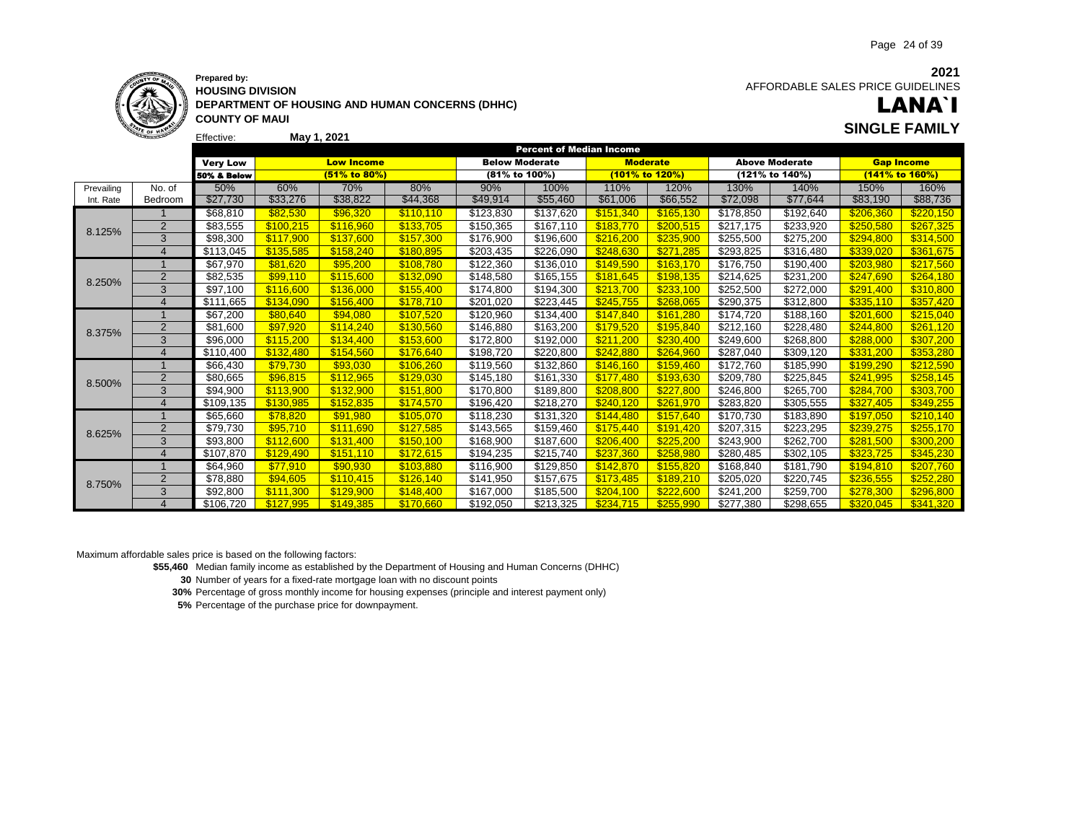

Effective:

**HOUSING DIVISION DEPARTMENT OF HOUSING AND HUMAN CONCERNS (DHHC) COUNTY OF MAUI May 1, 2021 SINGLE FAMILY**

**2021** AFFORDABLE SALES PRICE GUIDELINES

# LANA`I

|            |                       |                        |           |                   |           |                       | <b>Percent of Median Income</b> |           |                 |           |                       |                   |                |
|------------|-----------------------|------------------------|-----------|-------------------|-----------|-----------------------|---------------------------------|-----------|-----------------|-----------|-----------------------|-------------------|----------------|
|            |                       | <b>Very Low</b>        |           | <b>Low Income</b> |           | <b>Below Moderate</b> |                                 |           | <b>Moderate</b> |           | <b>Above Moderate</b> | <b>Gap Income</b> |                |
|            |                       | <b>50% &amp; Below</b> |           | (51% to 80%)      |           | (81% to 100%)         |                                 |           | (101% to 120%)  |           | (121% to 140%)        |                   | (141% to 160%) |
| Prevailing | No. of                | 50%                    | 60%       | 70%               | 80%       | 90%                   | 100%                            | 110%      | 120%            | 130%      | 140%                  | 150%              | 160%           |
| Int. Rate  | Bedroom               | \$27,730               | \$33,276  | \$38,822          | \$44,368  | \$49,914              | \$55,460                        | \$61,006  | \$66,552        | \$72,098  | \$77,644              | \$83,190          | \$88,736       |
|            |                       | \$68,810               | \$82,530  | \$96.320          | \$110.110 | \$123,830             | \$137,620                       | \$151.340 | \$165.130       | \$178.850 | \$192,640             | \$206.360         | \$220.150      |
| 8.125%     | 2                     | \$83,555               | \$100.215 | \$116.960         | \$133,705 | \$150,365             | \$167,110                       | \$183.770 | \$200,515       | \$217.175 | \$233,920             | \$250,580         | \$267,325      |
|            | 3                     | \$98,300               | \$117,900 | \$137,600         | \$157,300 | \$176,900             | \$196,600                       | \$216,200 | \$235,900       | \$255,500 | \$275,200             | \$294,800         | \$314,500      |
|            | $\overline{4}$        | \$113,045              | \$135.585 | \$158.240         | \$180.895 | \$203,435             | \$226,090                       | \$248.630 | \$271.285       | \$293,825 | \$316,480             | \$339,020         | \$361,675      |
|            |                       | \$67,970               | \$81.620  | \$95,200          | \$108.780 | \$122,360             | \$136,010                       | \$149,590 | \$163.170       | \$176,750 | \$190.400             | \$203,980         | \$217,560      |
| 8.250%     | 2                     | \$82,535               | \$99.110  | \$115,600         | \$132,090 | \$148,580             | \$165,155                       | \$181.645 | \$198.135       | \$214,625 | \$231,200             | \$247,690         | \$264,180      |
|            | 3                     | \$97,100               | \$116.600 | \$136,000         | \$155.400 | \$174,800             | \$194,300                       | \$213,700 | \$233,100       | \$252,500 | \$272,000             | \$291.400         | \$310,800      |
|            | $\overline{4}$        | \$111,665              | \$134.090 | \$156.400         | \$178.710 | \$201,020             | \$223,445                       | \$245.755 | \$268.065       | \$290,375 | \$312,800             | \$335.110         | \$357,420      |
|            |                       | \$67,200               | \$80,640  | \$94,080          | \$107,520 | \$120,960             | \$134,400                       | \$147,840 | \$161,280       | \$174,720 | \$188,160             | \$201,600         | \$215,040      |
| 8.375%     | $\overline{2}$        | \$81,600               | \$97.920  | \$114,240         | \$130,560 | \$146,880             | \$163,200                       | \$179.520 | \$195,840       | \$212,160 | \$228,480             | \$244,800         | \$261,120      |
|            | 3                     | \$96,000               | \$115,200 | \$134.400         | \$153,600 | \$172,800             | \$192,000                       | \$211,200 | \$230.400       | \$249,600 | \$268,800             | \$288,000         | \$307,200      |
|            | $\overline{4}$        | \$110,400              | \$132.480 | \$154.560         | \$176.640 | \$198,720             | \$220,800                       | \$242.880 | \$264,960       | \$287,040 | \$309,120             | \$331.200         | \$353,280      |
|            |                       | \$66,430               | \$79,730  | \$93,030          | \$106,260 | \$119,560             | \$132,860                       | \$146.160 | \$159,460       | \$172,760 | \$185,990             | \$199,290         | \$212,590      |
| 8.500%     | 2                     | \$80,665               | \$96,815  | \$112,965         | \$129,030 | \$145,180             | \$161,330                       | \$177.480 | \$193.630       | \$209,780 | \$225,845             | \$241.995         | \$258,145      |
|            | 3                     | \$94,900               | \$113.900 | \$132,900         | \$151,800 | \$170,800             | \$189,800                       | \$208,800 | \$227,800       | \$246.800 | \$265.700             | \$284,700         | \$303.700      |
|            | $\boldsymbol{\Delta}$ | \$109,135              | \$130.985 | \$152.835         | \$174,570 | \$196,420             | \$218,270                       | \$240.120 | \$261.970       | \$283,820 | \$305,555             | \$327,405         | \$349,255      |
|            |                       | \$65,660               | \$78.820  | \$91.980          | \$105.070 | \$118,230             | \$131,320                       | \$144,480 | \$157.640       | \$170.730 | \$183,890             | \$197,050         | \$210.140      |
| 8.625%     | $\overline{2}$        | \$79,730               | \$95,710  | \$111,690         | \$127,585 | \$143,565             | \$159,460                       | \$175,440 | \$191,420       | \$207,315 | \$223,295             | \$239,275         | \$255,170      |
|            | 3                     | \$93,800               | \$112,600 | \$131.400         | \$150,100 | \$168,900             | \$187,600                       | \$206,400 | \$225,200       | \$243,900 | \$262,700             | \$281,500         | \$300,200      |
|            | $\overline{4}$        | \$107,870              | \$129.490 | \$151.110         | \$172.615 | \$194,235             | \$215,740                       | \$237.360 | \$258.980       | \$280,485 | \$302,105             | \$323.725         | \$345,230      |
|            |                       | \$64,960               | \$77,910  | \$90,930          | \$103,880 | \$116,900             | \$129,850                       | \$142,870 | \$155,820       | \$168,840 | \$181,790             | \$194,810         | \$207,760      |
|            | $\overline{2}$        | \$78,880               | \$94,605  | \$110.415         | \$126,140 | \$141,950             | \$157,675                       | \$173,485 | \$189,210       | \$205,020 | \$220,745             | \$236,555         | \$252,280      |
| 8.750%     | 3                     | \$92,800               | \$111.300 | \$129.900         | \$148.400 | \$167,000             | \$185,500                       | \$204.100 | \$222,600       | \$241.200 | \$259.700             | \$278,300         | \$296,800      |
|            |                       | \$106,720              | \$127,995 | \$149.385         | \$170,660 | \$192,050             | \$213,325                       | \$234,715 | \$255.990       | \$277,380 | \$298,655             | \$320.045         | \$341,320      |

Maximum affordable sales price is based on the following factors:

**\$55,460** Median family income as established by the Department of Housing and Human Concerns (DHHC)

**30** Number of years for a fixed-rate mortgage loan with no discount points

**30%** Percentage of gross monthly income for housing expenses (principle and interest payment only)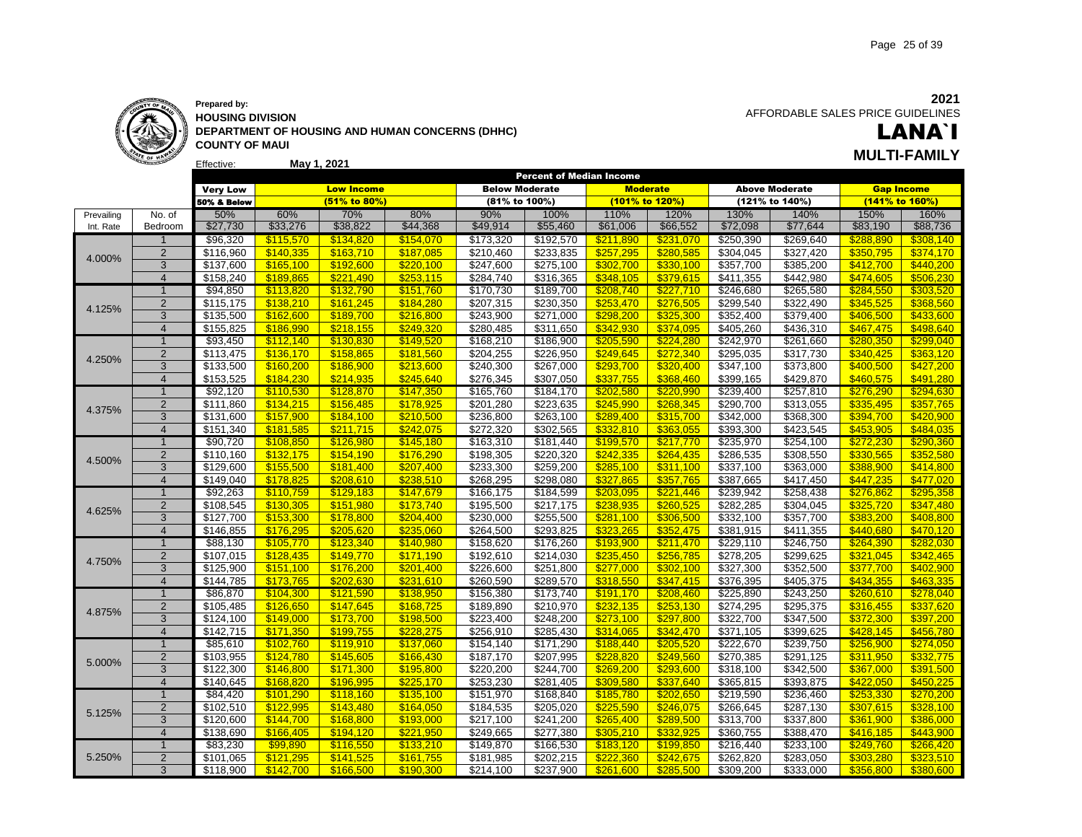

#### **Prepared by: HOUSING DIVISION DEPARTMENT OF HOUSING AND HUMAN CONCERNS (DHHC) COUNTY OF MAUI**

LANA`I **May 1, 2021 MULTI-FAMILY**

|            |                |                       |           |                   |           |                       | <b>Percent of Median Income</b> |                |                 |           |                       |           |                   |
|------------|----------------|-----------------------|-----------|-------------------|-----------|-----------------------|---------------------------------|----------------|-----------------|-----------|-----------------------|-----------|-------------------|
|            |                | <b>Very Low</b>       |           | <b>Low Income</b> |           | <b>Below Moderate</b> |                                 |                | <b>Moderate</b> |           | <b>Above Moderate</b> |           | <b>Gap Income</b> |
|            |                | 50% & Below           |           | (51% to 80%)      |           | (81% to 100%)         |                                 | (101% to 120%) |                 |           | (121% to 140%)        |           | (141% to 160%)    |
| Prevailing | No. of         | 50%                   | 60%       | 70%               | 80%       | 90%                   | 100%                            | 110%           | 120%            | 130%      | 140%                  | 150%      | 160%              |
| Int. Rate  | Bedroom        | \$27,730              | \$33,276  | \$38,822          | \$44,368  | \$49,914              | \$55,460                        | \$61,006       | \$66,552        | \$72,098  | \$77,644              | \$83,190  | \$88,736          |
|            | $\mathbf 1$    | \$96,320              | \$115,570 | \$134,820         | \$154,070 | \$173,320             | \$192,570                       | \$211,890      | \$231,070       | \$250,390 | \$269,640             | \$288,890 | \$308,140         |
|            | $\overline{2}$ | \$116,960             | \$140,335 | \$163,710         | \$187,085 | \$210,460             | \$233,835                       | \$257,295      | \$280,585       | \$304,045 | \$327,420             | \$350,795 | \$374,170         |
| 4.000%     | 3              | \$137,600             | \$165,100 | \$192,600         | \$220.100 | \$247,600             | \$275,100                       | \$302,700      | \$330,100       | \$357,700 | \$385,200             | \$412.700 | \$440,200         |
|            | $\overline{4}$ | \$158,240             | \$189.865 | \$221.490         | \$253.115 | \$284,740             | \$316,365                       | \$348.105      | \$379,615       | \$411,355 | \$442,980             | \$474.605 | \$506,230         |
|            | $\overline{1}$ | \$94,850              | \$113,820 | \$132,790         | \$151,760 | \$170,730             | \$189,700                       | \$208,740      | \$227,710       | \$246,680 | \$265,580             | \$284,550 | \$303,520         |
|            | $\overline{2}$ | \$115,175             | \$138,210 | \$161,245         | \$184,280 | \$207,315             | \$230,350                       | \$253,470      | \$276,505       | \$299,540 | \$322,490             | \$345,525 | \$368,560         |
| 4.125%     | 3              | \$135,500             | \$162,600 | \$189,700         | \$216,800 | \$243,900             | \$271,000                       | \$298,200      | \$325,300       | \$352,400 | \$379,400             | \$406,500 | \$433,600         |
|            | $\overline{4}$ | \$155,825             | \$186.990 | \$218.155         | \$249.320 | \$280,485             | \$311,650                       | \$342,930      | \$374,095       | \$405,260 | \$436,310             | \$467,475 | \$498.640         |
|            |                |                       |           |                   |           |                       |                                 |                |                 |           |                       |           |                   |
|            | $\overline{1}$ | \$93,450              | \$112,140 | \$130,830         | \$149,520 | \$168,210             | \$186,900                       | \$205,590      | \$224,280       | \$242,970 | \$261,660             | \$280,350 | \$299,040         |
| 4.250%     | $\overline{2}$ | \$113,475             | \$136,170 | \$158,865         | \$181,560 | \$204,255             | \$226,950                       | \$249,645      | \$272,340       | \$295,035 | \$317,730             | \$340,425 | \$363,120         |
|            | 3              | \$133,500             | \$160,200 | \$186,900         | \$213,600 | \$240,300             | \$267,000                       | \$293,700      | \$320,400       | \$347,100 | \$373,800             | \$400,500 | \$427,200         |
|            | $\overline{4}$ | \$153.525             | \$184.230 | \$214.935         | \$245.640 | \$276,345             | \$307.050                       | \$337,755      | \$368.460       | \$399.165 | \$429,870             | \$460.575 | \$491.280         |
|            | $\overline{1}$ | \$92,120              | \$110,530 | \$128,870         | \$147,350 | \$165,760             | \$184,170                       | \$202,580      | \$220,990       | \$239,400 | \$257,810             | \$276,290 | \$294,630         |
| 4.375%     | $\overline{2}$ | \$111,860             | \$134,215 | \$156,485         | \$178,925 | \$201,280             | \$223,635                       | \$245,990      | \$268,345       | \$290,700 | \$313,055             | \$335,495 | \$357,765         |
|            | 3              | \$131,600             | \$157,900 | \$184,100         | \$210,500 | \$236,800             | \$263,100                       | \$289,400      | \$315,700       | \$342,000 | \$368,300             | \$394,700 | \$420,900         |
|            | $\overline{4}$ | \$151,340             | \$181,585 | \$211,715         | \$242,075 | \$272,320             | \$302,565                       | \$332,810      | \$363,055       | \$393,300 | \$423,545             | \$453,905 | \$484.035         |
|            | $\mathbf{1}$   | \$90,720              | \$108,850 | \$126,980         | \$145,180 | \$163,310             | \$181,440                       | \$199,570      | \$217,770       | \$235,970 | \$254,100             | \$272,230 | \$290,360         |
| 4.500%     | $\overline{2}$ | \$110,160             | \$132,175 | \$154,190         | \$176,290 | \$198,305             | \$220,320                       | \$242,335      | \$264,435       | 3286,535  | \$308,550             | \$330,565 | \$352,580         |
|            | 3              | \$129,600             | \$155,500 | \$181,400         | \$207,400 | \$233,300             | \$259,200                       | \$285,100      | \$311,100       | \$337,100 | \$363,000             | \$388,900 | \$414,800         |
|            | $\overline{4}$ | \$149,040             | \$178.825 | \$208.610         | \$238.510 | \$268,295             | \$298,080                       | \$327.865      | \$357,765       | \$387,665 | \$417,450             | \$447,235 | \$477.020         |
|            | $\mathbf{1}$   | \$92,263              | \$110,759 | \$129,183         | \$147,679 | \$166,175             | \$184,599                       | \$203,095      | \$221,446       | \$239,942 | \$258,438             | \$276,862 | \$295,358         |
|            | $\overline{2}$ | \$108,545             | \$130,305 | \$151,980         | \$173,740 | \$195,500             | \$217,175                       | \$238,935      | \$260,525       | \$282,285 | \$304,045             | \$325,720 | \$347,480         |
| 4.625%     | 3              | \$127,700             | \$153,300 | \$178,800         | \$204,400 | \$230,000             | \$255,500                       | \$281,100      | \$306,500       | \$332,100 | \$357,700             | \$383,200 | \$408,800         |
|            | $\overline{4}$ | \$146,855             | \$176.295 | \$205.620         | \$235.060 | \$264,500             | \$293,825                       | \$323.265      | \$352.475       | \$381,915 | \$411,355             | \$440.680 | \$470.120         |
|            | $\mathbf 1$    | \$88,130              | \$105,770 | \$123,340         | \$140,980 | \$158,620             | \$176,260                       | \$193,900      | \$211,470       | \$229,110 | \$246,750             | \$264,390 | \$282,030         |
|            | $\overline{2}$ | \$107,015             | \$128,435 | \$149,770         | \$171,190 | \$192,610             | \$214,030                       | \$235,450      | \$256,785       | \$278,205 | \$299,625             | \$321,045 | \$342,465         |
| 4.750%     | 3              | \$125,900             | \$151,100 | \$176,200         | \$201,400 | \$226,600             | \$251,800                       | \$277,000      | \$302,100       | \$327,300 | \$352,500             | \$377,700 | \$402,900         |
|            | $\overline{4}$ | \$144,785             | \$173,765 | \$202.630         | \$231,610 | \$260,590             | \$289,570                       | \$318,550      | \$347,415       | \$376,395 | \$405,375             | \$434.355 | \$463,335         |
|            | $\overline{1}$ | \$86,870              | \$104,300 | \$121,590         | \$138,950 | \$156,380             | \$173,740                       | \$191,170      | \$208,460       | \$225,890 | \$243,250             | \$260,610 | \$278,040         |
|            | $\overline{2}$ | \$105,485             | \$126,650 | \$147,645         | \$168,725 | \$189,890             | \$210,970                       | \$232,135      | \$253,130       | \$274,295 | \$295,375             | \$316,455 | \$337,620         |
| 4.875%     | 3              | \$124,100             | \$149,000 | \$173,700         | \$198,500 | \$223,400             | \$248,200                       | \$273,100      | \$297,800       | \$322,700 | \$347,500             | \$372,300 | \$397,200         |
|            | $\overline{4}$ | $\overline{$}142,715$ | \$171.350 | \$199.755         | \$228.275 | \$256,910             | \$285.430                       | \$314.065      | \$342,470       | \$371.105 | \$399.625             | \$428.145 | \$456.780         |
|            |                |                       |           |                   |           |                       |                                 |                |                 |           |                       |           |                   |
|            | $\mathbf{1}$   | \$85,610              | \$102,760 | \$119,910         | \$137,060 | \$154,140             | \$171,290                       | \$188,440      | \$205,520       | \$222,670 | \$239,750             | \$256,900 | \$274,050         |
| 5.000%     | $\overline{2}$ | \$103,955             | \$124,780 | \$145,605         | \$166,430 | \$187,170             | \$207,995                       | \$228,820      | \$249,560       | \$270,385 | \$291,125             | \$311,950 | \$332,775         |
|            | 3              | $\overline{$}122,300$ | \$146,800 | \$171,300         | \$195,800 | \$220,200             | \$244,700                       | \$269,200      | \$293,600       | \$318,100 | \$342,500             | \$367,000 | \$391,500         |
|            | $\overline{4}$ | \$140,645             | \$168.820 | \$196.995         | \$225,170 | \$253,230             | \$281,405                       | \$309.580      | \$337,640       | \$365,815 | \$393,875             | \$422.050 | \$450,225         |
|            | $\overline{1}$ | \$84,420              | \$101,290 | \$118,160         | \$135,100 | \$151,970             | \$168,840                       | \$185,780      | \$202,650       | \$219,590 | \$236,460             | \$253,330 | \$270,200         |
| 5.125%     | $\overline{2}$ | \$102,510             | \$122,995 | \$143,480         | \$164,050 | \$184,535             | \$205,020                       | \$225,590      | \$246,075       | \$266,645 | \$287,130             | \$307,615 | \$328,100         |
|            | 3              | \$120,600             | \$144,700 | \$168,800         | \$193,000 | \$217,100             | \$241,200                       | \$265,400      | \$289,500       | \$313,700 | \$337,800             | \$361,900 | \$386,000         |
|            | $\overline{4}$ | \$138,690             | \$166.405 | \$194.120         | \$221.950 | \$249,665             | \$277,380                       | \$305.210      | \$332.925       | \$360,755 | \$388,470             | \$416.185 | \$443.900         |
|            | $\mathbf{1}$   | \$83,230              | \$99.890  | \$116,550         | \$133,210 | \$149,870             | \$166,530                       | \$183,120      | \$199,850       | \$216,440 | \$233,100             | \$249,760 | \$266,420         |
| 5.250%     | $\overline{2}$ | \$101,065             | \$121,295 | \$141,525         | \$161,755 | \$181,985             | \$202,215                       | \$222,360      | \$242,675       | \$262,820 | \$283,050             | \$303,280 | \$323,510         |
|            | 3              | \$118.900             | \$142,700 | \$166.500         | \$190.300 | \$214,100             | \$237,900                       | \$261,600      | \$285,500       | \$309.200 | \$333,000             | \$356,800 | \$380,600         |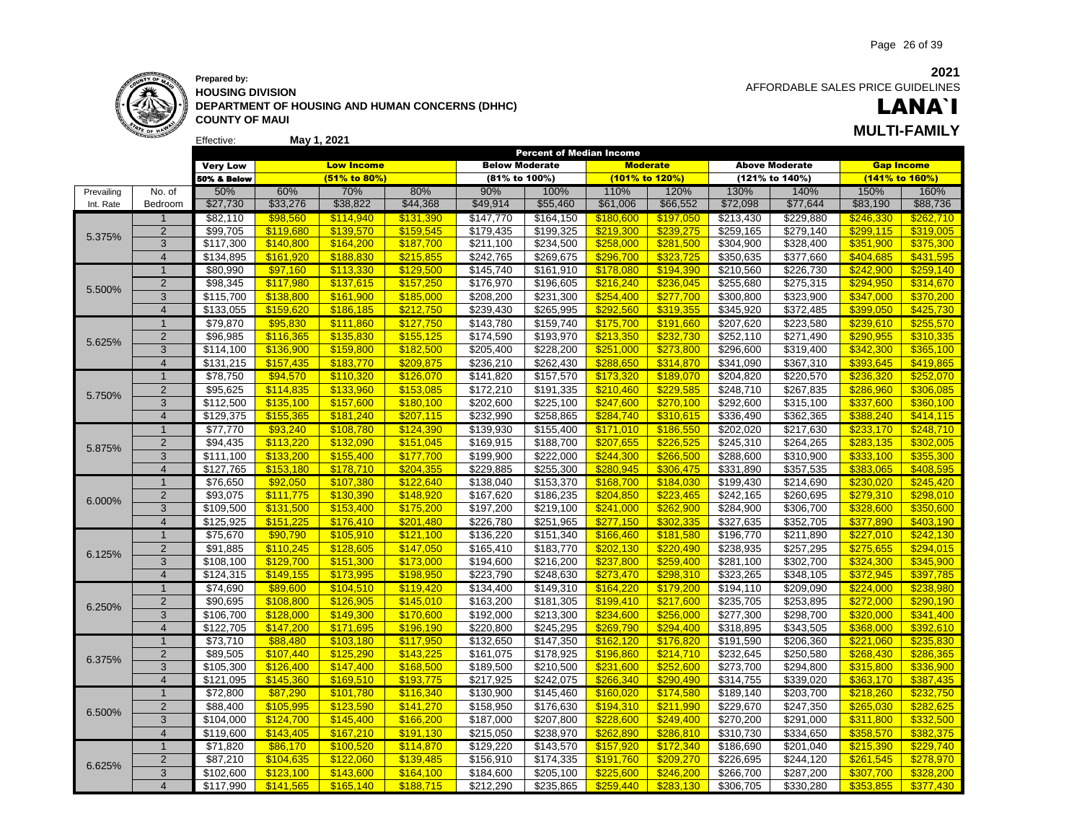

Effective:

**HOUSING DIVISION DEPARTMENT OF HOUSING AND HUMAN CONCERNS (DHHC) COUNTY OF MAUI**

**May 1, 2021**

 AFFORDABLE SALES PRICE GUIDELINES

### LANA`I **MULTI-FAMILY**

|            |                         | <b>Very Low</b>       |           | <b>Low Income</b> |           | <b>Below Moderate</b> |           | sent of mealan income<br><b>Moderate</b> |           |                       | <b>Above Moderate</b> | <b>Gap Income</b> |           |
|------------|-------------------------|-----------------------|-----------|-------------------|-----------|-----------------------|-----------|------------------------------------------|-----------|-----------------------|-----------------------|-------------------|-----------|
|            |                         | 50% & Below           |           | (51% to 80%)      |           | (81% to 100%)         |           | (101% to 120%)                           |           |                       | (121% to 140%)        | (141% to 160%)    |           |
| Prevailing | No. of                  | 50%                   | 60%       | 70%               | 80%       | 90%                   | 100%      | 110%                                     | 120%      | 130%                  | 140%                  | 150%              | 160%      |
| Int. Rate  | Bedroom                 | \$27,730              | \$33,276  | \$38,822          | \$44,368  | \$49,914              | \$55,460  | \$61,006                                 | \$66,552  | \$72,098              | \$77,644              | \$83,190          | \$88,736  |
|            | $\mathbf{1}$            | \$82,110              | \$98,560  | \$114,940         | \$131,390 | \$147,770             | \$164,150 | \$180,600                                | \$197,050 | \$213,430             | \$229,880             | \$246,330         | \$262,710 |
|            | $\overline{2}$          | \$99,705              | \$119,680 | \$139,570         | \$159,545 | \$179,435             | \$199,325 | \$219,300                                | \$239,275 | \$259,165             | \$279,140             | \$299,115         | \$319,005 |
| 5.375%     | 3                       | \$117,300             | \$140,800 | \$164,200         | \$187,700 | $\sqrt{$211,100}$     | \$234,500 | \$258,000                                | \$281,500 | \$304,900             | \$328,400             | \$351,900         | \$375,300 |
|            | $\overline{4}$          | \$134,895             | \$161,920 | \$188,830         | \$215,855 | $\overline{$242,765}$ | \$269,675 | \$296,700                                | \$323,725 | 350,635               | \$377,660             | \$404.685         | \$431,595 |
|            | $\mathbf{1}$            | \$80,990              | \$97,160  | \$113,330         | \$129,500 | \$145,740             | \$161,910 | \$178,080                                | \$194,390 | $\sqrt{210,560}$      | \$226,730             | \$242,900         | \$259,140 |
| 5.500%     | $\overline{2}$          | \$98,345              | \$117,980 | \$137,615         | \$157,250 | \$176,970             | \$196,605 | \$216,240                                | \$236,045 | \$255,680             | \$275,315             | \$294,950         | \$314,670 |
|            | 3                       | \$115,700             | \$138,800 | \$161,900         | \$185,000 | \$208,200             | \$231,300 | \$254,400                                | \$277,700 | \$300,800             | \$323,900             | \$347,000         | \$370,200 |
|            | $\overline{4}$          | \$133,055             | \$159,620 | \$186,185         | \$212,750 | \$239,430             | \$265,995 | \$292,560                                | \$319,355 | \$345,920             | \$372,485             | \$399,050         | \$425,730 |
|            | $\overline{1}$          | \$79,870              | \$95,830  | \$111,860         | \$127,750 | \$143,780             | \$159,740 | \$175,700                                | \$191,660 | \$207,620             | \$223,580             | \$239,610         | \$255,570 |
| 5.625%     | $\overline{2}$          | \$96,985              | \$116,365 | \$135,830         | \$155,125 | \$174,590             | \$193,970 | \$213,350                                | \$232,730 | \$252,110             | \$271,490             | \$290,955         | \$310,335 |
|            | 3                       | \$114,100             | \$136,900 | \$159,800         | \$182,500 | \$205,400             | \$228,200 | \$251,000                                | \$273,800 | \$296,600             | \$319,400             | \$342,300         | \$365,100 |
|            | $\overline{4}$          | \$131,215             | \$157,435 | \$183,770         | \$209.875 | \$236,210             | \$262,430 | \$288.650                                | \$314,870 | \$341,090             | \$367,310             | \$393.645         | \$419,865 |
|            | $\mathbf{1}$            | \$78,750              | \$94,570  | \$110,320         | \$126,070 | \$141,820             | \$157,570 | \$173,320                                | \$189,070 | \$204,820             | \$220,570             | \$236,320         | \$252,070 |
| 5.750%     | $\overline{2}$          | \$95,625              | \$114,835 | \$133,960         | \$153,085 | \$172,210             | \$191,335 | \$210,460                                | \$229,585 | \$248,710             | \$267,835             | \$286,960         | \$306,085 |
|            | 3                       | \$112,500             | \$135,100 | \$157,600         | \$180,100 | \$202,600             | \$225,100 | \$247,600                                | \$270,100 | \$292,600             | \$315,100             | \$337,600         | \$360,100 |
|            | $\overline{4}$          | \$129,375             | \$155,365 | \$181,240         | \$207,115 | \$232,990             | \$258,865 | \$284,740                                | \$310,615 | \$336,490             | \$362,365             | \$388,240         | \$414,115 |
|            | $\overline{1}$          | \$77,770              | \$93,240  | \$108,780         | \$124,390 | \$139,930             | \$155,400 | \$171,010                                | \$186,550 | \$202,020             | \$217,630             | \$233,170         | \$248,710 |
| 5.875%     | $\overline{2}$          | \$94,435              | \$113,220 | \$132,090         | \$151,045 | \$169,915             | \$188,700 | \$207,655                                | \$226,525 | \$245,310             | \$264,265             | \$283,135         | \$302,005 |
|            | 3                       | \$111,100             | \$133,200 | \$155,400         | \$177,700 | \$199,900             | \$222,000 | \$244,300                                | \$266,500 | \$288,600             | \$310,900             | \$333,100         | \$355,300 |
|            | $\overline{4}$          | \$127,765             | \$153,180 | \$178,710         | \$204,355 | \$229,885             | \$255,300 | \$280,945                                | \$306,475 | \$331,890             | \$357,535             | \$383,065         | \$408,595 |
|            | $\mathbf{1}$            | \$76,650              | \$92,050  | \$107,380         | \$122,640 | \$138,040             | \$153,370 | \$168,700                                | \$184,030 | \$199,430             | \$214,690             | \$230,020         | \$245,420 |
| 6.000%     | $\overline{2}$          | \$93,075              | \$111,775 | \$130,390         | \$148,920 | \$167,620             | \$186,235 | \$204,850                                | \$223,465 | \$242,165             | \$260,695             | \$279,310         | \$298,010 |
|            | 3                       | \$109,500             | \$131,500 | \$153,400         | \$175,200 | \$197,200             | \$219,100 | \$241,000                                | \$262,900 | \$284,900             | \$306,700             | \$328,600         | \$350,600 |
|            | $\overline{\mathbf{A}}$ | \$125,925             | \$151,225 | \$176,410         | \$201,480 | \$226,780             | \$251,965 | \$277,150                                | \$302,335 | \$327,635             | \$352,705             | \$377.890         | \$403,190 |
|            | $\overline{1}$          | \$75,670              | \$90,790  | \$105,910         | \$121,100 | \$136,220             | \$151,340 | \$166,460                                | \$181,580 | \$196,770             | \$211,890             | \$227,010         | \$242,130 |
| 6.125%     | $\overline{2}$          | \$91,885              | \$110,245 | \$128,605         | \$147,050 | \$165,410             | \$183,770 | \$202,130                                | \$220,490 | \$238,935             | \$257,295             | \$275,655         | \$294,015 |
|            | 3                       | \$108,100             | \$129,700 | \$151,300         | \$173,000 | \$194,600             | \$216,200 | \$237,800                                | \$259,400 | \$281,100             | \$302,700             | \$324,300         | \$345,900 |
|            | $\overline{4}$          | $\overline{$}124,315$ | \$149,155 | \$173,995         | \$198,950 | \$223,790             | \$248,630 | \$273,470                                | \$298,310 | \$323,265             | \$348,105             | \$372,945         | \$397,785 |
|            | $\mathbf{1}$            | \$74,690              | \$89,600  | \$104,510         | \$119,420 | \$134,400             | \$149,310 | \$164,220                                | \$179,200 | \$194,110             | \$209,090             | \$224,000         | \$238,980 |
| 6.250%     | $\overline{c}$          | \$90,695              | \$108,800 | \$126,905         | \$145,010 | \$163,200             | \$181,305 | \$199,410                                | \$217,600 | \$235,705             | \$253,895             | \$272,000         | \$290,190 |
|            | 3                       | \$106,700             | \$128,000 | \$149,300         | \$170,600 | \$192,000             | \$213,300 | \$234,600                                | \$256,000 | \$277,300             | \$298,700             | \$320,000         | \$341,400 |
|            | $\overline{4}$          | \$122,705             | \$147,200 | \$171,695         | \$196,190 | \$220,800             | \$245,295 | \$269,790                                | \$294,400 | \$318,895             | \$343,505             | \$368,000         | \$392,610 |
|            | $\mathbf{1}$            | \$73,710              | \$88,480  | \$103,180         | \$117,950 | \$132,650             | \$147,350 | \$162,120                                | \$176,820 | \$191,590             | \$206,360             | \$221,060         | \$235,830 |
| 6.375%     | $\overline{2}$          | \$89,505              | \$107.440 | \$125.290         | \$143,225 | \$161,075             | \$178,925 | \$196.860                                | \$214,710 | \$232,645             | \$250,580             | \$268,430         | \$286,365 |
|            | 3                       | $\overline{$}105,300$ | \$126,400 | \$147,400         | \$168,500 | \$189,500             | \$210,500 | \$231,600                                | \$252,600 | \$273,700             | \$294,800             | \$315,800         | \$336,900 |
|            | $\overline{4}$          | \$121,095             | \$145,360 | \$169.510         | \$193.775 | \$217,925             | \$242,075 | \$266.340                                | \$290.490 | \$314,755             | \$339,020             | \$363.170         | \$387.435 |
|            | $\mathbf{1}$            | \$72,800              | \$87,290  | \$101,780         | \$116,340 | \$130,900             | \$145,460 | \$160,020                                | \$174,580 | \$189,140             | \$203,700             | \$218,260         | \$232,750 |
| 6.500%     | $\overline{2}$          | \$88,400              | \$105,995 | \$123,590         | \$141,270 | \$158,950             | \$176,630 | \$194,310                                | \$211,990 | \$229,670             | \$247,350             | \$265,030         | \$282,625 |
|            | 3                       | \$104,000             | \$124,700 | \$145,400         | \$166,200 | \$187,000             | \$207,800 | \$228,600                                | \$249,400 | $\overline{$}270,200$ | \$291,000             | \$311,800         | \$332,500 |
|            | $\overline{4}$          | \$119,600             | \$143.405 | \$167.210         | \$191.130 | \$215,050             | \$238,970 | \$262.890                                | \$286.810 | \$310,730             | \$334,650             | \$358.570         | \$382.375 |
|            | $\mathbf{1}$            | \$71,820              | \$86,170  | \$100,520         | \$114,870 | \$129,220             | \$143,570 | \$157,920                                | \$172,340 | \$186,690             | \$201,040             | \$215,390         | \$229,740 |
| 6.625%     | $\overline{2}$          | \$87,210              | \$104,635 | \$122.060         | \$139,485 | \$156,910             | \$174,335 | \$191,760                                | \$209,270 | \$226,695             | \$244,120             | \$261,545         | \$278,970 |
|            | 3                       | \$102,600             | \$123,100 | \$143,600         | \$164,100 | \$184,600             | \$205,100 | \$225,600                                | \$246,200 | \$266,700             | \$287,200             | \$307,700         | \$328,200 |
|            | $\overline{4}$          | \$117,990             | \$141,565 | \$165.140         | \$188.715 | \$212,290             | \$235,865 | \$259.440                                | \$283,130 | \$306,705             | \$330,280             | \$353,855         | \$377.430 |

Percent of Median Income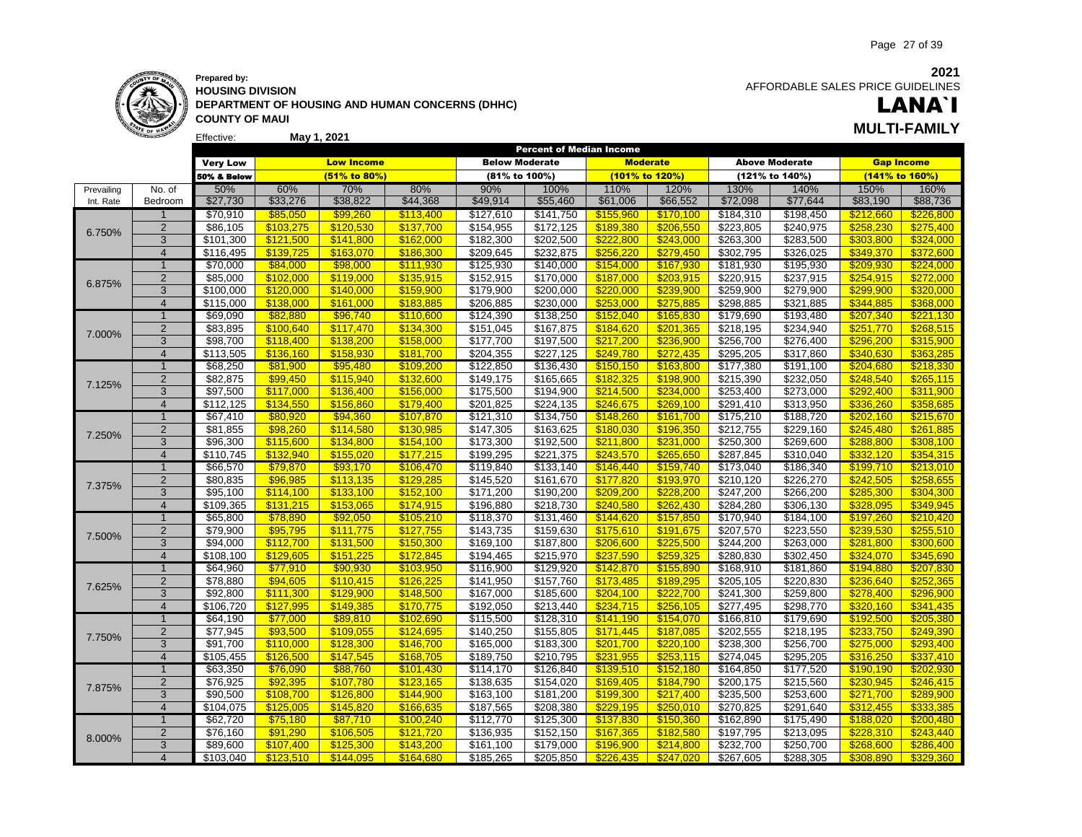

**Prepared by: HOUSING DIVISION DEPARTMENT OF HOUSING AND HUMAN CONCERNS (DHHC) COUNTY OF MAUI May 1, 2021 MULTI-FAMILY**

**2021** AFFORDABLE SALES PRICE GUIDELINES

# LANA`I

|            |                |                 |           |                   |           |                       | <b>Percent of Median Income</b> |           |                 |           |                       |           |                   |
|------------|----------------|-----------------|-----------|-------------------|-----------|-----------------------|---------------------------------|-----------|-----------------|-----------|-----------------------|-----------|-------------------|
|            |                | <b>Very Low</b> |           | <b>Low Income</b> |           | <b>Below Moderate</b> |                                 |           | <b>Moderate</b> |           | <b>Above Moderate</b> |           | <b>Gap Income</b> |
|            |                | 50% & Below     |           | (51% to 80%)      |           | (81% to 100%)         |                                 |           | (101% to 120%)  |           | (121% to 140%)        |           | (141% to 160%)    |
| Prevailing | No. of         | 50%             | 60%       | 70%               | 80%       | 90%                   | 100%                            | 110%      | 120%            | 130%      | 140%                  | 150%      | 160%              |
| Int. Rate  | Bedroom        | \$27,730        | \$33,276  | \$38,822          | \$44,368  | \$49,914              | \$55,460                        | \$61,006  | \$66,552        | \$72,098  | \$77,644              | \$83,190  | \$88,736          |
|            | $\overline{1}$ | \$70,910        | \$85,050  | \$99,260          | \$113,400 | \$127,610             | \$141,750                       | \$155,960 | \$170,100       | \$184,310 | \$198,450             | \$212,660 | \$226,800         |
|            | $\overline{2}$ | \$86,105        | \$103,275 | \$120,530         | \$137,700 | \$154,955             | \$172,125                       | \$189,380 | \$206,550       | \$223,805 | \$240,975             | \$258,230 | \$275,400         |
| 6.750%     | 3              | \$101,300       | \$121,500 | \$141.800         | \$162,000 | \$182,300             | \$202,500                       | \$222.800 | \$243,000       | \$263,300 | \$283,500             | \$303,800 | \$324,000         |
|            | $\overline{4}$ | \$116,495       | \$139,725 | \$163,070         | \$186,300 | \$209,645             | \$232,875                       | \$256,220 | \$279,450       | \$302,795 | \$326,025             | \$349,370 | \$372,600         |
|            | $\overline{1}$ | \$70,000        | \$84,000  | \$98,000          | \$111,930 | \$125,930             | \$140,000                       | \$154,000 | \$167,930       | \$181,930 | \$195,930             | \$209,930 | \$224,000         |
|            | $\overline{2}$ | \$85,000        | \$102,000 | \$119,000         | \$135,915 | \$152,915             | \$170,000                       | \$187,000 | \$203,915       | \$220,915 | \$237,915             | \$254,915 | \$272,000         |
| 6.875%     | $\overline{3}$ | \$100,000       | \$120,000 | \$140,000         | \$159,900 | \$179,900             | \$200,000                       | \$220,000 | \$239,900       | \$259,900 | \$279,900             | \$299,900 | \$320,000         |
|            | $\overline{4}$ | \$115,000       | \$138.000 | \$161.000         | \$183.885 | \$206,885             | \$230,000                       | \$253.000 | \$275.885       | 3298,885  | \$321,885             | \$344.885 | \$368.000         |
|            | $\overline{1}$ | \$69,090        | \$82,880  | \$96,740          | \$110,600 | \$124,390             | \$138,250                       | \$152,040 | \$165,830       | \$179,690 | \$193,480             | \$207,340 | \$221,130         |
|            | $\overline{2}$ | \$83,895        | \$100,640 | \$117,470         | \$134,300 | \$151,045             | \$167,875                       | \$184,620 | \$201,365       | \$218,195 | \$234,940             | \$251,770 | \$268,515         |
| 7.000%     | 3              | \$98,700        | \$118.400 | \$138.200         | \$158,000 | \$177,700             | \$197,500                       | \$217.200 | \$236,900       | \$256,700 | \$276,400             | \$296,200 | \$315,900         |
|            | $\overline{4}$ | \$113,505       | \$136,160 | \$158,930         | \$181,700 | \$204,355             | \$227,125                       | \$249,780 | \$272,435       | \$295,205 | \$317,860             | \$340,630 | \$363,285         |
|            | $\mathbf{1}$   | \$68,250        | \$81,900  | \$95,480          | \$109,200 | \$122,850             | \$136,430                       | \$150,150 | \$163,800       | \$177,380 | \$191,100             | \$204,680 | \$218,330         |
|            | $\overline{2}$ | \$82,875        | \$99,450  | \$115,940         | \$132,600 | \$149,175             | \$165,665                       | \$182,325 | \$198,900       | \$215,390 | \$232,050             | \$248,540 | \$265,115         |
| 7.125%     | $\overline{3}$ | \$97,500        | \$117,000 | \$136,400         | \$156,000 | \$175,500             | \$194,900                       | \$214,500 | \$234,000       | \$253,400 | \$273,000             | \$292,400 | \$311,900         |
|            | $\overline{4}$ | \$112,125       | \$134,550 | \$156,860         | \$179,400 | \$201,825             | \$224,135                       | \$246.675 | \$269,100       | \$291,410 | \$313,950             | \$336,260 | \$358,685         |
|            | $\overline{1}$ | \$67,410        | \$80,920  | \$94,360          | \$107.870 | \$121,310             | \$134,750                       | \$148,260 | \$161.700       | \$175,210 | \$188,720             | \$202.160 | \$215,670         |
|            | $\overline{2}$ | \$81,855        | \$98,260  | \$114,580         | \$130,985 | \$147,305             | \$163,625                       | \$180,030 | \$196,350       | \$212,755 | \$229,160             | \$245,480 | \$261,885         |
| 7.250%     | 3              | \$96,300        | \$115,600 | \$134,800         | \$154,100 | \$173,300             | \$192,500                       | \$211,800 | \$231,000       | \$250,300 | \$269,600             | \$288,800 | \$308,100         |
|            | $\overline{4}$ | \$110,745       | \$132,940 | \$155,020         | \$177,215 | \$199,295             | \$221,375                       | \$243.570 | \$265,650       | \$287,845 | \$310,040             | \$332.120 | \$354,315         |
|            | $\mathbf 1$    | \$66,570        | \$79,870  | \$93,170          | \$106,470 | \$119,840             | \$133,140                       | \$146,440 | \$159,740       | \$173,040 | \$186,340             | \$199,710 | \$213,010         |
|            | $\overline{2}$ | \$80,835        | \$96,985  | \$113,135         | \$129,285 | \$145,520             | \$161,670                       | \$177,820 | \$193,970       | \$210,120 | \$226,270             | \$242,505 | \$258,655         |
| 7.375%     | 3              | \$95,100        | \$114,100 | \$133,100         | \$152,100 | \$171,200             | \$190,200                       | \$209,200 | \$228,200       | \$247,200 | \$266,200             | \$285,300 | \$304,300         |
|            | $\overline{4}$ | \$109,365       | \$131,215 | \$153.065         | \$174,915 | \$196,880             | \$218,730                       | \$240.580 | \$262.430       | \$284,280 | \$306,130             | \$328.095 | \$349.945         |
|            | $\overline{1}$ | \$65,800        | \$78,890  | \$92,050          | \$105,210 | \$118,370             | \$131,460                       | \$144,620 | \$157,850       | \$170,940 | \$184,100             | \$197,260 | \$210,420         |
|            | $\overline{2}$ | \$79,900        | \$95,795  | \$111,775         | \$127,755 | \$143,735             | \$159,630                       | \$175,610 | \$191,675       | \$207,570 | \$223,550             | \$239,530 | \$255,510         |
| 7.500%     | 3              | \$94,000        | \$112,700 | \$131,500         | \$150,300 | \$169,100             | \$187,800                       | \$206,600 | \$225,500       | \$244,200 | \$263,000             | \$281,800 | \$300,600         |
|            | $\overline{4}$ | \$108,100       | \$129.605 | \$151.225         | \$172.845 | \$194,465             | \$215,970                       | \$237.590 | \$259.325       | \$280,830 | \$302,450             | \$324,070 | \$345.690         |
|            | $\mathbf{1}$   | \$64,960        | \$77,910  | \$90,930          | \$103,950 | \$116,900             | \$129,920                       | \$142,870 | \$155,890       | \$168,910 | \$181,860             | \$194,880 | \$207,830         |
|            | $\overline{2}$ | \$78,880        | \$94,605  | \$110,415         | \$126,225 | \$141,950             | \$157,760                       | \$173,485 | \$189,295       | \$205,105 | \$220,830             | \$236,640 | \$252,365         |
| 7.625%     | 3              | \$92,800        | \$111,300 | \$129,900         | \$148,500 | \$167,000             | \$185,600                       | \$204,100 | \$222,700       | \$241,300 | \$259,800             | \$278,400 | \$296,900         |
|            | $\overline{4}$ | \$106,720       | \$127.995 | \$149,385         | \$170.775 | \$192,050             | \$213,440                       | \$234.715 | \$256,105       | \$277,495 | \$298,770             | \$320.160 | \$341.435         |
|            | $\overline{1}$ | \$64,190        | \$77,000  | \$89,810          | \$102,690 | \$115,500             | \$128,310                       | \$141,190 | \$154,070       | \$166,810 | \$179,690             | \$192,500 | \$205,380         |
|            | $\overline{2}$ | \$77,945        | \$93,500  | \$109,055         | \$124,695 | \$140,250             | \$155,805                       | \$171.445 | \$187.085       | \$202,555 | \$218,195             | \$233,750 | \$249,390         |
| 7.750%     | 3              | \$91,700        | \$110,000 | \$128,300         | \$146,700 | \$165,000             | \$183,300                       | \$201,700 | \$220,100       | \$238,300 | \$256,700             | \$275,000 | \$293,400         |
|            | $\overline{4}$ | \$105,455       | \$126,500 | \$147,545         | \$168,705 | \$189,750             | \$210,795                       | \$231,955 | \$253,115       | \$274,045 | \$295,205             | \$316,250 | \$337,410         |
|            | $\mathbf{1}$   | \$63,350        | \$76,090  | \$88,760          | \$101,430 | \$114, 170            | \$126,840                       | \$139,510 | \$152,180       | \$164,850 | \$177,520             | \$190,190 | \$202,930         |
|            | $\overline{2}$ | \$76,925        | \$92,395  | \$107,780         | \$123,165 | \$138,635             | \$154,020                       | \$169,405 | \$184,790       | \$200,175 | \$215,560             | \$230,945 | \$246,415         |
| 7.875%     | 3              | \$90,500        | \$108,700 | \$126,800         | \$144,900 | \$163,100             | \$181,200                       | \$199,300 | \$217,400       | \$235,500 | \$253,600             | \$271,700 | \$289,900         |
|            | $\overline{4}$ | \$104,075       | \$125.005 | \$145.820         | \$166.635 | \$187,565             | \$208,380                       | \$229.195 | \$250.010       | \$270,825 | \$291,640             | \$312,455 | \$333.385         |
|            | $\mathbf{1}$   | \$62,720        | \$75,180  | \$87,710          | \$100,240 | \$112,770             | \$125,300                       | \$137,830 | \$150,360       | \$162,890 | \$175,490             | \$188,020 | \$200,480         |
|            | $\overline{2}$ | \$76,160        | \$91,290  | \$106,505         | \$121,720 | \$136,935             | \$152,150                       | \$167,365 | \$182,580       | \$197,795 | \$213,095             | \$228,310 | \$243,440         |
| 8.000%     | 3              | \$89,600        | \$107,400 | \$125,300         | \$143,200 | \$161,100             | \$179,000                       | \$196,900 | \$214,800       | \$232,700 | \$250,700             | \$268,600 | \$286,400         |
|            | $\overline{4}$ | \$103.040       | \$123.510 | \$144.095         | \$164,680 | \$185,265             | \$205.850                       | \$226.435 | \$247.020       | \$267,605 | \$288,305             | \$308,890 | \$329.360         |
|            |                |                 |           |                   |           |                       |                                 |           |                 |           |                       |           |                   |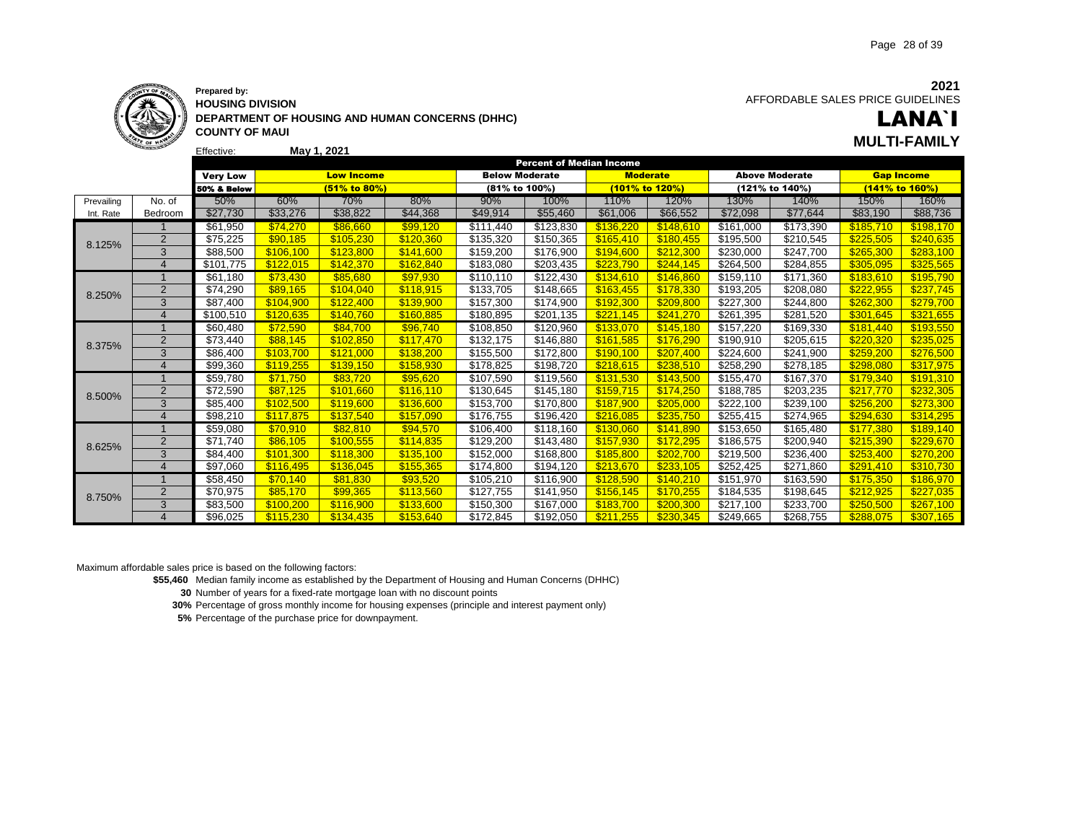

Effective:

**HOUSING DIVISION DEPARTMENT OF HOUSING AND HUMAN CONCERNS (DHHC) COUNTY OF MAUI May 1, 2021 MULTI-FAMILY**

LANA`I

|            |                       |                        |           |                   |           |                       | <b>Percent of Median Income</b> |                 |           |                       |                       |                   |           |
|------------|-----------------------|------------------------|-----------|-------------------|-----------|-----------------------|---------------------------------|-----------------|-----------|-----------------------|-----------------------|-------------------|-----------|
|            |                       | <b>Very Low</b>        |           | <b>Low Income</b> |           | <b>Below Moderate</b> |                                 | <b>Moderate</b> |           |                       | <b>Above Moderate</b> | <b>Gap Income</b> |           |
|            |                       | <b>50% &amp; Below</b> |           | $(51\%$ to 80%)   |           | (81% to 100%)         |                                 | (101% to 120%)  |           |                       | (121% to 140%)        | (141% to 160%)    |           |
| Prevailing | No. of                | 50%                    | 60%       | 70%               | 80%       | 90%                   | 100%                            | 110%            | 120%      | 130%                  | 140%                  | 150%              | 160%      |
| Int. Rate  | Bedroom               | \$27,730               | \$33,276  | \$38,822          | \$44,368  | \$49,914              | \$55,460                        | \$61,006        | \$66,552  | \$72,098              | \$77,644              | \$83,190          | \$88,736  |
|            |                       | \$61,950               | \$74,270  | \$86.660          | \$99.120  | \$111,440             | \$123,830                       | \$136.220       | \$148.610 | \$161,000             | \$173,390             | \$185.710         | \$198,170 |
| 8.125%     | 2                     | \$75,225               | \$90.185  | \$105.230         | \$120,360 | \$135,320             | \$150,365                       | \$165,410       | \$180,455 | \$195,500             | \$210,545             | \$225,505         | \$240,635 |
|            | 3                     | \$88,500               | \$106,100 | \$123,800         | \$141.600 | \$159,200             | \$176,900                       | \$194.600       | \$212,300 | \$230,000             | \$247,700             | \$265,300         | \$283,100 |
|            | $\overline{4}$        | \$101,775              | \$122.015 | \$142,370         | \$162.840 | \$183,080             | \$203,435                       | \$223.790       | \$244.145 | \$264,500             | \$284,855             | \$305.095         | \$325.565 |
|            |                       | \$61,180               | \$73,430  | \$85,680          | \$97,930  | \$110,110             | \$122,430                       | \$134,610       | \$146,860 | \$159,110             | $\overline{$}171,360$ | \$183,610         | \$195,790 |
| 8.250%     | 2                     | \$74,290               | \$89.165  | \$104,040         | \$118,915 | \$133,705             | \$148,665                       | \$163,455       | \$178,330 | \$193,205             | \$208,080             | \$222,955         | \$237,745 |
|            | 3                     | \$87,400               | \$104,900 | \$122,400         | \$139,900 | \$157,300             | \$174,900                       | \$192,300       | \$209,800 | \$227,300             | \$244,800             | \$262,300         | \$279,700 |
|            | $\overline{4}$        | \$100,510              | \$120.635 | \$140.760         | \$160.885 | \$180,895             | \$201,135                       | \$221,145       | \$241,270 | \$261,395             | \$281,520             | \$301,645         | \$321,655 |
|            |                       | \$60,480               | \$72.590  | \$84.700          | \$96.740  | \$108,850             | \$120,960                       | \$133,070       | \$145.180 | $\overline{$}157,220$ | \$169,330             | \$181.440         | \$193,550 |
| 8.375%     | 2                     | \$73,440               | \$88.145  | \$102,850         | \$117,470 | \$132,175             | \$146,880                       | \$161,585       | \$176,290 | \$190,910             | \$205,615             | \$220,320         | \$235,025 |
|            | 3                     | \$86,400               | \$103.700 | \$121,000         | \$138.200 | \$155,500             | \$172,800                       | \$190.100       | \$207,400 | \$224.600             | \$241.900             | \$259,200         | \$276,500 |
|            | $\overline{4}$        | \$99,360               | \$119,255 | \$139.150         | \$158,930 | \$178,825             | \$198,720                       | \$218.615       | \$238,510 | \$258,290             | \$278,185             | \$298,080         | \$317,975 |
|            |                       | \$59,780               | \$71,750  | \$83,720          | \$95,620  | \$107,590             | \$119,560                       | \$131,530       | \$143,500 | \$155,470             | \$167,370             | \$179,340         | \$191,310 |
| 8.500%     | $\overline{2}$        | \$72,590               | \$87,125  | \$101,660         | \$116,110 | \$130,645             | \$145,180                       | \$159.715       | \$174,250 | \$188,785             | \$203,235             | \$217.770         | \$232,305 |
|            | 3                     | \$85,400               | \$102,500 | \$119,600         | \$136,600 | \$153,700             | \$170,800                       | \$187.900       | \$205,000 | \$222,100             | \$239,100             | \$256,200         | \$273,300 |
|            | $\overline{4}$        | \$98,210               | \$117.875 | \$137,540         | \$157,090 | \$176,755             | \$196,420                       | \$216.085       | \$235,750 | \$255,415             | \$274,965             | \$294.630         | \$314,295 |
|            |                       | \$59,080               | \$70.910  | \$82.810          | \$94,570  | \$106,400             | \$118,160                       | \$130,060       | \$141,890 | \$153,650             | \$165,480             | \$177,380         | \$189,140 |
| 8.625%     | $\overline{2}$        | \$71,740               | \$86.105  | \$100,555         | \$114.835 | \$129.200             | \$143,480                       | \$157,930       | \$172,295 | \$186.575             | \$200.940             | \$215.390         | \$229,670 |
|            | 3                     | \$84,400               | \$101,300 | \$118,300         | \$135,100 | \$152,000             | \$168,800                       | \$185,800       | \$202,700 | \$219,500             | \$236,400             | \$253,400         | \$270,200 |
|            | $\overline{4}$        | \$97,060               | \$116.495 | \$136.045         | \$155,365 | \$174,800             | \$194,120                       | \$213,670       | \$233,105 | \$252,425             | \$271,860             | \$291,410         | \$310,730 |
|            |                       | \$58,450               | \$70.140  | \$81.830          | \$93,520  | \$105,210             | \$116.900                       | \$128.590       | \$140.210 | $\overline{$}151,970$ | \$163,590             | \$175,350         | \$186,970 |
| 8.750%     | 2                     | \$70,975               | \$85,170  | \$99.365          | \$113,560 | \$127,755             | \$141,950                       | \$156.145       | \$170,255 | \$184,535             | \$198,645             | \$212,925         | \$227,035 |
|            | 3                     | \$83,500               | \$100.200 | \$116,900         | \$133,600 | \$150,300             | \$167,000                       | \$183.700       | \$200,300 | \$217.100             | \$233,700             | \$250,500         | \$267,100 |
|            | $\boldsymbol{\Delta}$ | \$96.025               | \$115.230 | \$134,435         | \$153.640 | \$172.845             | \$192.050                       | \$211,255       | \$230.345 | \$249.665             | \$268,755             | \$288.075         | \$307.165 |

Maximum affordable sales price is based on the following factors:

**\$55,460** Median family income as established by the Department of Housing and Human Concerns (DHHC)

**30** Number of years for a fixed-rate mortgage loan with no discount points

**30%** Percentage of gross monthly income for housing expenses (principle and interest payment only)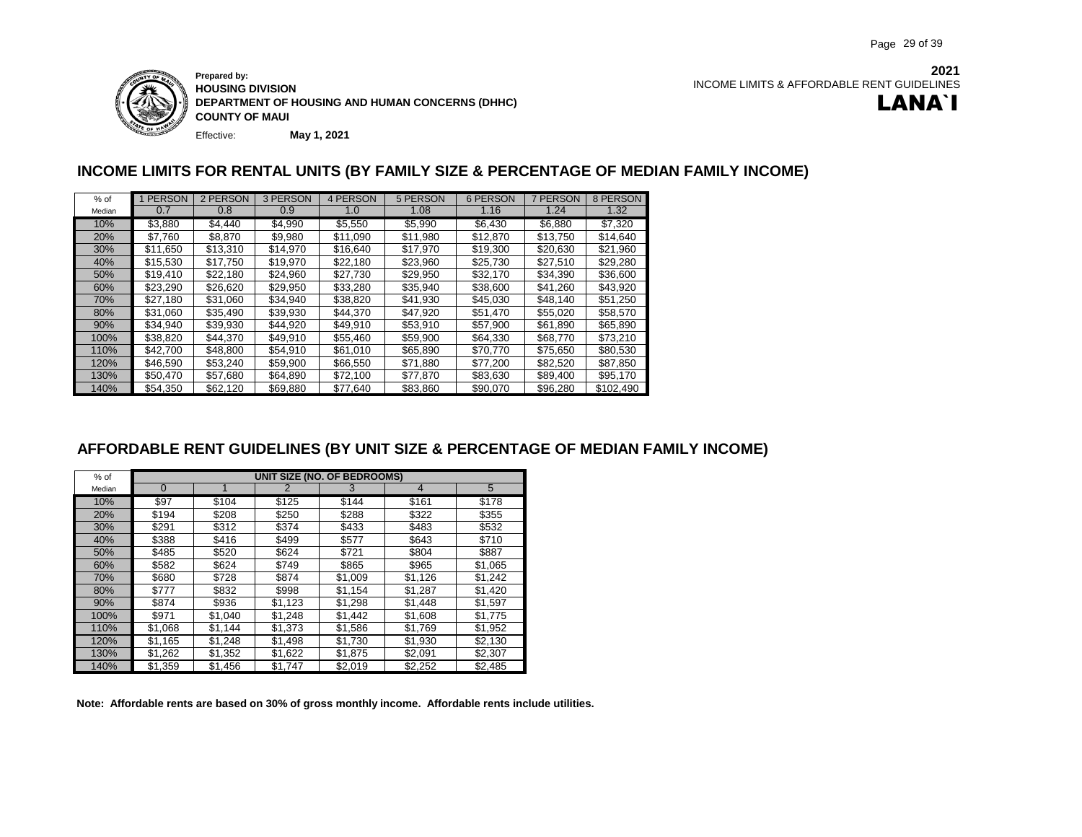

Effective: **Prepared by: HOUSING DIVISION DEPARTMENT OF HOUSING AND HUMAN CONCERNS (DHHC) COUNTY OF MAUI May 1, 2021**

**2021** INCOME LIMITS & AFFORDABLE RENT GUIDELINES LANA`I

### **INCOME LIMITS FOR RENTAL UNITS (BY FAMILY SIZE & PERCENTAGE OF MEDIAN FAMILY INCOME)**

| $%$ of     | 1 PERSON | 2 PERSON | 3 PERSON | 4 PERSON | 5 PERSON | 6 PERSON | 7 PERSON | 8 PERSON  |
|------------|----------|----------|----------|----------|----------|----------|----------|-----------|
| Median     | 0.7      | 0.8      | 0.9      | 1.0      | 1.08     | 1.16     | 1.24     | 1.32      |
| 10%        | \$3.880  | \$4.440  | \$4,990  | \$5,550  | \$5,990  | \$6.430  | \$6,880  | \$7.320   |
| <b>20%</b> | \$7,760  | \$8,870  | \$9,980  | \$11,090 | \$11,980 | \$12,870 | \$13,750 | \$14,640  |
| 30%        | \$11,650 | \$13,310 | \$14,970 | \$16,640 | \$17,970 | \$19,300 | \$20,630 | \$21,960  |
| 40%        | \$15,530 | \$17.750 | \$19,970 | \$22.180 | \$23,960 | \$25.730 | \$27,510 | \$29.280  |
| 50%        | \$19.410 | \$22.180 | \$24.960 | \$27,730 | \$29,950 | \$32.170 | \$34.390 | \$36,600  |
| 60%        | \$23,290 | \$26,620 | \$29,950 | \$33,280 | \$35,940 | \$38,600 | \$41.260 | \$43.920  |
| 70%        | \$27.180 | \$31,060 | \$34.940 | \$38,820 | \$41,930 | \$45.030 | \$48.140 | \$51.250  |
| 80%        | \$31,060 | \$35.490 | \$39,930 | \$44.370 | \$47,920 | \$51,470 | \$55,020 | \$58,570  |
| 90%        | \$34.940 | \$39,930 | \$44.920 | \$49.910 | \$53,910 | \$57,900 | \$61,890 | \$65,890  |
| 100%       | \$38,820 | \$44.370 | \$49.910 | \$55,460 | \$59,900 | \$64.330 | \$68,770 | \$73.210  |
| 110%       | \$42.700 | \$48,800 | \$54,910 | \$61,010 | \$65,890 | \$70,770 | \$75,650 | \$80,530  |
| 120%       | \$46.590 | \$53.240 | \$59,900 | \$66,550 | \$71,880 | \$77.200 | \$82.520 | \$87.850  |
| 130%       | \$50,470 | \$57.680 | \$64.890 | \$72,100 | \$77.870 | \$83,630 | \$89.400 | \$95.170  |
| 140%       | \$54.350 | \$62.120 | \$69,880 | \$77,640 | \$83.860 | \$90.070 | \$96.280 | \$102.490 |

### **AFFORDABLE RENT GUIDELINES (BY UNIT SIZE & PERCENTAGE OF MEDIAN FAMILY INCOME)**

| $%$ of | UNIT SIZE (NO. OF BEDROOMS) |         |         |         |                |         |  |  |  |  |  |  |  |
|--------|-----------------------------|---------|---------|---------|----------------|---------|--|--|--|--|--|--|--|
| Median | $\Omega$                    |         | 2       | 3       | $\overline{4}$ | 5       |  |  |  |  |  |  |  |
| 10%    | \$97                        | \$104   | \$125   | \$144   | \$161          | \$178   |  |  |  |  |  |  |  |
| 20%    | \$194                       | \$208   | \$250   | \$288   | \$322          | \$355   |  |  |  |  |  |  |  |
| 30%    | \$291                       | \$312   | \$374   | \$433   | \$483          | \$532   |  |  |  |  |  |  |  |
| 40%    | \$388                       | \$416   | \$499   | \$577   | \$643          | \$710   |  |  |  |  |  |  |  |
| 50%    | \$485                       | \$520   | \$624   | \$721   | \$804          | \$887   |  |  |  |  |  |  |  |
| 60%    | \$582                       | \$624   | \$749   | \$865   | \$965          | \$1,065 |  |  |  |  |  |  |  |
| 70%    | \$680                       | \$728   | \$874   | \$1,009 | \$1,126        | \$1.242 |  |  |  |  |  |  |  |
| 80%    | \$777                       | \$832   | \$998   | \$1,154 | \$1,287        | \$1,420 |  |  |  |  |  |  |  |
| 90%    | \$874                       | \$936   | \$1,123 | \$1,298 | \$1,448        | \$1,597 |  |  |  |  |  |  |  |
| 100%   | \$971                       | \$1.040 | \$1.248 | \$1.442 | \$1.608        | \$1.775 |  |  |  |  |  |  |  |
| 110%   | \$1,068                     | \$1,144 | \$1,373 | \$1,586 | \$1,769        | \$1,952 |  |  |  |  |  |  |  |
| 120%   | \$1,165                     | \$1,248 | \$1,498 | \$1,730 | \$1,930        | \$2,130 |  |  |  |  |  |  |  |
| 130%   | \$1,262                     | \$1,352 | \$1,622 | \$1,875 | \$2,091        | \$2,307 |  |  |  |  |  |  |  |
| 140%   | \$1,359                     | \$1,456 | \$1,747 | \$2,019 | \$2,252        | \$2,485 |  |  |  |  |  |  |  |

**Note: Affordable rents are based on 30% of gross monthly income. Affordable rents include utilities.**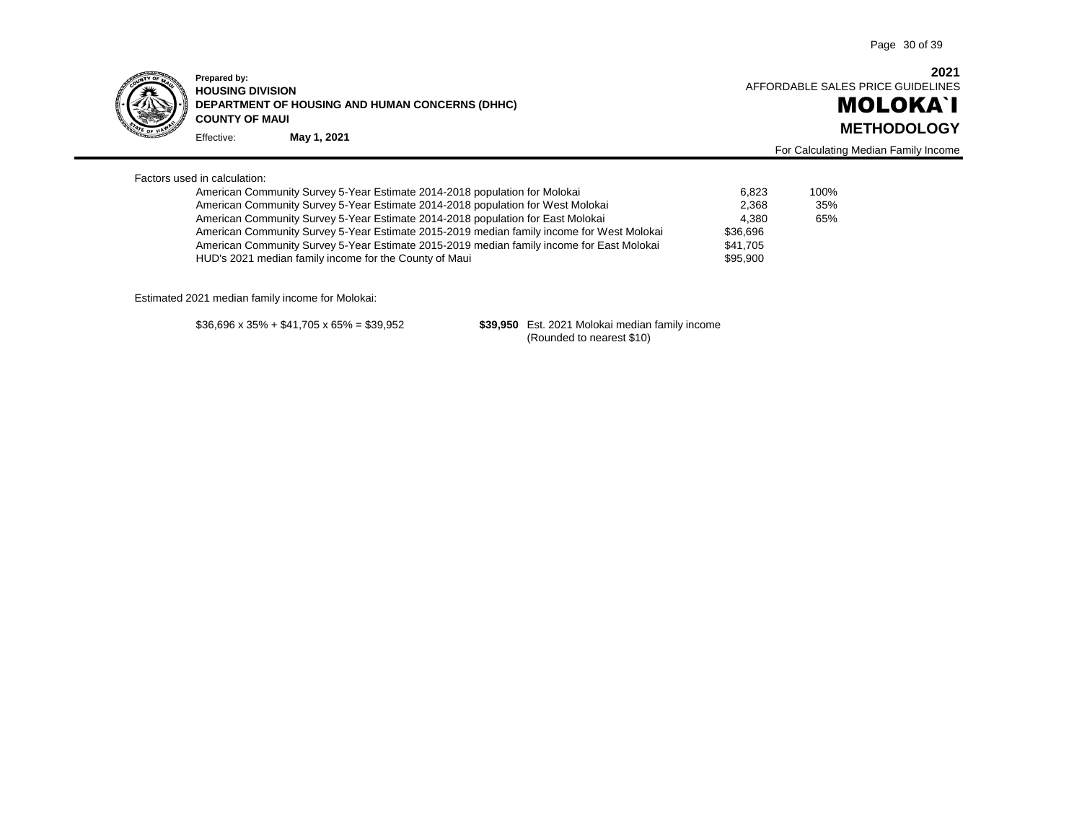

Effective: **Prepared by: HOUSING DIVISION DEPARTMENT OF HOUSING AND HUMAN CONCERNS (DHHC) COUNTY OF MAUI METHODOLOGY May 1, 2021**

**2021** AFFORDABLE SALES PRICE GUIDELINES

For Calculating Median Family Income

# MOLOKA`I

| Factors used in calculation: |
|------------------------------|
|------------------------------|

| American Community Survey 5-Year Estimate 2014-2018 population for Molokai                | 6.823    | 100% |
|-------------------------------------------------------------------------------------------|----------|------|
| American Community Survey 5-Year Estimate 2014-2018 population for West Molokai           | 2.368    | 35%  |
| American Community Survey 5-Year Estimate 2014-2018 population for East Molokai           | 4.380    | 65%  |
| American Community Survey 5-Year Estimate 2015-2019 median family income for West Molokai | \$36,696 |      |
| American Community Survey 5-Year Estimate 2015-2019 median family income for East Molokai | \$41.705 |      |
| HUD's 2021 median family income for the County of Maui                                    | \$95,900 |      |

Estimated 2021 median family income for Molokai:

\$36,696 x 35% + \$41,705 x 65% = \$39,952 **\$39,950** Est. 2021 Molokai median family income (Rounded to nearest \$10)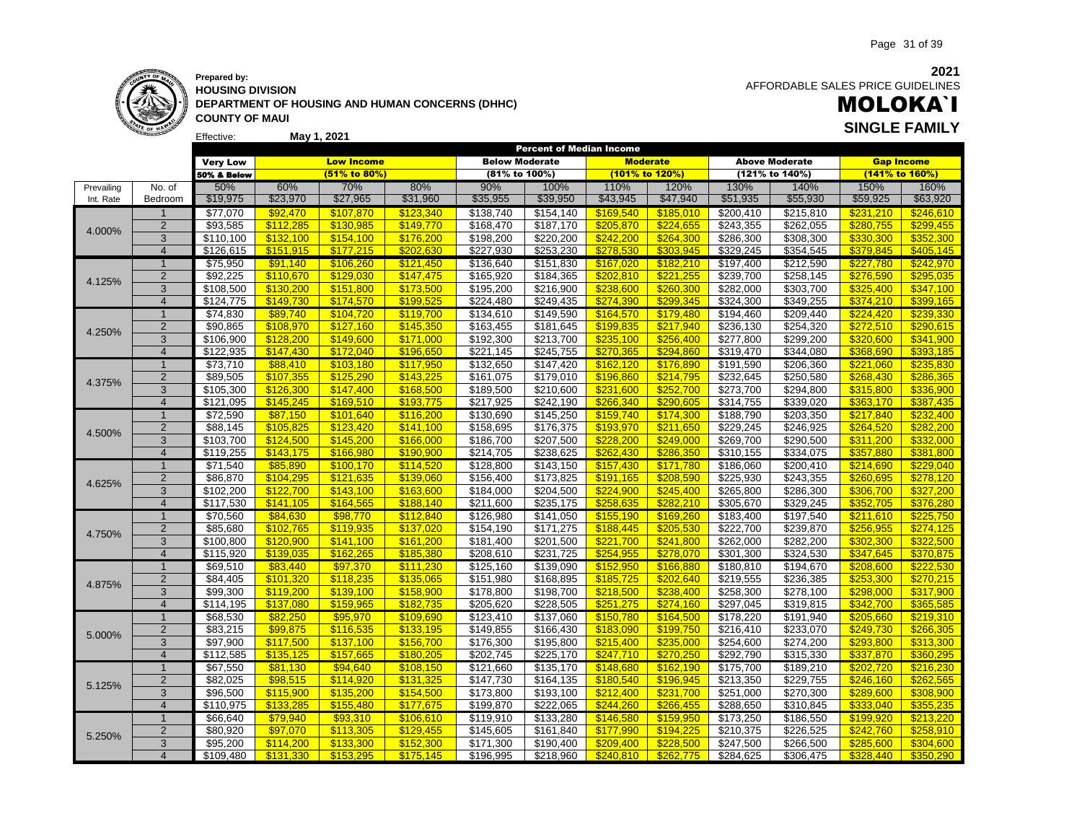### **Prepared by: HOUSING DIVISION DEPARTMENT OF HOUSING AND HUMAN CONCERNS (DHHC) COUNTY OF MAUI May 1, 2021 SINGLE FAMILY**

 AFFORDABLE SALES PRICE GUIDELINES

# MOLOKA`I

|            |                |                       |           |                   |           |                       | Percent of Median Income |                 |           |           |                       |                   |                |
|------------|----------------|-----------------------|-----------|-------------------|-----------|-----------------------|--------------------------|-----------------|-----------|-----------|-----------------------|-------------------|----------------|
|            |                | <b>Very Low</b>       |           | <b>Low Income</b> |           | <b>Below Moderate</b> |                          | <b>Moderate</b> |           |           | <b>Above Moderate</b> | <b>Gap Income</b> |                |
|            |                | 50% & Below           |           | (51% to 80%)      |           | (81% to 100%)         |                          | (101% to 120%)  |           |           | (121% to 140%)        |                   | (141% to 160%) |
| Prevailing | No. of         | 50%                   | 60%       | 70%               | 80%       | 90%                   | 100%                     | 110%            | 120%      | 130%      | 140%                  | 150%              | 160%           |
| Int. Rate  | Bedroom        | \$19,975              | \$23,970  | \$27,965          | \$31,960  | \$35,955              | \$39,950                 | \$43,945        | \$47,940  | \$51,935  | \$55,930              | \$59,925          | \$63,920       |
|            | $\mathbf 1$    | \$77,070              | \$92,470  | \$107,870         | \$123,340 | \$138,740             | \$154,140                | \$169,540       | \$185,010 | \$200,410 | \$215,810             | \$231,210         | \$246,610      |
|            | $\overline{2}$ | \$93,585              | \$112,285 | \$130,985         | \$149,770 | \$168,470             | \$187,170                | \$205,870       | \$224,655 | \$243,355 | \$262,055             | \$280,755         | \$299,455      |
| 4.000%     | 3              | $\overline{$}110,100$ | \$132,100 | \$154,100         | \$176,200 | \$198,200             | \$220,200                | \$242,200       | \$264,300 | \$286,300 | \$308,300             | \$330,300         | \$352,300      |
|            | $\overline{4}$ | \$126,615             | \$151.915 | \$177,215         | \$202,630 | $\overline{$227,930}$ | \$253,230                | \$278.530       | \$303,945 | \$329.245 | \$354,545             | \$379.845         | \$405,145      |
|            | $\overline{1}$ | \$75,950              | \$91,140  | \$106,260         | \$121,450 | \$136,640             | \$151,830                | \$167,020       | \$182,210 | \$197,400 | \$212,590             | \$227,780         | \$242,970      |
|            | $\overline{2}$ | \$92,225              | \$110,670 | \$129,030         | \$147,475 | \$165,920             | \$184,365                | \$202,810       | \$221,255 | \$239,700 | \$258,145             | \$276,590         | \$295,035      |
| 4.125%     | 3              | \$108,500             | \$130,200 | \$151,800         | \$173,500 | \$195,200             | \$216,900                | \$238,600       | \$260,300 | \$282,000 | \$303,700             | \$325,400         | \$347,100      |
|            | $\overline{4}$ | \$124,775             | \$149,730 | \$174,570         | \$199,525 | \$224,480             | \$249,435                | \$274,390       | \$299,345 | \$324,300 | \$349,255             | \$374,210         | \$399,165      |
|            | $\overline{1}$ | \$74,830              | \$89,740  | \$104,720         | \$119,700 | \$134,610             | \$149,590                | \$164,570       | \$179,480 | \$194,460 | \$209,440             | \$224,420         | \$239,330      |
|            | $\overline{2}$ | \$90,865              | \$108,970 | \$127,160         | \$145,350 | \$163,455             | \$181,645                | \$199,835       | \$217,940 | \$236,130 | \$254,320             | \$272,510         | \$290,615      |
| 4.250%     | 3              | \$106,900             | \$128,200 | \$149,600         | \$171,000 | \$192,300             | \$213,700                | \$235,100       | \$256,400 | \$277,800 | \$299,200             | \$320,600         | \$341,900      |
|            | $\overline{4}$ | \$122.935             | \$147.430 | \$172.040         | \$196.650 | \$221,145             | \$245,755                | \$270.365       | \$294.860 | \$319.470 | 3344,080              | \$368,690         | \$393.185      |
|            | $\mathbf{1}$   | \$73,710              | \$88,410  | \$103,180         | \$117,950 | \$132,650             | \$147,420                | \$162,120       | \$176,890 | \$191,590 | \$206,360             | \$221,060         | \$235,830      |
|            | $\overline{2}$ | \$89,505              | \$107,355 | \$125,290         | \$143,225 | \$161,075             | \$179,010                | \$196,860       | \$214,795 | \$232,645 | \$250,580             | \$268,430         | \$286,365      |
| 4.375%     | 3              | \$105,300             | \$126,300 | \$147,400         | \$168,500 | \$189,500             | \$210,600                | \$231,600       | \$252,700 | \$273,700 | \$294,800             | \$315,800         | \$336,900      |
|            | $\overline{4}$ | \$121,095             | \$145,245 | \$169,510         | \$193,775 | \$217,925             | \$242,190                | \$266,340       | \$290,605 | \$314,755 | \$339,020             | \$363,170         | \$387,435      |
|            | $\overline{1}$ | \$72,590              | \$87,150  | \$101,640         | \$116,200 | \$130,690             | \$145,250                | \$159,740       | \$174,300 | \$188,790 | \$203,350             | \$217,840         | \$232,400      |
|            | $\overline{2}$ | \$88,145              | \$105,825 | \$123,420         | \$141,100 | \$158,695             | \$176,375                | \$193,970       | \$211,650 | \$229,245 | \$246,925             | \$264,520         | \$282,200      |
| 4.500%     | 3              | \$103,700             | \$124,500 | \$145,200         | \$166,000 | \$186,700             | \$207,500                | \$228,200       | \$249,000 | \$269,700 | \$290,500             | \$311,200         | \$332,000      |
|            | $\overline{4}$ | \$119,255             | \$143,175 | \$166,980         | \$190,900 | \$214,705             | \$238,625                | \$262,430       | \$286,350 | \$310,155 | \$334,075             | \$357,880         | \$381,800      |
|            | $\overline{1}$ | \$71,540              | \$85,890  | \$100,170         | \$114,520 | \$128,800             | \$143,150                | \$157,430       | \$171,780 | \$186,060 | \$200,410             | \$214,690         | \$229,040      |
|            | $\overline{2}$ | \$86,870              | \$104,295 | \$121,635         | \$139,060 | \$156,400             | \$173,825                | \$191,165       | \$208,590 | \$225,930 | \$243,355             | \$260,695         | \$278,120      |
| 4.625%     | 3              | \$102,200             | \$122.700 | \$143,100         | \$163,600 | \$184,000             | \$204,500                | \$224,900       | \$245,400 | \$265,800 | \$286,300             | \$306,700         | \$327,200      |
|            | $\overline{4}$ | \$117,530             | \$141.105 | \$164,565         | \$188.140 | \$211,600             | \$235,175                | \$258,635       | \$282,210 | \$305,670 | \$329,245             | \$352,705         | \$376,280      |
|            | $\mathbf{1}$   | \$70,560              | \$84,630  | \$98,770          | \$112,840 | \$126,980             | \$141,050                | \$155,190       | \$169,260 | \$183,400 | \$197,540             | \$211,610         | \$225,750      |
|            | $\sqrt{2}$     | \$85,680              | \$102,765 | \$119,935         | \$137,020 | \$154,190             | \$171,275                | \$188,445       | \$205,530 | \$222,700 | \$239,870             | \$256,955         | \$274,125      |
| 4.750%     | 3              | \$100,800             | \$120,900 | \$141,100         | \$161,200 | \$181,400             | \$201,500                | \$221,700       | \$241,800 | \$262,000 | \$282,200             | \$302,300         | \$322,500      |
|            | $\overline{4}$ | \$115,920             | \$139.035 | \$162.265         | \$185,380 | \$208,610             | \$231,725                | \$254.955       | \$278,070 | \$301,300 | \$324,530             | \$347.645         | \$370,875      |
|            | $\mathbf{1}$   | \$69,510              | \$83,440  | \$97,370          | \$111,230 | \$125,160             | \$139,090                | \$152,950       | \$166,880 | \$180,810 | \$194,670             | \$208,600         | \$222,530      |
|            | $\overline{2}$ | \$84,405              | \$101,320 | \$118,235         | \$135,065 | \$151,980             | \$168,895                | \$185,725       | \$202,640 | \$219,555 | \$236,385             | \$253,300         | \$270,215      |
| 4.875%     | 3              | \$99,300              | \$119,200 | \$139,100         | \$158,900 | \$178,800             | \$198,700                | \$218,500       | \$238,400 | \$258,300 | \$278,100             | \$298,000         | \$317,900      |
|            | $\overline{4}$ | $\overline{$114,195}$ | \$137.080 | \$159.965         | \$182,735 | \$205,620             | \$228,505                | \$251.275       | \$274.160 | \$297,045 | \$319,815             | \$342.700         | \$365.585      |
|            | $\mathbf{1}$   | \$68,530              | \$82,250  | \$95,970          | \$109,690 | \$123,410             | \$137,060                | \$150,780       | \$164,500 | \$178,220 | \$191,940             | \$205,660         | \$219,310      |
|            | $\overline{2}$ | \$83,215              | \$99,875  | \$116,535         | \$133,195 | \$149,855             | \$166,430                | \$183,090       | \$199,750 | \$216,410 | \$233,070             | \$249.730         | \$266,305      |
| 5.000%     | $\overline{3}$ | \$97,900              | \$117,500 | \$137,100         | \$156,700 | \$176,300             | \$195,800                | \$215,400       | \$235,000 | \$254,600 | \$274,200             | \$293,800         | \$313,300      |
|            | $\overline{4}$ | \$112,585             | \$135,125 | \$157,665         | \$180,205 | \$202,745             | \$225,170                | \$247,710       | \$270,250 | \$292,790 | \$315,330             | \$337,870         | \$360,295      |
|            | $\overline{1}$ | \$67,550              | \$81,130  | \$94,640          | \$108,150 | \$121,660             | \$135,170                | \$148,680       | \$162,190 | \$175,700 | \$189,210             | \$202,720         | \$216,230      |
|            | $\overline{2}$ | \$82,025              | \$98,515  | \$114,920         | \$131,325 | \$147,730             | \$164,135                | \$180,540       | \$196,945 | \$213,350 | \$229,755             | \$246,160         | \$262,565      |
| 5.125%     | 3              | \$96,500              | \$115,900 | \$135,200         | \$154,500 | \$173,800             | \$193,100                | \$212,400       | \$231,700 | \$251,000 | \$270,300             | \$289,600         | \$308,900      |
|            | $\overline{4}$ | \$110,975             | \$133.285 | \$155.480         | \$177.675 | \$199,870             | \$222,065                | \$244.260       | \$266.455 | \$288,650 | \$310,845             | \$333.040         | \$355.235      |
|            | $\mathbf{1}$   | \$66,640              | \$79,940  | \$93,310          | \$106,610 | \$119,910             | \$133,280                | \$146,580       | \$159,950 | \$173,250 | \$186,550             | \$199,920         | \$213,220      |
|            | $\overline{c}$ | \$80,920              | \$97,070  | \$113,305         | \$129,455 | \$145,605             | \$161,840                | \$177,990       | \$194,225 | \$210,375 | \$226,525             | \$242,760         | \$258,910      |
| 5.250%     | 3              | \$95,200              | \$114,200 | \$133,300         | \$152,300 | \$171,300             | \$190,400                | \$209,400       | \$228,500 | \$247,500 | \$266,500             | \$285,600         | \$304,600      |
|            | $\overline{4}$ | \$109,480             | \$131.330 | \$153.295         | \$175.145 | \$196,995             | \$218,960                | \$240.810       | \$262,775 | \$284,625 | \$306,475             | \$328,440         | \$350.290      |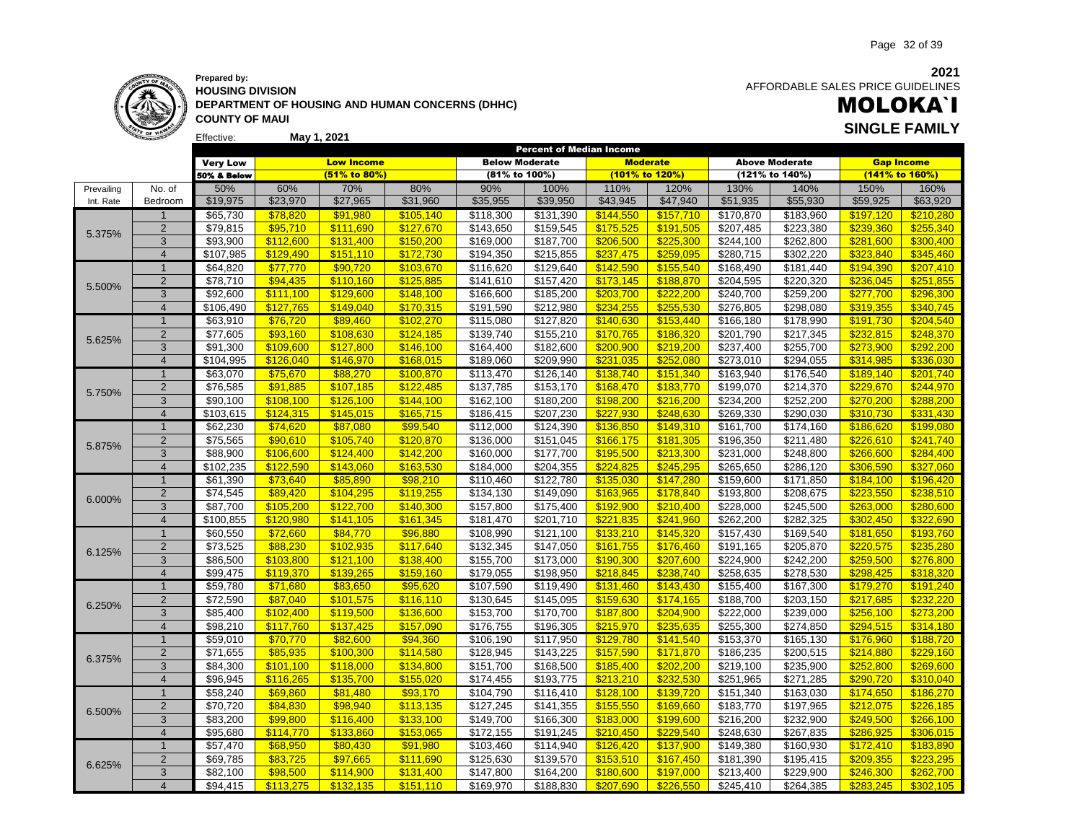### **Prepared by: HOUSING DIVISION DEPARTMENT OF HOUSING AND HUMAN CONCERNS (DHHC) COUNTY OF MAUI May 1, 2021 SINGLE FAMILY**

AFFORDABLE SALES PRICE GUIDELINES

# MOLOKA`I

Page 32 of 39

|            |                |                      |                       |                        |                       |                        | <b>Percent of Median Income</b> |                        |                        |                        |                        |                        |                        |
|------------|----------------|----------------------|-----------------------|------------------------|-----------------------|------------------------|---------------------------------|------------------------|------------------------|------------------------|------------------------|------------------------|------------------------|
|            |                | <b>Very Low</b>      |                       | <b>Low Income</b>      |                       | <b>Below Moderate</b>  |                                 | <b>Moderate</b>        |                        |                        | <b>Above Moderate</b>  | <b>Gap Income</b>      |                        |
|            |                | 50% & Below          |                       | (51% to 80%)           |                       | (81% to 100%)          |                                 | (101% to 120%)         |                        |                        | (121% to 140%)         | (141% to 160%)         |                        |
| Prevailing | No. of         | 50%                  | 60%                   | 70%                    | 80%                   | 90%                    | 100%                            | 110%                   | 120%                   | 130%                   | 140%                   | 150%                   | 160%                   |
| Int. Rate  | Bedroom        | \$19,975             | \$23,970              | \$27,965               | \$31,960              | \$35,955               | \$39,950                        | \$43,945               | \$47,940               | \$51,935               | \$55,930               | \$59,925               | \$63,920               |
|            | $\mathbf 1$    | \$65,730             | \$78,820              | \$91,980               | \$105,140             | \$118,300              | \$131,390                       | \$144,550              | \$157,710              | \$170,870              | \$183,960              | \$197,120              | \$210,280              |
|            | $\overline{2}$ | \$79,815             | \$95,710              | \$111,690              | \$127,670             | \$143,650              | \$159,545                       | \$175,525              | \$191,505              | 3207,485               | \$223,380              | \$239,360              | \$255,340              |
| 5.375%     | 3              | \$93,900             | \$112,600             | \$131,400              | \$150,200             | \$169,000              | \$187,700                       | \$206,500              | \$225,300              | \$244,100              | \$262,800              | \$281,600              | \$300,400              |
|            | $\overline{4}$ | \$107,985            | \$129.490             | \$151.110              | \$172,730             | \$194,350              | \$215,855                       | \$237,475              | \$259.095              | \$280,715              | \$302,220              | \$323.840              | \$345.460              |
|            | $\mathbf{1}$   | \$64,820             | \$77,770              | \$90,720               | \$103,670             | \$116,620              | \$129,640                       | \$142,590              | \$155,540              | \$168,490              | $\overline{$}181,440$  | \$194,390              | \$207,410              |
| 5.500%     | $\overline{2}$ | \$78,710             | \$94,435              | \$110,160              | \$125,885             | \$141,610              | \$157,420                       | \$173,145              | \$188,870              | \$204,595              | \$220,320              | \$236,045              | \$251,855              |
|            | 3              | \$92,600             | \$111,100             | \$129,600              | \$148,100             | \$166,600              | \$185,200                       | \$203,700              | \$222,200              | \$240,700              | \$259,200              | \$277,700              | \$296,300              |
|            | $\overline{4}$ | \$106,490            | \$127,765             | \$149.040              | \$170.315             | \$191,590              | \$212,980                       | \$234,255              | \$255.530              | \$276,805              | \$298,080              | \$319.355              | \$340.745              |
|            | $\overline{1}$ | \$63,910             | \$76,720              | \$89,460               | \$102,270             | \$115,080              | \$127,820                       | \$140,630              | \$153,440              | \$166,180              | \$178,990              | \$191,730              | \$204,540              |
| 5.625%     | $\overline{2}$ | \$77,605             | \$93,160              | \$108,630              | \$124,185             | \$139,740              | \$155,210                       | \$170,765              | \$186,320              | \$201,790              | \$217,345              | \$232,815              | \$248,370              |
|            | 3              | \$91,300             | \$109,600             | \$127.800              | \$146,100             | \$164,400              | \$182,600                       | \$200,900              | \$219,200              | \$237,400              | \$255,700              | \$273,900              | \$292,200              |
|            | $\overline{4}$ | \$104,995            | \$126,040             | \$146,970              | \$168,015             | \$189,060              | \$209,990                       | \$231,035              | \$252,080              | \$273,010              | \$294,055              | \$314,985              | \$336,030              |
|            | $\overline{1}$ | \$63,070             | \$75,670              | \$88,270               | \$100,870             | \$113,470              | \$126,140                       | \$138,740              | \$151,340              | \$163,940              | \$176,540              | \$189,140              | \$201,740              |
| 5.750%     | $\overline{2}$ | \$76,585             | \$91,885              | \$107,185              | \$122,485             | \$137,785              | \$153,170                       | \$168,470              | \$183,770              | \$199,070              | \$214,370              | \$229,670              | \$244,970              |
|            | 3              | \$90,100             | \$108,100             | \$126,100              | \$144,100             | \$162,100              | \$180,200                       | \$198,200              | \$216,200              | \$234,200              | \$252,200              | \$270,200              | \$288,200              |
|            | $\overline{4}$ | \$103,615            | \$124,315             | \$145,015              | \$165,715             | \$186,415              | \$207,230                       | \$227.930              | \$248.630              | \$269,330              | \$290,030              | \$310,730              | \$331,430              |
|            | $\mathbf{1}$   | \$62,230             | \$74,620              | \$87,080               | \$99,540              | \$112,000              | \$124,390                       | \$136,850              | \$149,310              | \$161,700              | \$174,160              | \$186,620              | \$199,080              |
| 5.875%     | $\overline{2}$ | \$75,565             | \$90,610              | \$105,740              | \$120,870             | \$136,000              | \$151,045                       | \$166,175              | \$181,305              | \$196,350              | \$211,480              | \$226,610              | \$241,740              |
|            | 3              | \$88,900             | \$106,600             | \$124.400              | \$142.200             | \$160,000              | \$177,700                       | \$195,500              | \$213,300              | \$231,000              | \$248.800              | \$266,600              | \$284,400              |
|            | $\overline{4}$ | \$102,235            | \$122.590             | \$143,060              | \$163,530             | \$184,000              | \$204,355                       | \$224.825              | \$245,295              | \$265,650              | \$286,120              | \$306,590              | \$327,060              |
|            | $\overline{1}$ | \$61,390             | \$73,640              | \$85,890               | \$98,210              | \$110,460              | \$122,780                       | \$135,030              | \$147,280              | \$159,600              | \$171,850              | \$184,100              | \$196,420              |
| 6.000%     | $\overline{2}$ | \$74,545             | \$89,420              | \$104,295              | \$119,255             | $\overline{$}134,130$  | \$149,090                       | \$163,965              | \$178,840              | \$193,800              | \$208,675              | \$223,550              | \$238,510              |
|            | 3              | \$87,700             | \$105,200             | \$122,700              | \$140,300             | \$157,800              | \$175,400                       | \$192,900              | \$210,400              | \$228,000              | \$245,500              | \$263,000              | \$280,600              |
|            | $\overline{4}$ | \$100,855            | \$120,980             | \$141.105              | \$161,345             | \$181,470              | \$201,710                       | \$221,835              | \$241,960              | \$262,200              | \$282,325              | \$302,450              | \$322,690              |
|            | $\overline{1}$ | \$60,550             | \$72,660              | \$84,770               | \$96,880              | \$108,990              | \$121,100                       | \$133,210              | \$145,320              | \$157,430              | \$169,540              | \$181,650              | \$193,760              |
| 6.125%     | $\overline{2}$ | \$73,525             | \$88,230              | \$102,935              | \$117,640             | \$132,345              | \$147,050                       | \$161,755              | \$176,460              | \$191,165              | \$205,870              | \$220,575              | \$235,280              |
|            | 3              | \$86,500             | \$103,800             | \$121,100              | \$138,400             | \$155,700              | \$173,000                       | \$190,300              | \$207,600              | \$224,900              | \$242,200              | \$259,500              | \$276,800              |
|            | $\overline{4}$ | \$99,475             | \$119,370             | \$139.265              | \$159.160             | \$179,055              | \$198,950                       | \$218.845              | \$238.740              | \$258,635              | \$278,530              | \$298.425              | \$318.320              |
|            | $\mathbf{1}$   | \$59,780             | \$71,680              | \$83,650               | \$95,620              | \$107,590              | \$119,490                       | \$131,460              | \$143,430              | \$155,400              | \$167,300              | \$179,270              | \$191,240              |
| 6.250%     | 2<br>3         | \$72,590             | \$87,040              | \$101,575              | \$116,110             | \$130,645              | \$145,095                       | \$159,630              | \$174,165              | \$188,700              | \$203,150              | \$217,685              | \$232,220              |
|            | $\overline{4}$ | \$85,400<br>\$98,210 | \$102,400             | \$119,500<br>\$137,425 | \$136,600             | \$153,700              | \$170,700                       | \$187,800<br>\$215,970 | \$204,900              | \$222,000<br>\$255,300 | \$239,000<br>\$274,850 | \$256,100              | \$273,200<br>\$314,180 |
|            | $\overline{1}$ | \$59,010             | \$117,760<br>\$70,770 | \$82,600               | \$157,090<br>\$94,360 | \$176,755<br>\$106,190 | \$196,305<br>\$117,950          |                        | \$235,635<br>\$141,540 | \$153,370              | \$165,130              | \$294,515<br>\$176,960 | \$188,720              |
|            | 2              | $\overline{$}71,655$ | \$85,935              | \$100,300              | \$114,580             | \$128,945              | \$143,225                       | \$129,780<br>\$157,590 | \$171,870              | \$186,235              | \$200,515              | \$214,880              | \$229,160              |
| 6.375%     | 3              | \$84,300             | \$101,100             | \$118,000              | \$134,800             | \$151,700              | \$168,500                       | \$185,400              | \$202,200              | \$219,100              | \$235,900              | \$252,800              | \$269,600              |
|            | $\overline{4}$ | \$96,945             | \$116,265             | \$135,700              | \$155,020             | \$174,455              | \$193,775                       | \$213,210              | \$232,530              | \$251,965              | \$271,285              | \$290.720              | \$310,040              |
|            | $\overline{1}$ | \$58,240             | \$69,860              | \$81,480               | \$93,170              | \$104,790              | \$116,410                       | \$128.100              | \$139,720              | \$151,340              | \$163,030              | \$174,650              | \$186,270              |
|            | $\overline{2}$ | \$70,720             | \$84,830              | \$98,940               | \$113,135             | \$127,245              | \$141,355                       | \$155,550              | \$169,660              | \$183,770              | \$197,965              | \$212,075              | \$226,185              |
| 6.500%     | 3              | \$83,200             | \$99,800              | \$116,400              | \$133,100             | \$149,700              | \$166,300                       | \$183,000              | \$199,600              | \$216,200              | \$232,900              | \$249,500              | \$266,100              |
|            | $\overline{4}$ | \$95,680             | \$114.770             | \$133.860              | \$153.065             | \$172,155              | \$191,245                       | \$210.450              | \$229.540              | \$248,630              | \$267,835              | \$286.925              | \$306.015              |
|            | $\mathbf{1}$   | \$57,470             | \$68,950              | \$80,430               | \$91,980              | \$103,460              | \$114,940                       | \$126,420              | \$137,900              | \$149,380              | \$160,930              | \$172,410              | \$183,890              |
|            | $\mathbf 2$    | \$69,785             | \$83,725              | \$97,665               | \$111,690             | \$125,630              | \$139,570                       | \$153,510              | \$167,450              | \$181,390              | \$195,415              | \$209,355              | \$223,295              |
| 6.625%     | 3              | \$82,100             | \$98,500              | \$114,900              | \$131,400             | \$147,800              | \$164,200                       | \$180,600              | \$197,000              | \$213,400              | \$229,900              | \$246,300              | \$262,700              |
|            | $\overline{4}$ | \$94,415             | \$113.275             | \$132.135              | \$151.110             | \$169,970              | \$188,830                       | \$207.690              | \$226,550              | \$245,410              | \$264,385              | \$283.245              | \$302.105              |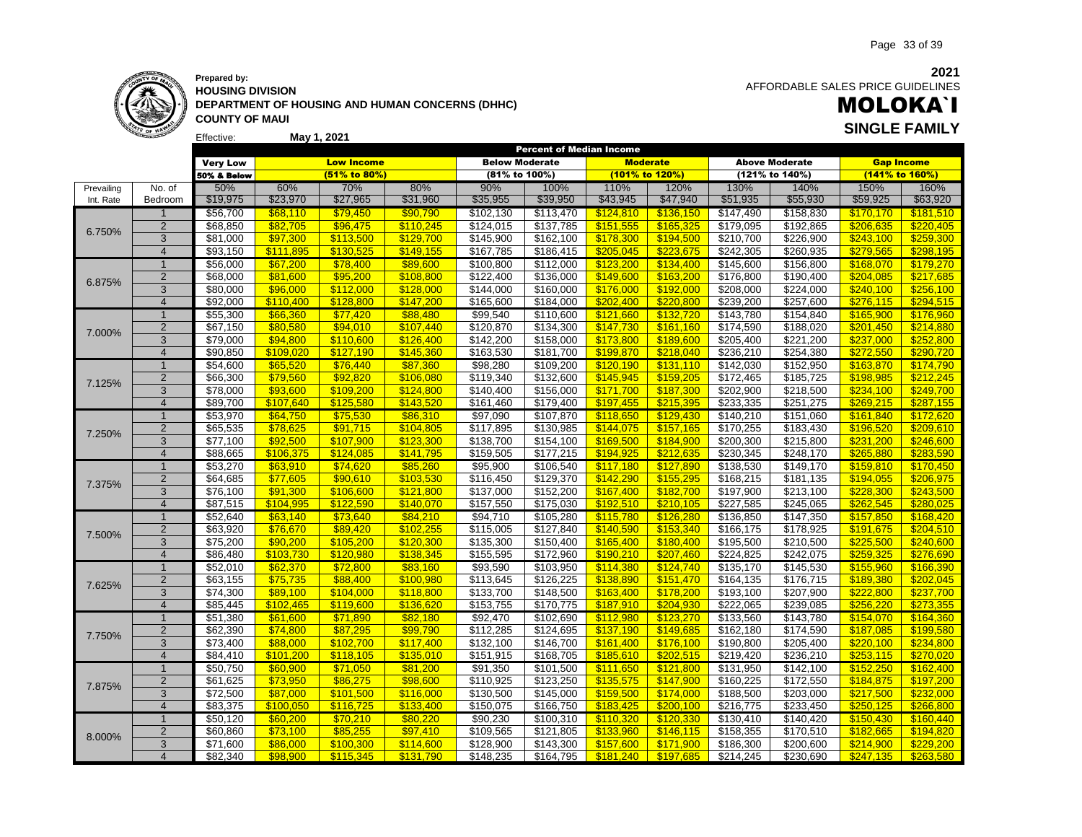**Prepared by: HOUSING DIVISION DEPARTMENT OF HOUSING AND HUMAN CONCERNS (DHHC) COUNTY OF MAUI May 1, 2021 SINGLE FAMILY**

 AFFORDABLE SALES PRICE GUIDELINES

# MOLOKA`I

|            |                |                                  |           |                        |                        | Percent of Median Income           |                       |                |                        |                                |                        |           |                        |
|------------|----------------|----------------------------------|-----------|------------------------|------------------------|------------------------------------|-----------------------|----------------|------------------------|--------------------------------|------------------------|-----------|------------------------|
|            |                | <b>Very Low</b>                  |           | <b>Low Income</b>      |                        | <b>Below Moderate</b>              |                       |                | <b>Moderate</b>        |                                | <b>Above Moderate</b>  |           | <b>Gap Income</b>      |
|            |                | 50% & Below                      |           | $(51\%$ to 80%)        |                        | (81% to 100%)                      |                       | (101% to 120%) |                        |                                | (121% to 140%)         |           | (141% to 160%)         |
| Prevailing | No. of         | 50%                              | 60%       | 70%                    | 80%                    | 90%                                | 100%                  | 110%           | 120%                   | 130%                           | 140%                   | 150%      | 160%                   |
| Int. Rate  | Bedroom        | \$19,975                         | \$23,970  | \$27,965               | \$31,960               | \$35,955                           | \$39,950              | \$43,945       | \$47,940               | \$51,935                       | \$55,930               | \$59,925  | \$63,920               |
|            | $\mathbf{1}$   | \$56,700                         | \$68,110  | \$79,450               | \$90,790               | \$102,130                          | \$113,470             | \$124,810      | \$136,150              | \$147,490                      | \$158,830              | \$170,170 | \$181,510              |
|            | 2              | \$68,850                         | \$82,705  | \$96,475               | \$110,245              | \$124,015                          | \$137,785             | \$151,555      | \$165,325              | \$179,095                      | \$192,865              | \$206,635 | \$220,405              |
| 6.750%     | 3              | $\sqrt{$81,000}$                 | \$97,300  | \$113,500              | \$129,700              | \$145,900                          | \$162,100             | \$178,300      | \$194,500              | \$210,700                      | \$226,900              | \$243,100 | \$259,300              |
|            | $\overline{4}$ | \$93,150                         | \$111,895 | \$130.525              | \$149,155              | \$167,785                          | \$186,415             | \$205.045      | \$223.675              | \$242,305                      | \$260,935              | \$279.565 | \$298.195              |
|            | $\overline{1}$ | \$56,000                         | \$67,200  | \$78,400               | \$89,600               | \$100,800                          | \$112,000             | \$123,200      | \$134,400              | \$145,600                      | \$156,800              | \$168,070 | \$179,270              |
|            | $\overline{2}$ | \$68,000                         | \$81,600  | \$95,200               | \$108,800              | \$122,400                          | \$136,000             | \$149,600      | \$163,200              | \$176,800                      | \$190,400              | \$204,085 | \$217,685              |
| 6.875%     | 3              | \$80,000                         | \$96,000  | \$112,000              | \$128,000              | \$144,000                          | \$160,000             | \$176,000      | \$192,000              | \$208,000                      | \$224,000              | \$240,100 | \$256,100              |
|            | $\overline{4}$ | \$92,000                         | \$110.400 | \$128,800              | \$147,200              | \$165,600                          | \$184,000             | \$202.400      | \$220,800              | \$239,200                      | \$257,600              | \$276.115 | \$294.515              |
|            | $\mathbf{1}$   | \$55,300                         | \$66,360  | \$77,420               | \$88,480               | \$99,540                           | \$110,600             | \$121,660      | \$132,720              | \$143,780                      | \$154,840              | \$165,900 | \$176,960              |
|            | $\overline{2}$ | \$67,150                         | \$80,580  | \$94.010               | \$107,440              | \$120,870                          | \$134,300             | \$147,730      | \$161.160              | \$174,590                      | \$188,020              | \$201,450 | \$214.880              |
| 7.000%     | 3              | \$79,000                         | \$94,800  | \$110,600              | \$126,400              | \$142,200                          | \$158,000             | \$173,800      | \$189,600              | \$205,400                      | \$221,200              | \$237,000 | \$252,800              |
|            | $\overline{4}$ | \$90,850                         | \$109.020 | \$127.190              | \$145,360              | \$163,530                          | \$181,700             | \$199.870      | \$218.040              | \$236,210                      | \$254,380              | \$272.550 | \$290,720              |
|            | $\overline{1}$ | \$54,600                         | \$65,520  | \$76,440               | \$87,360               | \$98,280                           | \$109,200             | \$120,190      | \$131,110              | \$142,030                      | \$152,950              | \$163,870 | \$174,790              |
|            | $\overline{2}$ | \$66,300                         |           | \$92,820               |                        | \$119,340                          | \$132,600             | \$145,945      | \$159,205              | \$172,465                      | \$185,725              | \$198,985 | \$212,245              |
| 7.125%     | 3              |                                  | \$79,560  |                        | \$106,080              |                                    |                       |                |                        |                                |                        |           |                        |
|            | $\overline{4}$ | $\overline{$}78,000$<br>\$89,700 | \$93,600  | \$109,200<br>\$125,580 | \$124,800<br>\$143,520 | $\overline{$}140,400$<br>\$161,460 | \$156,000             | \$171,700      | \$187,300<br>\$215,395 | $\sqrt{$202,900}$<br>\$233,335 | \$218,500<br>\$251,275 | \$234,100 | \$249,700<br>\$287,155 |
|            | $\overline{1}$ |                                  | \$107,640 |                        |                        |                                    | \$179,400             | \$197,455      |                        |                                |                        | \$269,215 |                        |
|            |                | \$53,970                         | \$64,750  | \$75,530               | \$86,310               | \$97,090                           | \$107,870             | \$118,650      | \$129,430              | \$140,210                      | \$151,060              | \$161,840 | \$172,620              |
| 7.250%     | $\overline{2}$ | \$65,535                         | \$78,625  | \$91,715               | \$104,805              | \$117,895                          | \$130,985             | \$144,075      | \$157,165              | \$170,255                      | \$183,430              | \$196,520 | \$209,610              |
|            | $\overline{3}$ | \$77,100                         | \$92,500  | \$107,900              | \$123,300              | \$138,700                          | \$154,100             | \$169,500      | \$184,900              | \$200,300                      | \$215,800              | \$231,200 | \$246,600              |
|            | $\overline{4}$ | \$88,665                         | \$106,375 | \$124.085              | \$141,795              | \$159,505                          | \$177,215             | \$194.925      | \$212,635              | \$230,345                      | \$248,170              | \$265,880 | \$283.590              |
|            | $\mathbf{1}$   | \$53,270                         | \$63,910  | \$74,620               | \$85,260               | \$95,900                           | \$106,540             | \$117,180      | \$127,890              | \$138,530                      | \$149,170              | \$159,810 | \$170,450              |
| 7.375%     | $\overline{2}$ | \$64,685                         | \$77,605  | \$90,610               | \$103,530              | \$116,450                          | \$129,370             | \$142,290      | \$155,295              | \$168,215                      | \$181,135              | \$194,055 | \$206,975              |
|            | 3              | \$76,100                         | \$91,300  | \$106,600              | \$121,800              | \$137,000                          | \$152,200             | \$167,400      | \$182,700              | \$197,900                      | \$213,100              | \$228,300 | \$243,500              |
|            | $\overline{4}$ | \$87.515                         | \$104.995 | \$122,590              | \$140.070              | \$157,550                          | \$175,030             | \$192.510      | \$210.105              | \$227,585                      | \$245.065              | \$262.545 | \$280.025              |
|            | $\mathbf{1}$   | \$52,640                         | \$63,140  | \$73,640               | \$84,210               | \$94,710                           | \$105,280             | \$115,780      | \$126,280              | \$136,850                      | \$147,350              | \$157,850 | \$168,420              |
| 7.500%     | $\overline{2}$ | \$63,920                         | \$76,670  | \$89,420               | \$102,255              | \$115,005                          | \$127,840             | \$140,590      | \$153,340              | \$166,175                      | \$178,925              | \$191,675 | \$204,510              |
|            | 3              | \$75,200                         | \$90,200  | \$105,200              | \$120,300              | \$135,300                          | \$150,400             | \$165,400      | \$180,400              | \$195,500                      | \$210,500              | \$225,500 | \$240,600              |
|            | $\overline{4}$ | \$86,480                         | \$103,730 | \$120,980              | \$138,345              | \$155,595                          | \$172,960             | \$190,210      | \$207,460              | \$224,825                      | \$242,075              | \$259.325 | \$276,690              |
|            | $\mathbf{1}$   | \$52,010                         | \$62,370  | \$72,800               | \$83,160               | \$93,590                           | \$103,950             | \$114,380      | \$124,740              | \$135,170                      | \$145,530              | \$155,960 | \$166,390              |
| 7.625%     | $\overline{2}$ | \$63,155                         | \$75,735  | \$88,400               | \$100,980              | \$113,645                          | \$126,225             | \$138,890      | \$151,470              | \$164,135                      | \$176,715              | \$189,380 | \$202,045              |
|            | 3              | \$74,300                         | \$89,100  | \$104,000              | \$118,800              | \$133,700                          | \$148,500             | \$163,400      | \$178,200              | \$193,100                      | \$207,900              | \$222,800 | \$237,700              |
|            | $\overline{4}$ | \$85,445                         | \$102,465 | \$119.600              | \$136,620              | \$153,755                          | \$170,775             | \$187,910      | \$204.930              | \$222,065                      | \$239,085              | \$256.220 | \$273.355              |
|            | $\mathbf{1}$   | \$51,380                         | \$61,600  | \$71,890               | \$82,180               | \$92,470                           | \$102,690             | \$112,980      | \$123,270              | \$133,560                      | \$143,780              | \$154,070 | \$164,360              |
| 7.750%     | $\overline{2}$ | \$62,390                         | \$74,800  | \$87,295               | \$99,790               | \$112,285                          | \$124,695             | \$137,190      | \$149,685              | \$162,180                      | \$174,590              | \$187,085 | \$199,580              |
|            | 3              | \$73,400                         | \$88,000  | \$102,700              | \$117,400              | \$132,100                          | \$146,700             | \$161,400      | \$176,100              | \$190,800                      | \$205,400              | \$220,100 | \$234,800              |
|            | $\overline{4}$ | \$84,410                         | \$101.200 | \$118,105              | \$135,010              | \$151,915                          | \$168,705             | \$185.610      | \$202,515              | \$219,420                      | \$236,210              | \$253,115 | \$270.020              |
|            | $\mathbf{1}$   | \$50,750                         | \$60,900  | \$71,050               | \$81,200               | \$91,350                           | \$101,500             | \$111,650      | \$121,800              | \$131,950                      | \$142,100              | \$152,250 | \$162,400              |
|            | $\overline{2}$ | \$61,625                         | \$73,950  | \$86,275               | \$98,600               | \$110,925                          | \$123,250             | \$135,575      | \$147,900              | \$160,225                      | \$172,550              | \$184,875 | \$197,200              |
| 7.875%     | 3              | \$72,500                         | \$87,000  | \$101,500              | \$116,000              | \$130,500                          | \$145,000             | \$159,500      | \$174,000              | \$188,500                      | \$203,000              | \$217,500 | \$232,000              |
|            | $\overline{4}$ | \$83,375                         | \$100,050 | \$116.725              | \$133.400              | \$150,075                          | \$166,750             | \$183.425      | \$200.100              | \$216,775                      | \$233,450              | \$250.125 | \$266.800              |
|            | $\overline{1}$ | \$50,120                         | \$60,200  | \$70,210               | \$80.220               | \$90,230                           | \$100,310             | \$110,320      | \$120,330              | \$130,410                      | \$140,420              | \$150,430 | \$160.440              |
| 8.000%     | $\overline{2}$ | \$60,860                         | \$73,100  | \$85,255               | \$97,410               | \$109,565                          | \$121,805             | \$133,960      | \$146,115              | \$158,355                      | \$170,510              | \$182,665 | \$194,820              |
|            | 3              | \$71,600                         | \$86,000  | \$100.300              | \$114.600              | \$128,900                          | $\overline{$}143,300$ | \$157.600      | \$171.900              | \$186,300                      | \$200,600              | \$214.900 | \$229.200              |
|            | $\overline{4}$ | \$82.340                         | \$98,900  | \$115.345              | \$131.790              | \$148,235                          | $\overline{$}164,795$ | \$181.240      | \$197.685              | \$214.245                      | \$230.690              | \$247.135 | \$263.580              |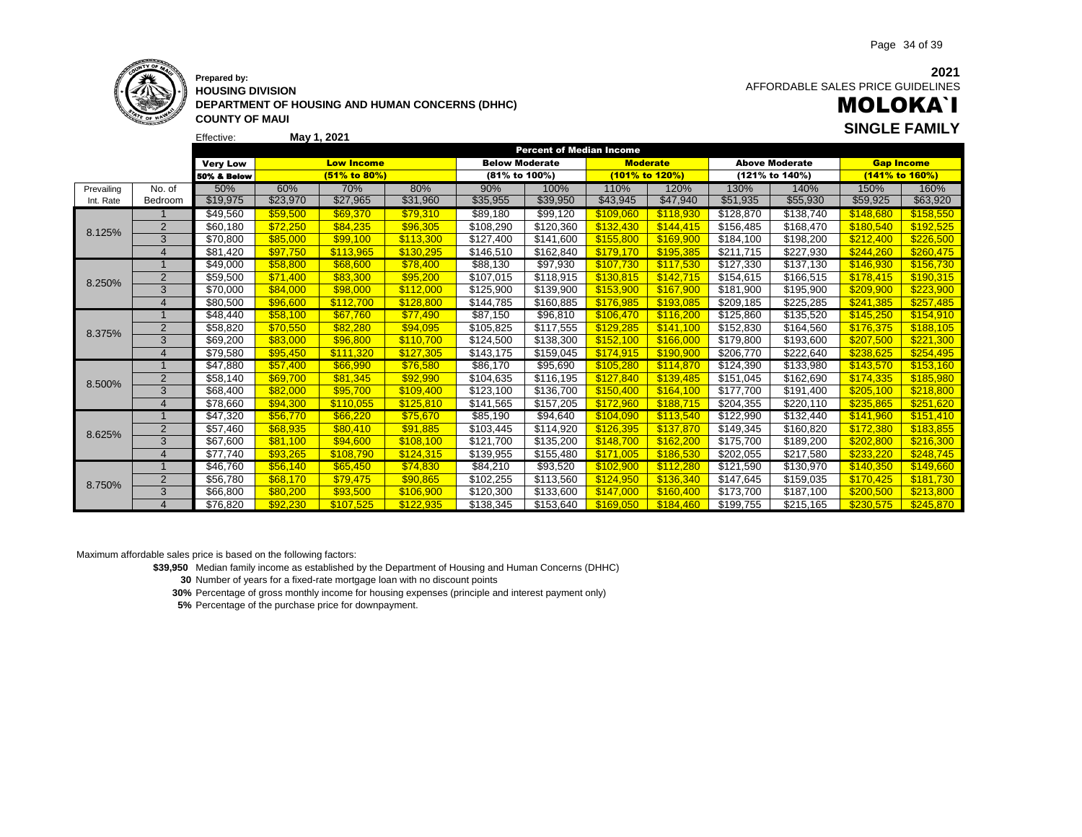

### **Prepared by: HOUSING DIVISION DEPARTMENT OF HOUSING AND HUMAN CONCERNS (DHHC) COUNTY OF MAUI**

**2021** AFFORDABLE SALES PRICE GUIDELINES

# MOLOKA`I **May 1, 2021 SINGLE FAMILY**

|            |                       |                        |          |                   |           |                       | <b>Percent of Median Income</b> |                 |                |           |                       |           |                   |
|------------|-----------------------|------------------------|----------|-------------------|-----------|-----------------------|---------------------------------|-----------------|----------------|-----------|-----------------------|-----------|-------------------|
|            |                       | <b>Very Low</b>        |          | <b>Low Income</b> |           | <b>Below Moderate</b> |                                 | <b>Moderate</b> |                |           | <b>Above Moderate</b> |           | <b>Gap Income</b> |
|            |                       | <b>50% &amp; Below</b> |          | (51% to 80%)      |           | (81% to 100%)         |                                 |                 | (101% to 120%) |           | (121% to 140%)        |           | (141% to 160%)    |
| Prevailing | No. of                | 50%                    | 60%      | 70%               | 80%       | 90%                   | 100%                            | 110%            | 120%           | 130%      | 140%                  | 150%      | 160%              |
| Int. Rate  | Bedroom               | \$19,975               | \$23,970 | \$27,965          | \$31,960  | \$35,955              | \$39,950                        | \$43,945        | \$47,940       | \$51,935  | \$55,930              | \$59,925  | \$63,920          |
| 8.125%     |                       | \$49,560               | \$59,500 | \$69,370          | \$79,310  | \$89,180              | \$99,120                        | \$109.060       | \$118,930      | \$128,870 | \$138,740             | \$148.680 | \$158,550         |
|            | $\overline{2}$        | \$60,180               | \$72,250 | \$84,235          | \$96,305  | \$108,290             | \$120,360                       | \$132,430       | \$144,415      | \$156,485 | \$168,470             | \$180,540 | \$192,525         |
|            | 3                     | \$70,800               | \$85,000 | \$99,100          | \$113,300 | \$127,400             | \$141,600                       | \$155,800       | \$169,900      | \$184,100 | \$198,200             | \$212,400 | \$226,500         |
|            | $\boldsymbol{\Delta}$ | \$81,420               | \$97,750 | \$113.965         | \$130,295 | \$146,510             | \$162,840                       | \$179.170       | \$195.385      | \$211,715 | \$227,930             | \$244.260 | \$260,475         |
|            |                       | \$49.000               | \$58,800 | \$68,600          | \$78,400  | \$88,130              | \$97,930                        | \$107.730       | \$117.530      | \$127,330 | \$137,130             | \$146.930 | \$156,730         |
| 8.250%     | $\overline{2}$        | \$59,500               | \$71,400 | \$83.300          | \$95,200  | \$107,015             | \$118,915                       | \$130.815       | \$142.715      | \$154,615 | \$166,515             | \$178.415 | \$190,315         |
|            | 3                     | \$70,000               | \$84,000 | \$98,000          | \$112,000 | \$125,900             | \$139,900                       | \$153,900       | \$167,900      | \$181,900 | \$195,900             | \$209,900 | \$223,900         |
|            | $\overline{4}$        | \$80,500               | \$96,600 | \$112,700         | \$128.800 | \$144,785             | \$160,885                       | \$176,985       | \$193.085      | \$209,185 | \$225,285             | \$241.385 | \$257.485         |
| 8.375%     |                       | \$48,440               | \$58,100 | \$67.760          | \$77,490  | \$87,150              | \$96,810                        | \$106.470       | \$116,200      | \$125,860 | \$135,520             | \$145,250 | \$154,910         |
|            | $\overline{2}$        | \$58,820               | \$70.550 | \$82,280          | \$94,095  | \$105,825             | \$117,555                       | \$129,285       | \$141.100      | \$152,830 | \$164,560             | \$176,375 | \$188,105         |
|            | 3                     | \$69,200               | \$83.000 | \$96,800          | \$110,700 | \$124,500             | \$138,300                       | \$152,100       | \$166,000      | \$179,800 | \$193,600             | \$207,500 | \$221,300         |
|            | $\overline{4}$        | \$79,580               | \$95.450 | \$111.320         | \$127,305 | \$143,175             | \$159,045                       | \$174,915       | \$190.900      | \$206,770 | \$222,640             | \$238.625 | \$254,495         |
|            |                       | \$47.880               | \$57,400 | \$66,990          | \$76,580  | \$86.170              | \$95,690                        | \$105.280       | \$114.870      | \$124.390 | \$133,980             | \$143,570 | \$153.160         |
| 8.500%     | $\overline{2}$        | \$58,140               | \$69,700 | \$81,345          | \$92,990  | \$104,635             | \$116,195                       | \$127,840       | \$139,485      | \$151,045 | \$162,690             | \$174,335 | \$185,980         |
|            | 3                     | \$68,400               | \$82,000 | \$95,700          | \$109,400 | \$123,100             | \$136,700                       | \$150,400       | \$164,100      | \$177,700 | \$191,400             | \$205,100 | \$218,800         |
|            | $\boldsymbol{\Delta}$ | \$78,660               | \$94.300 | \$110.055         | \$125.810 | \$141,565             | \$157,205                       | \$172.960       | \$188.715      | \$204,355 | \$220.110             | \$235.865 | \$251,620         |
|            |                       | \$47,320               | \$56,770 | \$66,220          | \$75,670  | \$85,190              | \$94,640                        | \$104,090       | \$113,540      | \$122,990 | \$132,440             | \$141,960 | \$151,410         |
| 8.625%     | $\overline{2}$        | \$57,460               | \$68,935 | \$80,410          | \$91,885  | \$103,445             | \$114,920                       | \$126,395       | \$137,870      | \$149,345 | \$160,820             | \$172,380 | \$183,855         |
|            | 3                     | \$67,600               | \$81.100 | \$94,600          | \$108.100 | \$121,700             | \$135,200                       | \$148.700       | \$162,200      | \$175,700 | \$189,200             | \$202,800 | \$216,300         |
|            | $\overline{4}$        | \$77,740               | \$93.265 | \$108.790         | \$124,315 | \$139,955             | \$155,480                       | \$171.005       | \$186,530      | \$202,055 | \$217,580             | \$233.220 | \$248,745         |
|            |                       | \$46.760               | \$56.140 | \$65,450          | \$74,830  | \$84,210              | \$93.520                        | \$102,900       | \$112,280      | \$121,590 | $\overline{$}130,970$ | \$140,350 | \$149,660         |
| 8.750%     | $\overline{2}$        | \$56,780               | \$68.170 | \$79.475          | \$90.865  | \$102,255             | \$113,560                       | \$124,950       | \$136,340      | \$147,645 | \$159,035             | \$170.425 | \$181,730         |
|            | 3                     | \$66,800               | \$80,200 | \$93,500          | \$106,900 | \$120,300             | \$133,600                       | \$147,000       | \$160,400      | \$173,700 | \$187,100             | \$200,500 | \$213,800         |
|            | $\boldsymbol{\Delta}$ | \$76,820               | \$92,230 | \$107,525         | \$122,935 | \$138,345             | \$153,640                       | \$169.050       | \$184.460      | \$199,755 | \$215,165             | \$230.575 | \$245,870         |

Maximum affordable sales price is based on the following factors:

**\$39,950** Median family income as established by the Department of Housing and Human Concerns (DHHC)

**30** Number of years for a fixed-rate mortgage loan with no discount points

**30%** Percentage of gross monthly income for housing expenses (principle and interest payment only)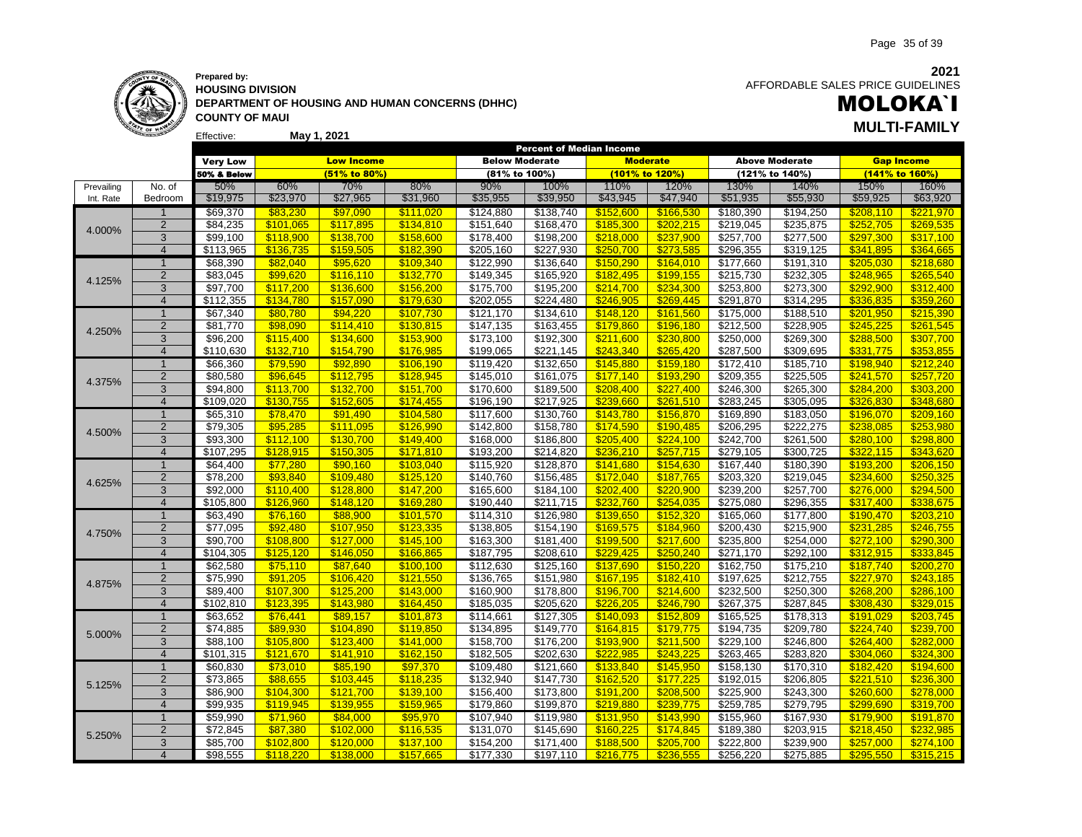

### **Prepared by: HOUSING DIVISION DEPARTMENT OF HOUSING AND HUMAN CONCERNS (DHHC) COUNTY OF MAUI May 1, 2021 MULTI-FAMILY**

**2021** AFFORDABLE SALES PRICE GUIDELINES

# MOLOKA`I

|            |                         |                 |           |                   |           |                       | <b>Percent of Median Income</b> |                |                 |           |                       |                   |           |
|------------|-------------------------|-----------------|-----------|-------------------|-----------|-----------------------|---------------------------------|----------------|-----------------|-----------|-----------------------|-------------------|-----------|
|            |                         | <b>Very Low</b> |           | <b>Low Income</b> |           | <b>Below Moderate</b> |                                 |                | <b>Moderate</b> |           | <b>Above Moderate</b> | <b>Gap Income</b> |           |
|            |                         | 50% & Below     |           | (51% to 80%)      |           | (81% to 100%)         |                                 | (101% to 120%) |                 |           | (121% to 140%)        | (141% to 160%)    |           |
| Prevailing | No. of                  | 50%             | 60%       | 70%               | 80%       | 90%                   | 100%                            | 110%           | 120%            | 130%      | 140%                  | 150%              | 160%      |
| Int. Rate  | Bedroom                 | \$19,975        | \$23,970  | \$27,965          | \$31,960  | \$35,955              | \$39,950                        | \$43,945       | \$47,940        | \$51,935  | \$55,930              | \$59,925          | \$63,920  |
|            |                         | \$69,370        | \$83,230  | \$97,090          | \$111,020 | \$124,880             | \$138,740                       | \$152,600      | \$166,530       | \$180,390 | \$194,250             | \$208,110         | \$221,970 |
|            | $\overline{2}$          | \$84,235        | \$101,065 | \$117,895         | \$134,810 | \$151,640             | \$168,470                       | \$185,300      | \$202,215       | \$219,045 | \$235,875             | \$252,705         | \$269,535 |
| 4.000%     | 3                       | \$99,100        | \$118,900 | \$138,700         | \$158,600 | \$178,400             | \$198,200                       | \$218,000      | \$237,900       | \$257,700 | \$277,500             | \$297,300         | \$317,100 |
|            | $\overline{4}$          | \$113,965       | \$136,735 | \$159.505         | \$182.390 | \$205,160             | \$227,930                       | \$250.700      | \$273.585       | \$296,355 | \$319,125             | \$341.895         | \$364.665 |
|            | $\mathbf{1}$            | \$68,390        | \$82,040  | \$95,620          | \$109,340 | \$122,990             | \$136,640                       | \$150,290      | \$164,010       | \$177,660 | \$191,310             | \$205,030         | \$218,680 |
| 4.125%     | $\overline{2}$          | \$83,045        | \$99,620  | \$116,110         | \$132,770 | \$149,345             | \$165,920                       | \$182,495      | \$199,155       | \$215,730 | \$232,305             | \$248,965         | \$265,540 |
|            | 3                       | \$97,700        | \$117,200 | \$136,600         | \$156,200 | \$175,700             | \$195,200                       | \$214,700      | \$234,300       | \$253,800 | \$273,300             | \$292,900         | \$312,400 |
|            | $\overline{4}$          | \$112,355       | \$134,780 | \$157,090         | \$179,630 | \$202,055             | \$224,480                       | \$246,905      | \$269,445       | \$291,870 | \$314,295             | \$336,835         | \$359,260 |
|            | $\overline{1}$          | \$67,340        | \$80,780  | \$94,220          | \$107,730 | \$121,170             | \$134,610                       | \$148,120      | \$161,560       | \$175,000 | \$188,510             | \$201,950         | \$215,390 |
| 4.250%     | $\overline{2}$          | \$81,770        | \$98,090  | \$114,410         | \$130,815 | \$147,135             | \$163,455                       | \$179,860      | \$196,180       | \$212,500 | \$228,905             | \$245,225         | \$261,545 |
|            | 3                       | \$96,200        | \$115,400 | \$134,600         | \$153,900 | \$173,100             | \$192,300                       | \$211,600      | \$230,800       | \$250,000 | \$269,300             | \$288,500         | \$307,700 |
|            | $\overline{4}$          | \$110,630       | \$132,710 | \$154,790         | \$176,985 | \$199,065             | \$221,145                       | \$243.340      | \$265.420       | \$287,500 | \$309,695             | \$331,775         | \$353,855 |
|            | $\overline{1}$          | \$66,360        | \$79,590  | \$92,890          | \$106,190 | \$119,420             | \$132,650                       | \$145,880      | \$159,180       | \$172,410 | \$185,710             | \$198,940         | \$212,240 |
| 4.375%     | $\overline{\mathbf{c}}$ | \$80,580        | \$96,645  | \$112,795         | \$128,945 | \$145,010             | \$161,075                       | \$177,140      | \$193,290       | \$209,355 | $\overline{$}225,505$ | \$241,570         | \$257,720 |
|            | 3                       | \$94,800        | \$113,700 | \$132,700         | \$151,700 | \$170,600             | \$189,500                       | \$208,400      | \$227,400       | \$246,300 | \$265,300             | \$284,200         | \$303,200 |
|            | $\overline{4}$          | \$109,020       | \$130,755 | \$152,605         | \$174,455 | \$196,190             | \$217,925                       | \$239,660      | \$261,510       | \$283,245 | \$305,095             | \$326,830         | \$348,680 |
|            | $\overline{1}$          | \$65,310        | \$78,470  | \$91,490          | \$104,580 | \$117,600             | \$130,760                       | \$143,780      | \$156,870       | \$169,890 | \$183,050             | \$196,070         | \$209,160 |
| 4.500%     | $\overline{2}$          | \$79,305        | \$95,285  | \$111,095         | \$126,990 | \$142,800             | \$158,780                       | \$174,590      | \$190,485       | \$206,295 | \$222,275             | \$238,085         | \$253,980 |
|            | 3                       | \$93,300        | \$112,100 | \$130.700         | \$149,400 | \$168,000             | \$186,800                       | \$205.400      | \$224.100       | \$242,700 | \$261,500             | \$280,100         | \$298,800 |
|            | $\overline{\mathbf{4}}$ | \$107,295       | \$128,915 | \$150,305         | \$171,810 | \$193,200             | \$214,820                       | \$236,210      | \$257,715       | \$279,105 | \$300,725             | \$322,115         | \$343,620 |
|            | $\mathbf 1$             | \$64,400        | \$77,280  | \$90,160          | \$103,040 | \$115,920             | \$128,870                       | \$141,680      | \$154,630       | \$167,440 | \$180,390             | \$193,200         | \$206,150 |
|            | $\overline{2}$          | \$78,200        | \$93,840  | \$109,480         | \$125,120 | \$140,760             | $\overline{$}156,485$           | \$172,040      | \$187,765       | \$203,320 | \$219,045             | \$234,600         | \$250,325 |
| 4.625%     | 3                       | \$92,000        | \$110,400 | \$128,800         | \$147,200 | \$165,600             | \$184,100                       | \$202,400      | \$220,900       | \$239,200 | \$257,700             | \$276,000         | \$294,500 |
|            | $\overline{4}$          | \$105.800       | \$126.960 | \$148.120         | \$169.280 | \$190,440             | \$211,715                       | \$232,760      | \$254.035       | \$275,080 | \$296,355             | \$317.400         | \$338,675 |
|            | $\overline{1}$          | \$63,490        | \$76,160  | \$88,900          | \$101,570 | \$114,310             | \$126,980                       | \$139,650      | \$152,320       | \$165,060 | \$177,800             | \$190,470         | \$203,210 |
| 4.750%     | $\mathbf 2$             | \$77,095        | \$92,480  | \$107,950         | \$123,335 | \$138,805             | \$154,190                       | \$169,575      | \$184,960       | \$200,430 | \$215,900             | \$231,285         | \$246,755 |
|            | 3                       | \$90,700        | \$108,800 | \$127,000         | \$145,100 | \$163,300             | \$181,400                       | \$199,500      | \$217,600       | \$235,800 | \$254,000             | \$272,100         | \$290,300 |
|            | $\overline{4}$          | \$104,305       | \$125,120 | \$146.050         | \$166,865 | \$187,795             | \$208,610                       | \$229.425      | \$250.240       | \$271,170 | \$292,100             | \$312.915         | \$333.845 |
|            | $\overline{1}$          | \$62,580        | \$75,110  | \$87,640          | \$100,100 | \$112,630             | \$125,160                       | \$137,690      | \$150,220       | \$162,750 | \$175,210             | \$187,740         | \$200,270 |
| 4.875%     | $\mathbf 2$             | \$75,990        | \$91,205  | \$106,420         | \$121,550 | \$136,765             | \$151,980                       | \$167,195      | \$182,410       | \$197,625 | \$212,755             | \$227,970         | \$243,185 |
|            | 3                       | \$89,400        | \$107,300 | \$125,200         | \$143,000 | \$160,900             | \$178,800                       | \$196,700      | \$214,600       | \$232,500 | \$250,300             | \$268,200         | \$286,100 |
|            | $\overline{4}$          | \$102,810       | \$123,395 | \$143,980         | \$164,450 | \$185,035             | \$205,620                       | \$226,205      | \$246,790       | \$267,375 | \$287,845             | \$308,430         | \$329,015 |
|            | $\overline{1}$          | \$63,652        | \$76,441  | \$89,157          | \$101,873 | \$114,661             | \$127,305                       | \$140,093      | \$152,809       | \$165,525 | \$178,313             | \$191,029         | \$203,745 |
| 5.000%     | $\overline{2}$          | \$74,885        | \$89,930  | \$104,890         | \$119,850 | \$134,895             | \$149,770                       | \$164,815      | \$179,775       | \$194,735 | \$209,780             | \$224,740         | \$239,700 |
|            | 3                       | \$88,100        | \$105,800 | \$123,400         | \$141,000 | \$158,700             | \$176,200                       | \$193,900      | \$211,500       | \$229,100 | \$246,800             | \$264,400         | \$282,000 |
|            | $\overline{4}$          | \$101,315       | \$121.670 | \$141.910         | \$162.150 | \$182,505             | \$202,630                       | \$222.985      | \$243.225       | \$263,465 | \$283,820             | \$304.060         | \$324.300 |
|            | $\mathbf{1}$            | \$60,830        | \$73,010  | \$85,190          | \$97,370  | \$109,480             | \$121,660                       | \$133,840      | \$145,950       | \$158,130 | \$170,310             | \$182,420         | \$194,600 |
| 5.125%     | $\overline{c}$          | \$73,865        | \$88,655  | \$103,445         | \$118,235 | \$132,940             | \$147,730                       | \$162,520      | \$177,225       | \$192,015 | \$206,805             | \$221,510         | \$236,300 |
|            | 3                       | \$86,900        | \$104,300 | \$121,700         | \$139,100 | \$156,400             | \$173,800                       | \$191,200      | \$208,500       | \$225,900 | $\overline{$243,300}$ | \$260,600         | \$278,000 |
|            | $\overline{4}$          | \$99,935        | \$119.945 | \$139.955         | \$159.965 | \$179,860             | \$199,870                       | \$219.880      | \$239.775       | \$259,785 | \$279,795             | \$299.690         | \$319,700 |
|            | $\mathbf{1}$            | \$59,990        | \$71,960  | \$84,000          | \$95,970  | \$107,940             | \$119,980                       | \$131,950      | \$143,990       | \$155,960 | \$167,930             | \$179,900         | \$191,870 |
| 5.250%     | $\overline{2}$          | \$72,845        | \$87,380  | \$102,000         | \$116,535 | \$131,070             | \$145,690                       | \$160,225      | \$174,845       | \$189,380 | \$203,915             | \$218,450         | \$232,985 |
|            | 3                       | \$85,700        | \$102,800 | \$120,000         | \$137,100 | \$154,200             | \$171,400                       | \$188,500      | \$205,700       | \$222,800 | \$239,900             | \$257,000         | \$274,100 |
|            | $\overline{4}$          | \$98,555        | \$118,220 | \$138,000         | \$157.665 | \$177,330             | $\overline{$197,110}$           | \$216,775      | \$236,555       | \$256.220 | \$275,885             | \$295.550         | \$315,215 |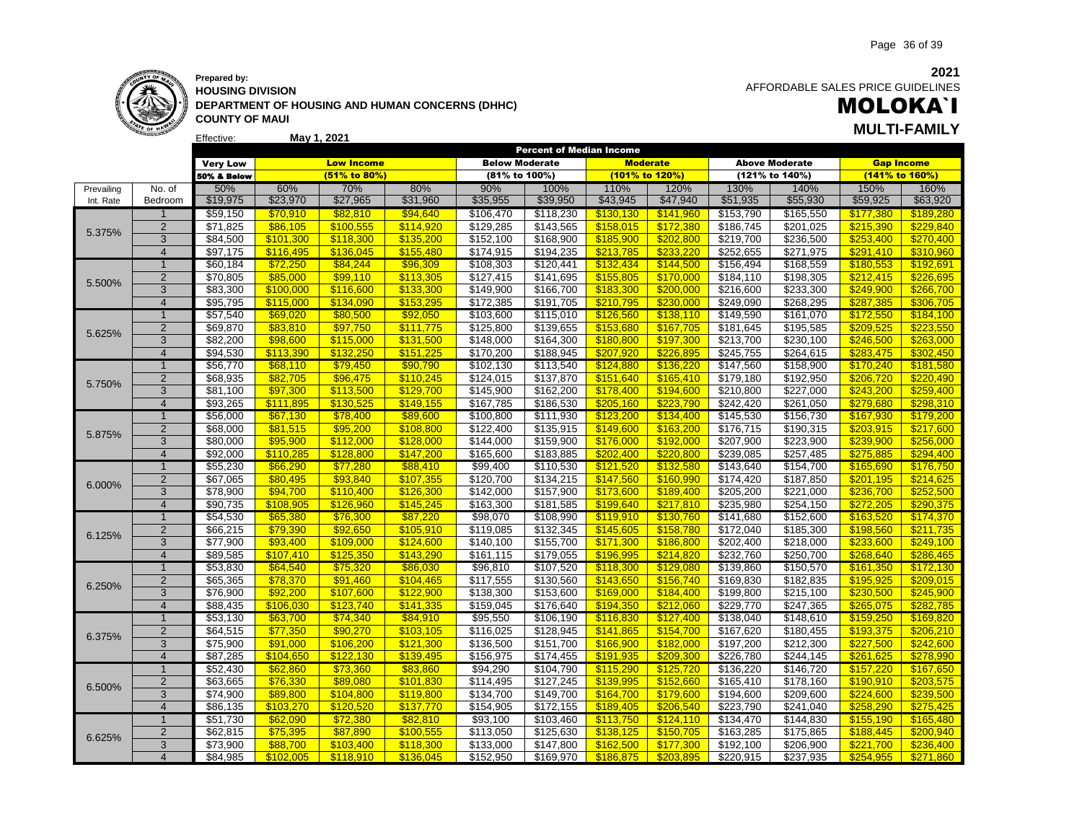

### **Prepared by: HOUSING DIVISION DEPARTMENT OF HOUSING AND HUMAN CONCERNS (DHHC) COUNTY OF MAUI May 1, 2021**

**2021** AFFORDABLE SALES PRICE GUIDELINES

### MOLOKA`I **MULTI-FAMILY**

|            |                |                 |           |                   |           | Percent of Median Income |           |                 |           |                   |                       |                   |           |
|------------|----------------|-----------------|-----------|-------------------|-----------|--------------------------|-----------|-----------------|-----------|-------------------|-----------------------|-------------------|-----------|
|            |                | <b>Very Low</b> |           | <b>Low Income</b> |           | <b>Below Moderate</b>    |           | <b>Moderate</b> |           |                   | <b>Above Moderate</b> | <b>Gap Income</b> |           |
|            |                | 50% & Below     |           | $(51\%$ to 80%)   |           | (81% to 100%)            |           | (101% to 120%)  |           |                   | (121% to 140%)        | (141% to 160%)    |           |
| Prevailing | No. of         | 50%             | 60%       | 70%               | 80%       | 90%                      | 100%      | 110%            | 120%      | 130%              | 140%                  | 150%              | 160%      |
| Int. Rate  | Bedroom        | \$19,975        | \$23,970  | \$27,965          | \$31,960  | \$35,955                 | \$39,950  | \$43,945        | \$47,940  | \$51,935          | \$55,930              | \$59,925          | \$63,920  |
|            | $\mathbf{1}$   | \$59,150        | \$70,910  | \$82,810          | \$94,640  | \$106,470                | \$118,230 | \$130,130       | \$141,960 | \$153,790         | \$165,550             | \$177,380         | \$189,280 |
| 5.375%     | 2              | \$71,825        | \$86,105  | \$100,555         | \$114,920 | \$129,285                | \$143,565 | \$158,015       | \$172,380 | \$186,745         | \$201,025             | \$215,390         | \$229,840 |
|            | 3              | \$84,500        | \$101,300 | \$118,300         | \$135,200 | \$152,100                | \$168,900 | \$185,900       | \$202,800 | \$219,700         | \$236,500             | \$253,400         | \$270,400 |
|            | $\overline{4}$ | \$97,175        | \$116,495 | \$136.045         | \$155,480 | \$174,915                | \$194,235 | \$213.785       | \$233,220 | \$252,655         | \$271,975             | \$291,410         | \$310,960 |
|            | $\overline{1}$ | \$60,184        | \$72,250  | \$84,244          | \$96,309  | \$108,303                | \$120,441 | \$132.434       | \$144,500 | \$156,494         | \$168,559             | \$180,553         | \$192,691 |
| 5.500%     | $\overline{2}$ | \$70,805        | \$85,000  | \$99,110          | \$113,305 | \$127,415                | \$141,695 | \$155,805       | \$170,000 | \$184,110         | \$198,305             | \$212,415         | \$226,695 |
|            | 3              | \$83,300        | \$100,000 | \$116,600         | \$133,300 | \$149,900                | \$166,700 | \$183,300       | \$200,000 | \$216,600         | \$233,300             | \$249,900         | \$266,700 |
|            | $\overline{4}$ | \$95,795        | \$115,000 | \$134,090         | \$153,295 | \$172,385                | \$191,705 | \$210,795       | \$230,000 | \$249,090         | \$268,295             | \$287,385         | \$306,705 |
|            | $\mathbf{1}$   | \$57,540        | \$69,020  | \$80,500          | \$92,050  | \$103,600                | \$115,010 | \$126,560       | \$138,110 | \$149,590         | \$161,070             | \$172,550         | \$184,100 |
| 5.625%     | $\overline{2}$ | \$69,870        | \$83,810  | \$97,750          | \$111,775 | \$125,800                | \$139,655 | \$153,680       | \$167,705 | \$181,645         | \$195,585             | \$209,525         | \$223,550 |
|            | 3              | \$82,200        | \$98,600  | \$115,000         | \$131,500 | \$148,000                | \$164,300 | \$180,800       | \$197,300 | \$213,700         | \$230,100             | \$246,500         | \$263,000 |
|            | $\overline{4}$ | \$94,530        | \$113.390 | \$132.250         | \$151,225 | \$170,200                | \$188,945 | \$207.920       | \$226.895 | \$245,755         | \$264,615             | \$283.475         | \$302,450 |
|            | $\overline{1}$ | \$56,770        | \$68,110  | \$79,450          | \$90,790  | \$102,130                | \$113,540 | \$124,880       | \$136,220 | \$147,560         | \$158,900             | \$170,240         | \$181,580 |
| 5.750%     | $\overline{2}$ | \$68,935        | \$82,705  | \$96,475          | \$110,245 | \$124,015                | \$137,870 | \$151,640       | \$165,410 | \$179,180         | \$192,950             | \$206,720         | \$220,490 |
|            | 3              | \$81,100        | \$97,300  | \$113,500         | \$129,700 | \$145,900                | \$162,200 | \$178,400       | \$194,600 | \$210,800         | \$227,000             | \$243,200         | \$259,400 |
|            | $\overline{4}$ | \$93,265        | \$111.895 | \$130.525         | \$149.155 | \$167,785                | \$186,530 | \$205.160       | \$223.790 | \$242,420         | \$261,050             | \$279.680         | \$298.310 |
|            | $\overline{1}$ | \$56,000        | \$67,130  | \$78,400          | \$89,600  | \$100,800                | \$111,930 | \$123,200       | \$134,400 | $\sqrt{3145,530}$ | \$156,730             | \$167,930         | \$179,200 |
| 5.875%     | $\overline{2}$ | \$68,000        | \$81,515  | \$95,200          | \$108,800 | \$122,400                | \$135,915 | \$149,600       | \$163,200 | \$176,715         | \$190,315             | \$203,915         | \$217,600 |
|            | $\overline{3}$ | \$80,000        | \$95,900  | \$112,000         | \$128,000 | \$144,000                | \$159,900 | \$176.000       | \$192,000 | \$207,900         | \$223,900             | \$239,900         | \$256,000 |
|            | $\overline{4}$ | \$92,000        | \$110,285 | \$128,800         | \$147,200 | \$165,600                | \$183,885 | \$202,400       | \$220,800 | \$239,085         | \$257,485             | \$275,885         | \$294,400 |
|            | $\overline{1}$ | \$55,230        | \$66,290  | \$77,280          | \$88,410  | \$99,400                 | \$110,530 | \$121,520       | \$132,580 | \$143,640         | \$154,700             | \$165,690         | \$176,750 |
| 6.000%     | $\overline{2}$ | \$67,065        | \$80,495  | \$93,840          | \$107,355 | \$120,700                | \$134,215 | \$147,560       | \$160,990 | \$174,420         | \$187,850             | \$201,195         | \$214,625 |
|            | 3              | \$78,900        | \$94,700  | \$110,400         | \$126,300 | \$142,000                | \$157,900 | \$173,600       | \$189,400 | \$205,200         | \$221,000             | \$236,700         | \$252,500 |
|            | $\overline{4}$ | \$90,735        | \$108.905 | \$126.960         | \$145,245 | \$163,300                | \$181,585 | \$199.640       | \$217,810 | \$235,980         | \$254,150             | \$272,205         | \$290,375 |
|            | $\overline{1}$ | \$54,530        | \$65,380  | \$76,300          | \$87,220  | \$98,070                 | \$108,990 | \$119,910       | \$130,760 | \$141,680         | \$152,600             | \$163,520         | \$174,370 |
| 6.125%     | $\overline{2}$ | \$66,215        | \$79,390  | \$92,650          | \$105,910 | \$119,085                | \$132,345 | \$145,605       | \$158,780 | \$172,040         | \$185,300             | \$198,560         | \$211,735 |
|            | 3              | \$77,900        | \$93,400  | \$109,000         | \$124,600 | \$140,100                | \$155,700 | \$171,300       | \$186,800 | \$202,400         | \$218,000             | \$233,600         | \$249,100 |
|            | $\overline{4}$ | \$89,585        | \$107.410 | \$125.350         | \$143.290 | \$161,115                | \$179,055 | \$196.995       | \$214.820 | \$232,760         | \$250.700             | \$268.640         | \$286.465 |
|            | $\mathbf{1}$   | \$53,830        | \$64,540  | \$75,320          | \$86,030  | \$96,810                 | \$107,520 | \$118,300       | \$129,080 | \$139,860         | \$150,570             | \$161,350         | \$172,130 |
| 6.250%     | $\overline{2}$ | \$65,365        | \$78,370  | \$91.460          | \$104,465 | \$117,555                | \$130,560 | \$143.650       | \$156,740 | \$169,830         | \$182,835             | \$195.925         | \$209.015 |
|            | $\overline{3}$ | \$76,900        | \$92,200  | \$107,600         | \$122,900 | \$138,300                | \$153,600 | \$169,000       | \$184,400 | \$199,800         | \$215,100             | \$230,500         | \$245,900 |
|            | $\overline{4}$ | \$88,435        | \$106,030 | \$123,740         | \$141,335 | \$159,045                | \$176,640 | \$194,350       | \$212,060 | \$229,770         | \$247,365             | \$265,075         | \$282,785 |
|            | $\overline{1}$ | \$53,130        | \$63,700  | \$74,340          | \$84,910  | \$95,550                 | \$106,190 | \$116,830       | \$127,400 | \$138,040         | \$148,610             | \$159,250         | \$169,820 |
| 6.375%     | $\overline{2}$ | \$64,515        | \$77,350  | \$90,270          | \$103,105 | \$116,025                | \$128,945 | \$141,865       | \$154,700 | \$167,620         | \$180,455             | \$193,375         | \$206,210 |
|            | 3              | \$75,900        | \$91,000  | \$106,200         | \$121,300 | \$136,500                | \$151,700 | \$166,900       | \$182,000 | \$197,200         | \$212,300             | \$227,500         | \$242,600 |
|            | $\overline{4}$ | \$87,285        | \$104.650 | \$122.130         | \$139,495 | \$156,975                | \$174,455 | \$191.935       | \$209,300 | \$226,780         | \$244,145             | \$261,625         | \$278,990 |
|            | $\overline{1}$ | \$52,430        | \$62,860  | \$73,360          | \$83,860  | \$94,290                 | \$104,790 | \$115,290       | \$125,720 | \$136,220         | \$146,720             | \$157,220         | \$167,650 |
|            | $\sqrt{2}$     | \$63,665        | \$76,330  | \$89,080          | \$101,830 | \$114,495                | \$127,245 | \$139,995       | \$152,660 | \$165,410         | \$178,160             | \$190,910         | \$203,575 |
| 6.500%     | 3              | \$74,900        | \$89,800  | \$104,800         | \$119,800 | \$134,700                | \$149,700 | \$164,700       | \$179,600 | \$194,600         | \$209,600             | \$224,600         | \$239,500 |
|            | $\overline{4}$ | \$86,135        | \$103.270 | \$120.520         | \$137,770 | \$154,905                | \$172,155 | \$189.405       | \$206.540 | \$223,790         | \$241,040             | \$258.290         | \$275.425 |
|            | $\mathbf{1}$   | \$51,730        | \$62,090  | \$72,380          | \$82,810  | \$93,100                 | \$103,460 | \$113,750       | \$124,110 | \$134,470         | \$144,830             | \$155,190         | \$165,480 |
| 6.625%     | $\overline{2}$ | \$62,815        | \$75,395  | \$87,890          | \$100,555 | \$113,050                | \$125,630 | \$138,125       | \$150,705 | \$163,285         | \$175,865             | \$188,445         | \$200,940 |
|            | 3              | \$73,900        | \$88,700  | \$103,400         | \$118,300 | \$133,000                | \$147,800 | \$162,500       | \$177,300 | \$192,100         | \$206,900             | \$221.700         | \$236,400 |
|            | $\overline{4}$ | \$84.985        | \$102.005 | \$118.910         | \$136.045 | \$152,950                | \$169,970 | \$186,875       | \$203.895 | \$220.915         | \$237,935             | \$254.955         | \$271.860 |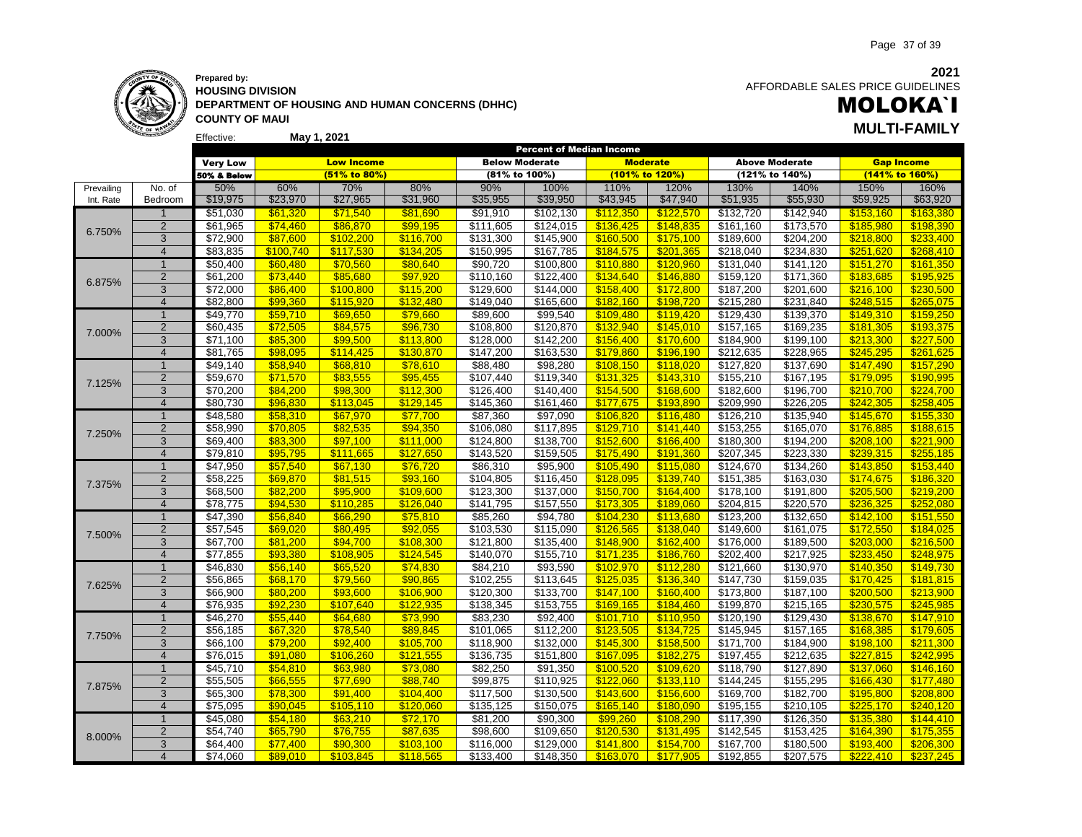### **Prepared by: HOUSING DIVISION DEPARTMENT OF HOUSING AND HUMAN CONCERNS (DHHC) COUNTY OF MAUI May 1, 2021 MULTI-FAMILY**

### **2021** AFFORDABLE SALES PRICE GUIDELINES

# MOLOKA`I

|            |                |                 |           |                   |           |                       |                       | Percent of Median Income |                 |                       |                       |                   |                |
|------------|----------------|-----------------|-----------|-------------------|-----------|-----------------------|-----------------------|--------------------------|-----------------|-----------------------|-----------------------|-------------------|----------------|
|            |                | <b>Very Low</b> |           | <b>Low Income</b> |           | <b>Below Moderate</b> |                       |                          | <b>Moderate</b> |                       | <b>Above Moderate</b> | <b>Gap Income</b> |                |
|            |                | 50% & Below     |           | (51% to 80%)      |           | (81% to 100%)         |                       |                          | (101% to 120%)  |                       | (121% to 140%)        |                   | (141% to 160%) |
| Prevailing | No. of         | 50%             | 60%       | 70%               | 80%       | 90%                   | 100%                  | 110%                     | 120%            | 130%                  | 140%                  | 150%              | 160%           |
| Int. Rate  | Bedroom        | \$19,975        | \$23,970  | \$27,965          | \$31,960  | \$35,955              | \$39,950              | \$43,945                 | \$47,940        | \$51,935              | \$55,930              | \$59,925          | \$63,920       |
|            | $\mathbf{1}$   | \$51,030        | \$61,320  | \$71,540          | \$81,690  | \$91,910              | \$102,130             | \$112,350                | \$122,570       | \$132,720             | \$142,940             | \$153,160         | \$163,380      |
|            | 2              | \$61,965        | \$74,460  | \$86,870          | \$99,195  | \$111,605             | \$124,015             | \$136,425                | \$148,835       | \$161,160             | \$173,570             | \$185,980         | \$198,390      |
| 6.750%     | 3              | \$72,900        | \$87,600  | \$102,200         | \$116,700 | \$131,300             | \$145,900             | \$160,500                | \$175,100       | \$189,600             | \$204,200             | \$218,800         | \$233,400      |
|            | $\overline{4}$ | \$83,835        | \$100.740 | \$117.530         | \$134.205 | \$150,995             | \$167,785             | \$184.575                | \$201,365       | \$218,040             | \$234,830             | \$251.620         | \$268,410      |
|            | $\overline{1}$ | \$50,400        | \$60,480  | \$70,560          | \$80,640  | \$90,720              | \$100,800             | \$110,880                | \$120,960       | \$131,040             | \$141,120             | \$151,270         | \$161,350      |
|            | $\overline{2}$ | \$61,200        | \$73,440  | \$85,680          | \$97,920  | \$110,160             | \$122,400             | \$134,640                | \$146,880       | \$159,120             | \$171,360             | \$183,685         | \$195,925      |
| 6.875%     | 3              | \$72,000        | \$86,400  | \$100.800         | \$115,200 | \$129,600             | \$144,000             | \$158,400                | \$172.800       | $\overline{$187,200}$ | \$201,600             | \$216,100         | \$230,500      |
|            | $\overline{4}$ | \$82,800        | \$99,360  | \$115.920         | \$132,480 | \$149,040             | \$165,600             | \$182.160                | \$198.720       | \$215,280             | \$231,840             | \$248.515         | \$265.075      |
|            | $\mathbf{1}$   | \$49,770        | \$59,710  | \$69,650          | \$79,660  | \$89,600              | \$99,540              | \$109,480                | \$119,420       | \$129,430             | \$139,370             | \$149,310         | \$159,250      |
|            | $\overline{2}$ | \$60,435        | \$72,505  | \$84,575          | \$96,730  | \$108,800             | \$120,870             | \$132.940                | \$145,010       | \$157,165             | \$169,235             | \$181,305         | \$193,375      |
| 7.000%     | $\overline{3}$ | \$71,100        | \$85,300  | \$99,500          | \$113,800 | \$128,000             | \$142,200             | \$156,400                | \$170,600       | \$184,900             | \$199,100             | \$213,300         | \$227,500      |
|            | $\overline{4}$ | \$81,765        | \$98.095  | \$114.425         | \$130,870 | \$147,200             | \$163,530             | \$179.860                | \$196.190       | \$212,635             | \$228,965             | \$245.295         | \$261,625      |
|            | $\mathbf{1}$   | \$49,140        | \$58,940  | \$68,810          | \$78,610  | \$88,480              | \$98,280              | \$108,150                | \$118,020       | \$127,820             | \$137,690             | \$147,490         | \$157,290      |
|            | $\overline{2}$ | \$59,670        | \$71,570  | \$83,555          | \$95,455  | \$107,440             | \$119,340             | \$131,325                | \$143,310       | \$155,210             | \$167,195             | \$179,095         | \$190,995      |
| 7.125%     | 3              | \$70,200        | \$84,200  | \$98,300          | \$112,300 | \$126,400             | $\overline{$}140,400$ | \$154,500                | \$168,600       | \$182,600             | \$196,700             | \$210,700         | \$224,700      |
|            | $\overline{4}$ | \$80,730        | \$96,830  | \$113,045         | \$129,145 | \$145,360             | \$161,460             | \$177,675                | \$193,890       | \$209,990             | \$226,205             | \$242,305         | \$258,405      |
|            | $\mathbf{1}$   | \$48,580        | \$58,310  | \$67,970          | \$77,700  | \$87,360              | \$97,090              | \$106,820                | \$116,480       | \$126,210             | \$135,940             | \$145,670         | \$155,330      |
| 7.250%     | $\overline{2}$ | \$58,990        | \$70,805  | \$82,535          | \$94,350  | \$106,080             | \$117,895             | \$129,710                | \$141,440       | \$153,255             | \$165,070             | \$176,885         | \$188,615      |
|            | 3              | \$69,400        | \$83,300  | \$97,100          | \$111,000 | \$124,800             | \$138,700             | \$152,600                | \$166,400       | \$180,300             | \$194,200             | \$208,100         | \$221,900      |
|            | $\overline{4}$ | \$79,810        | \$95,795  | \$111,665         | \$127,650 | \$143,520             | \$159,505             | \$175,490                | \$191,360       | \$207,345             | \$223,330             | \$239,315         | \$255,185      |
|            | $\overline{1}$ | \$47,950        | \$57,540  | \$67,130          | \$76,720  | \$86,310              | \$95,900              | \$105,490                | \$115,080       | \$124,670             | \$134,260             | \$143,850         | \$153,440      |
|            | $\overline{2}$ | \$58,225        | \$69,870  | \$81,515          | \$93,160  | \$104,805             | \$116,450             | \$128,095                | \$139,740       | \$151,385             | \$163,030             | \$174,675         | \$186,320      |
| 7.375%     | 3              | \$68,500        | \$82,200  | \$95,900          | \$109,600 | \$123,300             | \$137,000             | \$150,700                | \$164,400       | \$178,100             | \$191,800             | \$205,500         | \$219,200      |
|            | $\overline{4}$ | \$78.775        | \$94.530  | \$110.285         | \$126.040 | \$141,795             | \$157,550             | \$173.305                | \$189,060       | 3204,815              | \$220,570             | \$236.325         | \$252,080      |
|            | $\overline{1}$ | \$47,390        | \$56,840  | \$66,290          | \$75,810  | \$85,260              | \$94,780              | \$104,230                | \$113,680       | \$123,200             | \$132,650             | \$142,100         | \$151,550      |
|            | 2              | \$57,545        | \$69,020  | \$80,495          | \$92,055  | \$103,530             | \$115,090             | \$126,565                | \$138,040       | \$149,600             | \$161,075             | \$172,550         | \$184,025      |
| 7.500%     | 3              | \$67,700        | \$81,200  | \$94,700          | \$108,300 | \$121,800             | \$135,400             | \$148,900                | \$162.400       | \$176,000             | \$189,500             | \$203,000         | \$216,500      |
|            | $\overline{4}$ | \$77,855        | \$93,380  | \$108,905         | \$124,545 | \$140,070             | \$155,710             | \$171,235                | \$186,760       | \$202,400             | \$217,925             | \$233,450         | \$248,975      |
|            | $\mathbf{1}$   | \$46,830        | \$56,140  | \$65,520          | \$74,830  | \$84,210              | \$93,590              | \$102,970                | \$112,280       | \$121,660             | \$130,970             | \$140,350         | \$149,730      |
|            | $\overline{2}$ | \$56,865        | \$68,170  | \$79,560          | \$90,865  | \$102,255             | \$113,645             | \$125,035                | \$136,340       | $\sqrt{$147,730}$     | \$159,035             | \$170,425         | \$181,815      |
| 7.625%     | 3              | \$66,900        | \$80,200  | \$93,600          | \$106,900 | \$120,300             | \$133,700             | \$147,100                | \$160,400       | \$173,800             | \$187,100             | \$200,500         | \$213,900      |
|            | $\overline{4}$ | \$76,935        | \$92,230  | \$107.640         | \$122,935 | \$138,345             | \$153,755             | \$169,165                | \$184.460       | \$199,870             | \$215,165             | \$230.575         | \$245.985      |
|            | $\overline{1}$ | \$46,270        | \$55,440  | \$64,680          | \$73,990  | \$83,230              | \$92,400              | \$101,710                | \$110,950       | \$120,190             | \$129,430             | \$138,670         | \$147,910      |
|            | $\overline{2}$ | \$56,185        | \$67,320  | \$78,540          | \$89,845  | \$101,065             | \$112,200             | \$123,505                | \$134,725       | \$145,945             | \$157,165             | \$168,385         | \$179,605      |
| 7.750%     | 3              | \$66,100        | \$79,200  | \$92,400          | \$105,700 | \$118,900             | \$132,000             | \$145,300                | \$158,500       | \$171,700             | \$184,900             | \$198,100         | \$211,300      |
|            | $\overline{4}$ | \$76,015        | \$91,080  | \$106,260         | \$121,555 | \$136,735             | \$151,800             | \$167.095                | \$182.275       | \$197,455             | \$212,635             | \$227,815         | \$242.995      |
|            | $\mathbf{1}$   | \$45,710        | \$54,810  | \$63,980          | \$73,080  | \$82,250              | \$91,350              | \$100,520                | \$109,620       | \$118,790             | \$127,890             | \$137,060         | \$146,160      |
|            | $\overline{2}$ | \$55,505        | \$66,555  | \$77,690          | \$88,740  | \$99,875              | \$110,925             | \$122,060                | \$133,110       | \$144,245             | \$155,295             | \$166,430         | \$177,480      |
| 7.875%     | $\overline{3}$ | \$65,300        | \$78,300  | \$91,400          | \$104,400 | \$117,500             | \$130,500             | \$143,600                | \$156,600       | \$169,700             | \$182,700             | \$195,800         | \$208,800      |
|            | $\overline{4}$ | \$75,095        | \$90,045  | \$105.110         | \$120.060 | \$135,125             | \$150,075             | \$165.140                | \$180.090       | \$195,155             | \$210,105             | \$225.170         | \$240.120      |
|            | $\overline{1}$ | \$45,080        | \$54,180  | \$63,210          | \$72,170  | \$81,200              | \$90,300              | \$99,260                 | \$108,290       | \$117,390             | \$126,350             | \$135,380         | \$144,410      |
|            | $\overline{2}$ | \$54,740        | \$65,790  | \$76,755          | \$87,635  | \$98,600              | \$109,650             | \$120,530                | \$131,495       | \$142,545             | \$153,425             | \$164,390         | \$175,355      |
| 8.000%     | 3              | \$64,400        | \$77.400  | \$90.300          | \$103.100 | \$116,000             | \$129,000             | \$141,800                | \$154.700       | \$167,700             | \$180,500             | \$193.400         | \$206.300      |
|            | $\overline{4}$ | \$74.060        | \$89,010  | \$103.845         | \$118.565 | $\overline{$}133,400$ | \$148,350             | \$163,070                | \$177,905       | \$192.855             | \$207,575             | \$222,410         | \$237.245      |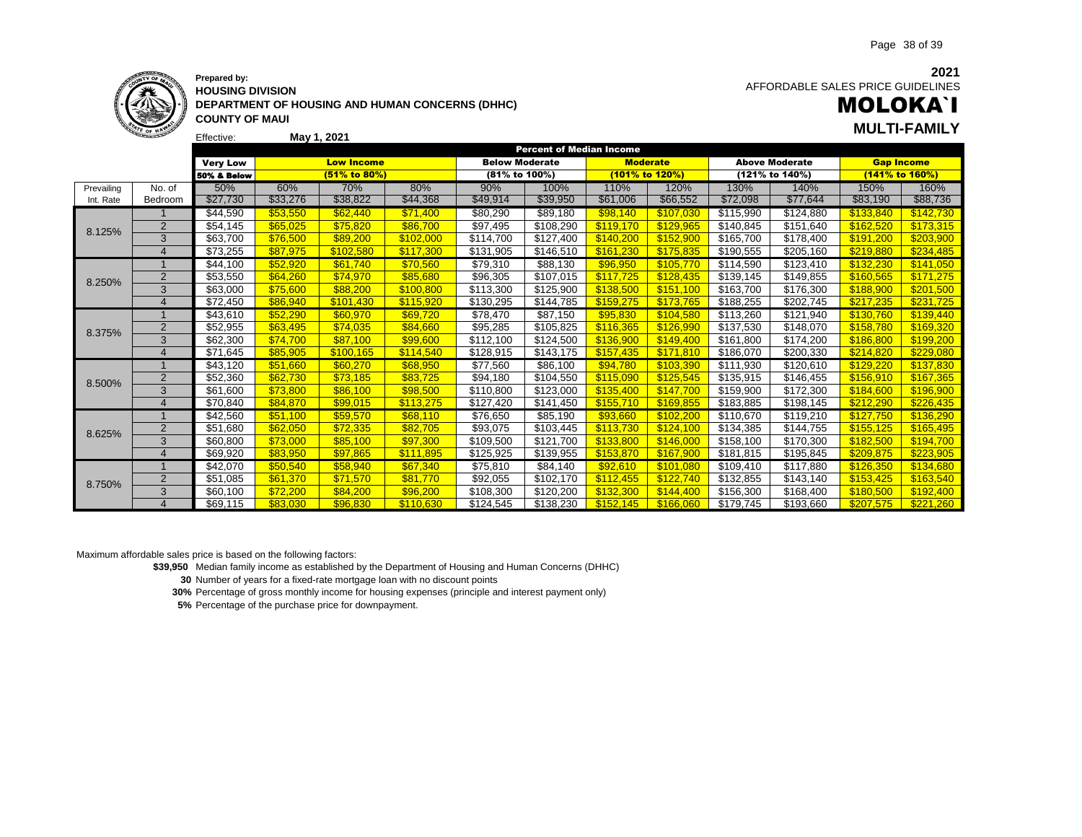**2021**



#### **Prepared by: HOUSING DIVISION DEPARTMENT OF HOUSING AND HUMAN CONCERNS (DHHC)**

AFFORDABLE SALES PRICE GUIDELINES

# MOLOKA`I **May 1, 2021 MULTI-FAMILY**

Effective: **COUNTY OF MAUI**

|            |                |                 |          |                   |           |                       | <b>Percent of Median Income</b> |                 |           |           |                       |                   |           |
|------------|----------------|-----------------|----------|-------------------|-----------|-----------------------|---------------------------------|-----------------|-----------|-----------|-----------------------|-------------------|-----------|
|            |                | <b>Very Low</b> |          | <b>Low Income</b> |           | <b>Below Moderate</b> |                                 | <b>Moderate</b> |           |           | <b>Above Moderate</b> | <b>Gap Income</b> |           |
|            |                | 50% & Below     |          | (51% to 80%)      |           | (81% to 100%)         |                                 | (101% to 120%)  |           |           | (121% to 140%)        | (141% to 160%)    |           |
| Prevailing | No. of         | 50%             | 60%      | 70%               | 80%       | 90%                   | 100%                            | 110%            | 120%      | 130%      | 140%                  | 150%              | 160%      |
| Int. Rate  | Bedroom        | \$27,730        | \$33,276 | \$38,822          | \$44,368  | \$49,914              | \$39,950                        | \$61,006        | \$66,552  | \$72,098  | \$77,644              | \$83,190          | \$88,736  |
|            |                | \$44,590        | \$53,550 | \$62,440          | \$71,400  | \$80,290              | \$89,180                        | \$98,140        | \$107,030 | \$115,990 | \$124,880             | \$133,840         | \$142,730 |
| 8.125%     | $\overline{2}$ | \$54,145        | \$65,025 | \$75,820          | \$86,700  | \$97,495              | \$108,290                       | \$119,170       | \$129,965 | \$140,845 | \$151,640             | \$162,520         | \$173,315 |
|            | 3              | \$63,700        | \$76.500 | \$89,200          | \$102,000 | \$114.700             | \$127,400                       | \$140.200       | \$152,900 | \$165,700 | \$178,400             | \$191,200         | \$203,900 |
|            | $\overline{4}$ | \$73,255        | \$87,975 | \$102.580         | \$117,300 | \$131,905             | \$146,510                       | \$161.230       | \$175.835 | \$190,555 | \$205,160             | \$219.880         | \$234,485 |
|            |                | \$44,100        | \$52,920 | \$61,740          | \$70,560  | \$79,310              | \$88,130                        | \$96,950        | \$105,770 | \$114,590 | \$123,410             | \$132,230         | \$141,050 |
| 8.250%     | $\overline{2}$ | \$53,550        | \$64,260 | \$74,970          | \$85,680  | \$96,305              | \$107,015                       | \$117,725       | \$128,435 | \$139,145 | \$149,855             | \$160.565         | \$171,275 |
|            | 3              | \$63,000        | \$75,600 | \$88,200          | \$100,800 | \$113,300             | \$125,900                       | \$138,500       | \$151,100 | \$163,700 | \$176,300             | \$188,900         | \$201,500 |
|            | $\overline{4}$ | \$72,450        | \$86.940 | \$101.430         | \$115,920 | \$130,295             | \$144,785                       | \$159.275       | \$173.765 | \$188,255 | \$202,745             | \$217,235         | \$231,725 |
| 8.375%     |                | \$43,610        | \$52,290 | \$60,970          | \$69,720  | \$78,470              | \$87,150                        | \$95,830        | \$104,580 | \$113,260 | \$121,940             | \$130,760         | \$139,440 |
|            | $\overline{2}$ | \$52,955        | \$63,495 | \$74.035          | \$84,660  | \$95,285              | \$105,825                       | \$116.365       | \$126.990 | \$137,530 | \$148,070             | \$158.780         | \$169,320 |
|            | 3              | \$62,300        | \$74,700 | \$87.100          | \$99,600  | \$112,100             | \$124.500                       | \$136,900       | \$149.400 | \$161,800 | \$174,200             | \$186,800         | \$199,200 |
|            | $\overline{4}$ | \$71,645        | \$85.905 | \$100.165         | \$114,540 | \$128,915             | \$143,175                       | \$157.435       | \$171.810 | \$186,070 | \$200,330             | \$214,820         | \$229,080 |
|            |                | \$43,120        | \$51,660 | \$60,270          | \$68,950  | \$77,560              | \$86,100                        | \$94,780        | \$103,390 | \$111,930 | \$120,610             | \$129,220         | \$137,830 |
| 8.500%     | $\overline{2}$ | \$52,360        | \$62,730 | \$73,185          | \$83,725  | \$94,180              | \$104,550                       | \$115.090       | \$125,545 | \$135,915 | \$146,455             | \$156.910         | \$167,365 |
|            | 3              | \$61,600        | \$73,800 | \$86,100          | \$98,500  | \$110,800             | \$123,000                       | \$135,400       | \$147,700 | \$159,900 | \$172,300             | \$184,600         | \$196,900 |
|            | $\overline{4}$ | \$70,840        | \$84,870 | \$99,015          | \$113,275 | \$127,420             | \$141,450                       | \$155,710       | \$169.855 | \$183,885 | \$198,145             | \$212.290         | \$226,435 |
|            |                | \$42,560        | \$51,100 | \$59,570          | \$68,110  | \$76,650              | \$85,190                        | \$93,660        | \$102,200 | \$110,670 | \$119,210             | \$127,750         | \$136,290 |
| 8.625%     | $\overline{2}$ | \$51,680        | \$62,050 | \$72,335          | \$82.705  | \$93,075              | \$103,445                       | \$113.730       | \$124.100 | \$134,385 | \$144,755             | \$155.125         | \$165,495 |
|            | 3              | \$60,800        | \$73,000 | \$85,100          | \$97,300  | \$109,500             | \$121,700                       | \$133.800       | \$146.000 | \$158,100 | \$170,300             | \$182.500         | \$194,700 |
|            | $\overline{4}$ | \$69,920        | \$83.950 | \$97,865          | \$111,895 | \$125,925             | \$139,955                       | \$153.870       | \$167.900 | \$181,815 | \$195,845             | \$209.875         | \$223,905 |
|            |                | \$42.070        | \$50,540 | \$58,940          | \$67,340  | \$75.810              | \$84,140                        | \$92,610        | \$101.080 | \$109,410 | \$117.880             | \$126,350         | \$134,680 |
| 8.750%     | $\overline{2}$ | \$51,085        | \$61,370 | \$71,570          | \$81,770  | \$92,055              | \$102,170                       | \$112,455       | \$122.740 | \$132,855 | \$143,140             | \$153,425         | \$163,540 |
|            | 3              | \$60,100        | \$72,200 | \$84,200          | \$96,200  | \$108,300             | \$120,200                       | \$132,300       | \$144,400 | \$156,300 | \$168,400             | \$180.500         | \$192,400 |
|            | $\Delta$       | \$69.115        | \$83,030 | \$96,830          | \$110.630 | \$124.545             | \$138,230                       | \$152.145       | \$166,060 | \$179,745 | \$193,660             | \$207.575         | \$221.260 |

Maximum affordable sales price is based on the following factors:

**\$39,950** Median family income as established by the Department of Housing and Human Concerns (DHHC)

**30** Number of years for a fixed-rate mortgage loan with no discount points

**30%** Percentage of gross monthly income for housing expenses (principle and interest payment only)